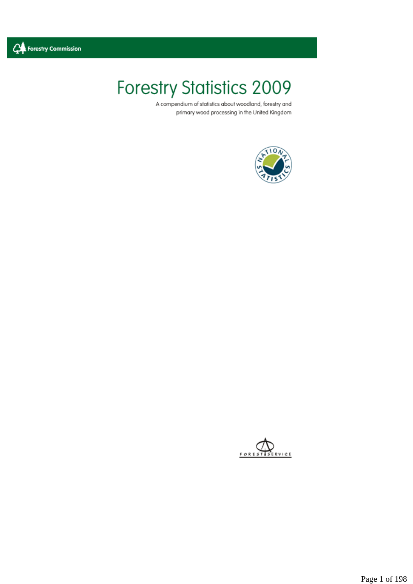

# **Forestry Statistics 2009**

A compendium of statistics about woodland, forestry and primary wood processing in the United Kingdom





Page 1 of 198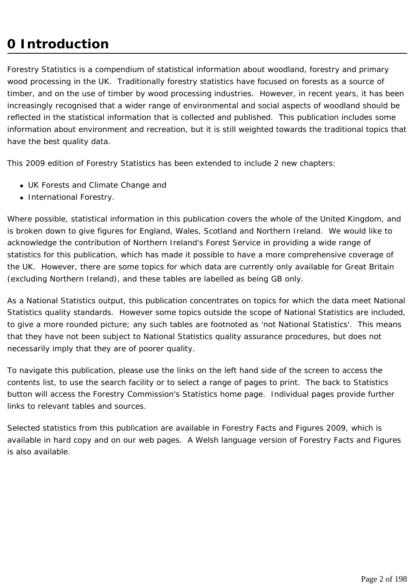# **0 Introduction**

Forestry Statistics is a compendium of statistical information about woodland, forestry and primary wood processing in the UK. Traditionally forestry statistics have focused on forests as a source of timber, and on the use of timber by wood processing industries. However, in recent years, it has been increasingly recognised that a wider range of environmental and social aspects of woodland should be reflected in the statistical information that is collected and published. This publication includes some information about environment and recreation, but it is still weighted towards the traditional topics that have the best quality data.

This 2009 edition of Forestry Statistics has been extended to include 2 new chapters:

- UK Forests and Climate Change and
- International Forestry.

Where possible, statistical information in this publication covers the whole of the United Kingdom, and is broken down to give figures for England, Wales, Scotland and Northern Ireland. We would like to acknowledge the contribution of Northern Ireland's Forest Service in providing a wide range of statistics for this publication, which has made it possible to have a more comprehensive coverage of the UK. However, there are some topics for which data are currently only available for Great Britain (excluding Northern Ireland), and these tables are labelled as being GB only.

As a National Statistics output, this publication concentrates on topics for which the data meet National Statistics quality standards. However some topics outside the scope of National Statistics are included, to give a more rounded picture; any such tables are footnoted as 'not National Statistics'. This means that they have not been subject to National Statistics quality assurance procedures, but does not necessarily imply that they are of poorer quality.

To navigate this publication, please use the links on the left hand side of the screen to access the contents list, to use the search facility or to select a range of pages to print. The back to Statistics button will access the Forestry Commission's Statistics home page. Individual pages provide further links to relevant tables and sources.

Selected statistics from this publication are available in Forestry Facts and Figures 2009, which is available in hard copy and on our web pages. A Welsh language version of Forestry Facts and Figures is also available.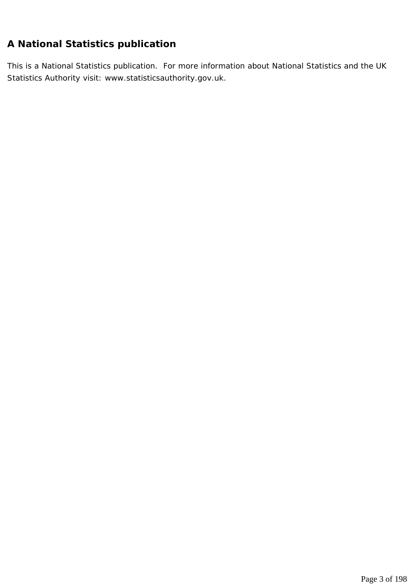# **A National Statistics publication**

This is a National Statistics publication. For more information about National Statistics and the UK Statistics Authority visit: www.statisticsauthority.gov.uk.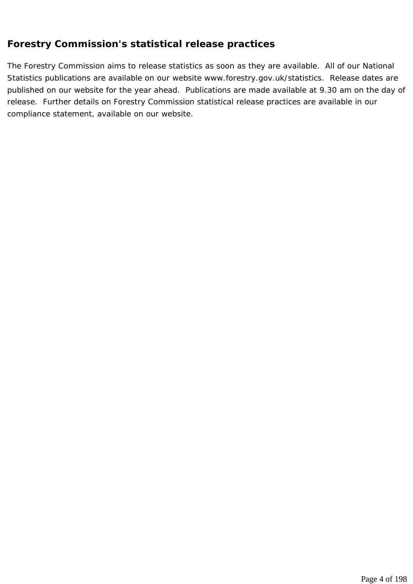#### **Forestry Commission's statistical release practices**

The Forestry Commission aims to release statistics as soon as they are available. All of our National Statistics publications are available on our website www.forestry.gov.uk/statistics. Release dates are published on our website for the year ahead. Publications are made available at 9.30 am on the day of release. Further details on Forestry Commission statistical release practices are available in our compliance statement, available on our website.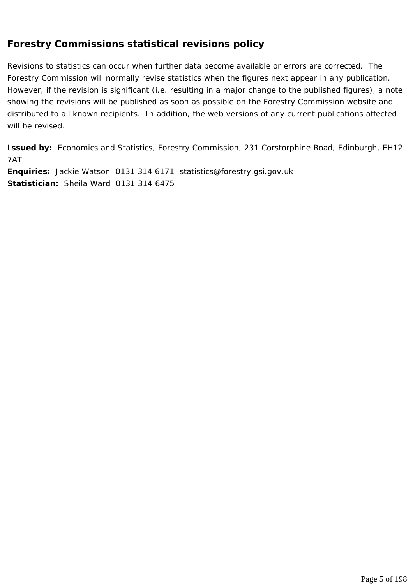## **Forestry Commissions statistical revisions policy**

Revisions to statistics can occur when further data become available or errors are corrected. The Forestry Commission will normally revise statistics when the figures next appear in any publication. However, if the revision is significant (i.e. resulting in a major change to the published figures), a note showing the revisions will be published as soon as possible on the Forestry Commission website and distributed to all known recipients. In addition, the web versions of any current publications affected will be revised.

**Issued by:** Economics and Statistics, Forestry Commission, 231 Corstorphine Road, Edinburgh, EH12 7AT

**Enquiries:** Jackie Watson 0131 314 6171 statistics@forestry.gsi.gov.uk **Statistician:** Sheila Ward 0131 314 6475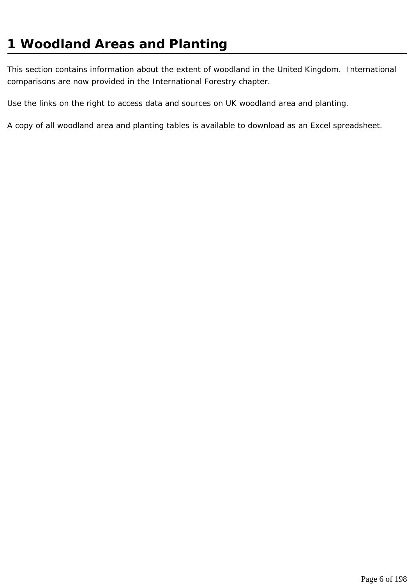# **1 Woodland Areas and Planting**

This section contains information about the extent of woodland in the United Kingdom. International comparisons are now provided in the International Forestry chapter.

Use the links on the right to access data and sources on UK woodland area and planting.

A copy of all woodland area and planting tables is available to download as an Excel spreadsheet.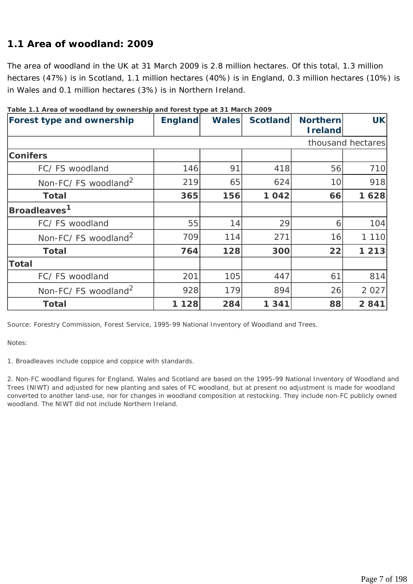## **1.1 Area of woodland: 2009**

The area of woodland in the UK at 31 March 2009 is 2.8 million hectares. Of this total, 1.3 million hectares (47%) is in Scotland, 1.1 million hectares (40%) is in England, 0.3 million hectares (10%) is in Wales and 0.1 million hectares (3%) is in Northern Ireland.

| able in Area or woodland by ownership and forest type at 5 martin 2007<br>Forest type and ownership | <b>England</b> | <b>Wales</b> | <b>Scotland</b> | <b>Northern</b> | <b>UK</b>         |
|-----------------------------------------------------------------------------------------------------|----------------|--------------|-----------------|-----------------|-------------------|
|                                                                                                     |                |              |                 | <b>I</b> reland |                   |
|                                                                                                     |                |              |                 |                 | thousand hectares |
| <b>Conifers</b>                                                                                     |                |              |                 |                 |                   |
| FC/FS woodland                                                                                      | 146            | 91           | 418             | 56              | 710               |
| Non-FC/FS woodland <sup>2</sup>                                                                     | 219            | 65           | 624             | 10              | 918               |
| <b>Total</b>                                                                                        | 365            | 156          | 1042            | 66              | 1628              |
| Broadleaves <sup>1</sup>                                                                            |                |              |                 |                 |                   |
| FC/FS woodland                                                                                      | 55             | 14           | 29              | 6               | 104               |
| Non-FC/FS woodland <sup>2</sup>                                                                     | 709            | 114          | 271             | 16              | 1 1 1 0           |
| <b>Total</b>                                                                                        | 764            | 128          | 300             | 22              | 1 2 1 3           |
| <b>Total</b>                                                                                        |                |              |                 |                 |                   |
| FC/FS woodland                                                                                      | 201            | 105          | 447             | 61              | 814               |
| Non-FC/FS woodland <sup>2</sup>                                                                     | 928            | 179          | 894             | 26              | 2 0 2 7           |
| <b>Total</b>                                                                                        | 1 1 2 8        | 284          | 1 341           | 88              | 2841              |

| Table 1.1 Area of woodland by ownership and forest type at 31 March 2009 |  |  |
|--------------------------------------------------------------------------|--|--|
|                                                                          |  |  |

*Source: Forestry Commission, Forest Service, 1995-99 National Inventory of Woodland and Trees.* 

*Notes:* 

*1. Broadleaves include coppice and coppice with standards.* 

*2. Non-FC woodland figures for England, Wales and Scotland are based on the 1995-99 National Inventory of Woodland and Trees (NIWT) and adjusted for new planting and sales of FC woodland, but at present no adjustment is made for woodland converted to another land-use, nor for changes in woodland composition at restocking. They include non-FC publicly owned woodland. The NIWT did not include Northern Ireland.*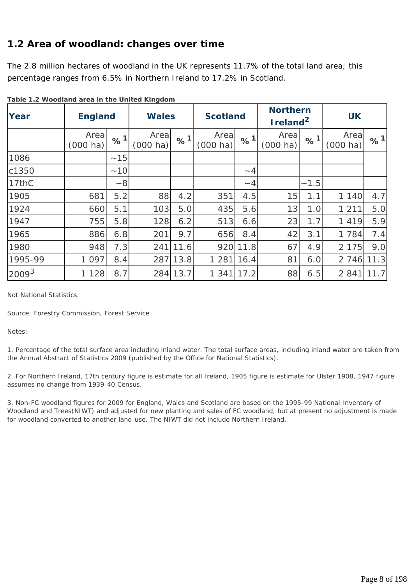### **1.2 Area of woodland: changes over time**

The 2.8 million hectares of woodland in the UK represents 11.7% of the total land area; this percentage ranges from 6.5% in Northern Ireland to 17.2% in Scotland.

| Year              | <b>England</b>             |          | <b>Wales</b>               |                            | <b>Scotland</b>  |          | <b>Northern</b><br>Ireland <sup>2</sup> |          | <b>UK</b>                  |      |
|-------------------|----------------------------|----------|----------------------------|----------------------------|------------------|----------|-----------------------------------------|----------|----------------------------|------|
|                   | Area<br>$(000 \text{ ha})$ | $\%^{1}$ | Area<br>$(000 \text{ ha})$ | $\frac{9}{6}$ <sup>1</sup> | Area<br>(000 ha) | %1       | Area<br>$(000 \text{ ha})$              | $\%^{1}$ | Area<br>$(000 \text{ ha})$ | %1   |
| 1086              |                            | ~15      |                            |                            |                  |          |                                         |          |                            |      |
| c1350             |                            | ~10      |                            |                            |                  | $\sim$ 4 |                                         |          |                            |      |
| 17thC             |                            | $-8$     |                            |                            |                  | $~-4$    |                                         | ~1.5     |                            |      |
| 1905              | 681                        | 5.2      | 88                         | 4.2                        | 351              | 4.5      | 15                                      | 1.1      | 1 140                      | 4.7  |
| 1924              | 660                        | 5.1      | 103                        | 5.0                        | 435              | 5.6      | 13                                      | 1.0      | 1 2 1 1                    | 5.0  |
| 1947              | 755                        | 5.8      | 128                        | 6.2                        | 513              | 6.6      | 23                                      | 1.7      | 1 4 1 9                    | 5.9  |
| 1965              | 886                        | 6.8      | 201                        | 9.7                        | 656              | 8.4      | 42                                      | 3.1      | 1 7 8 4                    | 7.4  |
| 1980              | 948                        | 7.3      | 241                        | 11.6                       | 920              | 11.8     | 67                                      | 4.9      | 2 1 7 5                    | 9.0  |
| 1995-99           | 1 0 9 7                    | 8.4      | 287                        | 13.8                       | 1 2 8 1          | 16.4     | 81                                      | 6.0      | 2 7 4 6                    | 11.3 |
| 2009 <sup>3</sup> | 1 1 2 8                    | 8.7      | 284                        | 13.7                       | 1 341            | 17.2     | 88                                      | 6.5      | 2 8 4 1                    | 11.7 |

**Table 1.2 Woodland area in the United Kingdom**

*Not National Statistics.* 

*Source: Forestry Commission, Forest Service.* 

*Notes:* 

*1. Percentage of the total surface area including inland water. The total surface areas, including inland water are taken from the Annual Abstract of Statistics 2009 (published by the Office for National Statistics).* 

*2. For Northern Ireland, 17th century figure is estimate for all Ireland, 1905 figure is estimate for Ulster 1908, 1947 figure assumes no change from 1939-40 Census.* 

*3. Non-FC woodland figures for 2009 for England, Wales and Scotland are based on the 1995-99 National Inventory of Woodland and Trees(NIWT) and adjusted for new planting and sales of FC woodland, but at present no adjustment is made for woodland converted to another land-use. The NIWT did not include Northern Ireland.*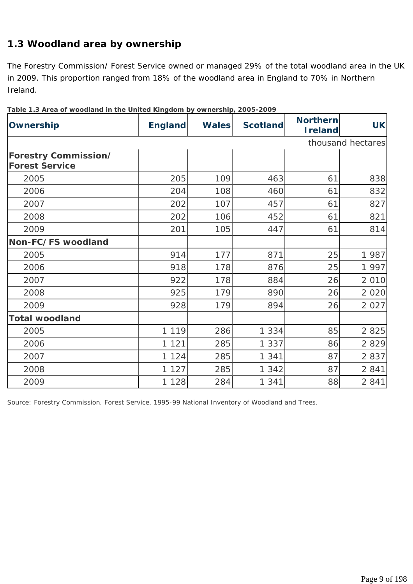# **1.3 Woodland area by ownership**

The Forestry Commission/ Forest Service owned or managed 29% of the total woodland area in the UK in 2009. This proportion ranged from 18% of the woodland area in England to 70% in Northern Ireland.

| Ownership                                            | <b>England</b> | <b>Wales</b> | <b>Scotland</b> | <b>Northern</b><br><b>I</b> reland | <b>UK</b>         |
|------------------------------------------------------|----------------|--------------|-----------------|------------------------------------|-------------------|
|                                                      |                |              |                 |                                    | thousand hectares |
| <b>Forestry Commission/</b><br><b>Forest Service</b> |                |              |                 |                                    |                   |
| 2005                                                 | 205            | 109          | 463             | 61                                 | 838               |
| 2006                                                 | 204            | 108          | 460             | 61                                 | 832               |
| 2007                                                 | 202            | 107          | 457             | 61                                 | 827               |
| 2008                                                 | 202            | 106          | 452             | 61                                 | 821               |
| 2009                                                 | 201            | 105          | 447             | 61                                 | 814               |
| Non-FC/FS woodland                                   |                |              |                 |                                    |                   |
| 2005                                                 | 914            | 177          | 871             | 25                                 | 1 987             |
| 2006                                                 | 918            | 178          | 876             | 25                                 | 1 997             |
| 2007                                                 | 922            | 178          | 884             | 26                                 | 2 0 1 0           |
| 2008                                                 | 925            | 179          | 890             | 26                                 | 2 0 2 0           |
| 2009                                                 | 928            | 179          | 894             | 26                                 | 2 0 2 7           |
| <b>Total woodland</b>                                |                |              |                 |                                    |                   |
| 2005                                                 | 1 1 1 9        | 286          | 1 3 3 4         | 85                                 | 2 8 2 5           |
| 2006                                                 | 1 1 2 1        | 285          | 1 3 3 7         | 86                                 | 2 8 2 9           |
| 2007                                                 | 1 1 2 4        | 285          | 1 3 4 1         | 87                                 | 2 8 3 7           |
| 2008                                                 | 1 1 2 7        | 285          | 1 3 4 2         | 87                                 | 2 8 4 1           |
| 2009                                                 | 1 1 2 8        | 284          | 1 3 4 1         | 88                                 | 2 8 4 1           |

|  |  |  | Table 1.3 Area of woodland in the United Kingdom by ownership, 2005-2009 |
|--|--|--|--------------------------------------------------------------------------|
|  |  |  |                                                                          |

*Source: Forestry Commission, Forest Service, 1995-99 National Inventory of Woodland and Trees.*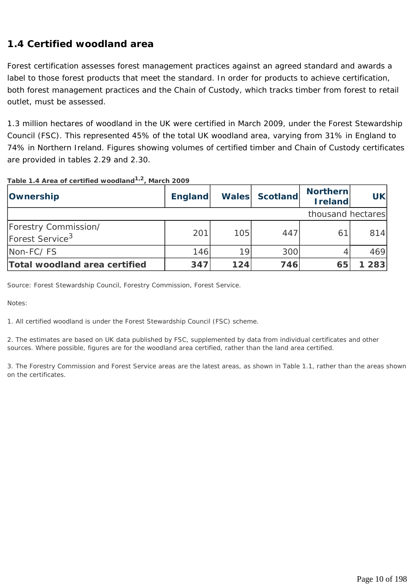# **1.4 Certified woodland area**

Forest certification assesses forest management practices against an agreed standard and awards a label to those forest products that meet the standard. In order for products to achieve certification, both forest management practices and the Chain of Custody, which tracks timber from forest to retail outlet, must be assessed.

1.3 million hectares of woodland in the UK were certified in March 2009, under the Forest Stewardship Council (FSC). This represented 45% of the total UK woodland area, varying from 31% in England to 74% in Northern Ireland. Figures showing volumes of certified timber and Chain of Custody certificates are provided in tables 2.29 and 2.30.

| Ownership                                           | <b>England</b> |     | Wales Scotland | <b>Northern</b><br><b>I</b> reland | <b>UK</b> |
|-----------------------------------------------------|----------------|-----|----------------|------------------------------------|-----------|
|                                                     |                |     |                | thousand hectares                  |           |
| Forestry Commission/<br>Forest Service <sup>3</sup> | 201            | 105 | 447            | 61                                 | 814       |
| Non-FC/FS                                           | 146            | 19  | 300            | 4                                  | 469       |
| Total woodland area certified                       | 347            | 124 | 746            | 65                                 | 283       |

**Table 1.4 Area of certified woodland1,2, March 2009**

*Source: Forest Stewardship Council, Forestry Commission, Forest Service.* 

*Notes:* 

*1. All certified woodland is under the Forest Stewardship Council (FSC) scheme.* 

*2. The estimates are based on UK data published by FSC, supplemented by data from individual certificates and other sources. Where possible, figures are for the woodland area certified, rather than the land area certified.* 

*3. The Forestry Commission and Forest Service areas are the latest areas, as shown in Table 1.1, rather than the areas shown on the certificates.*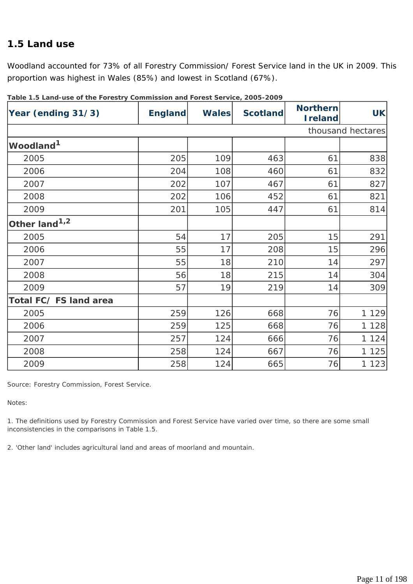#### **1.5 Land use**

Woodland accounted for 73% of all Forestry Commission/ Forest Service land in the UK in 2009. This proportion was highest in Wales (85%) and lowest in Scotland (67%).

| $1800$ . The case was control of $0.000$ , $\lambda$ and $\lambda$ and $\lambda$ and $\lambda$ and $\lambda$ and $\lambda$ and $\lambda$<br>Year (ending 31/3) | <b>England</b> | <b>Wales</b> | <b>Scotland</b> | <b>Northern</b><br><b>I</b> reland | <b>UK</b>         |
|----------------------------------------------------------------------------------------------------------------------------------------------------------------|----------------|--------------|-----------------|------------------------------------|-------------------|
|                                                                                                                                                                |                |              |                 |                                    | thousand hectares |
| Woodland <sup>1</sup>                                                                                                                                          |                |              |                 |                                    |                   |
| 2005                                                                                                                                                           | 205            | 109          | 463             | 61                                 | 838               |
| 2006                                                                                                                                                           | 204            | 108          | 460             | 61                                 | 832               |
| 2007                                                                                                                                                           | 202            | 107          | 467             | 61                                 | 827               |
| 2008                                                                                                                                                           | 202            | 106          | 452             | 61                                 | 821               |
| 2009                                                                                                                                                           | 201            | 105          | 447             | 61                                 | 814               |
| Other land <sup>1,2</sup>                                                                                                                                      |                |              |                 |                                    |                   |
| 2005                                                                                                                                                           | 54             | 17           | 205             | 15                                 | 291               |
| 2006                                                                                                                                                           | 55             | 17           | 208             | 15                                 | 296               |
| 2007                                                                                                                                                           | 55             | 18           | 210             | 14                                 | 297               |
| 2008                                                                                                                                                           | 56             | 18           | 215             | 14                                 | 304               |
| 2009                                                                                                                                                           | 57             | 19           | 219             | 14                                 | 309               |
| Total FC/FS land area                                                                                                                                          |                |              |                 |                                    |                   |
| 2005                                                                                                                                                           | 259            | 126          | 668             | 76                                 | 1 1 2 9           |
| 2006                                                                                                                                                           | 259            | 125          | 668             | 76                                 | 1 1 2 8           |
| 2007                                                                                                                                                           | 257            | 124          | 666             | 76                                 | 1 1 2 4           |
| 2008                                                                                                                                                           | 258            | 124          | 667             | 76                                 | 1 1 2 5           |
| 2009                                                                                                                                                           | 258            | 124          | 665             | 76                                 | 1 1 2 3           |

**Table 1.5 Land-use of the Forestry Commission and Forest Service, 2005-2009**

*Source: Forestry Commission, Forest Service.* 

*Notes:* 

*1. The definitions used by Forestry Commission and Forest Service have varied over time, so there are some small inconsistencies in the comparisons in Table 1.5.* 

*2. 'Other land' includes agricultural land and areas of moorland and mountain.*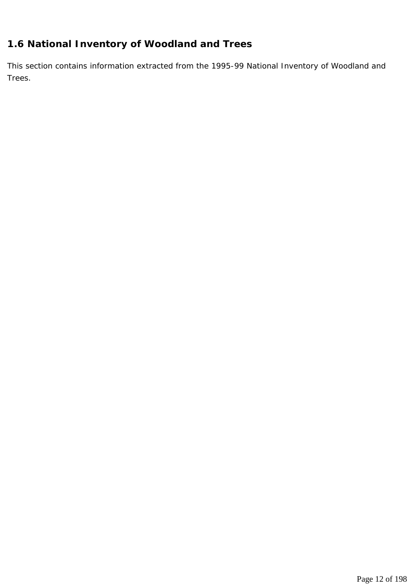# **1.6 National Inventory of Woodland and Trees**

This section contains information extracted from the 1995-99 National Inventory of Woodland and Trees.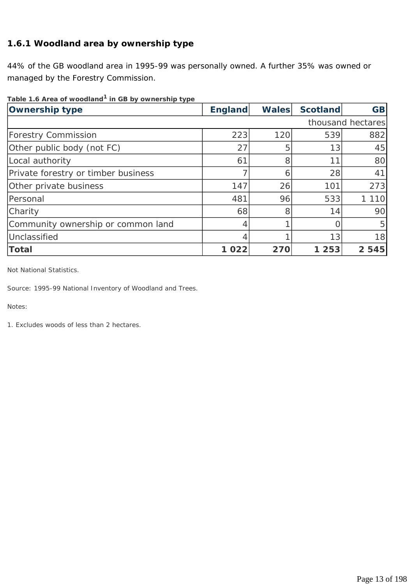#### **1.6.1 Woodland area by ownership type**

44% of the GB woodland area in 1995-99 was personally owned. A further 35% was owned or managed by the Forestry Commission.

| Table 1.6 Area of woodland <sup>1</sup> in GB by ownership type |  |
|-----------------------------------------------------------------|--|
|-----------------------------------------------------------------|--|

| <b>Ownership type</b>               | <b>England</b> | <b>Wales</b> | <b>Scotland</b> | <b>GB</b>         |
|-------------------------------------|----------------|--------------|-----------------|-------------------|
|                                     |                |              |                 | thousand hectares |
| <b>Forestry Commission</b>          | 223            | 120          | 539             | 882               |
| Other public body (not FC)          | 27             | 5            | 13              | 45                |
| Local authority                     | 61             | 8            | 11              | 80                |
| Private forestry or timber business |                | Q            | 28              | 41                |
| Other private business              | 147            | 26           | 101             | 273               |
| Personal                            | 481            | 96           | 533             | 1 1 1 0           |
| Charity                             | 68             | 8            | 14              | 90                |
| Community ownership or common land  | 4              |              |                 | 5                 |
| Unclassified                        |                |              | 13              | 18                |
| <b>Total</b>                        | 1 0 2 2        | 270          | 1 2 5 3         | 2 5 4 5           |

*Not National Statistics.* 

*Source: 1995-99 National Inventory of Woodland and Trees.* 

*Notes:* 

*1. Excludes woods of less than 2 hectares.*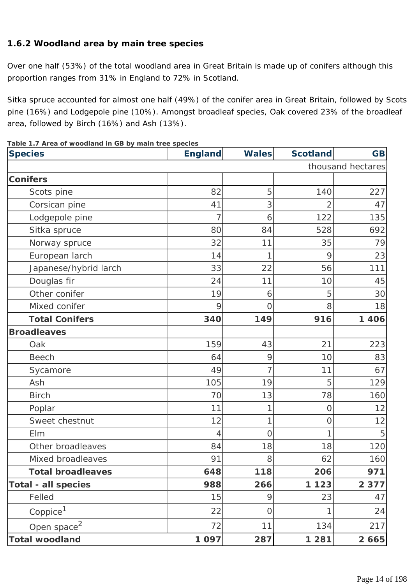#### **1.6.2 Woodland area by main tree species**

Over one half (53%) of the total woodland area in Great Britain is made up of conifers although this proportion ranges from 31% in England to 72% in Scotland.

Sitka spruce accounted for almost one half (49%) of the conifer area in Great Britain, followed by Scots pine (16%) and Lodgepole pine (10%). Amongst broadleaf species, Oak covered 23% of the broadleaf area, followed by Birch (16%) and Ash (13%).

| <b>Species</b>             | <b>England</b> | <b>Wales</b> | <b>Scotland</b> | <b>GB</b>         |
|----------------------------|----------------|--------------|-----------------|-------------------|
|                            |                |              |                 | thousand hectares |
| <b>Conifers</b>            |                |              |                 |                   |
| Scots pine                 | 82             | 5            | 140             | 227               |
| Corsican pine              | 41             | 3            | 2               | 47                |
| Lodgepole pine             |                | 6            | 122             | 135               |
| Sitka spruce               | 80             | 84           | 528             | 692               |
| Norway spruce              | 32             | 11           | 35              | 79                |
| European larch             | 14             |              | 9               | 23                |
| Japanese/hybrid larch      | 33             | 22           | 56              | 111               |
| Douglas fir                | 24             | 11           | 10              | 45                |
| Other conifer              | 19             | 6            | 5               | 30                |
| Mixed conifer              | 9              | 0            | 8               | 18                |
| <b>Total Conifers</b>      | 340            | 149          | 916             | 1 4 0 6           |
| <b>Broadleaves</b>         |                |              |                 |                   |
| Oak                        | 159            | 43           | 21              | 223               |
| <b>Beech</b>               | 64             | 9            | 10              | 83                |
| Sycamore                   | 49             |              | 11              | 67                |
| Ash                        | 105            | 19           | 5               | 129               |
| <b>Birch</b>               | 70             | 13           | 78              | 160               |
| Poplar                     | 11             | 1            | Ο               | 12                |
| Sweet chestnut             | 12             | 1            | O               | 12                |
| Elm                        | 4              | 0            |                 | 5                 |
| Other broadleaves          | 84             | 18           | 18              | 120               |
| Mixed broadleaves          | 91             | 8            | 62              | 160               |
| <b>Total broadleaves</b>   | 648            | 118          | 206             | 971               |
| <b>Total - all species</b> | 988            | 266          | 1 1 2 3         | 2 3 7 7           |
| Felled                     | 15             | 9            | 23              | 47                |
| Coppice <sup>1</sup>       | 22             | 0            | 1               | 24                |
| Open space <sup>2</sup>    | 72             | 11           | 134             | 217               |
| <b>Total woodland</b>      | 1 0 9 7        | 287          | 1 2 8 1         | 2 6 6 5           |

**Table 1.7 Area of woodland in GB by main tree species**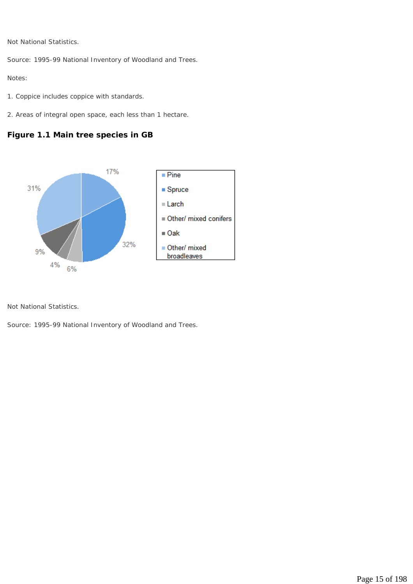*Not National Statistics.* 

*Source: 1995-99 National Inventory of Woodland and Trees.* 

*Notes:* 

- *1. Coppice includes coppice with standards.*
- *2. Areas of integral open space, each less than 1 hectare.*

#### **Figure 1.1 Main tree species in GB**



*Not National Statistics.* 

*Source: 1995-99 National Inventory of Woodland and Trees.*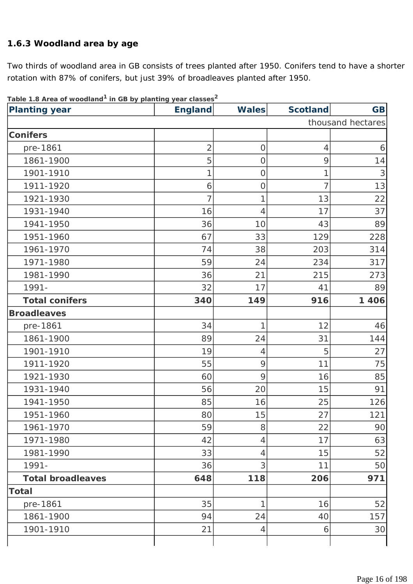#### **1.6.3 Woodland area by age**

Two thirds of woodland area in GB consists of trees planted after 1950. Conifers tend to have a shorter rotation with 87% of conifers, but just 39% of broadleaves planted after 1950.

| <b>Planting year</b>     | <b>England</b> | <b>Wales</b>   | <b>Scotland</b> | <b>GB</b>         |
|--------------------------|----------------|----------------|-----------------|-------------------|
|                          |                |                |                 | thousand hectares |
| <b>Conifers</b>          |                |                |                 |                   |
| pre-1861                 | $\overline{2}$ | $\mathbf 0$    | $\overline{4}$  | 6                 |
| 1861-1900                | 5              | $\overline{O}$ | 9               | 14                |
| 1901-1910                | 1              | $\mathbf 0$    | 1               | 3                 |
| 1911-1920                | 6              | $\overline{O}$ | 7               | 13                |
| 1921-1930                | 7              | 1              | 13              | 22                |
| 1931-1940                | 16             | $\overline{4}$ | 17              | 37                |
| 1941-1950                | 36             | 10             | 43              | 89                |
| 1951-1960                | 67             | 33             | 129             | 228               |
| 1961-1970                | 74             | 38             | 203             | 314               |
| 1971-1980                | 59             | 24             | 234             | 317               |
| 1981-1990                | 36             | 21             | 215             | 273               |
| 1991-                    | 32             | 17             | 41              | 89                |
| <b>Total conifers</b>    | 340            | 149            | 916             | 1 4 0 6           |
| <b>Broadleaves</b>       |                |                |                 |                   |
| pre-1861                 | 34             | 1              | 12              | 46                |
| 1861-1900                | 89             | 24             | 31              | 144               |
| 1901-1910                | 19             | $\overline{4}$ | 5               | 27                |
| 1911-1920                | 55             | 9              | 11              | 75                |
| 1921-1930                | 60             | 9              | 16              | 85                |
| 1931-1940                | 56             | 20             | 15              | 91                |
| 1941-1950                | 85             | 16             | 25              | 126               |
| 1951-1960                | 80             | 15             | 27              | 121               |
| 1961-1970                | 59             | 8              | 22              | 90                |
| 1971-1980                | 42             | $\overline{4}$ | 17              | 63                |
| 1981-1990                | 33             | $\overline{4}$ | 15              | 52                |
| 1991-                    | 36             | 3              | 11              | 50                |
| <b>Total broadleaves</b> | 648            | 118            | 206             | 971               |
| <b>Total</b>             |                |                |                 |                   |
| pre-1861                 | 35             | 1              | 16              | 52                |
| 1861-1900                | 94             | 24             | 40              | 157               |
| 1901-1910                | 21             | $\overline{4}$ | 6               | 30                |
|                          |                |                |                 |                   |

**Table 1.8 Area of woodland1 in GB by planting year classes2**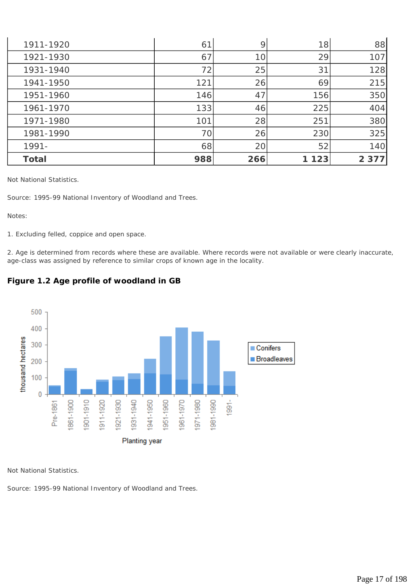| 1911-1920    | 61  | 9               | 18      | 88      |
|--------------|-----|-----------------|---------|---------|
| 1921-1930    | 67  | 10 <sup>1</sup> | 29      | 107     |
| 1931-1940    | 72  | 25              | 31      | 128     |
| 1941-1950    | 121 | 26              | 69      | 215     |
| 1951-1960    | 146 | 47              | 156     | 350     |
| 1961-1970    | 133 | 46              | 225     | 404     |
| 1971-1980    | 101 | 28              | 251     | 380     |
| 1981-1990    | 70  | 26              | 230     | 325     |
| 1991-        | 68  | 20              | 52      | 140     |
| <b>Total</b> | 988 | 266             | 1 1 2 3 | 2 3 7 7 |

*Not National Statistics.* 

*Source: 1995-99 National Inventory of Woodland and Trees.* 

*Notes:* 

*1. Excluding felled, coppice and open space.* 

*2. Age is determined from records where these are available. Where records were not available or were clearly inaccurate, age-class was assigned by reference to similar crops of known age in the locality.* 



#### **Figure 1.2 Age profile of woodland in GB**

*Not National Statistics.* 

*Source: 1995-99 National Inventory of Woodland and Trees.*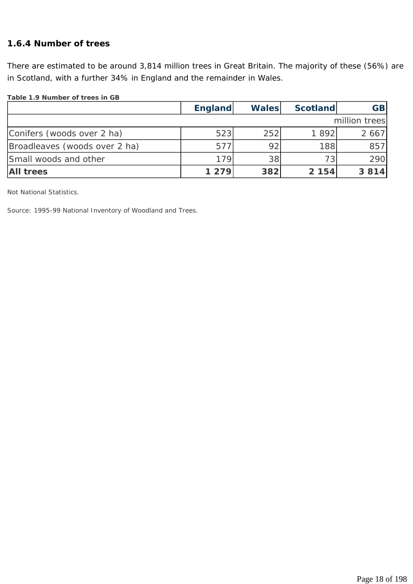#### **1.6.4 Number of trees**

There are estimated to be around 3,814 million trees in Great Britain. The majority of these (56%) are in Scotland, with a further 34% in England and the remainder in Wales.

#### **Table 1.9 Number of trees in GB**

|                               | England | <b>Wales</b> | <b>Scotland</b> | <b>GB</b>     |
|-------------------------------|---------|--------------|-----------------|---------------|
|                               |         |              |                 | million trees |
| Conifers (woods over 2 ha)    | 523     | 252          | 1892            | 2 6 6 7       |
| Broadleaves (woods over 2 ha) | 577     | 92           | 188             | 857           |
| Small woods and other         | 179     | 38           | 73              | 290           |
| <b>All trees</b>              | 1 2 7 9 | 382          | 2 154           | 3 8 1 4       |

*Not National Statistics.* 

*Source: 1995-99 National Inventory of Woodland and Trees.*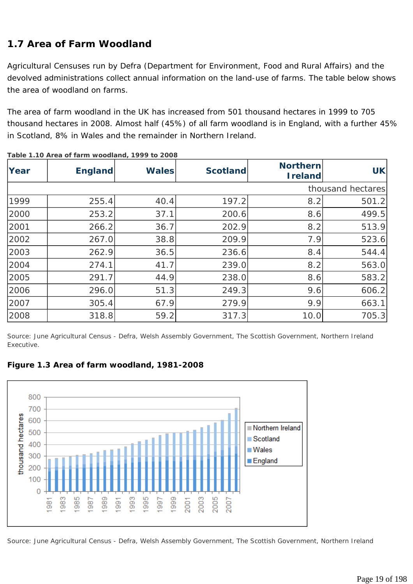# **1.7 Area of Farm Woodland**

Agricultural Censuses run by Defra (Department for Environment, Food and Rural Affairs) and the devolved administrations collect annual information on the land-use of farms. The table below shows the area of woodland on farms.

The area of farm woodland in the UK has increased from 501 thousand hectares in 1999 to 705 thousand hectares in 2008. Almost half (45%) of all farm woodland is in England, with a further 45% in Scotland, 8% in Wales and the remainder in Northern Ireland.

| Year | <b>England</b> | <b>Wales</b> | <b>Scotland</b> | <b>Northern</b><br><b>Ireland</b> | <b>UK</b>         |
|------|----------------|--------------|-----------------|-----------------------------------|-------------------|
|      |                |              |                 |                                   | thousand hectares |
| 1999 | 255.4          | 40.4         | 197.2           | 8.2                               | 501.2             |
| 2000 | 253.2          | 37.1         | 200.6           | 8.6                               | 499.5             |
| 2001 | 266.2          | 36.7         | 202.9           | 8.2                               | 513.9             |
| 2002 | 267.0          | 38.8         | 209.9           | 7.9                               | 523.6             |
| 2003 | 262.9          | 36.5         | 236.6           | 8.4                               | 544.4             |
| 2004 | 274.1          | 41.7         | 239.0           | 8.2                               | 563.0             |
| 2005 | 291.7          | 44.9         | 238.0           | 8.6                               | 583.2             |
| 2006 | 296.0          | 51.3         | 249.3           | 9.6                               | 606.2             |
| 2007 | 305.4          | 67.9         | 279.9           | 9.9                               | 663.1             |
| 2008 | 318.8          | 59.2         | 317.3           | 10.0                              | 705.3             |

**Table 1.10 Area of farm woodland, 1999 to 2008** 

*Source: June Agricultural Census - Defra, Welsh Assembly Government, The Scottish Government, Northern Ireland Executive.* 



**Figure 1.3 Area of farm woodland, 1981-2008**

*Source: June Agricultural Census - Defra, Welsh Assembly Government, The Scottish Government, Northern Ireland*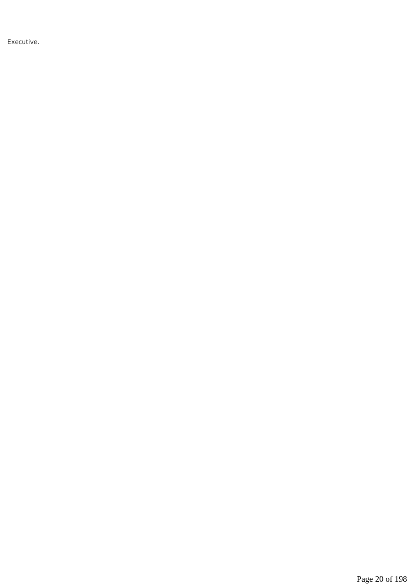*Executive.*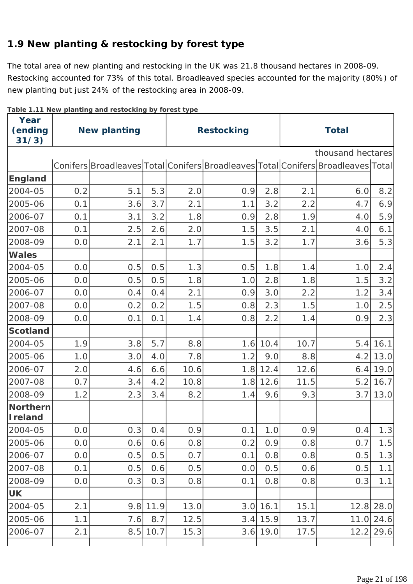# **1.9 New planting & restocking by forest type**

The total area of new planting and restocking in the UK was 21.8 thousand hectares in 2008-09. Restocking accounted for 73% of this total. Broadleaved species accounted for the majority (80%) of new planting but just 24% of the restocking area in 2008-09.

| Year<br>(ending<br>31/3)           | <b>New planting</b> |     |      | <b>Restocking</b><br><b>Total</b> |     |            |      |                                                                                  |             |  |
|------------------------------------|---------------------|-----|------|-----------------------------------|-----|------------|------|----------------------------------------------------------------------------------|-------------|--|
|                                    |                     |     |      |                                   |     |            |      | thousand hectares                                                                |             |  |
|                                    |                     |     |      |                                   |     |            |      | Conifers Broadleaves Total Conifers Broadleaves Total Conifers Broadleaves Total |             |  |
| <b>England</b>                     |                     |     |      |                                   |     |            |      |                                                                                  |             |  |
| 2004-05                            | 0.2                 | 5.1 | 5.3  | 2.0                               | 0.9 | 2.8        | 2.1  | 6.0                                                                              | 8.2         |  |
| 2005-06                            | 0.1                 | 3.6 | 3.7  | 2.1                               | 1.1 | 3.2        | 2.2  | 4.7                                                                              | 6.9         |  |
| 2006-07                            | 0.1                 | 3.1 | 3.2  | 1.8                               | 0.9 | 2.8        | 1.9  | 4.0                                                                              | 5.9         |  |
| 2007-08                            | 0.1                 | 2.5 | 2.6  | 2.0                               | 1.5 | 3.5        | 2.1  | 4.0                                                                              | 6.1         |  |
| 2008-09                            | 0.0                 | 2.1 | 2.1  | 1.7                               | 1.5 | 3.2        | 1.7  | 3.6                                                                              | 5.3         |  |
| <b>Wales</b>                       |                     |     |      |                                   |     |            |      |                                                                                  |             |  |
| 2004-05                            | 0.0                 | 0.5 | 0.5  | 1.3                               | 0.5 | 1.8        | 1.4  | 1.0                                                                              | 2.4         |  |
| 2005-06                            | 0.0                 | 0.5 | 0.5  | 1.8                               | 1.0 | 2.8        | 1.8  | 1.5                                                                              | 3.2         |  |
| 2006-07                            | 0.0                 | 0.4 | 0.4  | 2.1                               | 0.9 | 3.0        | 2.2  | 1.2                                                                              | 3.4         |  |
| 2007-08                            | 0.0                 | 0.2 | 0.2  | 1.5                               | 0.8 | 2.3        | 1.5  | 1.0                                                                              | 2.5         |  |
| 2008-09                            | 0.0                 | 0.1 | 0.1  | 1.4                               | 0.8 | 2.2        | 1.4  | 0.9                                                                              | 2.3         |  |
| <b>Scotland</b>                    |                     |     |      |                                   |     |            |      |                                                                                  |             |  |
| 2004-05                            | 1.9                 | 3.8 | 5.7  | 8.8                               | 1.6 | 10.4       | 10.7 | 5.4                                                                              | 16.1        |  |
| 2005-06                            | 1.0                 | 3.0 | 4.0  | 7.8                               | 1.2 | 9.0        | 8.8  | 4.2                                                                              | 13.0        |  |
| 2006-07                            | 2.0                 | 4.6 | 6.6  | 10.6                              | 1.8 | 12.4       | 12.6 | 6.4                                                                              | 19.0        |  |
| 2007-08                            | 0.7                 | 3.4 | 4.2  | 10.8                              | 1.8 | 12.6       | 11.5 | 5.2                                                                              | 16.7        |  |
| 2008-09                            | 1.2                 | 2.3 | 3.4  | 8.2                               | 1.4 | 9.6        | 9.3  | 3.7                                                                              | 13.0        |  |
| <b>Northern</b><br><b>I</b> reland |                     |     |      |                                   |     |            |      |                                                                                  |             |  |
| 2004-05                            | 0.0                 | 0.3 | 0.4  | 0.9                               | 0.1 | 1.0        | 0.9  | 0.4                                                                              | 1.3         |  |
| 2005-06                            | 0.0                 | 0.6 | 0.6  | 0.8                               | 0.2 | 0.9        | 0.8  | 0.7                                                                              | 1.5         |  |
| 2006-07                            | 0.0                 | 0.5 | 0.5  | 0.7                               | 0.1 | 0.8        | 0.8  | 0.5                                                                              | 1.3         |  |
| 2007-08                            | 0.1                 | 0.5 | 0.6  | 0.5                               | 0.0 | 0.5        | 0.6  | 0.5                                                                              | 1.1         |  |
| 2008-09                            | 0.0                 | 0.3 | 0.3  | 0.8                               | 0.1 | 0.8        | 0.8  | 0.3                                                                              | 1.1         |  |
| <b>UK</b>                          |                     |     |      |                                   |     |            |      |                                                                                  |             |  |
| 2004-05                            | 2.1                 | 9.8 | 11.9 | 13.0                              | 3.0 | 16.1       | 15.1 |                                                                                  | $12.8$ 28.0 |  |
| 2005-06                            | 1.1                 | 7.6 | 8.7  | 12.5                              |     | $3.4$ 15.9 | 13.7 | 11.0                                                                             | 24.6        |  |
| 2006-07                            | 2.1                 | 8.5 | 10.7 | 15.3                              | 3.6 | 19.0       | 17.5 | 12.2                                                                             | 29.6        |  |

**Table 1.11 New planting and restocking by forest type**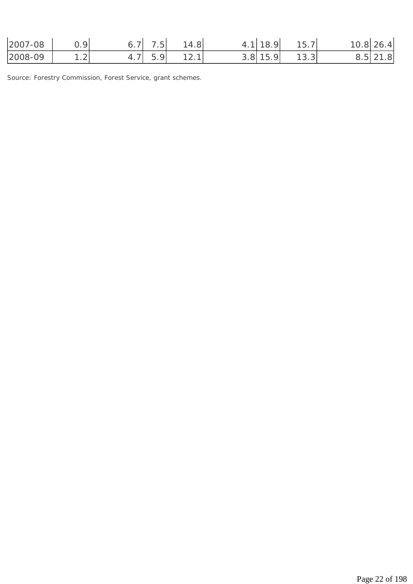| $-08$<br>2007 | $\Omega$                | -                        | $\overline{\phantom{0}}$<br>$\sim$ . | 4.8      |                                | $\sim$<br>u<br>O. | $\overline{\phantom{a}}$<br>$\sim$ $\sim$<br>ים ו<br>. J . 7 | 0.8 | 4 <sup>1</sup><br>י<br>ZU. |
|---------------|-------------------------|--------------------------|--------------------------------------|----------|--------------------------------|-------------------|--------------------------------------------------------------|-----|----------------------------|
| 2008-09       | $\sim$<br>$\cdot$ 4 $-$ | -<br><b>T</b> . <i>I</i> | $\overline{\phantom{0}}$<br>⌒<br>◡.  | ◢<br>. ے | $\mathbf -$<br>$\cup$ . $\cup$ | $\Omega$          | $\sim$<br>ິບ . ບ                                             | ◡.◡ | .8                         |

*Source: Forestry Commission, Forest Service, grant schemes.*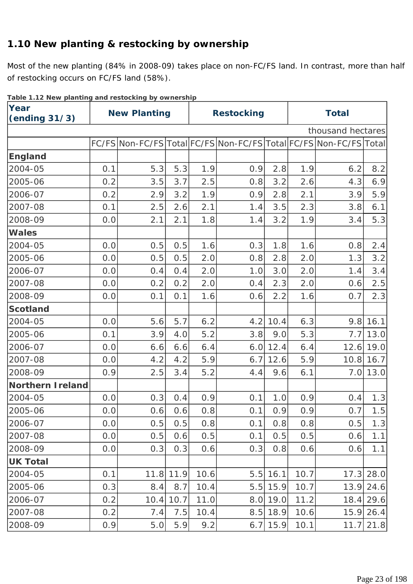# **1.10 New planting & restocking by ownership**

Most of the new planting (84% in 2008-09) takes place on non-FC/FS land. In contrast, more than half of restocking occurs on FC/FS land (58%).

| Table 1.12 New planting and restocking by ownership<br>Year<br>(ending 31/3) | <b>New Planting</b> |      |           | <b>Restocking</b> |     |            | <b>Total</b> |                                                                   |             |
|------------------------------------------------------------------------------|---------------------|------|-----------|-------------------|-----|------------|--------------|-------------------------------------------------------------------|-------------|
|                                                                              |                     |      |           |                   |     |            |              | thousand hectares                                                 |             |
|                                                                              |                     |      |           |                   |     |            |              | FC/FS Non-FC/FS Total FC/FS Non-FC/FS Total FC/FS Non-FC/FS Total |             |
| <b>England</b>                                                               |                     |      |           |                   |     |            |              |                                                                   |             |
| 2004-05                                                                      | 0.1                 | 5.3  | 5.3       | 1.9               | 0.9 | 2.8        | 1.9          | 6.2                                                               | 8.2         |
| 2005-06                                                                      | 0.2                 | 3.5  | 3.7       | 2.5               | 0.8 | 3.2        | 2.6          | 4.3                                                               | 6.9         |
| 2006-07                                                                      | 0.2                 | 2.9  | 3.2       | 1.9               | 0.9 | 2.8        | 2.1          | 3.9                                                               | 5.9         |
| 2007-08                                                                      | 0.1                 | 2.5  | 2.6       | 2.1               | 1.4 | 3.5        | 2.3          | 3.8                                                               | 6.1         |
| 2008-09                                                                      | 0.0                 | 2.1  | 2.1       | 1.8               | 1.4 | 3.2        | 1.9          | 3.4                                                               | 5.3         |
| <b>Wales</b>                                                                 |                     |      |           |                   |     |            |              |                                                                   |             |
| 2004-05                                                                      | 0.0                 | 0.5  | 0.5       | 1.6               | 0.3 | 1.8        | 1.6          | 0.8                                                               | 2.4         |
| 2005-06                                                                      | 0.0                 | 0.5  | 0.5       | 2.0               | 0.8 | 2.8        | 2.0          | 1.3                                                               | 3.2         |
| 2006-07                                                                      | 0.0                 | 0.4  | 0.4       | 2.0               | 1.0 | 3.0        | 2.0          | 1.4                                                               | 3.4         |
| 2007-08                                                                      | 0.0                 | 0.2  | 0.2       | 2.0               | 0.4 | 2.3        | 2.0          | 0.6                                                               | 2.5         |
| 2008-09                                                                      | 0.0                 | 0.1  | 0.1       | 1.6               | 0.6 | 2.2        | 1.6          | 0.7                                                               | 2.3         |
| <b>Scotland</b>                                                              |                     |      |           |                   |     |            |              |                                                                   |             |
| 2004-05                                                                      | 0.0                 | 5.6  | 5.7       | 6.2               | 4.2 | 10.4       | 6.3          |                                                                   | 9.8 16.1    |
| 2005-06                                                                      | 0.1                 | 3.9  | 4.0       | 5.2               | 3.8 | 9.0        | 5.3          |                                                                   | $7.7$ 13.0  |
| 2006-07                                                                      | 0.0                 | 6.6  | 6.6       | 6.4               |     | $6.0$ 12.4 | 6.4          |                                                                   | $12.6$ 19.0 |
| 2007-08                                                                      | 0.0                 | 4.2  | 4.2       | 5.9               | 6.7 | 12.6       | 5.9          |                                                                   | $10.8$ 16.7 |
| 2008-09                                                                      | 0.9                 | 2.5  | 3.4       | 5.2               | 4.4 | 9.6        | 6.1          |                                                                   | $7.0$ 13.0  |
| <b>Northern Ireland</b>                                                      |                     |      |           |                   |     |            |              |                                                                   |             |
| 2004-05                                                                      | 0.0                 | 0.3  | 0.4       | 0.9               | 0.1 | 1.0        | 0.9          | 0.4                                                               | 1.3         |
| 2005-06                                                                      | 0.0                 |      | $0.6$ 0.6 | 0.8               | 0.1 | 0.9        | 0.9          |                                                                   | $0.7$ 1.5   |
| 2006-07                                                                      | 0.0                 | 0.5  | 0.5       | 0.8               | 0.1 | 0.8        | 0.8          | 0.5                                                               | 1.3         |
| 2007-08                                                                      | 0.0                 | 0.5  | 0.6       | 0.5               | 0.1 | 0.5        | 0.5          | 0.6                                                               | 1.1         |
| 2008-09                                                                      | 0.0                 | 0.3  | 0.3       | 0.6               | 0.3 | 0.8        | 0.6          | 0.6                                                               | 1.1         |
| <b>UK Total</b>                                                              |                     |      |           |                   |     |            |              |                                                                   |             |
| 2004-05                                                                      | 0.1                 | 11.8 | 11.9      | 10.6              | 5.5 | 16.1       | 10.7         | 17.3                                                              | 28.0        |
| 2005-06                                                                      | 0.3                 | 8.4  | 8.7       | 10.4              | 5.5 | 15.9       | 10.7         | 13.9                                                              | 24.6        |
| 2006-07                                                                      | 0.2                 | 10.4 | 10.7      | 11.0              | 8.0 | 19.0       | 11.2         | 18.4                                                              | 29.6        |
| 2007-08                                                                      | 0.2                 | 7.4  | 7.5       | 10.4              | 8.5 | 18.9       | 10.6         | 15.9                                                              | 26.4        |
| 2008-09                                                                      | 0.9                 | 5.0  | 5.9       | 9.2               | 6.7 | 15.9       | 10.1         | 11.7                                                              | 21.8        |

**Table 1.12 New planting and restocking by ownership**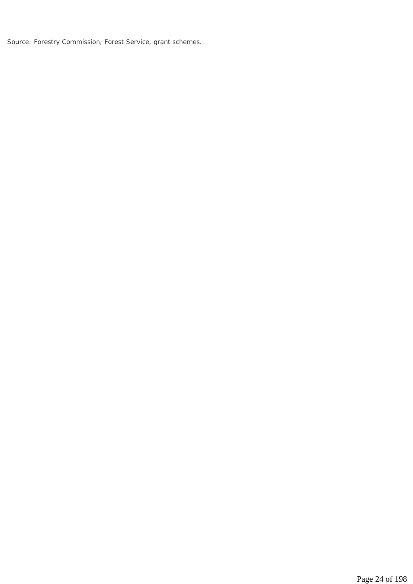*Source: Forestry Commission, Forest Service, grant schemes.*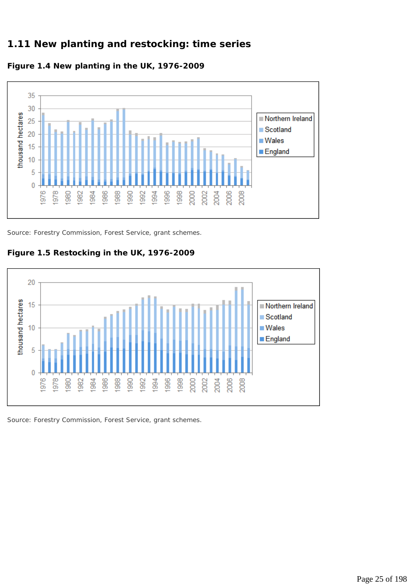#### **1.11 New planting and restocking: time series**





*Source: Forestry Commission, Forest Service, grant schemes.* 

**Figure 1.5 Restocking in the UK, 1976-2009**



*Source: Forestry Commission, Forest Service, grant schemes.*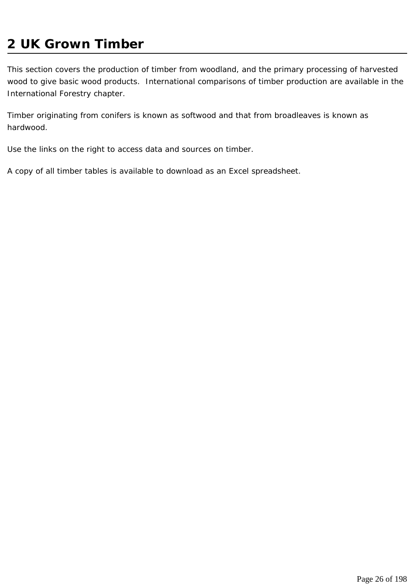# **2 UK Grown Timber**

This section covers the production of timber from woodland, and the primary processing of harvested wood to give basic wood products. International comparisons of timber production are available in the International Forestry chapter.

Timber originating from conifers is known as softwood and that from broadleaves is known as hardwood.

Use the links on the right to access data and sources on timber.

A copy of all timber tables is available to download as an Excel spreadsheet.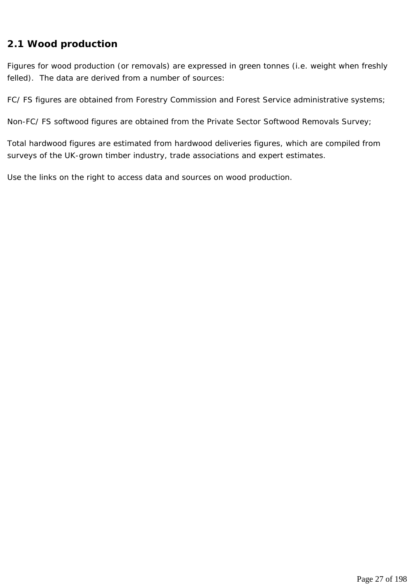#### **2.1 Wood production**

Figures for wood production (or removals) are expressed in green tonnes (i.e. weight when freshly felled). The data are derived from a number of sources:

FC/ FS figures are obtained from Forestry Commission and Forest Service administrative systems;

Non-FC/ FS softwood figures are obtained from the Private Sector Softwood Removals Survey;

Total hardwood figures are estimated from hardwood deliveries figures, which are compiled from surveys of the UK-grown timber industry, trade associations and expert estimates.

Use the links on the right to access data and sources on wood production.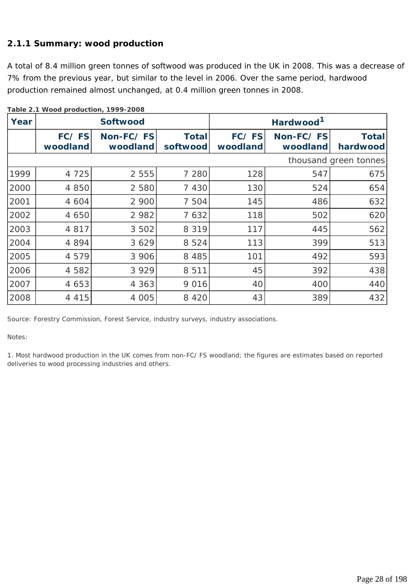#### **2.1.1 Summary: wood production**

A total of 8.4 million green tonnes of softwood was produced in the UK in 2008. This was a decrease of 7% from the previous year, but similar to the level in 2006. Over the same period, hardwood production remained almost unchanged, at 0.4 million green tonnes in 2008.

| Year |                   | <b>Softwood</b>       |                          | Hardwood <sup>1</sup> |                       |                          |
|------|-------------------|-----------------------|--------------------------|-----------------------|-----------------------|--------------------------|
|      | FC/FS<br>woodland | Non-FC/FS<br>woodland | <b>Total</b><br>softwood | FC/FS<br>woodland     | Non-FC/FS<br>woodland | <b>Total</b><br>hardwood |
|      |                   |                       |                          |                       |                       | thousand green tonnes    |
| 1999 | 4 7 2 5           | 2 5 5 5               | 7 2 8 0                  | 128                   | 547                   | 675                      |
| 2000 | 4 8 5 0           | 2 5 8 0               | 7 4 3 0                  | 130                   | 524                   | 654                      |
| 2001 | 4 6 0 4           | 2 900                 | 7 504                    | 145                   | 486                   | 632                      |
| 2002 | 4 650             | 2 9 8 2               | 7 6 3 2                  | 118                   | 502                   | 620                      |
| 2003 | 4 8 1 7           | 3 5 0 2               | 8 3 1 9                  | 117                   | 445                   | 562                      |
| 2004 | 4 8 9 4           | 3 6 2 9               | 8 5 2 4                  | 113                   | 399                   | 513                      |
| 2005 | 4 5 7 9           | 3 9 0 6               | 8 4 8 5                  | 101                   | 492                   | 593                      |
| 2006 | 4 5 8 2           | 3 9 2 9               | 8 5 1 1                  | 45                    | 392                   | 438                      |
| 2007 | 4 6 5 3           | 4 3 6 3               | 9 0 1 6                  | 40                    | 400                   | 440                      |
| 2008 | 4 4 1 5           | 4 0 0 5               | 8 4 2 0                  | 43                    | 389                   | 432                      |

**Table 2.1 Wood production, 1999-2008**

*Source: Forestry Commission, Forest Service, industry surveys, industry associations.* 

*Notes:* 

*1. Most hardwood production in the UK comes from non-FC/ FS woodland; the figures are estimates based on reported deliveries to wood processing industries and others.*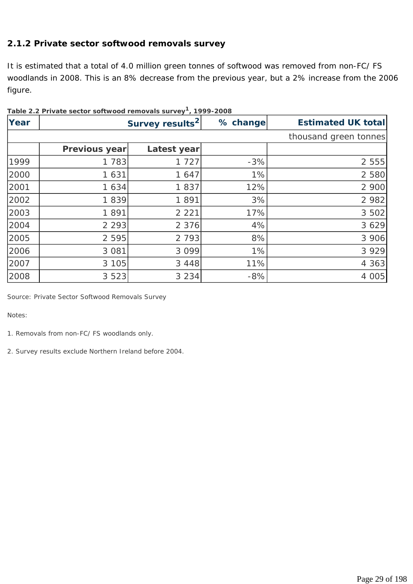#### **2.1.2 Private sector softwood removals survey**

It is estimated that a total of 4.0 million green tonnes of softwood was removed from non-FC/ FS woodlands in 2008. This is an 8% decrease from the previous year, but a 2% increase from the 2006 figure.

|      | Table 2.2 Private sector softwood removals survey , 1999-2008 |                             |          |                            |  |  |  |  |  |
|------|---------------------------------------------------------------|-----------------------------|----------|----------------------------|--|--|--|--|--|
| Year |                                                               | Survey results <sup>2</sup> | % change | <b>Estimated UK totall</b> |  |  |  |  |  |
|      |                                                               |                             |          | thousand green tonnes      |  |  |  |  |  |
|      | Previous year                                                 | Latest year                 |          |                            |  |  |  |  |  |
| 1999 | 1 783                                                         | 1 7 2 7                     | $-3%$    | 2 5 5 5                    |  |  |  |  |  |
| 2000 | 1 631                                                         | 1 647                       | 1%       | 2 5 8 0                    |  |  |  |  |  |
| 2001 | 1 634                                                         | 1837                        | 12%      | 2 900                      |  |  |  |  |  |
| 2002 | 1839                                                          | 1891                        | 3%       | 2 9 8 2                    |  |  |  |  |  |
| 2003 | 1891                                                          | 2 2 2 1                     | 17%      | 3 5 0 2                    |  |  |  |  |  |
| 2004 | 2 2 9 3                                                       | 2 3 7 6                     | 4%       | 3 6 2 9                    |  |  |  |  |  |
| 2005 | 2 5 9 5                                                       | 2 7 9 3                     | 8%       | 3 9 0 6                    |  |  |  |  |  |
| 2006 | 3 0 8 1                                                       | 3 0 9 9                     | 1%       | 3 9 2 9                    |  |  |  |  |  |
| 2007 | 3 1 0 5                                                       | 3 4 4 8                     | 11%      | 4 3 6 3                    |  |  |  |  |  |
| 2008 | 3 5 2 3                                                       | 3 2 3 4                     | $-8%$    | 4 0 0 5                    |  |  |  |  |  |

**Table 2.2 Private sector softwood removals survey1, 1999-2008**

*Source: Private Sector Softwood Removals Survey* 

*Notes:* 

- *1. Removals from non-FC/ FS woodlands only.*
- *2. Survey results exclude Northern Ireland before 2004.*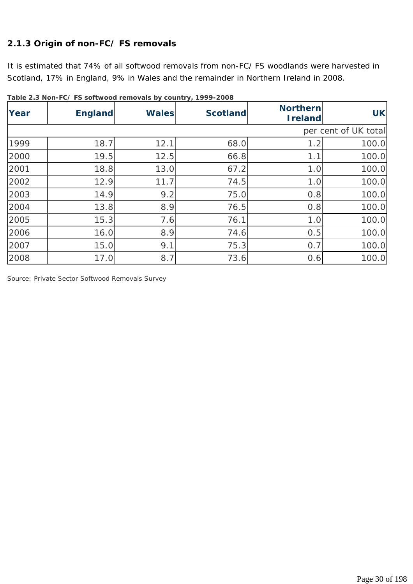# **2.1.3 Origin of non-FC/ FS removals**

It is estimated that 74% of all softwood removals from non-FC/ FS woodlands were harvested in Scotland, 17% in England, 9% in Wales and the remainder in Northern Ireland in 2008.

| Year | $1000$ 2.0 Not 1 of 10 Softwood reflievals by country $1777$ 2000<br><b>England</b> | <b>Wales</b> | <b>Scotland</b> | <b>Northern</b><br><b>Ireland</b> | UK                   |
|------|-------------------------------------------------------------------------------------|--------------|-----------------|-----------------------------------|----------------------|
|      |                                                                                     |              |                 |                                   | per cent of UK total |
| 1999 | 18.7                                                                                | 12.1         | 68.0            | 1.2                               | 100.0                |
| 2000 | 19.5                                                                                | 12.5         | 66.8            | 1.1                               | 100.0                |
| 2001 | 18.8                                                                                | 13.0         | 67.2            | 1.0                               | 100.0                |
| 2002 | 12.9                                                                                | 11.7         | 74.5            | 1.0                               | 100.0                |
| 2003 | 14.9                                                                                | 9.2          | 75.0            | 0.8                               | 100.0                |
| 2004 | 13.8                                                                                | 8.9          | 76.5            | 0.8                               | 100.0                |
| 2005 | 15.3                                                                                | 7.6          | 76.1            | 1.0                               | 100.0                |
| 2006 | 16.0                                                                                | 8.9          | 74.6            | 0.5                               | 100.0                |
| 2007 | 15.0                                                                                | 9.1          | 75.3            | 0.7                               | 100.0                |
| 2008 | 17.0                                                                                | 8.7          | 73.6            | 0.6                               | 100.0                |

**Table 2.3 Non-FC/ FS softwood removals by country, 1999-2008**

*Source: Private Sector Softwood Removals Survey*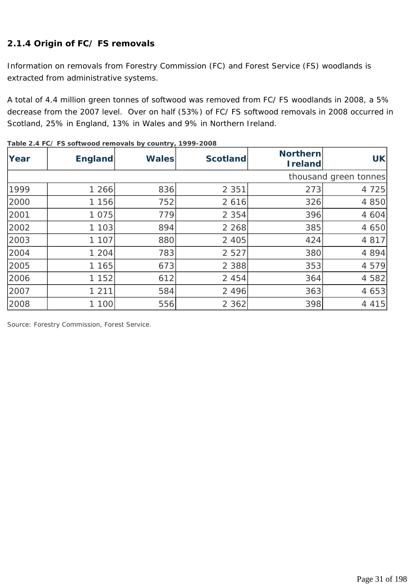#### **2.1.4 Origin of FC/ FS removals**

Information on removals from Forestry Commission (FC) and Forest Service (FS) woodlands is extracted from administrative systems.

A total of 4.4 million green tonnes of softwood was removed from FC/ FS woodlands in 2008, a 5% decrease from the 2007 level. Over on half (53%) of FC/ FS softwood removals in 2008 occurred in Scotland, 25% in England, 13% in Wales and 9% in Northern Ireland.

| Year | <b>England</b> | <b>Wales</b> | <b>Scotland</b> | <b>Northern</b><br><b>Ireland</b> | <b>UK</b>             |
|------|----------------|--------------|-----------------|-----------------------------------|-----------------------|
|      |                |              |                 |                                   | thousand green tonnes |
| 1999 | 1 266          | 836          | 2 3 5 1         | 273                               | 4 7 2 5               |
| 2000 | 1 1 5 6        | 752          | 2 6 1 6         | 326                               | 4 8 5 0               |
| 2001 | 1 0 7 5        | 779          | 2 3 5 4         | 396                               | 4 604                 |
| 2002 | 1 1 0 3        | 894          | 2 2 6 8         | 385                               | 4 650                 |
| 2003 | 1 107          | 880          | 2 4 0 5         | 424                               | 4 8 1 7               |
| 2004 | 1 2 0 4        | 783          | 2 5 2 7         | 380                               | 4 8 9 4               |
| 2005 | 1 165          | 673          | 2 3 8 8         | 353                               | 4 5 7 9               |
| 2006 | 1 1 5 2        | 612          | 2 4 5 4         | 364                               | 4 5 8 2               |
| 2007 | 1 2 1 1        | 584          | 2 4 9 6         | 363                               | 4 6 5 3               |
| 2008 | 1 100          | 556          | 2 3 6 2         | 398                               | 4 4 1 5               |

**Table 2.4 FC/ FS softwood removals by country, 1999-2008**

*Source: Forestry Commission, Forest Service.*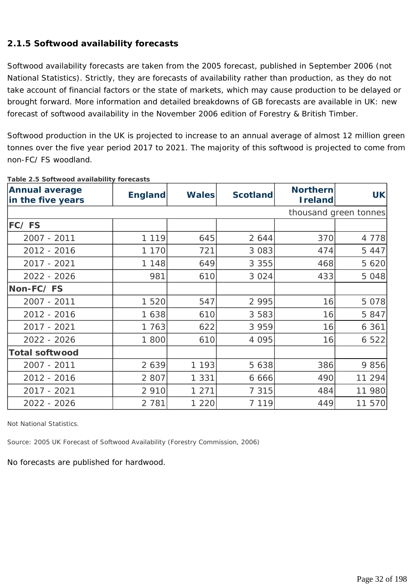#### **2.1.5 Softwood availability forecasts**

Softwood availability forecasts are taken from the 2005 forecast, published in September 2006 (not National Statistics). Strictly, they are forecasts of availability rather than production, as they do not take account of financial factors or the state of markets, which may cause production to be delayed or brought forward. More information and detailed breakdowns of GB forecasts are available in UK: new forecast of softwood availability in the November 2006 edition of Forestry & British Timber.

Softwood production in the UK is projected to increase to an annual average of almost 12 million green tonnes over the five year period 2017 to 2021. The majority of this softwood is projected to come from non-FC/ FS woodland.

| <b>Annual average</b><br>in the five years | <b>England</b> | <b>Wales</b> | <b>Scotland</b> | <b>Northern</b><br><b>I</b> reland | <b>UK</b>             |
|--------------------------------------------|----------------|--------------|-----------------|------------------------------------|-----------------------|
|                                            |                |              |                 |                                    | thousand green tonnes |
| FC/FS                                      |                |              |                 |                                    |                       |
| 2007 - 2011                                | 1 1 1 9        | 645          | 2 644           | 370                                | 4 7 7 8               |
| 2012 - 2016                                | 1 1 7 0        | 721          | 3 0 8 3         | 474                                | 5 4 4 7               |
| 2017 - 2021                                | 1 1 4 8        | 649          | 3 3 5 5         | 468                                | 5 6 20                |
| 2022 - 2026                                | 981            | 610          | 3 0 2 4         | 433                                | 5 0 4 8               |
| Non-FC/FS                                  |                |              |                 |                                    |                       |
| 2007 - 2011                                | 1 5 2 0        | 547          | 2 9 9 5         | 16                                 | 5 0 7 8               |
| 2012 - 2016                                | 1 638          | 610          | 3 5 8 3         | 16                                 | 5 847                 |
| 2017 - 2021                                | 1 763          | 622          | 3 9 5 9         | 16                                 | 6361                  |
| 2022 - 2026                                | 1 800          | 610          | 4 0 9 5         | 16                                 | 6 5 2 2               |
| <b>Total softwood</b>                      |                |              |                 |                                    |                       |
| 2007 - 2011                                | 2 6 3 9        | 1 1 9 3      | 5 6 3 8         | 386                                | 9 8 5 6               |
| 2012 - 2016                                | 2 8 0 7        | 1 3 3 1      | 6 6 6 6         | 490                                | 11 294                |
| 2017 - 2021                                | 2 9 1 0        | 1 2 7 1      | 7 3 1 5         | 484                                | 11 980                |
| 2022 - 2026                                | 2 7 8 1        | 1 2 2 0      | 7 1 1 9         | 449                                | 11 570                |

**Table 2.5 Softwood availability forecasts**

*Not National Statistics.* 

*Source: 2005 UK Forecast of Softwood Availability (Forestry Commission, 2006)* 

No forecasts are published for hardwood.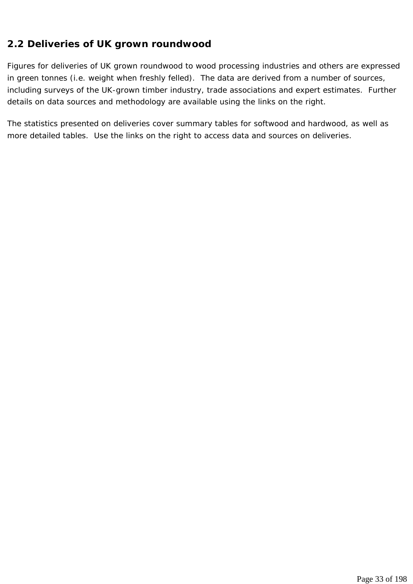### **2.2 Deliveries of UK grown roundwood**

Figures for deliveries of UK grown roundwood to wood processing industries and others are expressed in green tonnes (i.e. weight when freshly felled). The data are derived from a number of sources, including surveys of the UK-grown timber industry, trade associations and expert estimates. Further details on data sources and methodology are available using the links on the right.

The statistics presented on deliveries cover summary tables for softwood and hardwood, as well as more detailed tables. Use the links on the right to access data and sources on deliveries.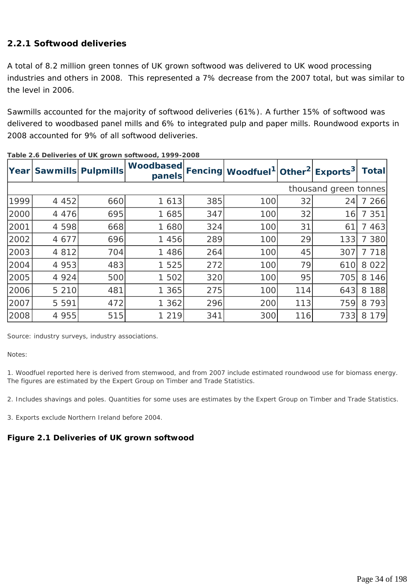#### **2.2.1 Softwood deliveries**

A total of 8.2 million green tonnes of UK grown softwood was delivered to UK wood processing industries and others in 2008. This represented a 7% decrease from the 2007 total, but was similar to the level in 2006.

Sawmills accounted for the majority of softwood deliveries (61%). A further 15% of softwood was delivered to woodbased panel mills and 6% to integrated pulp and paper mills. Roundwood exports in 2008 accounted for 9% of all softwood deliveries.

|                       |         | Year Sawmills Pulpmills | <b>Woodbased</b><br>panels |     | Fencing Woodfuel <sup>1</sup> Other <sup>2</sup> Exports <sup>3</sup> |     |     | Totall  |
|-----------------------|---------|-------------------------|----------------------------|-----|-----------------------------------------------------------------------|-----|-----|---------|
| thousand green tonnes |         |                         |                            |     |                                                                       |     |     |         |
| 1999                  | 4 4 5 2 | 660                     | 1 6 1 3                    | 385 | 100                                                                   | 32  | 24  | 7 266   |
| 2000                  | 4 4 7 6 | 695                     | 1 685                      | 347 | 100                                                                   | 32  | 16  | 7 3 5 1 |
| 2001                  | 4 5 9 8 | 668                     | 1 680                      | 324 | 100                                                                   | 31  | 61  | 7 463   |
| 2002                  | 4 677   | 696                     | 1 456                      | 289 | 100                                                                   | 29  | 133 | 7 380   |
| 2003                  | 4 8 1 2 | 704                     | 1 4 8 6                    | 264 | 100                                                                   | 45  | 307 | 7 718   |
| 2004                  | 4 9 5 3 | 483                     | 1 5 2 5                    | 272 | 100                                                                   | 79  | 610 | 8 0 2 2 |
| 2005                  | 4 9 2 4 | 500                     | 1 502                      | 320 | 100                                                                   | 95  | 705 | 8 1 4 6 |
| 2006                  | 5 2 1 0 | 481                     | 1 365                      | 275 | 100                                                                   | 114 | 643 | 8 1 8 8 |
| 2007                  | 5 5 9 1 | 472                     | 1 362                      | 296 | 200                                                                   | 113 | 759 | 8 7 9 3 |
| 2008                  | 4 9 5 5 | 515                     | 1 2 1 9                    | 341 | 300                                                                   | 116 | 733 | 8 1 7 9 |

|  | Table 2.6 Deliveries of UK grown softwood, 1999-2008 |  |  |
|--|------------------------------------------------------|--|--|
|--|------------------------------------------------------|--|--|

*Source: industry surveys, industry associations.* 

*Notes:* 

*1. Woodfuel reported here is derived from stemwood, and from 2007 include estimated roundwood use for biomass energy. The figures are estimated by the Expert Group on Timber and Trade Statistics.* 

*2. Includes shavings and poles. Quantities for some uses are estimates by the Expert Group on Timber and Trade Statistics.* 

*3. Exports exclude Northern Ireland before 2004.* 

#### **Figure 2.1 Deliveries of UK grown softwood**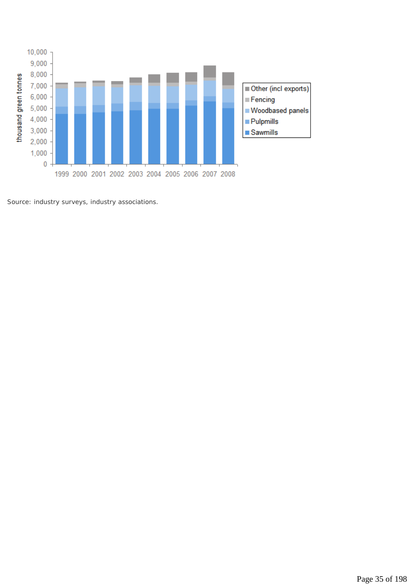

*Source: industry surveys, industry associations.*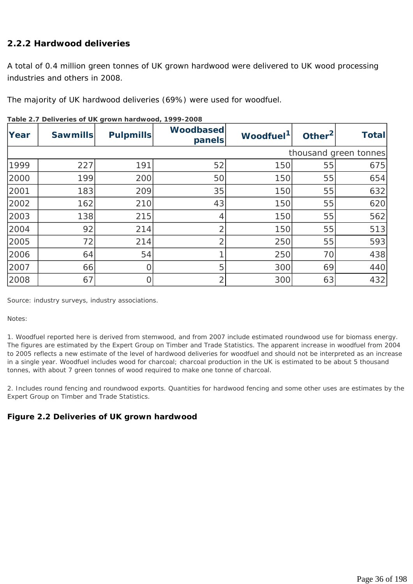#### **2.2.2 Hardwood deliveries**

A total of 0.4 million green tonnes of UK grown hardwood were delivered to UK wood processing industries and others in 2008.

The majority of UK hardwood deliveries (69%) were used for woodfuel.

| Year                  | <b>Sawmills</b> | <b>Pulpmills</b> | Woodbased<br>panels | Woodfuel <sup>1</sup> | Other <sup>2</sup> | <b>Total</b> |
|-----------------------|-----------------|------------------|---------------------|-----------------------|--------------------|--------------|
| thousand green tonnes |                 |                  |                     |                       |                    |              |
| 1999                  | 227             | 191              | 52                  | 150                   | 55                 | 675          |
| 2000                  | 199             | 200              | 50                  | 150                   | 55                 | 654          |
| 2001                  | 183             | 209              | 35                  | 150                   | 55                 | 632          |
| 2002                  | 162             | 210              | 43                  | 150                   | 55                 | 620          |
| 2003                  | 138             | 215              | 4                   | 150                   | 55                 | 562          |
| 2004                  | 92              | 214              | ⌒                   | 150                   | 55                 | 513          |
| 2005                  | 72              | 214              | $\overline{2}$      | 250                   | 55                 | 593          |
| 2006                  | 64              | 54               |                     | 250                   | 70                 | 438          |
| 2007                  | 66              |                  | 5                   | 300                   | 69                 | 440          |
| 2008                  | 67              |                  | 2                   | 300                   | 63                 | 432          |

**Table 2.7 Deliveries of UK grown hardwood, 1999-2008** 

*Source: industry surveys, industry associations.* 

#### *Notes:*

*1. Woodfuel reported here is derived from stemwood, and from 2007 include estimated roundwood use for biomass energy. The figures are estimated by the Expert Group on Timber and Trade Statistics. The apparent increase in woodfuel from 2004 to 2005 reflects a new estimate of the level of hardwood deliveries for woodfuel and should not be interpreted as an increase in a single year. Woodfuel includes wood for charcoal; charcoal production in the UK is estimated to be about 5 thousand tonnes, with about 7 green tonnes of wood required to make one tonne of charcoal.* 

*2. Includes round fencing and roundwood exports. Quantities for hardwood fencing and some other uses are estimates by the Expert Group on Timber and Trade Statistics.* 

#### **Figure 2.2 Deliveries of UK grown hardwood**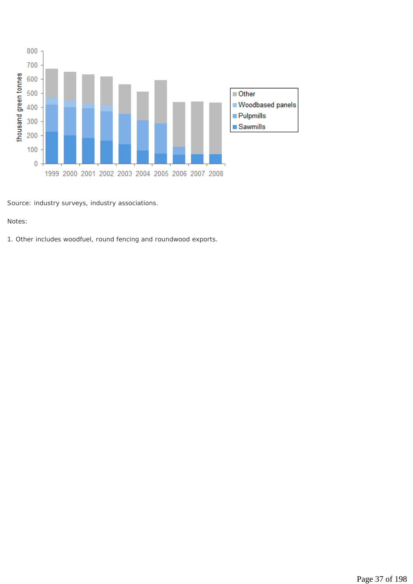

*Source: industry surveys, industry associations.* 

#### *Notes:*

*1. Other includes woodfuel, round fencing and roundwood exports.*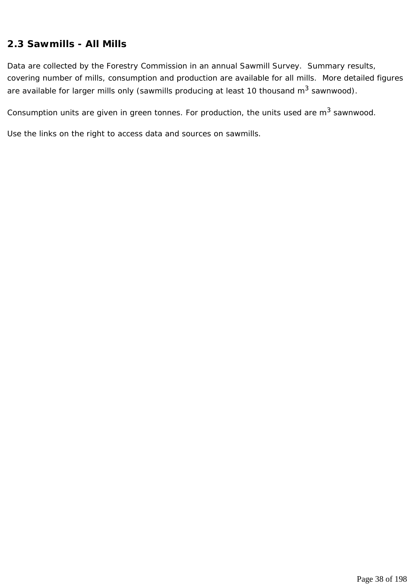# **2.3 Sawmills - All Mills**

Data are collected by the Forestry Commission in an annual Sawmill Survey. Summary results, covering number of mills, consumption and production are available for all mills. More detailed figures are available for larger mills only (sawmills producing at least 10 thousand  $m^3$  sawnwood).

Consumption units are given in green tonnes. For production, the units used are  $m^3$  sawnwood.

Use the links on the right to access data and sources on sawmills.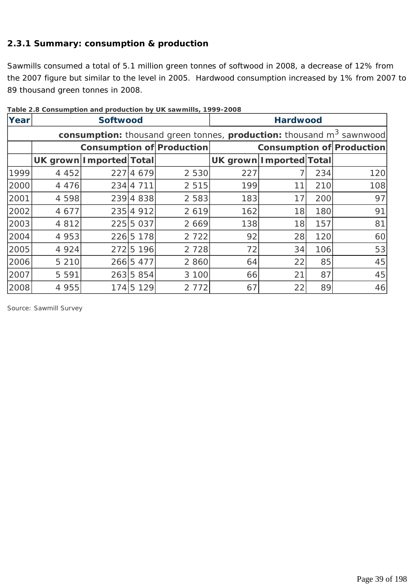### **2.3.1 Summary: consumption & production**

Sawmills consumed a total of 5.1 million green tonnes of softwood in 2008, a decrease of 12% from the 2007 figure but similar to the level in 2005. Hardwood consumption increased by 1% from 2007 to 89 thousand green tonnes in 2008.

| Year | <b>Softwood</b>                  |  |           |                                                                                  | <b>Hardwood</b>         |    |     |                                  |
|------|----------------------------------|--|-----------|----------------------------------------------------------------------------------|-------------------------|----|-----|----------------------------------|
|      |                                  |  |           | consumption: thousand green tonnes, production: thousand m <sup>3</sup> sawnwood |                         |    |     |                                  |
|      | <b>Consumption of Production</b> |  |           |                                                                                  |                         |    |     | <b>Consumption of Production</b> |
|      | UK grown Imported Total          |  |           |                                                                                  | UK grown Imported Total |    |     |                                  |
| 1999 | 4 4 5 2                          |  | 227 4 679 | 2 5 3 0                                                                          | 227                     |    | 234 | 120                              |
| 2000 | 4 4 7 6                          |  | 234 4 711 | 2 5 1 5                                                                          | 199                     | 11 | 210 | 108                              |
| 2001 | 4 5 9 8                          |  | 239 4 838 | 2 5 8 3                                                                          | 183                     | 17 | 200 | 97                               |
| 2002 | 4 677                            |  | 235 4 912 | 2 6 1 9                                                                          | 162                     | 18 | 180 | 91                               |
| 2003 | 4 8 1 2                          |  | 225 5 037 | 2 6 6 9                                                                          | 138                     | 18 | 157 | 81                               |
| 2004 | 4 9 5 3                          |  | 226 5 178 | 2 7 2 2                                                                          | 92                      | 28 | 120 | 60                               |
| 2005 | 4 9 2 4                          |  | 272 5 196 | 2 7 2 8                                                                          | 72                      | 34 | 106 | 53                               |
| 2006 | 5 2 1 0                          |  | 266 5477  | 2 8 6 0                                                                          | 64                      | 22 | 85  | 45                               |
| 2007 | 5 5 9 1                          |  | 263 5 854 | 3 100                                                                            | 66                      | 21 | 87  | 45                               |
| 2008 | 4 9 5 5                          |  | 174 5 129 | 2 7 7 2                                                                          | 67                      | 22 | 89  | 46                               |

**Table 2.8 Consumption and production by UK sawmills, 1999-2008**

*Source: Sawmill Survey*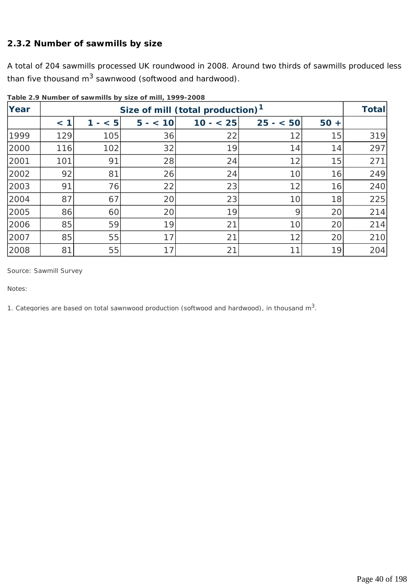### **2.3.2 Number of sawmills by size**

A total of 204 sawmills processed UK roundwood in 2008. Around two thirds of sawmills produced less than five thousand  $m^3$  sawnwood (softwood and hardwood).

| Year |     |          |          | Size of mill (total production) <sup>1</sup> |           |           | <b>Total</b> |
|------|-----|----------|----------|----------------------------------------------|-----------|-----------|--------------|
|      | < 1 | < 5<br>1 | $5 - 10$ | $10 - 25$                                    | $25 - 50$ | 50<br>$+$ |              |
| 1999 | 129 | 105      | 36       | 22                                           | 12        | 15        | 319          |
| 2000 | 116 | 102      | 32       | 19                                           | 14        | 14        | 297          |
| 2001 | 101 | 91       | 28       | 24                                           | 12        | 15        | 271          |
| 2002 | 92  | 81       | 26       | 24                                           | 10        | 16        | 249          |
| 2003 | 91  | 76       | 22       | 23                                           | 12        | 16        | 240          |
| 2004 | 87  | 67       | 20       | 23                                           | 10        | 18        | 225          |
| 2005 | 86  | 60       | 20       | 19                                           | 9         | 20        | 214          |
| 2006 | 85  | 59       | 19       | 21                                           | 10        | 20        | 214          |
| 2007 | 85  | 55       | 17       | 21                                           | 12        | 20        | 210          |
| 2008 | 81  | 55       | 17       | 21                                           | 11        | 19        | 204          |

**Table 2.9 Number of sawmills by size of mill, 1999-2008**

*Source: Sawmill Survey* 

*Notes:* 

*1. Categories are based on total sawnwood production (softwood and hardwood), in thousand m3.*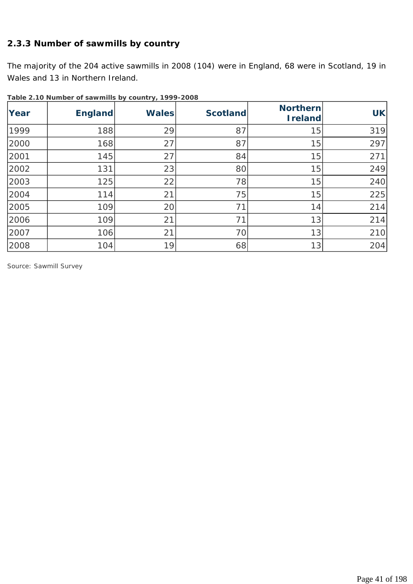### **2.3.3 Number of sawmills by country**

The majority of the 204 active sawmills in 2008 (104) were in England, 68 were in Scotland, 19 in Wales and 13 in Northern Ireland.

| Year | <b>England</b> | <b>Wales</b> | <b>Scotland</b> | <b>Northern</b><br><b>Ireland</b> | <b>UK</b> |
|------|----------------|--------------|-----------------|-----------------------------------|-----------|
| 1999 | 188            | 29           | 87              | 15                                | 319       |
| 2000 | 168            | 27           | 87              | 15                                | 297       |
| 2001 | 145            | 27           | 84              | 15                                | 271       |
| 2002 | 131            | 23           | 80              | 15                                | 249       |
| 2003 | 125            | 22           | 78              | 15                                | 240       |
| 2004 | 114            | 21           | 75              | 15                                | 225       |
| 2005 | 109            | 20           | 71              | 14                                | 214       |
| 2006 | 109            | 21           | 71              | 13                                | 214       |
| 2007 | 106            | 21           | 70              | 13                                | 210       |
| 2008 | 104            | 19           | 68              | 13                                | 204       |

**Table 2.10 Number of sawmills by country, 1999-2008**

*Source: Sawmill Survey*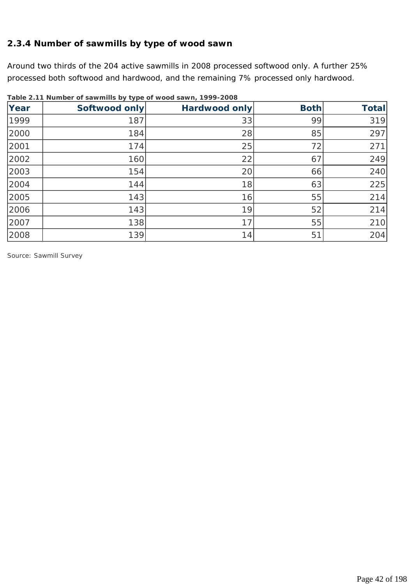### **2.3.4 Number of sawmills by type of wood sawn**

Around two thirds of the 204 active sawmills in 2008 processed softwood only. A further 25% processed both softwood and hardwood, and the remaining 7% processed only hardwood.

| Year | Softwood only | Hardwood only | <b>Both</b> | <b>Total</b> |
|------|---------------|---------------|-------------|--------------|
| 1999 | 187           | 33            | 99          | 319          |
| 2000 | 184           | 28            | 85          | 297          |
| 2001 | 174           | 25            | 72          | 271          |
| 2002 | 160           | 22            | 67          | 249          |
| 2003 | 154           | 20            | 66          | 240          |
| 2004 | 144           | 18            | 63          | 225          |
| 2005 | 143           | 16            | 55          | 214          |
| 2006 | 143           | 19            | 52          | 214          |
| 2007 | 138           | 17            | 55          | 210          |
| 2008 | 139           | 14            | 51          | 204          |

**Table 2.11 Number of sawmills by type of wood sawn, 1999-2008**

*Source: Sawmill Survey*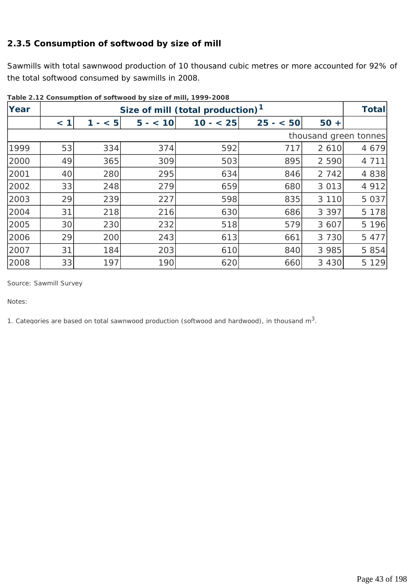# **2.3.5 Consumption of softwood by size of mill**

Sawmills with total sawnwood production of 10 thousand cubic metres or more accounted for 92% of the total softwood consumed by sawmills in 2008.

| Year |     |     |          | Size of mill (total production) <sup>1</sup> |           |         | <b>Total</b>          |
|------|-----|-----|----------|----------------------------------------------|-----------|---------|-----------------------|
|      | < 1 | < 5 | $5 - 10$ | $10 - 25$                                    | $25 - 50$ | $50 +$  |                       |
|      |     |     |          |                                              |           |         | thousand green tonnes |
| 1999 | 53  | 334 | 374      | 592                                          | 717       | 2 6 1 0 | 4 6 7 9               |
| 2000 | 49  | 365 | 309      | 503                                          | 895       | 2 5 9 0 | 4 7 1 1               |
| 2001 | 40  | 280 | 295      | 634                                          | 846       | 2 7 4 2 | 4 8 3 8               |
| 2002 | 33  | 248 | 279      | 659                                          | 680       | 3 0 1 3 | 4 9 1 2               |
| 2003 | 29  | 239 | 227      | 598                                          | 835       | 3 1 1 0 | 5 0 3 7               |
| 2004 | 31  | 218 | 216      | 630                                          | 686       | 3 3 9 7 | 5 1 7 8               |
| 2005 | 30  | 230 | 232      | 518                                          | 579       | 3 607   | 5 1 9 6               |
| 2006 | 29  | 200 | 243      | 613                                          | 661       | 3 7 3 0 | 5 4 7 7               |
| 2007 | 31  | 184 | 203      | 610                                          | 840       | 3 9 8 5 | 5 8 5 4               |
| 2008 | 33  | 197 | 190      | 620                                          | 660       | 3 4 3 0 | 5 1 2 9               |

**Table 2.12 Consumption of softwood by size of mill, 1999-2008**

*Source: Sawmill Survey* 

*Notes:* 

*1. Categories are based on total sawnwood production (softwood and hardwood), in thousand m3.*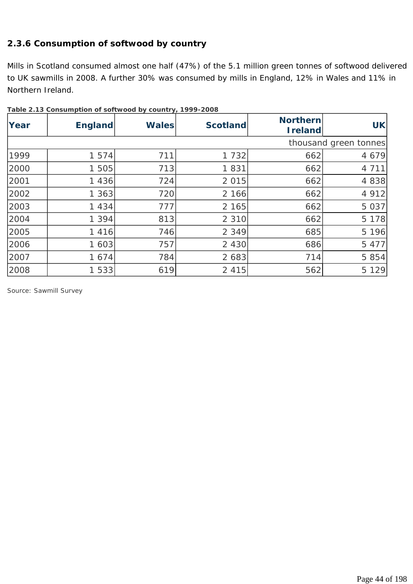### **2.3.6 Consumption of softwood by country**

Mills in Scotland consumed almost one half (47%) of the 5.1 million green tonnes of softwood delivered to UK sawmills in 2008. A further 30% was consumed by mills in England, 12% in Wales and 11% in Northern Ireland.

| Year | $\frac{1}{2}$ and $\frac{1}{2}$ . The constant produced by $\frac{1}{2}$ and $\frac{1}{2}$ is $\frac{1}{2}$ and $\frac{1}{2}$ and $\frac{1}{2}$ and $\frac{1}{2}$ and $\frac{1}{2}$ and $\frac{1}{2}$ and $\frac{1}{2}$ and $\frac{1}{2}$ and $\frac{1}{2}$ and $\frac{1}{2}$ and $\frac$<br><b>England</b> | <b>Wales</b> | <b>Scotland</b> | <b>Northern</b><br><b>Ireland</b> | <b>UK</b>             |
|------|-------------------------------------------------------------------------------------------------------------------------------------------------------------------------------------------------------------------------------------------------------------------------------------------------------------|--------------|-----------------|-----------------------------------|-----------------------|
|      |                                                                                                                                                                                                                                                                                                             |              |                 |                                   | thousand green tonnes |
| 1999 | 1 5 7 4                                                                                                                                                                                                                                                                                                     | 711          | 1 7 3 2         | 662                               | 4 6 7 9               |
| 2000 | 1 505                                                                                                                                                                                                                                                                                                       | 713          | 1831            | 662                               | 4 7 1 1               |
| 2001 | 1 4 3 6                                                                                                                                                                                                                                                                                                     | 724          | 2 0 1 5         | 662                               | 4 8 3 8               |
| 2002 | 1363                                                                                                                                                                                                                                                                                                        | 720          | 2 166           | 662                               | 4 9 1 2               |
| 2003 | 1 4 3 4                                                                                                                                                                                                                                                                                                     | 777          | 2 165           | 662                               | 5 0 3 7               |
| 2004 | 1 3 9 4                                                                                                                                                                                                                                                                                                     | 813          | 2 3 1 0         | 662                               | 5 1 7 8               |
| 2005 | 1 4 1 6                                                                                                                                                                                                                                                                                                     | 746          | 2 3 4 9         | 685                               | 5 1 9 6               |
| 2006 | 1 603                                                                                                                                                                                                                                                                                                       | 757          | 2 4 3 0         | 686                               | 5 4 7 7               |
| 2007 | 1 674                                                                                                                                                                                                                                                                                                       | 784          | 2 683           | 714                               | 5 8 5 4               |
| 2008 | 1 533                                                                                                                                                                                                                                                                                                       | 619          | 2 4 1 5         | 562                               | 5 1 2 9               |

**Table 2.13 Consumption of softwood by country, 1999-2008**

*Source: Sawmill Survey*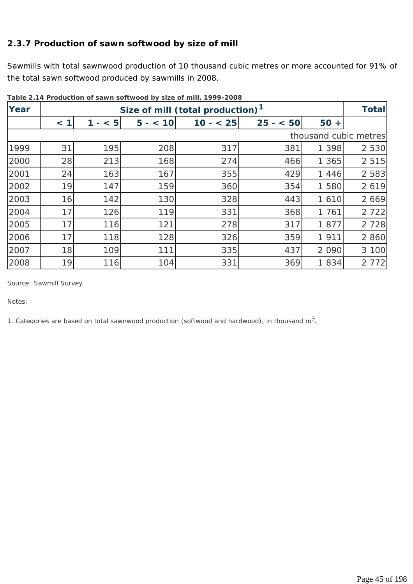# **2.3.7 Production of sawn softwood by size of mill**

Sawmills with total sawnwood production of 10 thousand cubic metres or more accounted for 91% of the total sawn softwood produced by sawmills in 2008.

| Year |     |          |          | Size of mill (total production) <sup>1</sup> |           |         | <b>Total</b>          |
|------|-----|----------|----------|----------------------------------------------|-----------|---------|-----------------------|
|      | < 1 | < 5<br>1 | $5 - 10$ | $10 - 25$                                    | $25 - 50$ | $50 +$  |                       |
|      |     |          |          |                                              |           |         | thousand cubic metres |
| 1999 | 31  | 195      | 208      | 317                                          | 381       | 1 3 9 8 | 2 5 3 0               |
| 2000 | 28  | 213      | 168      | 274                                          | 466       | 1 365   | 2 5 1 5               |
| 2001 | 24  | 163      | 167      | 355                                          | 429       | 1 4 4 6 | 2 5 8 3               |
| 2002 | 19  | 147      | 159      | 360                                          | 354       | 1 580   | 2 6 1 9               |
| 2003 | 16  | 142      | 130      | 328                                          | 443       | 1 6 1 0 | 2 6 6 9               |
| 2004 | 17  | 126      | 119      | 331                                          | 368       | 1 761   | 2 7 2 2               |
| 2005 | 17  | 116      | 121      | 278                                          | 317       | 1877    | 2 7 2 8               |
| 2006 | 17  | 118      | 128      | 326                                          | 359       | 1 9 1 1 | 2 8 6 0               |
| 2007 | 18  | 109      | 111      | 335                                          | 437       | 2 0 9 0 | 3 100                 |
| 2008 | 19  | 116      | 104      | 331                                          | 369       | 1834    | 2 7 7 2               |

**Table 2.14 Production of sawn softwood by size of mill, 1999-2008**

*Source: Sawmill Survey* 

*Notes:* 

*1. Categories are based on total sawnwood production (softwood and hardwood), in thousand m3.*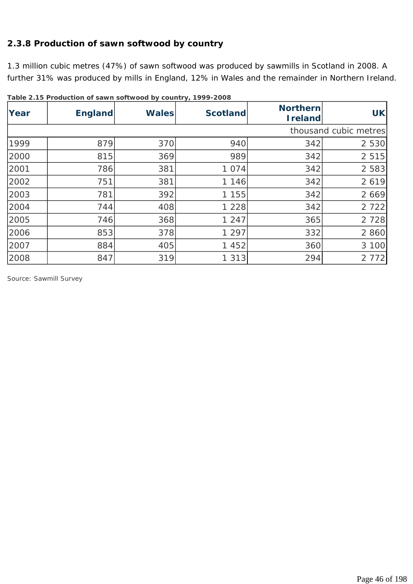### **2.3.8 Production of sawn softwood by country**

1.3 million cubic metres (47%) of sawn softwood was produced by sawmills in Scotland in 2008. A further 31% was produced by mills in England, 12% in Wales and the remainder in Northern Ireland.

| Year | <b>England</b> | <b>Wales</b> | <b>Scotland</b> | <b>Northern</b><br><b>Ireland</b> | <b>UK</b>             |
|------|----------------|--------------|-----------------|-----------------------------------|-----------------------|
|      |                |              |                 |                                   | thousand cubic metres |
| 1999 | 879            | 370          | 940             | 342                               | 2 5 3 0               |
| 2000 | 815            | 369          | 989             | 342                               | 2 5 1 5               |
| 2001 | 786            | 381          | 1074            | 342                               | 2 5 8 3               |
| 2002 | 751            | 381          | 1 146           | 342                               | 2 6 1 9               |
| 2003 | 781            | 392          | 1 155           | 342                               | 2 6 6 9               |
| 2004 | 744            | 408          | 1 2 2 8         | 342                               | 2 7 2 2               |
| 2005 | 746            | 368          | 1 2 4 7         | 365                               | 2 7 2 8               |
| 2006 | 853            | 378          | 1 2 9 7         | 332                               | 2 8 6 0               |
| 2007 | 884            | 405          | 1 452           | 360                               | 3 100                 |
| 2008 | 847            | 319          | 1 3 1 3         | 294                               | 2 7 7 2               |

**Table 2.15 Production of sawn softwood by country, 1999-2008**

*Source: Sawmill Survey*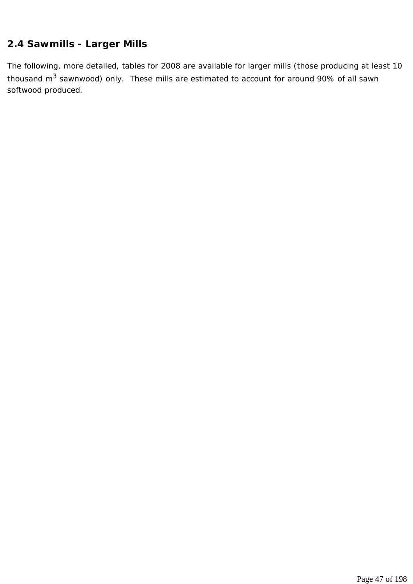# **2.4 Sawmills - Larger Mills**

The following, more detailed, tables for 2008 are available for larger mills (those producing at least 10 thousand  $m^3$  sawnwood) only. These mills are estimated to account for around 90% of all sawn softwood produced.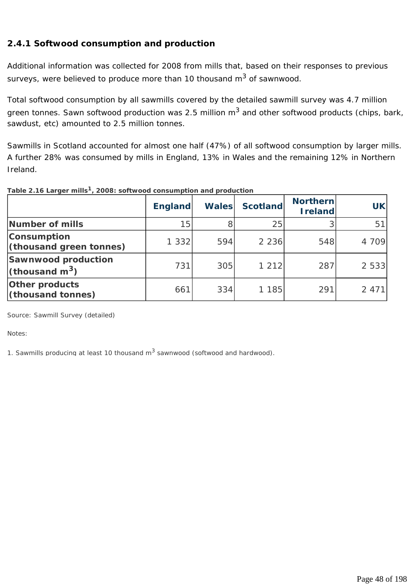# **2.4.1 Softwood consumption and production**

Additional information was collected for 2008 from mills that, based on their responses to previous surveys, were believed to produce more than 10 thousand m<sup>3</sup> of sawnwood.

Total softwood consumption by all sawmills covered by the detailed sawmill survey was 4.7 million green tonnes. Sawn softwood production was 2.5 million  $m<sup>3</sup>$  and other softwood products (chips, bark, sawdust, etc) amounted to 2.5 million tonnes.

Sawmills in Scotland accounted for almost one half (47%) of all softwood consumption by larger mills. A further 28% was consumed by mills in England, 13% in Wales and the remaining 12% in Northern Ireland.

**England Wales Scotland Northern Ireland UK Number of mills 15 15 8 15 16 16 16 16 16 17 16 17 16 17 16 17 17 17 18 17 18 18 18 18 18 18 18 18 18 18 18 1 Consumption (thousand green tonnes)**  $\begin{vmatrix} 1 & 332 \\ 594 \end{vmatrix}$  2 236 548 4 709 **Sawnwood production (thousand m3)** 731 305 1 212 287 2 533 **Other products (thousand tonnes)**  $\begin{array}{|c|c|c|c|c|c|} \hline \text{661} & \text{334} & \text{1185} & \text{291} & \text{2471} \end{array}$ 

**Table 2.16 Larger mills1, 2008: softwood consumption and production**

*Source: Sawmill Survey (detailed)* 

*Notes:* 

*1. Sawmills producing at least 10 thousand m3 sawnwood (softwood and hardwood).*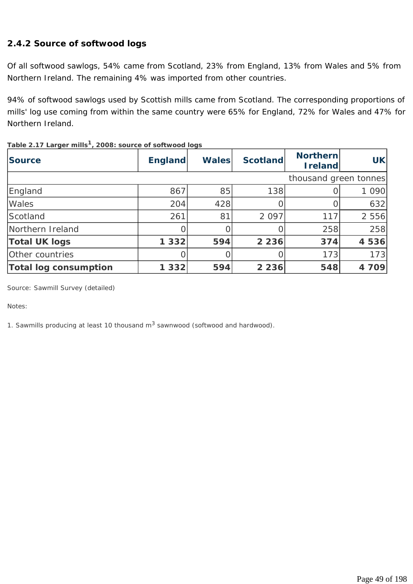# **2.4.2 Source of softwood logs**

Of all softwood sawlogs, 54% came from Scotland, 23% from England, 13% from Wales and 5% from Northern Ireland. The remaining 4% was imported from other countries.

94% of softwood sawlogs used by Scottish mills came from Scotland. The corresponding proportions of mills' log use coming from within the same country were 65% for England, 72% for Wales and 47% for Northern Ireland.

| <b>Source</b>                | <b>England</b> | <b>Wales</b> | <b>Scotland</b> | <b>Northern</b><br><b>I</b> reland | <b>UK</b> |
|------------------------------|----------------|--------------|-----------------|------------------------------------|-----------|
|                              |                |              |                 | thousand green tonnes              |           |
| England                      | 867            | 85           | 138             |                                    | 1 0 9 0   |
| Wales                        | 204            | 428          |                 |                                    | 632       |
| Scotland                     | 261            | 81           | 2 0 9 7         | 117                                | 2 5 5 6   |
| Northern Ireland             |                |              |                 | 258                                | 258       |
| <b>Total UK logs</b>         | 1 3 3 2        | 594          | 2 2 3 6         | 374                                | 4 5 3 6   |
| Other countries              |                |              |                 | 173                                | 173       |
| <b>Total log consumption</b> | 1 3 3 2        | 594          | 2 2 3 6         | 548                                | 4 709     |

**Table 2.17 Larger mills1, 2008: source of softwood logs**

*Source: Sawmill Survey (detailed)* 

*Notes:* 

*1. Sawmills producing at least 10 thousand m3 sawnwood (softwood and hardwood).*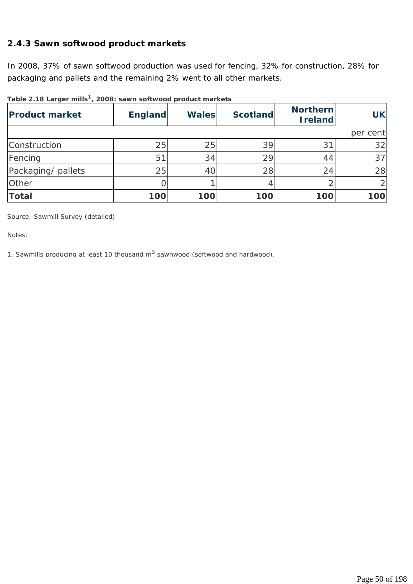### **2.4.3 Sawn softwood product markets**

In 2008, 37% of sawn softwood production was used for fencing, 32% for construction, 28% for packaging and pallets and the remaining 2% went to all other markets.

| <b>Product market</b> | <b>England</b> | <b>Wales</b> | <b>Scotland</b> | <b>Northern</b><br><b>Ireland</b> | <b>UK</b>       |
|-----------------------|----------------|--------------|-----------------|-----------------------------------|-----------------|
|                       |                |              |                 |                                   | per cent        |
| Construction          | 25             | 25           | 39              | $3^{\circ}$                       | 32              |
| Fencing               | 51             | 34           | 29              | 44                                | 37 <sup>1</sup> |
| Packaging/ pallets    | 25             | 40           | 28              | 24                                | 28              |
| Other                 |                |              |                 |                                   |                 |
| <b>Total</b>          | 100            | 100          | 100             | 100                               | 100             |

**Table 2.18 Larger mills1, 2008: sawn softwood product markets**

*Source: Sawmill Survey (detailed)* 

*Notes:* 

*1. Sawmills producing at least 10 thousand m3 sawnwood (softwood and hardwood).*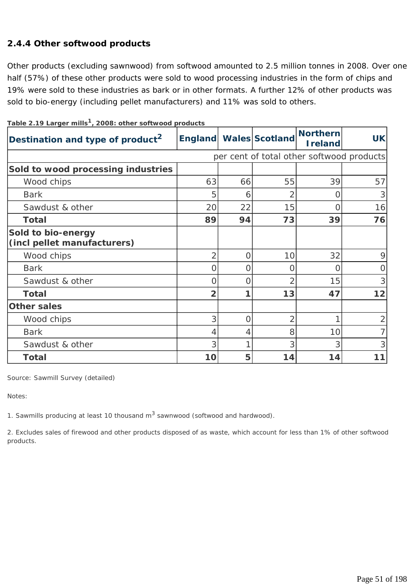# **2.4.4 Other softwood products**

Other products (excluding sawnwood) from softwood amounted to 2.5 million tonnes in 2008. Over one half (57%) of these other products were sold to wood processing industries in the form of chips and 19% were sold to these industries as bark or in other formats. A further 12% of other products was sold to bio-energy (including pellet manufacturers) and 11% was sold to others.

| able <b>2.</b> 17 <b>Larger mins</b> $\mu$ <b>2000.</b> Other soltwood products<br>Destination and type of product <sup>2</sup> |                |          | England Wales Scotland   | <b>Northern</b><br><b>Ireland</b>         | <b>UK</b> |
|---------------------------------------------------------------------------------------------------------------------------------|----------------|----------|--------------------------|-------------------------------------------|-----------|
|                                                                                                                                 |                |          |                          | per cent of total other softwood products |           |
| Sold to wood processing industries                                                                                              |                |          |                          |                                           |           |
| Wood chips                                                                                                                      | 63             | 66       | 55                       | 39                                        | 57        |
| <b>Bark</b>                                                                                                                     | 5              | 6        | 2                        |                                           | 3         |
| Sawdust & other                                                                                                                 | 20             | 22       | 15                       |                                           | 16        |
| <b>Total</b>                                                                                                                    | 89             | 94       | 73                       | 39                                        | 76        |
| Sold to bio-energy<br>(incl pellet manufacturers)                                                                               |                |          |                          |                                           |           |
| Wood chips                                                                                                                      | $\overline{2}$ | $\Omega$ | 10                       | 32                                        | 9         |
| <b>Bark</b>                                                                                                                     | O              | $\Omega$ | 0                        | O                                         | O         |
| Sawdust & other                                                                                                                 | $\Omega$       | $\Omega$ | $\overline{\mathcal{L}}$ | 15                                        | 3         |
| <b>Total</b>                                                                                                                    | $\overline{2}$ |          | 13                       | 47                                        | 12        |
| <b>Other sales</b>                                                                                                              |                |          |                          |                                           |           |
| Wood chips                                                                                                                      | 3              | $\Omega$ | $\overline{2}$           |                                           |           |
| <b>Bark</b>                                                                                                                     | 4              | 4        | 8                        | 10                                        |           |
| Sawdust & other                                                                                                                 | 3              |          | 3                        | 3                                         | 3         |
| <b>Total</b>                                                                                                                    | 10             | 5        | 14                       | 14                                        | 11        |

**Table 2.19 Larger mills1, 2008: other softwood products**

*Source: Sawmill Survey (detailed)* 

*Notes:* 

*1. Sawmills producing at least 10 thousand m3 sawnwood (softwood and hardwood).*

*2. Excludes sales of firewood and other products disposed of as waste, which account for less than 1% of other softwood products.*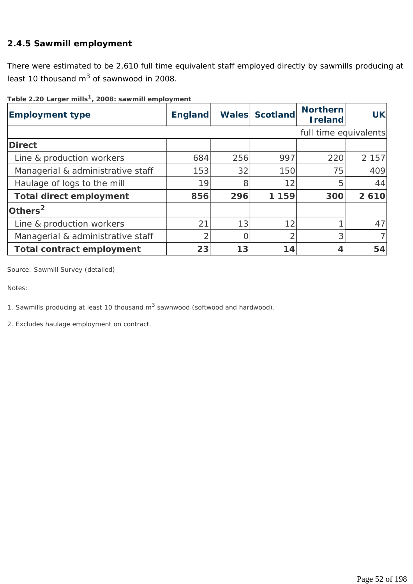# **2.4.5 Sawmill employment**

There were estimated to be 2,610 full time equivalent staff employed directly by sawmills producing at least 10 thousand  $m^3$  of sawnwood in 2008.

**Table 2.20 Larger mills1, 2008: sawmill employment**

| <b>Employment type</b>            | <b>England</b> |     | Wales Scotland | <b>Northern</b><br><b>I</b> reland | <b>UK</b> |
|-----------------------------------|----------------|-----|----------------|------------------------------------|-----------|
|                                   |                |     |                | full time equivalents              |           |
| <b>Direct</b>                     |                |     |                |                                    |           |
| Line & production workers         | 684            | 256 | 997            | 220                                | 2 1 5 7   |
| Managerial & administrative staff | 153            | 32  | 150            | 75                                 | 409       |
| Haulage of logs to the mill       | 19             | 8   | 12             | 5                                  | 44        |
| <b>Total direct employment</b>    | 856            | 296 | 1 159          | 300                                | 2610      |
| Others $2$                        |                |     |                |                                    |           |
| Line & production workers         | 21             | 13  | 12             |                                    | 47        |
| Managerial & administrative staff |                |     | $\overline{2}$ | 3                                  |           |
| <b>Total contract employment</b>  | 23             | 13  | 14             | 4                                  | 54        |

*Source: Sawmill Survey (detailed)* 

*Notes:* 

*1. Sawmills producing at least 10 thousand m3 sawnwood (softwood and hardwood).*

*2. Excludes haulage employment on contract.*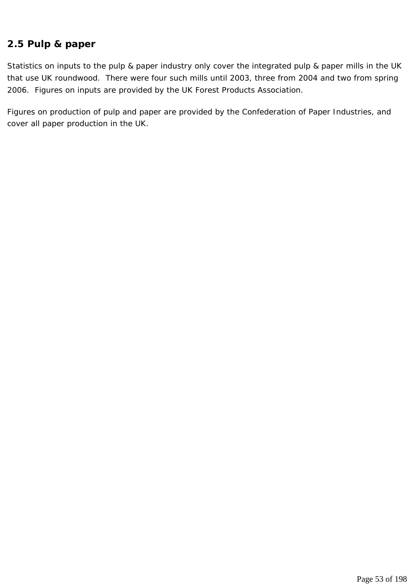# **2.5 Pulp & paper**

Statistics on inputs to the pulp & paper industry only cover the integrated pulp & paper mills in the UK that use UK roundwood. There were four such mills until 2003, three from 2004 and two from spring 2006. Figures on inputs are provided by the UK Forest Products Association.

Figures on production of pulp and paper are provided by the Confederation of Paper Industries, and cover all paper production in the UK.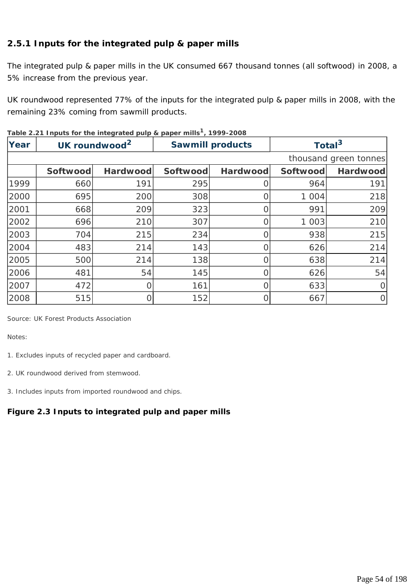# **2.5.1 Inputs for the integrated pulp & paper mills**

The integrated pulp & paper mills in the UK consumed 667 thousand tonnes (all softwood) in 2008, a 5% increase from the previous year.

UK roundwood represented 77% of the inputs for the integrated pulp & paper mills in 2008, with the remaining 23% coming from sawmill products.

| Year |          | UK roundwood <sup>2</sup> | <b>Sawmill products</b> |                 |          | Total <sup>3</sup>    |
|------|----------|---------------------------|-------------------------|-----------------|----------|-----------------------|
|      |          |                           |                         |                 |          | thousand green tonnes |
|      | Softwood | <b>Hardwood</b>           | Softwood                | <b>Hardwood</b> | Softwood | Hardwood              |
| 1999 | 660      | 191                       | 295                     |                 | 964      | 191                   |
| 2000 | 695      | 200                       | 308                     |                 | 1 0 0 4  | 218                   |
| 2001 | 668      | 209                       | 323                     | 0               | 991      | 209                   |
| 2002 | 696      | 210                       | 307                     |                 | 1 003    | 210                   |
| 2003 | 704      | 215                       | 234                     |                 | 938      | 215                   |
| 2004 | 483      | 214                       | 143                     |                 | 626      | 214                   |
| 2005 | 500      | 214                       | 138                     |                 | 638      | 214                   |
| 2006 | 481      | 54                        | 145                     |                 | 626      | 54                    |
| 2007 | 472      |                           | 161                     |                 | 633      | $\overline{O}$        |
| 2008 | 515      |                           | 152                     |                 | 667      | $\overline{O}$        |

| Table 2.21 Inputs for the integrated pulp & paper mills <sup>1</sup> , 1999-2008 |  |  |  |
|----------------------------------------------------------------------------------|--|--|--|
|----------------------------------------------------------------------------------|--|--|--|

*Source: UK Forest Products Association* 

*Notes:* 

- *1. Excludes inputs of recycled paper and cardboard.*
- *2. UK roundwood derived from stemwood.*

*3. Includes inputs from imported roundwood and chips.* 

# **Figure 2.3 Inputs to integrated pulp and paper mills**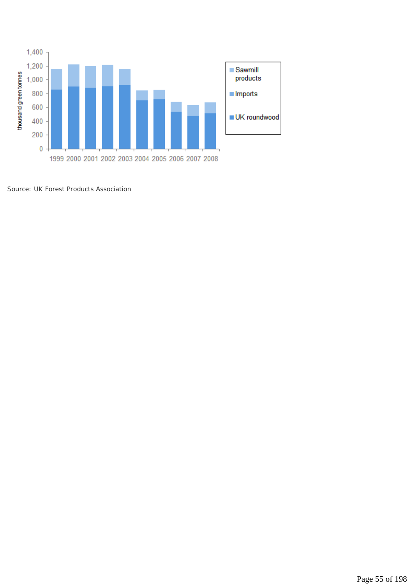

*Source: UK Forest Products Association*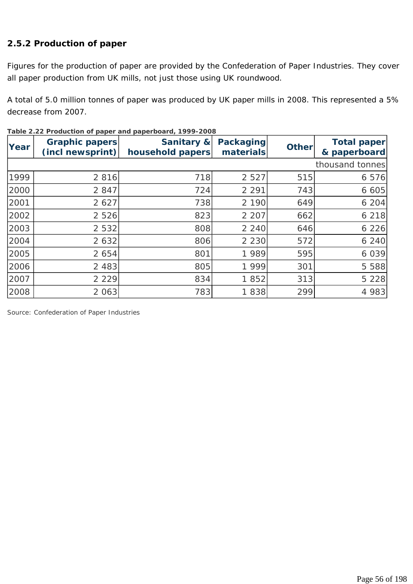# **2.5.2 Production of paper**

Figures for the production of paper are provided by the Confederation of Paper Industries. They cover all paper production from UK mills, not just those using UK roundwood.

A total of 5.0 million tonnes of paper was produced by UK paper mills in 2008. This represented a 5% decrease from 2007.

| Year | <b>Graphic papers</b><br>(incl newsprint) | Sanitary &<br>household papers | <b>Packaging</b><br>materials | <b>Other</b> | Total paper<br>& paperboard |
|------|-------------------------------------------|--------------------------------|-------------------------------|--------------|-----------------------------|
|      |                                           |                                |                               |              | thousand tonnes             |
| 1999 | 2 8 1 6                                   | 718                            | 2 5 2 7                       | 515          | 6 5 7 6                     |
| 2000 | 2 8 4 7                                   | 724                            | 2 2 9 1                       | 743          | 6605                        |
| 2001 | 2 6 2 7                                   | 738                            | 2 1 9 0                       | 649          | 6204                        |
| 2002 | 2 5 2 6                                   | 823                            | 2 2 0 7                       | 662          | 6 2 1 8                     |
| 2003 | 2 5 3 2                                   | 808                            | 2 2 4 0                       | 646          | 6226                        |
| 2004 | 2 6 3 2                                   | 806                            | 2 2 3 0                       | 572          | 6 240                       |
| 2005 | 2 6 5 4                                   | 801                            | 1 9 8 9                       | 595          | 6 0 3 9                     |
| 2006 | 2 4 8 3                                   | 805                            | 1 9 9 9                       | 301          | 5 5 8 8                     |
| 2007 | 2 2 2 9                                   | 834                            | 1852                          | 313          | 5 2 2 8                     |
| 2008 | 2 0 6 3                                   | 783                            | 1838                          | 299          | 4 983                       |

|  | Table 2.22 Production of paper and paperboard, 1999-2008 |  |  |  |  |
|--|----------------------------------------------------------|--|--|--|--|
|  |                                                          |  |  |  |  |

*Source: Confederation of Paper Industries*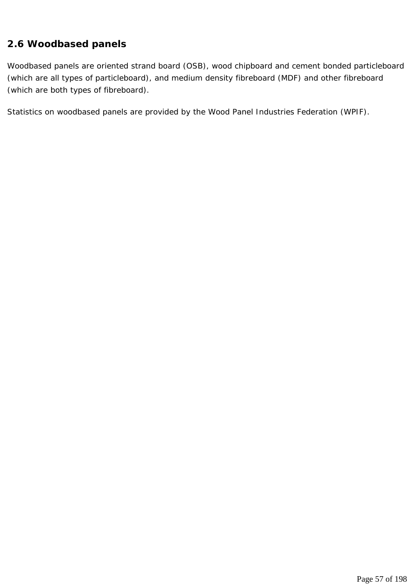# **2.6 Woodbased panels**

Woodbased panels are oriented strand board (OSB), wood chipboard and cement bonded particleboard (which are all types of particleboard), and medium density fibreboard (MDF) and other fibreboard (which are both types of fibreboard).

Statistics on woodbased panels are provided by the Wood Panel Industries Federation (WPIF).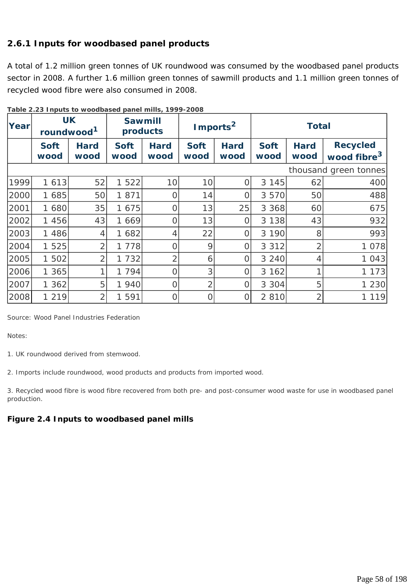# **2.6.1 Inputs for woodbased panel products**

A total of 1.2 million green tonnes of UK roundwood was consumed by the woodbased panel products sector in 2008. A further 1.6 million green tonnes of sawmill products and 1.1 million green tonnes of recycled wood fibre were also consumed in 2008.

|       |                                     | Fable 2.20 Hipato to woodbased parter films, TV77-2000 |                            |                     |                      |                     |                     |                     |                                            |
|-------|-------------------------------------|--------------------------------------------------------|----------------------------|---------------------|----------------------|---------------------|---------------------|---------------------|--------------------------------------------|
| Yearl | <b>UK</b><br>roundwood <sup>1</sup> |                                                        | <b>Sawmill</b><br>products |                     | Imports <sup>2</sup> |                     | <b>Total</b>        |                     |                                            |
|       | <b>Soft</b><br>wood                 | <b>Hard</b><br>wood                                    | <b>Soft</b><br>wood        | <b>Hard</b><br>wood | <b>Soft</b><br>wood  | <b>Hard</b><br>wood | <b>Soft</b><br>wood | <b>Hard</b><br>wood | <b>Recycled</b><br>wood fibre <sup>3</sup> |
|       |                                     |                                                        |                            |                     |                      |                     |                     |                     | thousand green tonnes                      |
| 1999  | 1 6 1 3                             | 52                                                     | 1 5 2 2                    | 10                  | 10                   | $\overline{O}$      | 3 1 4 5             | 62                  | 400                                        |
| 2000  | 1 685                               | 50                                                     | 1871                       | O                   | 14                   | O                   | 3 5 7 0             | 50                  | 488                                        |
| 2001  | 1 680                               | 35                                                     | 1 675                      | $\overline{0}$      | 13                   | 25                  | 3 3 6 8             | 60                  | 675                                        |
| 2002  | 1 456                               | 43                                                     | 1 669                      | O                   | 13                   | O                   | 3 1 3 8             | 43                  | 932                                        |
| 2003  | 1 486                               | 4                                                      | 1 682                      | 4                   | 22                   | $\overline{O}$      | 3 1 9 0             | 8                   | 993                                        |
| 2004  | 1 5 2 5                             | $\overline{2}$                                         | 1 7 7 8                    | 0                   | 9                    | O                   | 3 3 1 2             | $\overline{2}$      | 1 0 7 8                                    |
| 2005  | 1 502                               | $\overline{2}$                                         | 1 732                      | 2                   | 6                    | O                   | 3 2 4 0             | 4                   | 1043                                       |
| 2006  | 1 365                               |                                                        | 1 7 9 4                    | $\Omega$            | 3                    | O                   | 3 162               | 1                   | 1 1 7 3                                    |
| 2007  | 1362                                | 5                                                      | 1 940                      | O                   | $\overline{2}$       | O                   | 3 3 0 4             | 5                   | 1 2 3 0                                    |
| 2008  | 1 2 1 9                             | $\overline{2}$                                         | 1 5 9 1                    | Ω                   | $\Omega$             | 0                   | 2 8 1 0             | $\overline{2}$      | 1 1 1 9                                    |

**Table 2.23 Inputs to woodbased panel mills, 1999-2008** 

*Source: Wood Panel Industries Federation* 

*Notes:* 

*1. UK roundwood derived from stemwood.* 

*2. Imports include roundwood, wood products and products from imported wood.* 

*3. Recycled wood fibre is wood fibre recovered from both pre- and post-consumer wood waste for use in woodbased panel production.* 

#### **Figure 2.4 Inputs to woodbased panel mills**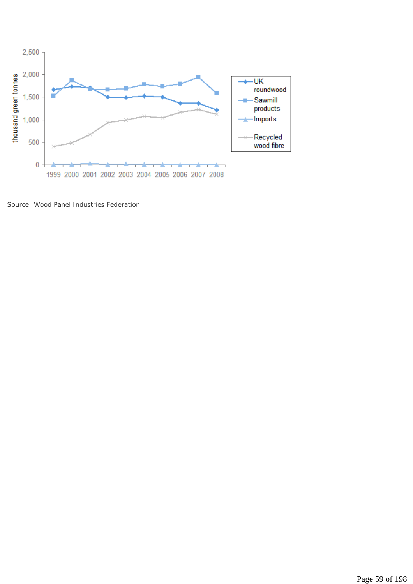

*Source: Wood Panel Industries Federation*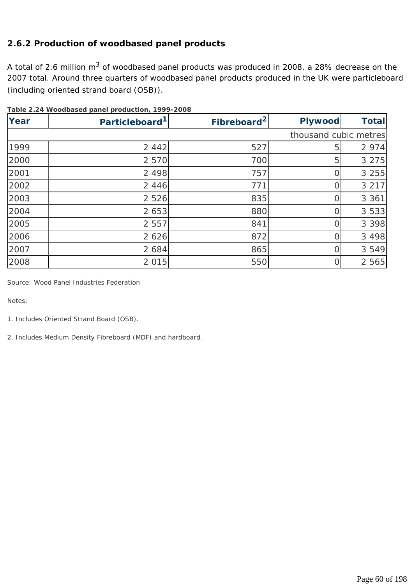# **2.6.2 Production of woodbased panel products**

A total of 2.6 million m<sup>3</sup> of woodbased panel products was produced in 2008, a 28% decrease on the 2007 total. Around three quarters of woodbased panel products produced in the UK were particleboard (including oriented strand board (OSB)).

| Year | Particleboard <sup>1</sup> | Fibreboard <sup>2</sup> | <b>Plywood</b>        | <b>Total</b> |
|------|----------------------------|-------------------------|-----------------------|--------------|
|      |                            |                         | thousand cubic metres |              |
| 1999 | 2 4 4 2                    | 527                     | 5                     | 2 9 7 4      |
| 2000 | 2 5 7 0                    | 700                     | 5                     | 3 2 7 5      |
| 2001 | 2 4 9 8                    | 757                     |                       | 3 2 5 5      |
| 2002 | 2 4 4 6                    | 771                     |                       | 3 2 1 7      |
| 2003 | 2 5 2 6                    | 835                     |                       | 3 3 6 1      |
| 2004 | 2 653                      | 880                     |                       | 3 5 3 3      |
| 2005 | 2 5 5 7                    | 841                     |                       | 3 3 9 8      |
| 2006 | 2 6 2 6                    | 872                     |                       | 3 4 9 8      |
| 2007 | 2 6 8 4                    | 865                     |                       | 3 5 4 9      |
| 2008 | 2 0 1 5                    | 550                     |                       | 2 5 6 5      |

**Table 2.24 Woodbased panel production, 1999-2008**

*Source: Wood Panel Industries Federation* 

*Notes:* 

*1. Includes Oriented Strand Board (OSB).* 

*2. Includes Medium Density Fibreboard (MDF) and hardboard.*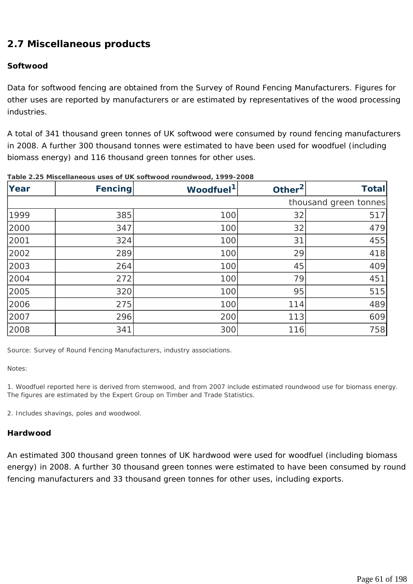# **2.7 Miscellaneous products**

#### **Softwood**

Data for softwood fencing are obtained from the Survey of Round Fencing Manufacturers. Figures for other uses are reported by manufacturers or are estimated by representatives of the wood processing industries.

A total of 341 thousand green tonnes of UK softwood were consumed by round fencing manufacturers in 2008. A further 300 thousand tonnes were estimated to have been used for woodfuel (including biomass energy) and 116 thousand green tonnes for other uses.

| Year | Fencing | Woodfuel <sup>1</sup> | Other <sup>2</sup> | <b>Total</b>          |
|------|---------|-----------------------|--------------------|-----------------------|
|      |         |                       |                    | thousand green tonnes |
| 1999 | 385     | 100                   | 32                 | 517                   |
| 2000 | 347     | 100                   | 32                 | 479                   |
| 2001 | 324     | 100                   | 31                 | 455                   |
| 2002 | 289     | 100                   | 29                 | 418                   |
| 2003 | 264     | 100                   | 45                 | 409                   |
| 2004 | 272     | 100                   | 79                 | 451                   |
| 2005 | 320     | 100                   | 95                 | 515                   |
| 2006 | 275     | 100                   | 114                | 489                   |
| 2007 | 296     | 200                   | 113                | 609                   |
| 2008 | 341     | 300                   | 116                | 758                   |

#### **Table 2.25 Miscellaneous uses of UK softwood roundwood, 1999-2008**

*Source: Survey of Round Fencing Manufacturers, industry associations.* 

*Notes:* 

*1. Woodfuel reported here is derived from stemwood, and from 2007 include estimated roundwood use for biomass energy. The figures are estimated by the Expert Group on Timber and Trade Statistics.* 

*2. Includes shavings, poles and woodwool.* 

#### **Hardwood**

An estimated 300 thousand green tonnes of UK hardwood were used for woodfuel (including biomass energy) in 2008. A further 30 thousand green tonnes were estimated to have been consumed by round fencing manufacturers and 33 thousand green tonnes for other uses, including exports.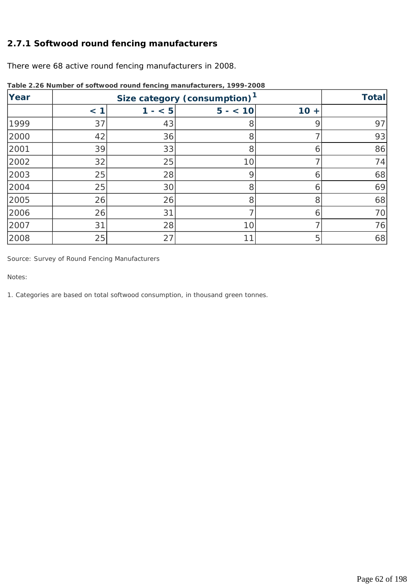### **2.7.1 Softwood round fencing manufacturers**

There were 68 active round fencing manufacturers in 2008.

| Year |           | <b>Total</b>                          |          |                            |    |
|------|-----------|---------------------------------------|----------|----------------------------|----|
|      | $\leq$ 1. | < 5<br>$\mathbf{1}$<br>$\blacksquare$ | $5 - 10$ | 10<br>$\ddot{\phantom{1}}$ |    |
| 1999 | 37        | 43                                    | 8        | g                          | 97 |
| 2000 | 42        | 36                                    | 8        |                            | 93 |
| 2001 | 39        | 33                                    | 8        | n                          | 86 |
| 2002 | 32        | 25                                    | 10       |                            | 74 |
| 2003 | 25        | 28                                    | 9        | Ò                          | 68 |
| 2004 | 25        | 30                                    | 8        | 6                          | 69 |
| 2005 | 26        | 26                                    | 8        | 8                          | 68 |
| 2006 | 26        | 31                                    |          | b                          | 70 |
| 2007 | 31        | 28                                    | 10       |                            | 76 |
| 2008 | 25        | 27                                    |          | 5                          | 68 |

**Table 2.26 Number of softwood round fencing manufacturers, 1999-2008**

*Source: Survey of Round Fencing Manufacturers* 

*Notes:* 

*1. Categories are based on total softwood consumption, in thousand green tonnes.*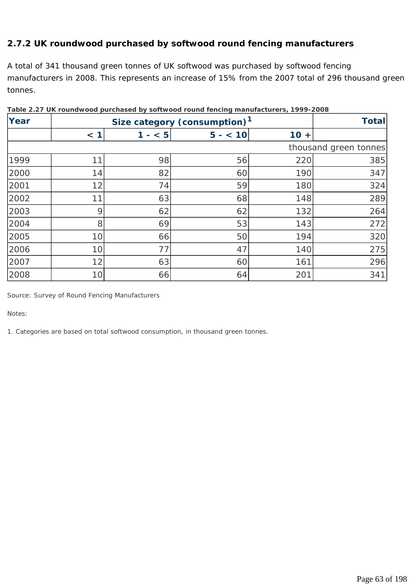# **2.7.2 UK roundwood purchased by softwood round fencing manufacturers**

A total of 341 thousand green tonnes of UK softwood was purchased by softwood fencing manufacturers in 2008. This represents an increase of 15% from the 2007 total of 296 thousand green tonnes.

| <b>Year</b> |     | Size category (consumption) <sup>1</sup> |          |        |                       |  |
|-------------|-----|------------------------------------------|----------|--------|-----------------------|--|
|             | < 1 | $- < 5$<br>1                             | $5 - 10$ | $10 +$ |                       |  |
|             |     |                                          |          |        | thousand green tonnes |  |
| 1999        | 11  | 98                                       | 56       | 220    | 385                   |  |
| 2000        | 14  | 82                                       | 60       | 190    | 347                   |  |
| 2001        | 12  | 74                                       | 59       | 180    | 324                   |  |
| 2002        | 11  | 63                                       | 68       | 148    | 289                   |  |
| 2003        | 9   | 62                                       | 62       | 132    | 264                   |  |
| 2004        | 8   | 69                                       | 53       | 143    | 272                   |  |
| 2005        | 10  | 66                                       | 50       | 194    | 320                   |  |
| 2006        | 10  | 77                                       | 47       | 140    | 275                   |  |
| 2007        | 12  | 63                                       | 60       | 161    | 296                   |  |
| 2008        | 10  | 66                                       | 64       | 201    | 341                   |  |

**Table 2.27 UK roundwood purchased by softwood round fencing manufacturers, 1999-2008**

*Source: Survey of Round Fencing Manufacturers* 

*Notes:* 

*1. Categories are based on total softwood consumption, in thousand green tonnes.*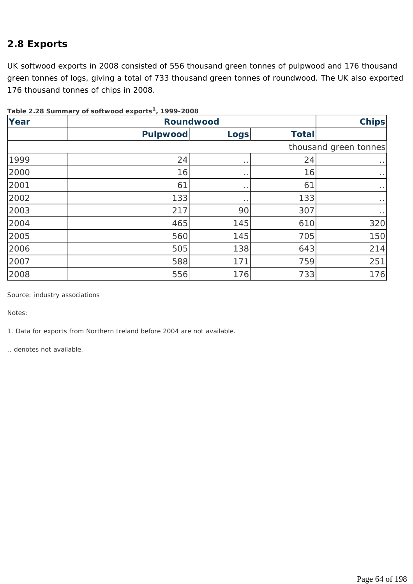# **2.8 Exports**

UK softwood exports in 2008 consisted of 556 thousand green tonnes of pulpwood and 176 thousand green tonnes of logs, giving a total of 733 thousand green tonnes of roundwood. The UK also exported 176 thousand tonnes of chips in 2008.

| Year | <b>Roundwood</b> |                      |              |                       |  |
|------|------------------|----------------------|--------------|-----------------------|--|
|      | <b>Pulpwood</b>  | <b>Logs</b>          | <b>Total</b> |                       |  |
|      |                  |                      |              | thousand green tonnes |  |
| 1999 | 24               | $\ddot{\phantom{1}}$ | 24           | $\sim$ $\sim$         |  |
| 2000 | 16               | $\ldots$             | 16           | $\bullet$ $\bullet$   |  |
| 2001 | 61               | $\bullet$ $\bullet$  | 61           | $\cdot$ .             |  |
| 2002 | 133              | $\ldots$             | 133          | $\cdots$              |  |
| 2003 | 217              | 90                   | 307          | $\cdot$ $\cdot$       |  |
| 2004 | 465              | 145                  | 610          | 320                   |  |
| 2005 | 560              | 145                  | 705          | 150                   |  |
| 2006 | 505              | 138                  | 643          | 214                   |  |
| 2007 | 588              | 171                  | 759          | 251                   |  |
| 2008 | 556              | 176                  | 733          | 176                   |  |

**Table 2.28 Summary of softwood exports1, 1999-2008**

*Source: industry associations* 

*Notes:* 

*1. Data for exports from Northern Ireland before 2004 are not available.* 

*.. denotes not available.*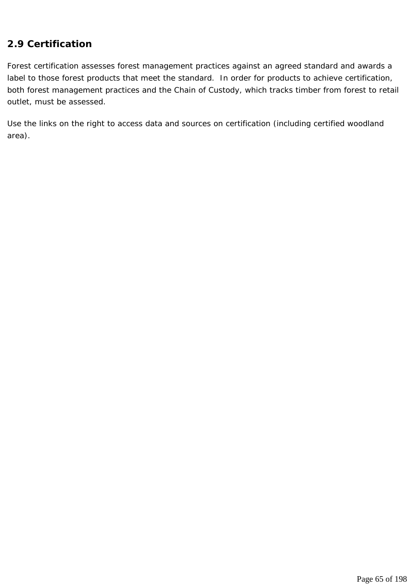# **2.9 Certification**

Forest certification assesses forest management practices against an agreed standard and awards a label to those forest products that meet the standard. In order for products to achieve certification, both forest management practices and the Chain of Custody, which tracks timber from forest to retail outlet, must be assessed.

Use the links on the right to access data and sources on certification (including certified woodland area).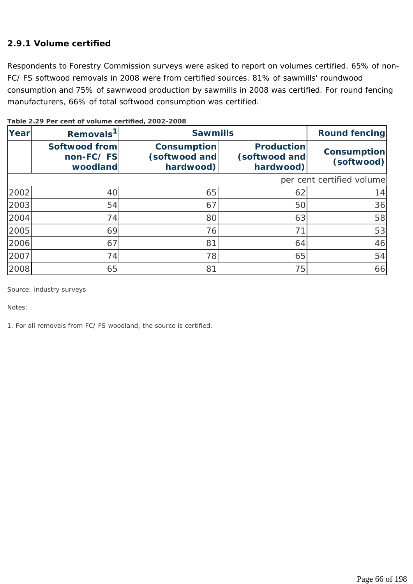### **2.9.1 Volume certified**

Respondents to Forestry Commission surveys were asked to report on volumes certified. 65% of non-FC/ FS softwood removals in 2008 were from certified sources. 81% of sawmills' roundwood consumption and 75% of sawnwood production by sawmills in 2008 was certified. For round fencing manufacturers, 66% of total softwood consumption was certified.

| Year | Removals <sup>1</sup>                         | <b>Sawmills</b>                           | <b>Round fencing</b>                            |                           |
|------|-----------------------------------------------|-------------------------------------------|-------------------------------------------------|---------------------------|
|      | <b>Softwood from</b><br>non-FC/FS<br>woodland | Consumption<br>(softwood and<br>hardwood) | <b>Production</b><br>(softwood and<br>hardwood) | Consumption<br>(softwood) |
|      |                                               |                                           |                                                 | per cent certified volume |
| 2002 | 40                                            | 65                                        | 62                                              | 14                        |
| 2003 | 54                                            | 67                                        | 50                                              | 36                        |
| 2004 | 74                                            | 80                                        | 63                                              | 58                        |
| 2005 | 69                                            | 76                                        | 71                                              | 53                        |
| 2006 | 67                                            | 81                                        | 64                                              | 46                        |
| 2007 | 74                                            | 78                                        | 65                                              | 54                        |
| 2008 | 65                                            | 81                                        | 75                                              | 66                        |

**Table 2.29 Per cent of volume certified, 2002-2008**

*Source: industry surveys* 

*Notes:* 

*1. For all removals from FC/ FS woodland, the source is certified.*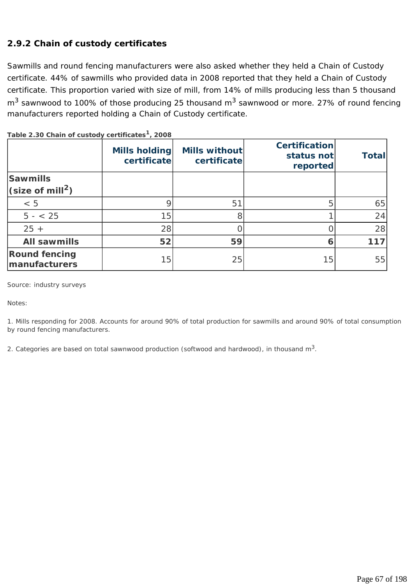# **2.9.2 Chain of custody certificates**

Sawmills and round fencing manufacturers were also asked whether they held a Chain of Custody certificate. 44% of sawmills who provided data in 2008 reported that they held a Chain of Custody certificate. This proportion varied with size of mill, from 14% of mills producing less than 5 thousand  $m<sup>3</sup>$  sawnwood to 100% of those producing 25 thousand  $m<sup>3</sup>$  sawnwood or more. 27% of round fencing manufacturers reported holding a Chain of Custody certificate.

|                                       | Mills holding<br>certificate | Mills without<br>certificate | <b>Certification</b><br>status not<br>reported | <b>Total</b> |
|---------------------------------------|------------------------------|------------------------------|------------------------------------------------|--------------|
| <b>Sawmills</b>                       |                              |                              |                                                |              |
| $\sqrt{\text{size of mill}^2}$        |                              |                              |                                                |              |
| < 5                                   | 9                            | 51                           | 5                                              | 65           |
| $5 - < 25$                            | 15                           | 8                            |                                                | 24           |
| $25 +$                                | 28                           |                              |                                                | 28           |
| <b>All sawmills</b>                   | 52                           | 59                           | 6                                              | 117          |
| <b>Round fencing</b><br>manufacturers | 15                           | 25                           | 15                                             | 55           |

**Table 2.30 Chain of custody certificates1, 2008**

*Source: industry surveys* 

*Notes:* 

*1. Mills responding for 2008. Accounts for around 90% of total production for sawmills and around 90% of total consumption by round fencing manufacturers.* 

*2. Categories are based on total sawnwood production (softwood and hardwood), in thousand m3.*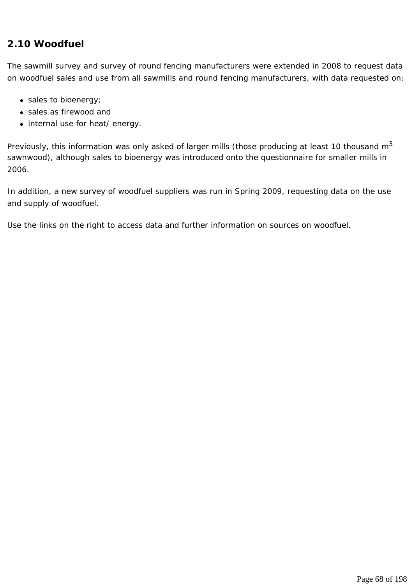# **2.10 Woodfuel**

The sawmill survey and survey of round fencing manufacturers were extended in 2008 to request data on woodfuel sales and use from all sawmills and round fencing manufacturers, with data requested on:

- $\bullet$  sales to bioenergy;
- sales as firewood and
- internal use for heat/ energy.

Previously, this information was only asked of larger mills (those producing at least 10 thousand  $m<sup>3</sup>$ sawnwood), although sales to bioenergy was introduced onto the questionnaire for smaller mills in 2006.

In addition, a new survey of woodfuel suppliers was run in Spring 2009, requesting data on the use and supply of woodfuel.

Use the links on the right to access data and further information on sources on woodfuel.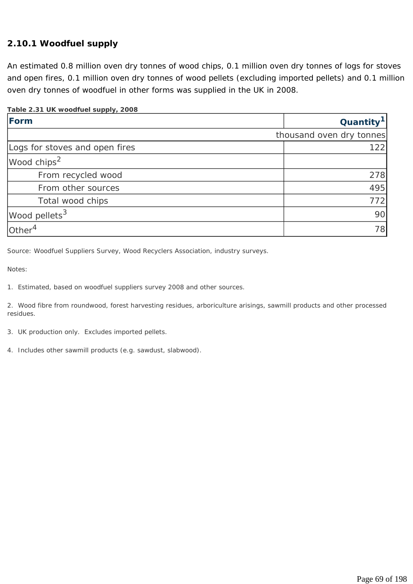### **2.10.1 Woodfuel supply**

An estimated 0.8 million oven dry tonnes of wood chips, 0.1 million oven dry tonnes of logs for stoves and open fires, 0.1 million oven dry tonnes of wood pellets (excluding imported pellets) and 0.1 million oven dry tonnes of woodfuel in other forms was supplied in the UK in 2008.

#### **Table 2.31 UK woodfuel supply, 2008**

| Form                           | Quantity <sup>1</sup>    |
|--------------------------------|--------------------------|
|                                | thousand oven dry tonnes |
| Logs for stoves and open fires | 122                      |
| Wood chips <sup>2</sup>        |                          |
| From recycled wood             | 278                      |
| From other sources             | 495                      |
| Total wood chips               | 772                      |
| Wood pellets <sup>3</sup>      | 90                       |
| Other $4$                      | 78                       |

*Source: Woodfuel Suppliers Survey, Wood Recyclers Association, industry surveys.* 

*Notes:* 

*1. Estimated, based on woodfuel suppliers survey 2008 and other sources.* 

*2. Wood fibre from roundwood, forest harvesting residues, arboriculture arisings, sawmill products and other processed residues.* 

- *3. UK production only. Excludes imported pellets.*
- *4. Includes other sawmill products (e.g. sawdust, slabwood).*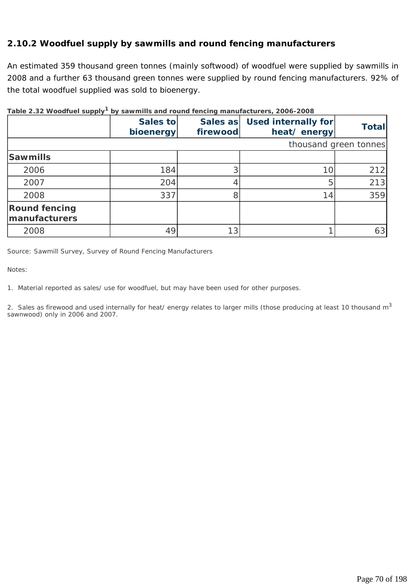### **2.10.2 Woodfuel supply by sawmills and round fencing manufacturers**

An estimated 359 thousand green tonnes (mainly softwood) of woodfuel were supplied by sawmills in 2008 and a further 63 thousand green tonnes were supplied by round fencing manufacturers. 92% of the total woodfuel supplied was sold to bioenergy.

|                                       | Sales to<br>bioenergy | Sales as<br>firewood | Used internally for<br>heat/energy | <b>Total</b>          |  |  |  |
|---------------------------------------|-----------------------|----------------------|------------------------------------|-----------------------|--|--|--|
|                                       |                       |                      |                                    | thousand green tonnes |  |  |  |
| <b>Sawmills</b>                       |                       |                      |                                    |                       |  |  |  |
| 2006                                  | 184                   |                      | 10                                 | 212                   |  |  |  |
| 2007                                  | 204                   |                      | 5                                  | 213                   |  |  |  |
| 2008                                  | 337                   |                      | 14                                 | 359                   |  |  |  |
| <b>Round fencing</b><br>manufacturers |                       |                      |                                    |                       |  |  |  |
| 2008                                  | 49                    |                      |                                    | 63                    |  |  |  |

#### **Table 2.32 Woodfuel supply1 by sawmills and round fencing manufacturers, 2006-2008**

*Source: Sawmill Survey, Survey of Round Fencing Manufacturers* 

*Notes:* 

*1. Material reported as sales/ use for woodfuel, but may have been used for other purposes.* 

*2. Sales as firewood and used internally for heat/ energy relates to larger mills (those producing at least 10 thousand m3 sawnwood) only in 2006 and 2007.*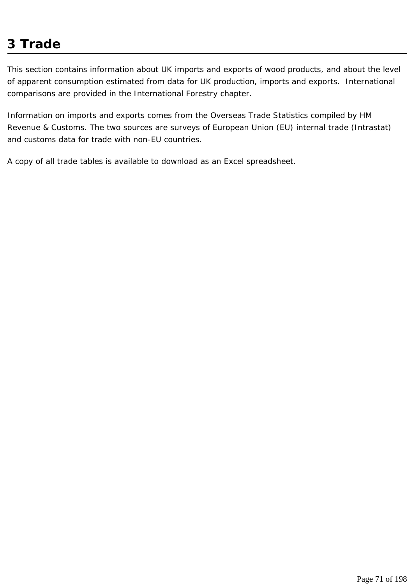# **3 Trade**

This section contains information about UK imports and exports of wood products, and about the level of apparent consumption estimated from data for UK production, imports and exports. International comparisons are provided in the International Forestry chapter.

Information on imports and exports comes from the Overseas Trade Statistics compiled by HM Revenue & Customs. The two sources are surveys of European Union (EU) internal trade (Intrastat) and customs data for trade with non-EU countries.

A copy of all trade tables is available to download as an Excel spreadsheet.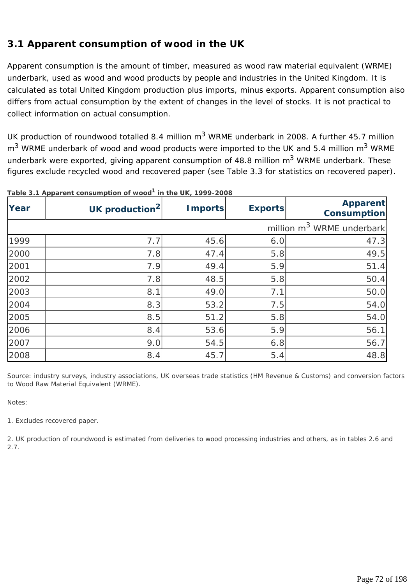# **3.1 Apparent consumption of wood in the UK**

Apparent consumption is the amount of timber, measured as wood raw material equivalent (WRME) underbark, used as wood and wood products by people and industries in the United Kingdom. It is calculated as total United Kingdom production plus imports, minus exports. Apparent consumption also differs from actual consumption by the extent of changes in the level of stocks. It is not practical to collect information on actual consumption.

UK production of roundwood totalled 8.4 million  $m<sup>3</sup>$  WRME underbark in 2008. A further 45.7 million  $m<sup>3</sup>$  WRME underbark of wood and wood products were imported to the UK and 5.4 million  $m<sup>3</sup>$  WRME underbark were exported, giving apparent consumption of 48.8 million  $m<sup>3</sup>$  WRME underbark. These figures exclude recycled wood and recovered paper (see Table 3.3 for statistics on recovered paper).

| Year                                  | UK production <sup>2</sup> | <b>Imports</b> | <b>Exports</b> | <b>Apparent</b><br><b>Consumption</b> |  |  |
|---------------------------------------|----------------------------|----------------|----------------|---------------------------------------|--|--|
| million m <sup>3</sup> WRME underbark |                            |                |                |                                       |  |  |
| 1999                                  | 7.7                        | 45.6           | 6.0            | 47.3                                  |  |  |
| 2000                                  | 7.8                        | 47.4           | 5.8            | 49.5                                  |  |  |
| 2001                                  | 7.9                        | 49.4           | 5.9            | 51.4                                  |  |  |
| 2002                                  | 7.8                        | 48.5           | 5.8            | 50.4                                  |  |  |
| 2003                                  | 8.1                        | 49.0           | 7.1            | 50.0                                  |  |  |
| 2004                                  | 8.3                        | 53.2           | 7.5            | 54.0                                  |  |  |
| 2005                                  | 8.5                        | 51.2           | 5.8            | 54.0                                  |  |  |
| 2006                                  | 8.4                        | 53.6           | 5.9            | 56.1                                  |  |  |
| 2007                                  | 9.0                        | 54.5           | 6.8            | 56.7                                  |  |  |
| 2008                                  | 8.4                        | 45.7           | 5.4            | 48.8                                  |  |  |

**Table 3.1 Apparent consumption of wood1 in the UK, 1999-2008**

*Source: industry surveys, industry associations, UK overseas trade statistics (HM Revenue & Customs) and conversion factors to Wood Raw Material Equivalent (WRME).* 

*Notes:* 

*1. Excludes recovered paper.* 

*2. UK production of roundwood is estimated from deliveries to wood processing industries and others, as in tables 2.6 and 2.7.*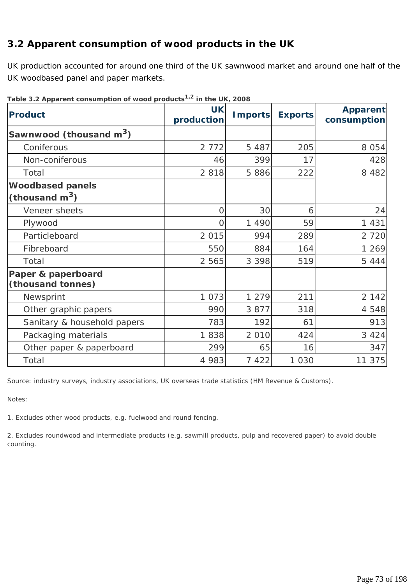# **3.2 Apparent consumption of wood products in the UK**

UK production accounted for around one third of the UK sawnwood market and around one half of the UK woodbased panel and paper markets.

| <b>Product</b>                              | <b>UK</b><br>production | <b>Imports</b> | <b>Exports</b> | <b>Apparent</b><br>consumption |
|---------------------------------------------|-------------------------|----------------|----------------|--------------------------------|
| Sawnwood (thousand $m^3$ )                  |                         |                |                |                                |
| Coniferous                                  | 2 7 7 2                 | 5 4 8 7        | 205            | 8 0 5 4                        |
| Non-coniferous                              | 46                      | 399            | 17             | 428                            |
| Total                                       | 2 8 1 8                 | 5886           | 222            | 8 4 8 2                        |
| <b>Woodbased panels</b><br>(thousand $m3$ ) |                         |                |                |                                |
| Veneer sheets                               | 0                       | 30             | 6              | 24                             |
| Plywood                                     | 0                       | 1 4 9 0        | 59             | 1 4 3 1                        |
| Particleboard                               | 2 0 1 5                 | 994            | 289            | 2 7 2 0                        |
| Fibreboard                                  | 550                     | 884            | 164            | 1 269                          |
| Total                                       | 2 5 6 5                 | 3 3 9 8        | 519            | 5 4 4 4                        |
| Paper & paperboard<br>(thousand tonnes)     |                         |                |                |                                |
| Newsprint                                   | 1 0 7 3                 | 1 279          | 211            | 2 1 4 2                        |
| Other graphic papers                        | 990                     | 3 8 7 7        | 318            | 4 5 4 8                        |
| Sanitary & household papers                 | 783                     | 192            | 61             | 913                            |
| Packaging materials                         | 1838                    | 2 0 1 0        | 424            | 3 4 2 4                        |
| Other paper & paperboard                    | 299                     | 65             | 16             | 347                            |
| Total                                       | 4 9 8 3                 | 7 4 2 2        | 1 0 3 0        | 11 375                         |

**Table 3.2 Apparent consumption of wood products1,2 in the UK, 2008**

*Source: industry surveys, industry associations, UK overseas trade statistics (HM Revenue & Customs).* 

*Notes:* 

*1. Excludes other wood products, e.g. fuelwood and round fencing.* 

*2. Excludes roundwood and intermediate products (e.g. sawmill products, pulp and recovered paper) to avoid double counting.*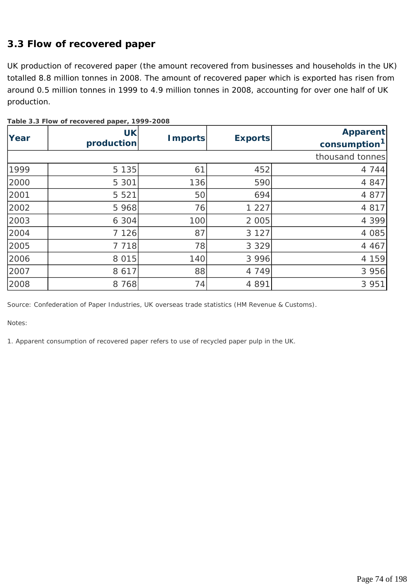# **3.3 Flow of recovered paper**

UK production of recovered paper (the amount recovered from businesses and households in the UK) totalled 8.8 million tonnes in 2008. The amount of recovered paper which is exported has risen from around 0.5 million tonnes in 1999 to 4.9 million tonnes in 2008, accounting for over one half of UK production.

| Year | <b>UK</b><br>production | <b>Imports</b> | <b>Exports</b> | <b>Apparent</b><br>consumption <sup>1</sup> |
|------|-------------------------|----------------|----------------|---------------------------------------------|
|      |                         |                |                | thousand tonnes                             |
| 1999 | 5 1 3 5                 | 61             | 452            | 4 7 4 4                                     |
| 2000 | 5 3 0 1                 | 136            | 590            | 4 8 4 7                                     |
| 2001 | 5 5 2 1                 | 50             | 694            | 4 8 7 7                                     |
| 2002 | 5 9 6 8                 | 76             | 1 2 2 7        | 4 8 1 7                                     |
| 2003 | 6 3 0 4                 | 100            | 2 0 0 5        | 4 3 9 9                                     |
| 2004 | 7 1 2 6                 | 87             | 3 1 2 7        | 4 0 8 5                                     |
| 2005 | 7 7 1 8                 | 78             | 3 3 2 9        | 4 4 6 7                                     |
| 2006 | 8 0 1 5                 | 140            | 3 9 9 6        | 4 159                                       |
| 2007 | 8 6 1 7                 | 88             | 4 7 4 9        | 3 9 5 6                                     |
| 2008 | 8 7 6 8                 | 74             | 4 8 9 1        | 3 9 5 1                                     |

**Table 3.3 Flow of recovered paper, 1999-2008**

*Source: Confederation of Paper Industries, UK overseas trade statistics (HM Revenue & Customs).* 

*Notes:* 

*1. Apparent consumption of recovered paper refers to use of recycled paper pulp in the UK.*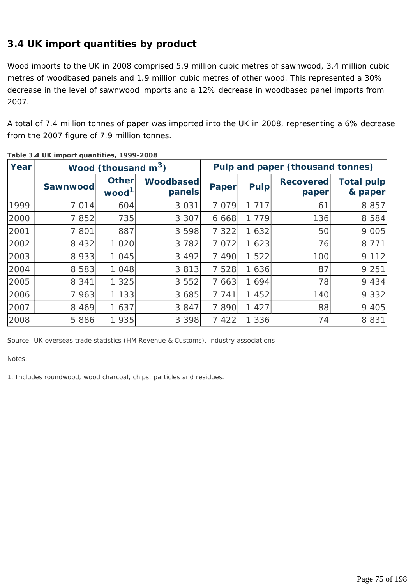# **3.4 UK import quantities by product**

Wood imports to the UK in 2008 comprised 5.9 million cubic metres of sawnwood, 3.4 million cubic metres of woodbased panels and 1.9 million cubic metres of other wood. This represented a 30% decrease in the level of sawnwood imports and a 12% decrease in woodbased panel imports from 2007.

A total of 7.4 million tonnes of paper was imported into the UK in 2008, representing a 6% decrease from the 2007 figure of 7.9 million tonnes.

| Year | Wood (thousand $m^3$ ) |                                   |                            |              | Pulp and paper (thousand tonnes) |                           |                       |  |
|------|------------------------|-----------------------------------|----------------------------|--------------|----------------------------------|---------------------------|-----------------------|--|
|      | Sawnwood               | <b>Other</b><br>wood <sup>1</sup> | <b>Woodbased</b><br>panels | <b>Paper</b> | <b>Pulp</b>                      | <b>Recovered</b><br>paper | Total pulp<br>& paper |  |
| 1999 | 7 0 1 4                | 604                               | 3 0 3 1                    | 7 0 7 9      | 717<br>1                         | 61                        | 8 8 5 7               |  |
| 2000 | 7852                   | 735                               | 3 3 0 7                    | 6 6 6 8      | 779<br>1.                        | 136                       | 8 5 8 4               |  |
| 2001 | 7 801                  | 887                               | 3 5 9 8                    | 7 3 2 2      | 632<br>1.                        | 50                        | 9 0 0 5               |  |
| 2002 | 8 4 3 2                | 1 0 2 0                           | 3 7 8 2                    | 7 0 7 2      | 1 623                            | 76                        | 8 7 7 1               |  |
| 2003 | 8 9 3 3                | 1 0 4 5                           | 3 4 9 2                    | 7 4 9 0      | 1 5 2 2                          | 100                       | 9 1 1 2               |  |
| 2004 | 8 5 8 3                | 1 0 4 8                           | 3 8 1 3                    | 7 5 2 8      | 1 636                            | 87                        | 9 2 5 1               |  |
| 2005 | 8 3 4 1                | 1 3 2 5                           | 3 5 5 2                    | 7 6 6 3      | 1 6 9 4                          | 78                        | 9 4 3 4               |  |
| 2006 | 7 963                  | 1 1 3 3                           | 3 6 8 5                    | 7 7 4 1      | 452                              | 140                       | 9 3 3 2               |  |
| 2007 | 8 4 6 9                | 1 637                             | 3 8 4 7                    | 7890         | 427<br>1.                        | 88                        | 9 4 0 5               |  |
| 2008 | 5 8 8 6                | 1935                              | 3 3 9 8                    | 7 4 2 2      | 336                              | 74                        | 8 8 3 1               |  |

**Table 3.4 UK import quantities, 1999-2008**

*Source: UK overseas trade statistics (HM Revenue & Customs), industry associations* 

*Notes:*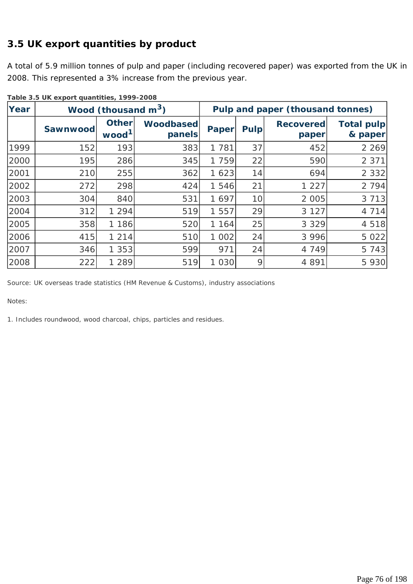# **3.5 UK export quantities by product**

A total of 5.9 million tonnes of pulp and paper (including recovered paper) was exported from the UK in 2008. This represented a 3% increase from the previous year.

| Year |          | Wood (thousand $m^3$ )            | Pulp and paper (thousand tonnes) |              |             |                           |                              |
|------|----------|-----------------------------------|----------------------------------|--------------|-------------|---------------------------|------------------------------|
|      | Sawnwood | <b>Other</b><br>wood <sup>1</sup> | <b>Woodbased</b><br>panels       | <b>Paper</b> | <b>Pulp</b> | <b>Recovered</b><br>paper | <b>Total pulp</b><br>& paper |
| 1999 | 152      | 193                               | 383                              | 1 7 8 1      | 37          | 452                       | 2 2 6 9                      |
| 2000 | 195      | 286                               | 345                              | 1 759        | 22          | 590                       | 2 3 7 1                      |
| 2001 | 210      | 255                               | 362                              | 1623         | 14          | 694                       | 2 3 3 2                      |
| 2002 | 272      | 298                               | 424                              | 1 546        | 21          | 1 2 2 7                   | 2 7 9 4                      |
| 2003 | 304      | 840                               | 531                              | 1 697        | 10          | 2 0 0 5                   | 3 7 1 3                      |
| 2004 | 312      | 1 2 9 4                           | 519                              | 1 557        | 29          | 3 1 2 7                   | 4 7 1 4                      |
| 2005 | 358      | 1 1 8 6                           | 520                              | 1 164        | 25          | 3 3 2 9                   | 4 5 1 8                      |
| 2006 | 415      | 1 2 1 4                           | 510                              | 1 002        | 24          | 3 9 9 6                   | 5 0 2 2                      |
| 2007 | 346      | 1 3 5 3                           | 599                              | 971          | 24          | 4 7 4 9                   | 5 7 4 3                      |
| 2008 | 222      | 289                               | 519                              | 1 0 3 0      | 9           | 4 8 9 1                   | 5 9 3 0                      |

**Table 3.5 UK export quantities, 1999-2008**

*Source: UK overseas trade statistics (HM Revenue & Customs), industry associations* 

*Notes:*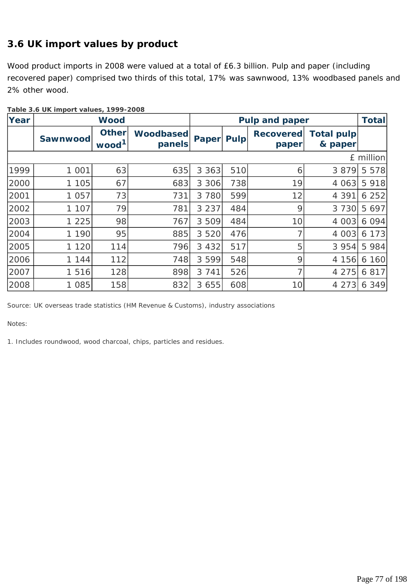# **3.6 UK import values by product**

Wood product imports in 2008 were valued at a total of £6.3 billion. Pulp and paper (including recovered paper) comprised two thirds of this total, 17% was sawnwood, 13% woodbased panels and 2% other wood.

| Year | <b>Wood</b> |                                   |                            |              | <b>Pulp and paper</b> | <b>Total</b>              |                              |             |
|------|-------------|-----------------------------------|----------------------------|--------------|-----------------------|---------------------------|------------------------------|-------------|
|      | Sawnwood    | <b>Other</b><br>wood <sup>1</sup> | <b>Woodbased</b><br>panels | <b>Paper</b> | <b>Pulp</b>           | <b>Recovered</b><br>paper | <b>Total pulp</b><br>& paper |             |
|      |             |                                   |                            |              |                       |                           |                              | $E$ million |
| 1999 | 1 0 0 1     | 63                                | 635                        | 3 3 6 3      | 510                   | 6                         | 3 8 7 9                      | 5 5 7 8     |
| 2000 | 1 1 0 5     | 67                                | 683                        | 3 3 0 6      | 738                   | 19                        | 4 0 6 3                      | 5 9 1 8     |
| 2001 | 1 0 5 7     | 73                                | 731                        | 3 7 8 0      | 599                   | 12                        | 4 3 9 1                      | 6252        |
| 2002 | 1 107       | 79                                | 781                        | 3 2 3 7      | 484                   | 9                         | 3 7 3 0                      | 5 6 9 7     |
| 2003 | 1 2 2 5     | 98                                | 767                        | 3 509        | 484                   | 10                        | 4 0 0 3                      | 6094        |
| 2004 | 1 1 9 0     | 95                                | 885                        | 3 5 2 0      | 476                   |                           | 4 0 0 3                      | 6 1 7 3     |
| 2005 | 1 1 2 0     | 114                               | 796                        | 3 4 3 2      | 517                   | 5                         | 3 9 5 4                      | 5 9 8 4     |
| 2006 | 1 144       | 112                               | 748                        | 3 5 9 9      | 548                   | 9                         | 4 156                        | 6 160       |
| 2007 | 1 5 1 6     | 128                               | 898                        | 3 7 4 1      | 526                   |                           | 4 2 7 5                      | 6 8 1 7     |
| 2008 | 1 0 8 5     | 158                               | 832                        | 3 6 5 5      | 608                   | 10                        | 4 2 7 3                      | 6 3 4 9     |

**Table 3.6 UK import values, 1999-2008** 

*Source: UK overseas trade statistics (HM Revenue & Customs), industry associations* 

*Notes:*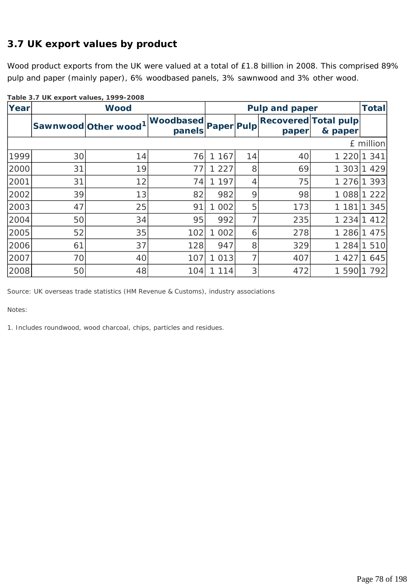# **3.7 UK export values by product**

Wood product exports from the UK were valued at a total of £1.8 billion in 2008. This comprised 89% pulp and paper (mainly paper), 6% woodbased panels, 3% sawnwood and 3% other wood.

| Yearl |    | <b>Wood</b>         |                            |                   | <b>Pulp and paper</b> |                                      |         |           |
|-------|----|---------------------|----------------------------|-------------------|-----------------------|--------------------------------------|---------|-----------|
|       |    | Sawnwood Other wood | <b>Woodbased</b><br>panels | <b>Paper Pulp</b> |                       | <b>Recovered Total pulp</b><br>paper | & paper |           |
|       |    |                     |                            |                   |                       |                                      |         | £ million |
| 1999  | 30 | 14                  | 76                         | 167               | 14                    | 40                                   | 1 2 2 0 | 341       |
| 2000  | 31 | 19                  | 77                         | 227               | 8                     | 69                                   | 1 3 0 3 | 429       |
| 2001  | 31 | 12                  | 74                         | 197               | 4                     | 75                                   | 1 2 7 6 | 393       |
| 2002  | 39 | 13                  | 82                         | 982               | 9                     | 98                                   | 1 0 8 8 | 222       |
| 2003  | 47 | 25                  | 91                         | 002               | 5                     | 173                                  | 1 1 8 1 | 345       |
| 2004  | 50 | 34                  | 95                         | 992               | 7                     | 235                                  | 1234    | 412       |
| 2005  | 52 | 35                  | 102                        | 002<br>1.         | 6                     | 278                                  | 1 2 8 6 | 475       |
| 2006  | 61 | 37                  | 128                        | 947               | 8                     | 329                                  | 1 2 8 4 | 510       |
| 2007  | 70 | 40                  | 107                        | 013               | 7                     | 407                                  | 1 4 2 7 | 645       |
| 2008  | 50 | 48                  | 104                        | 114               | 3                     | 472                                  | 1 5 9 0 | 792       |

**Table 3.7 UK export values, 1999-2008**

*Source: UK overseas trade statistics (HM Revenue & Customs), industry associations* 

*Notes:*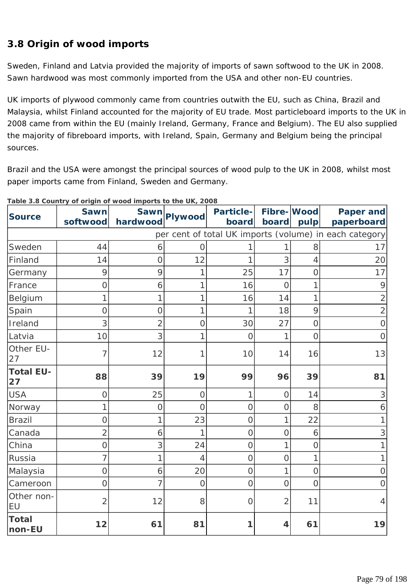# **3.8 Origin of wood imports**

Sweden, Finland and Latvia provided the majority of imports of sawn softwood to the UK in 2008. Sawn hardwood was most commonly imported from the USA and other non-EU countries.

UK imports of plywood commonly came from countries outwith the EU, such as China, Brazil and Malaysia, whilst Finland accounted for the majority of EU trade. Most particleboard imports to the UK in 2008 came from within the EU (mainly Ireland, Germany, France and Belgium). The EU also supplied the majority of fibreboard imports, with Ireland, Spain, Germany and Belgium being the principal sources.

Brazil and the USA were amongst the principal sources of wood pulp to the UK in 2008, whilst most paper imports came from Finland, Sweden and Germany.

| <b>Source</b>          | <b>Sawn</b><br>softwood | hardwood       | Sawn Plywood   | <b>Particle-</b><br>board | Fibre-Wood<br>board | pulp           | Paper and<br>paperboard                                |
|------------------------|-------------------------|----------------|----------------|---------------------------|---------------------|----------------|--------------------------------------------------------|
|                        |                         |                |                |                           |                     |                | per cent of total UK imports (volume) in each category |
| Sweden                 | 44                      | 6              | $\Omega$       |                           |                     | 8              | 17                                                     |
| Finland                | 14                      | $\mathcal{O}$  | 12             | 1                         | 3                   | 4              | 20                                                     |
| Germany                | 9                       | 9              | 1              | 25                        | 17                  | 0              | 17                                                     |
| France                 | $\overline{O}$          | 6              | 1              | 16                        | $\overline{O}$      | 1              | 9                                                      |
| Belgium                | 1                       | 1              | 1              | 16                        | 14                  | 1              | $\overline{2}$                                         |
| Spain                  | $\overline{O}$          | $\mathcal{O}$  | 1              | 1                         | 18                  | 9              | $\sqrt{2}$                                             |
| Ireland                | 3                       | $\overline{2}$ | $\overline{O}$ | 30                        | 27                  | $\overline{O}$ | $\mathsf O$                                            |
| Latvia                 | 10                      | 3              | 1              | $\overline{O}$            |                     | $\overline{O}$ | $\mathbf 0$                                            |
| Other EU-<br>27        | 7                       | 12             | 1              | 10                        | 14                  | 16             | 13                                                     |
| <b>Total EU-</b><br>27 | 88                      | 39             | 19             | 99                        | 96                  | 39             | 81                                                     |
| <b>USA</b>             | O                       | 25             | $\overline{O}$ | 1                         | $\Omega$            | 14             | 3                                                      |
| Norway                 | 1                       | $\overline{O}$ | $\overline{O}$ | $\overline{O}$            | $\Omega$            | 8              | 6                                                      |
| <b>Brazil</b>          | 0                       | 1              | 23             | $\mathbf 0$               |                     | 22             |                                                        |
| Canada                 | $\overline{2}$          | 6              | 1              | $\overline{O}$            | $\overline{O}$      | 6              | 3                                                      |
| China                  | Ω                       | 3              | 24             | $\overline{O}$            |                     | $\overline{0}$ |                                                        |
| Russia                 | 7                       | 1              | 4              | $\overline{O}$            | $\overline{O}$      | 1              | 1                                                      |
| Malaysia               | $\overline{O}$          | 6              | 20             | $\overline{O}$            | 1                   | $\overline{O}$ | $\overline{O}$                                         |
| Cameroon               | Ω                       | 7              | $\overline{O}$ | $\overline{O}$            | $\Omega$            | $\overline{0}$ | $\overline{O}$                                         |
| Other non-<br>EU       | $\overline{2}$          | 12             | 8              | $\overline{O}$            | 2                   | 11             | $\overline{4}$                                         |
| <b>Total</b><br>non-EU | 12                      | 61             | 81             |                           | 4                   | 61             | 19                                                     |

#### **Table 3.8 Country of origin of wood imports to the UK, 2008**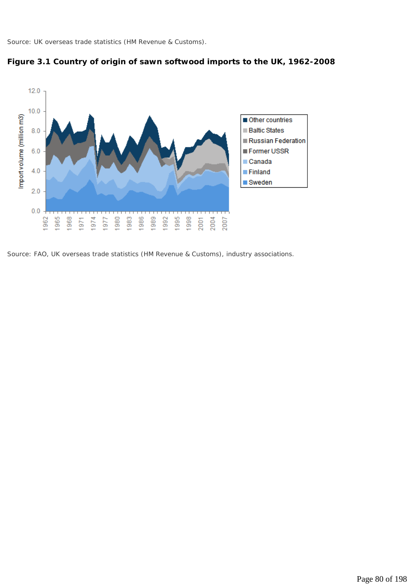*Source: UK overseas trade statistics (HM Revenue & Customs).* 





*Source: FAO, UK overseas trade statistics (HM Revenue & Customs), industry associations.*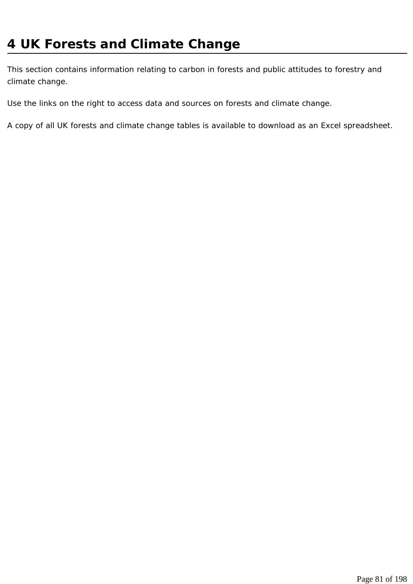This section contains information relating to carbon in forests and public attitudes to forestry and climate change.

Use the links on the right to access data and sources on forests and climate change.

A copy of all UK forests and climate change tables is available to download as an Excel spreadsheet.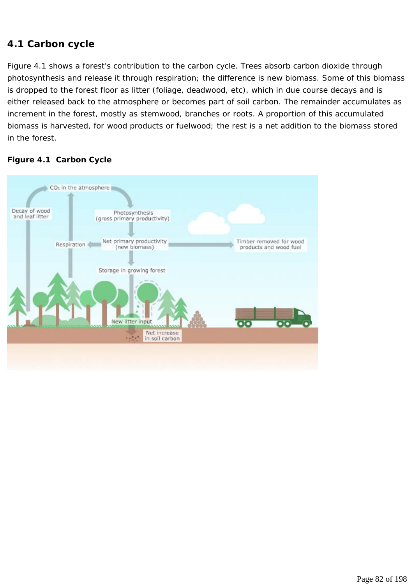#### **4.1 Carbon cycle**

Figure 4.1 shows a forest's contribution to the carbon cycle. Trees absorb carbon dioxide through photosynthesis and release it through respiration; the difference is new biomass. Some of this biomass is dropped to the forest floor as litter (foliage, deadwood, etc), which in due course decays and is either released back to the atmosphere or becomes part of soil carbon. The remainder accumulates as increment in the forest, mostly as stemwood, branches or roots. A proportion of this accumulated biomass is harvested, for wood products or fuelwood; the rest is a net addition to the biomass stored in the forest.

#### **Figure 4.1 Carbon Cycle**

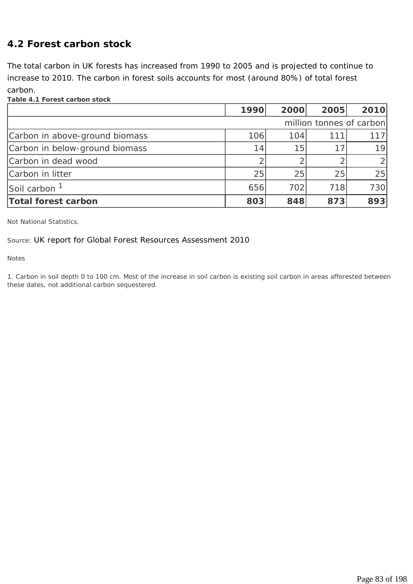#### **4.2 Forest carbon stock**

The total carbon in UK forests has increased from 1990 to 2005 and is projected to continue to increase to 2010. The carbon in forest soils accounts for most (around 80%) of total forest carbon.

**Table 4.1 Forest carbon stock**

|                                | 1990                     | 2000 | 2005 | 2010           |  |
|--------------------------------|--------------------------|------|------|----------------|--|
|                                | million tonnes of carbon |      |      |                |  |
| Carbon in above-ground biomass | 106                      | 104  | 111  | 1171           |  |
| Carbon in below-ground biomass | 14                       | 15   |      | 19             |  |
| Carbon in dead wood            |                          | ⌒    |      | $\overline{2}$ |  |
| Carbon in litter               | 25                       | 25   | 25   | 25             |  |
| Soil carbon <sup>1</sup>       | 656                      | 702  | 718  | 730            |  |
| Total forest carbon            | 803                      | 848  | 873  | 893            |  |

*Not National Statistics.* 

*Source: UK report for Global Forest Resources Assessment 2010*

*Notes* 

*1. Carbon in soil depth 0 to 100 cm. Most of the increase in soil carbon is existing soil carbon in areas afforested between these dates, not additional carbon sequestered.*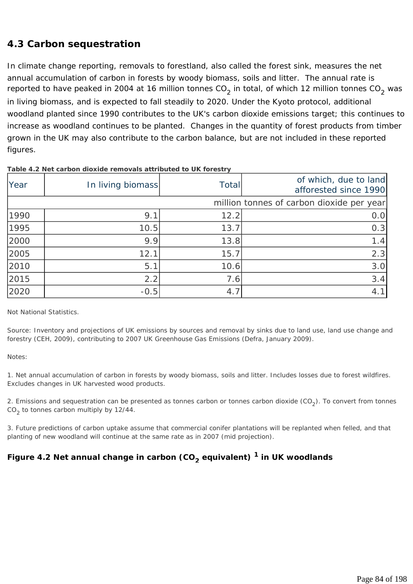### **4.3 Carbon sequestration**

In climate change reporting, removals to forestland, also called the forest sink, measures the net annual accumulation of carbon in forests by woody biomass, soils and litter. The annual rate is reported to have peaked in 2004 at 16 million tonnes  $CO<sub>2</sub>$  in total, of which 12 million tonnes  $CO<sub>2</sub>$  was in living biomass, and is expected to fall steadily to 2020. Under the Kyoto protocol, additional woodland planted since 1990 contributes to the UK's carbon dioxide emissions target; this continues to increase as woodland continues to be planted. Changes in the quantity of forest products from timber grown in the UK may also contribute to the carbon balance, but are not included in these reported figures.

| Year | In living biomass | Total | of which, due to land<br>afforested since 1990 |
|------|-------------------|-------|------------------------------------------------|
|      |                   |       | million tonnes of carbon dioxide per year      |
| 1990 | 9.1               | 12.2  | 0.0                                            |
| 1995 | 10.5              | 13.7  | 0.3                                            |
| 2000 | 9.9               | 13.8  | 1.4                                            |
| 2005 | 12.1              | 15.7  | 2.3                                            |
| 2010 | 5.1               | 10.6  | 3.0                                            |
| 2015 | 2.2               | 7.6   | 3.4                                            |
| 2020 | $-0.5$            | 4.7   | 4.1                                            |

#### **Table 4.2 Net carbon dioxide removals attributed to UK forestry**

*Not National Statistics.* 

*Source: Inventory and projections of UK emissions by sources and removal by sinks due to land use, land use change and forestry (CEH, 2009), contributing to 2007 UK Greenhouse Gas Emissions (Defra, January 2009).* 

*Notes:* 

*1. Net annual accumulation of carbon in forests by woody biomass, soils and litter. Includes losses due to forest wildfires. Excludes changes in UK harvested wood products.* 

*2. Emissions and sequestration can be presented as tonnes carbon or tonnes carbon dioxide (CO<sub>2</sub>). To convert from tonnes CO2 to tonnes carbon multiply by 12/44.* 

*3. Future predictions of carbon uptake assume that commercial conifer plantations will be replanted when felled, and that planting of new woodland will continue at the same rate as in 2007 (mid projection).* 

# Figure 4.2 Net annual change in carbon (CO<sub>2</sub> equivalent) <sup>1</sup> in UK woodlands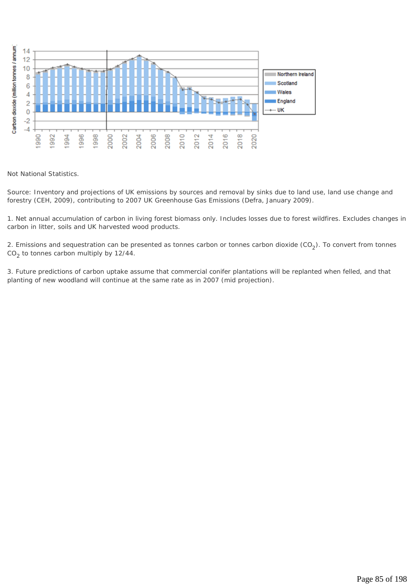

*Not National Statistics.* 

*Source: Inventory and projections of UK emissions by sources and removal by sinks due to land use, land use change and forestry (CEH, 2009), contributing to 2007 UK Greenhouse Gas Emissions (Defra, January 2009).* 

*1. Net annual accumulation of carbon in living forest biomass only. Includes losses due to forest wildfires. Excludes changes in carbon in litter, soils and UK harvested wood products.* 

*2. Emissions and sequestration can be presented as tonnes carbon or tonnes carbon dioxide (CO<sub>2</sub>). To convert from tonnes CO2 to tonnes carbon multiply by 12/44.* 

*3. Future predictions of carbon uptake assume that commercial conifer plantations will be replanted when felled, and that planting of new woodland will continue at the same rate as in 2007 (mid projection).*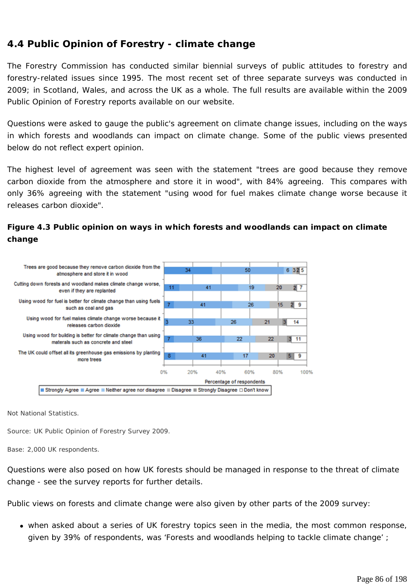# **4.4 Public Opinion of Forestry - climate change**

The Forestry Commission has conducted similar biennial surveys of public attitudes to forestry and forestry-related issues since 1995. The most recent set of three separate surveys was conducted in 2009; in Scotland, Wales, and across the UK as a whole. The full results are available within the 2009 Public Opinion of Forestry reports available on our website.

Questions were asked to gauge the public's agreement on climate change issues, including on the ways in which forests and woodlands can impact on climate change. Some of the public views presented below do not reflect expert opinion.

The highest level of agreement was seen with the statement "trees are good because they remove carbon dioxide from the atmosphere and store it in wood", with 84% agreeing. This compares with only 36% agreeing with the statement "using wood for fuel makes climate change worse because it releases carbon dioxide".



#### **Figure 4.3 Public opinion on ways in which forests and woodlands can impact on climate change**

*Not National Statistics.* 

*Source: UK Public Opinion of Forestry Survey 2009.* 

*Base: 2,000 UK respondents.* 

Questions were also posed on how UK forests should be managed in response to the threat of climate change - see the survey reports for further details.

Public views on forests and climate change were also given by other parts of the 2009 survey:

• when asked about a series of UK forestry topics seen in the media, the most common response, given by 39% of respondents, was 'Forests and woodlands helping to tackle climate change' ;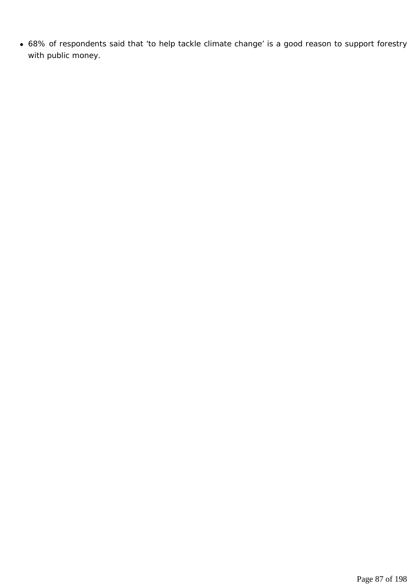• 68% of respondents said that 'to help tackle climate change' is a good reason to support forestry with public money.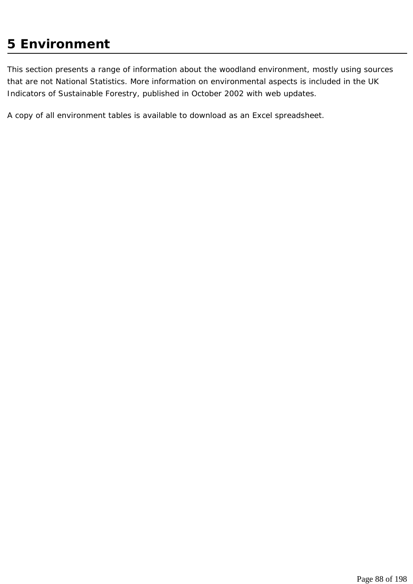# **5 Environment**

This section presents a range of information about the woodland environment, mostly using sources that are not National Statistics. More information on environmental aspects is included in the UK Indicators of Sustainable Forestry, published in October 2002 with web updates.

A copy of all environment tables is available to download as an Excel spreadsheet.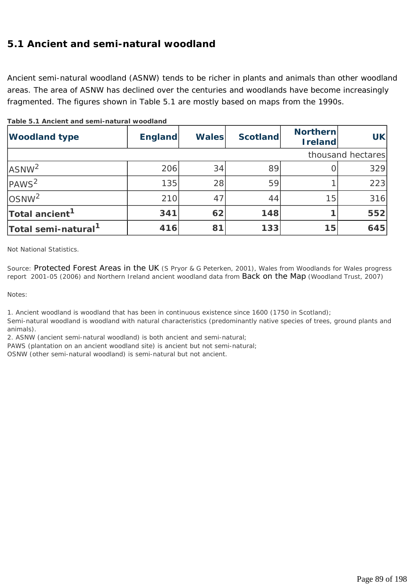## **5.1 Ancient and semi-natural woodland**

Ancient semi-natural woodland (ASNW) tends to be richer in plants and animals than other woodland areas. The area of ASNW has declined over the centuries and woodlands have become increasingly fragmented. The figures shown in Table 5.1 are mostly based on maps from the 1990s.

| <b>Woodland type</b>            | <b>England</b> | <b>Wales</b> | <b>Scotland</b> | <b>Northern</b><br><b>Ireland</b> | <b>UK</b>         |
|---------------------------------|----------------|--------------|-----------------|-----------------------------------|-------------------|
|                                 |                |              |                 |                                   | thousand hectares |
| ASNW <sup>2</sup>               | 206            | 34           | 89              |                                   | 329               |
| PAWS <sup>2</sup>               | 135            | 28           | 59              |                                   | 223               |
| OSNW <sup>2</sup>               | 210            | 47           | 44              | 15                                | 316               |
| Total ancient <sup>1</sup>      | 341            | 62           | 148             |                                   | 552               |
| Total semi-natural <sup>1</sup> | 416            | 81           | 133             | 15                                | 645               |

**Table 5.1 Ancient and semi-natural woodland**

*Not National Statistics.* 

*Source: Protected Forest Areas in the UK (S Pryor & G Peterken, 2001), Wales from Woodlands for Wales progress report 2001-05 (2006) and Northern Ireland ancient woodland data from Back on the Map (Woodland Trust, 2007)* 

*Notes:* 

*1. Ancient woodland is woodland that has been in continuous existence since 1600 (1750 in Scotland);* 

*Semi-natural woodland is woodland with natural characteristics (predominantly native species of trees, ground plants and animals).* 

*2. ASNW (ancient semi-natural woodland) is both ancient and semi-natural;* 

*PAWS (plantation on an ancient woodland site) is ancient but not semi-natural;* 

*OSNW (other semi-natural woodland) is semi-natural but not ancient.*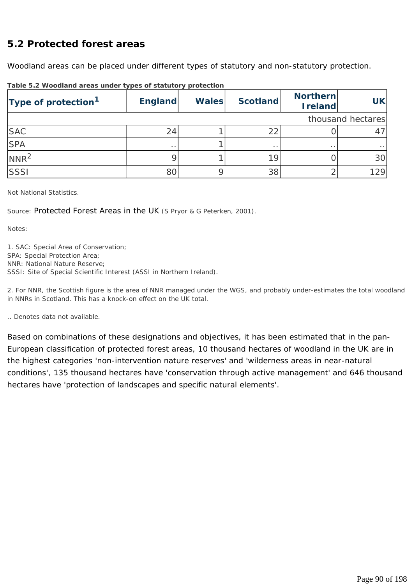### **5.2 Protected forest areas**

Woodland areas can be placed under different types of statutory and non-statutory protection.

| Type of protection <sup>1</sup> | <b>England</b>  | <b>Wales</b> | <b>Scotland</b> | <b>Northern</b><br><b>I</b> reland | <b>UK</b>         |
|---------------------------------|-----------------|--------------|-----------------|------------------------------------|-------------------|
|                                 |                 |              |                 |                                    | thousand hectares |
| <b>SAC</b>                      | 24              |              | 22              |                                    |                   |
| <b>SPA</b>                      | $\cdot$ $\cdot$ |              | $\cdot$ $\cdot$ | $\cdot$ $\cdot$                    |                   |
| NNR <sup>2</sup>                |                 |              | 19              |                                    | 30                |
| SSSI                            | 80              |              | 38              |                                    | 129               |

**Table 5.2 Woodland areas under types of statutory protection**

*Not National Statistics.* 

*Source: Protected Forest Areas in the UK (S Pryor & G Peterken, 2001).* 

*Notes:* 

*1. SAC: Special Area of Conservation; SPA: Special Protection Area; NNR: National Nature Reserve; SSSI: Site of Special Scientific Interest (ASSI in Northern Ireland).* 

*2. For NNR, the Scottish figure is the area of NNR managed under the WGS, and probably under-estimates the total woodland in NNRs in Scotland. This has a knock-on effect on the UK total.* 

*.. Denotes data not available.* 

Based on combinations of these designations and objectives, it has been estimated that in the pan-European classification of protected forest areas, 10 thousand hectares of woodland in the UK are in the highest categories 'non-intervention nature reserves' and 'wilderness areas in near-natural conditions', 135 thousand hectares have 'conservation through active management' and 646 thousand hectares have 'protection of landscapes and specific natural elements'.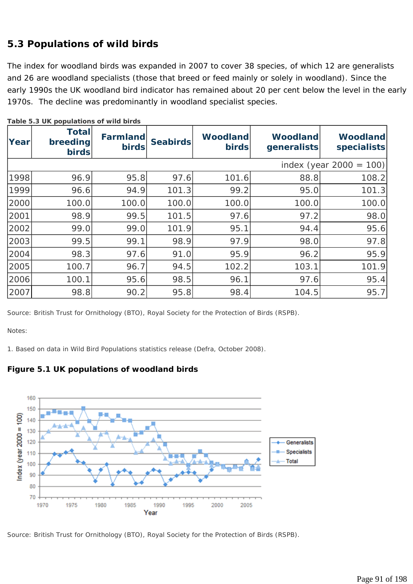# **5.3 Populations of wild birds**

The index for woodland birds was expanded in 2007 to cover 38 species, of which 12 are generalists and 26 are woodland specialists (those that breed or feed mainly or solely in woodland). Since the early 1990s the UK woodland bird indicator has remained about 20 per cent below the level in the early 1970s. The decline was predominantly in woodland specialist species.

| Yearl | <b>Total</b><br>breeding<br><b>birds</b> | Farmland<br><b>birds</b> | <b>Seabirds</b> | <b>Woodland</b><br><b>birds</b> | <b>Woodland</b><br>generalists | <b>Woodland</b><br>specialists |
|-------|------------------------------------------|--------------------------|-----------------|---------------------------------|--------------------------------|--------------------------------|
|       |                                          |                          |                 |                                 |                                | index (year $2000 =$<br>100)   |
| 1998  | 96.9                                     | 95.8                     | 97.6            | 101.6                           | 88.8                           | 108.2                          |
| 1999  | 96.6                                     | 94.9                     | 101.3           | 99.2                            | 95.0                           | 101.3                          |
| 2000  | 100.0                                    | 100.0                    | 100.0           | 100.0                           | 100.0                          | 100.0                          |
| 2001  | 98.9                                     | 99.5                     | 101.5           | 97.6                            | 97.2                           | 98.0                           |
| 2002  | 99.0                                     | 99.0                     | 101.9           | 95.1                            | 94.4                           | 95.6                           |
| 2003  | 99.5                                     | 99.1                     | 98.9            | 97.9                            | 98.0                           | 97.8                           |
| 2004  | 98.3                                     | 97.6                     | 91.0            | 95.9                            | 96.2                           | 95.9                           |
| 2005  | 100.7                                    | 96.7                     | 94.5            | 102.2                           | 103.1                          | 101.9                          |
| 2006  | 100.1                                    | 95.6                     | 98.5            | 96.1                            | 97.6                           | 95.4                           |
| 2007  | 98.8                                     | 90.2                     | 95.8            | 98.4                            | 104.5                          | 95.7                           |

**Table 5.3 UK populations of wild birds** 

*Source: British Trust for Ornithology (BTO), Royal Society for the Protection of Birds (RSPB).* 

*Notes:* 

*1. Based on data in Wild Bird Populations statistics release (Defra, October 2008).* 





*Source: British Trust for Ornithology (BTO), Royal Society for the Protection of Birds (RSPB).*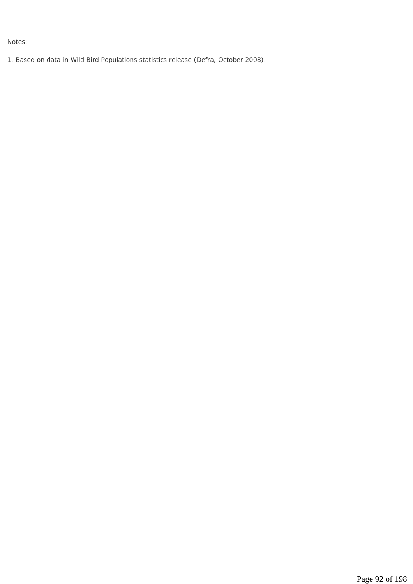*Notes:* 

*1. Based on data in Wild Bird Populations statistics release (Defra, October 2008).*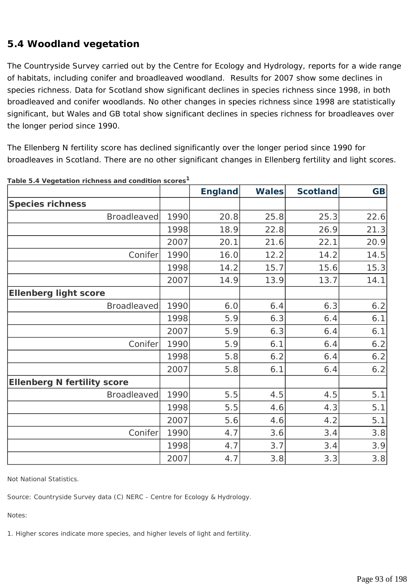# **5.4 Woodland vegetation**

The Countryside Survey carried out by the Centre for Ecology and Hydrology, reports for a wide range of habitats, including conifer and broadleaved woodland. Results for 2007 show some declines in species richness. Data for Scotland show significant declines in species richness since 1998, in both broadleaved and conifer woodlands. No other changes in species richness since 1998 are statistically significant, but Wales and GB total show significant declines in species richness for broadleaves over the longer period since 1990.

The Ellenberg N fertility score has declined significantly over the longer period since 1990 for broadleaves in Scotland. There are no other significant changes in Ellenberg fertility and light scores.

|                                    |      | <b>England</b> | <b>Wales</b> | <b>Scotland</b> | <b>GB</b> |
|------------------------------------|------|----------------|--------------|-----------------|-----------|
| <b>Species richness</b>            |      |                |              |                 |           |
| <b>Broadleaved</b>                 | 1990 | 20.8           | 25.8         | 25.3            | 22.6      |
|                                    | 1998 | 18.9           | 22.8         | 26.9            | 21.3      |
|                                    | 2007 | 20.1           | 21.6         | 22.1            | 20.9      |
| Conifer                            | 1990 | 16.0           | 12.2         | 14.2            | 14.5      |
|                                    | 1998 | 14.2           | 15.7         | 15.6            | 15.3      |
|                                    | 2007 | 14.9           | 13.9         | 13.7            | 14.1      |
| <b>Ellenberg light score</b>       |      |                |              |                 |           |
| <b>Broadleaved</b>                 | 1990 | 6.0            | 6.4          | 6.3             | 6.2       |
|                                    | 1998 | 5.9            | 6.3          | 6.4             | 6.1       |
|                                    | 2007 | 5.9            | 6.3          | 6.4             | 6.1       |
| Conifer                            | 1990 | 5.9            | 6.1          | 6.4             | 6.2       |
|                                    | 1998 | 5.8            | 6.2          | 6.4             | 6.2       |
|                                    | 2007 | 5.8            | 6.1          | 6.4             | 6.2       |
| <b>Ellenberg N fertility score</b> |      |                |              |                 |           |
| <b>Broadleaved</b>                 | 1990 | 5.5            | 4.5          | 4.5             | 5.1       |
|                                    | 1998 | 5.5            | 4.6          | 4.3             | 5.1       |
|                                    | 2007 | 5.6            | 4.6          | 4.2             | 5.1       |
| Conifer                            | 1990 | 4.7            | 3.6          | 3.4             | 3.8       |
|                                    | 1998 | 4.7            | 3.7          | 3.4             | 3.9       |
|                                    | 2007 | 4.7            | 3.8          | 3.3             | 3.8       |

**Table 5.4 Vegetation richness and condition scores1**

*Not National Statistics.* 

*Source: Countryside Survey data (C) NERC - Centre for Ecology & Hydrology.* 

*Notes:* 

*1. Higher scores indicate more species, and higher levels of light and fertility.*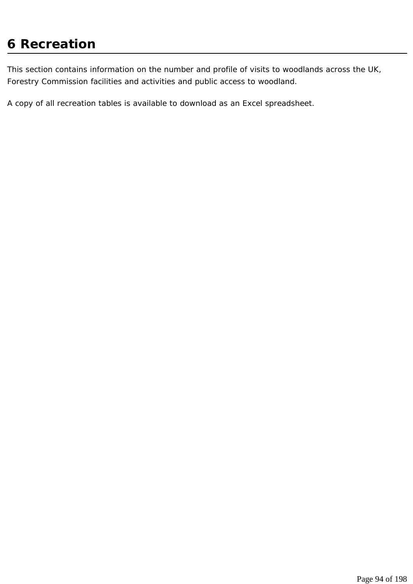# **6 Recreation**

This section contains information on the number and profile of visits to woodlands across the UK, Forestry Commission facilities and activities and public access to woodland.

A copy of all recreation tables is available to download as an Excel spreadsheet.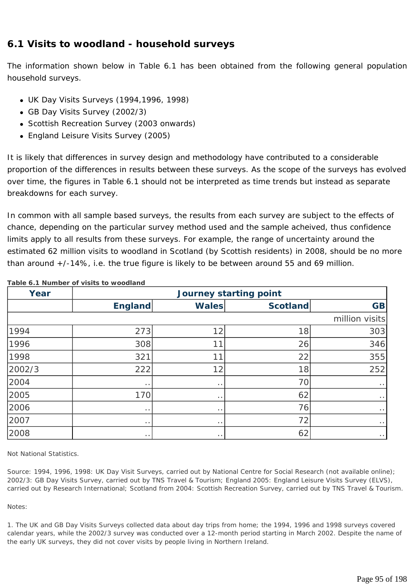## **6.1 Visits to woodland - household surveys**

The information shown below in Table 6.1 has been obtained from the following general population household surveys.

- UK Day Visits Surveys (1994,1996, 1998)
- GB Day Visits Survey (2002/3)
- Scottish Recreation Survey (2003 onwards)
- England Leisure Visits Survey (2005)

It is likely that differences in survey design and methodology have contributed to a considerable proportion of the differences in results between these surveys. As the scope of the surveys has evolved over time, the figures in Table 6.1 should not be interpreted as time trends but instead as separate breakdowns for each survey.

In common with all sample based surveys, the results from each survey are subject to the effects of chance, depending on the particular survey method used and the sample acheived, thus confidence limits apply to all results from these surveys. For example, the range of uncertainty around the estimated 62 million visits to woodland in Scotland (by Scottish residents) in 2008, should be no more than around +/-14%, i.e. the true figure is likely to be between around 55 and 69 million.

| Year   | <b>Journey starting point</b> |                      |                 |                |  |  |  |
|--------|-------------------------------|----------------------|-----------------|----------------|--|--|--|
|        | <b>England</b>                | <b>Wales</b>         | <b>Scotland</b> | <b>GB</b>      |  |  |  |
|        |                               |                      |                 | million visits |  |  |  |
| 1994   | 273                           | 12                   | 18              | 303            |  |  |  |
| 1996   | 308                           | 11                   | 26              | 346            |  |  |  |
| 1998   | 321                           | 11                   | 22              | 355            |  |  |  |
| 2002/3 | 222                           | 12                   | 18              | 252            |  |  |  |
| 2004   | $\cdots$                      | $\ddot{\phantom{0}}$ | 70              | $\sim$ $\sim$  |  |  |  |
| 2005   | 170                           | $\cdot$ .            | 62              | $\cdot$ .      |  |  |  |
| 2006   | $\ddot{\phantom{1}}$          | $\cdot$ .            | 76              | $\sim$ $\sim$  |  |  |  |
| 2007   | $\cdots$                      | $\cdot$ .            | 72              | $\sim$ $\sim$  |  |  |  |
| 2008   | $\cdots$                      | $\cdot$ .            | 62              | $\sim$ $\sim$  |  |  |  |

**Table 6.1 Number of visits to woodland**

*Not National Statistics.* 

*Source: 1994, 1996, 1998: UK Day Visit Surveys, carried out by National Centre for Social Research (not available online); 2002/3: GB Day Visits Survey, carried out by TNS Travel & Tourism; England 2005: England Leisure Visits Survey (ELVS), carried out by Research International; Scotland from 2004: Scottish Recreation Survey, carried out by TNS Travel & Tourism.* 

#### *Notes:*

*1. The UK and GB Day Visits Surveys collected data about day trips from home; the 1994, 1996 and 1998 surveys covered calendar years, while the 2002/3 survey was conducted over a 12-month period starting in March 2002. Despite the name of the early UK surveys, they did not cover visits by people living in Northern Ireland.*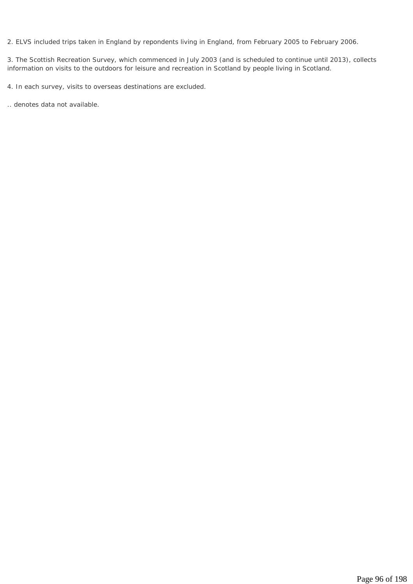*2. ELVS included trips taken in England by repondents living in England, from February 2005 to February 2006.* 

*3. The Scottish Recreation Survey, which commenced in July 2003 (and is scheduled to continue until 2013), collects information on visits to the outdoors for leisure and recreation in Scotland by people living in Scotland.* 

*4. In each survey, visits to overseas destinations are excluded.* 

*.. denotes data not available.*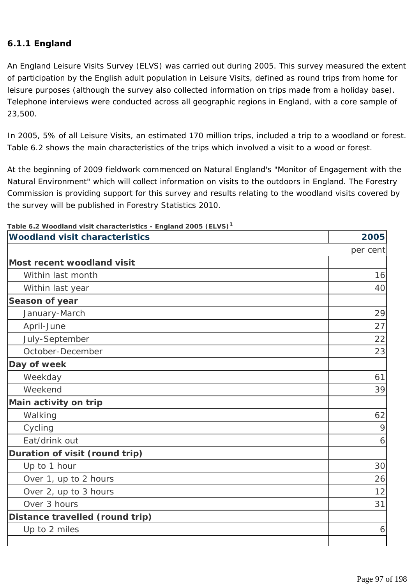#### **6.1.1 England**

An England Leisure Visits Survey (ELVS) was carried out during 2005. This survey measured the extent of participation by the English adult population in Leisure Visits, defined as round trips from home for leisure purposes (although the survey also collected information on trips made from a holiday base). Telephone interviews were conducted across all geographic regions in England, with a core sample of 23,500.

In 2005, 5% of all Leisure Visits, an estimated 170 million trips, included a trip to a woodland or forest. Table 6.2 shows the main characteristics of the trips which involved a visit to a wood or forest.

At the beginning of 2009 fieldwork commenced on Natural England's "Monitor of Engagement with the Natural Environment" which will collect information on visits to the outdoors in England. The Forestry Commission is providing support for this survey and results relating to the woodland visits covered by the survey will be published in Forestry Statistics 2010.

| Table 6.2 Woodland visit characteristics - England 2005 (ELVS) <sup>1</sup><br><b>Woodland visit characteristics</b> | 2005     |
|----------------------------------------------------------------------------------------------------------------------|----------|
|                                                                                                                      |          |
|                                                                                                                      | per cent |
| Most recent woodland visit                                                                                           |          |
| Within last month                                                                                                    | 16       |
| Within last year                                                                                                     | 40       |
| Season of year                                                                                                       |          |
| January-March                                                                                                        | 29       |
| April-June                                                                                                           | 27       |
| July-September                                                                                                       | 22       |
| October-December                                                                                                     | 23       |
| Day of week                                                                                                          |          |
| Weekday                                                                                                              | 61       |
| Weekend                                                                                                              | 39       |
| Main activity on trip                                                                                                |          |
| Walking                                                                                                              | 62       |
| Cycling                                                                                                              | 9        |
| Eat/drink out                                                                                                        | 6        |
| Duration of visit (round trip)                                                                                       |          |
| Up to 1 hour                                                                                                         | 30       |
| Over 1, up to 2 hours                                                                                                | 26       |
| Over 2, up to 3 hours                                                                                                | 12       |
| Over 3 hours                                                                                                         | 31       |
| Distance travelled (round trip)                                                                                      |          |
| Up to 2 miles                                                                                                        | 6        |
|                                                                                                                      |          |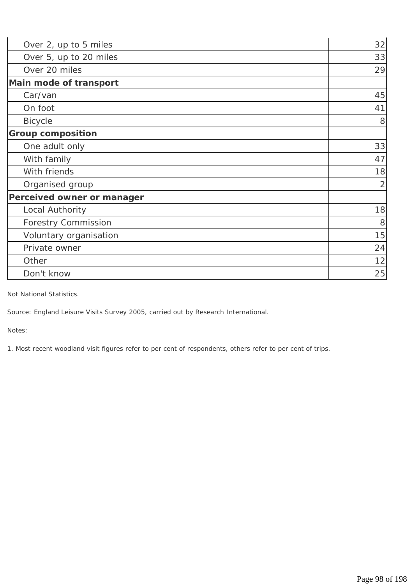| Over 2, up to 5 miles      | 32             |
|----------------------------|----------------|
| Over 5, up to 20 miles     | 33             |
| Over 20 miles              | 29             |
| Main mode of transport     |                |
| Car/van                    | 45             |
| On foot                    | 41             |
| <b>Bicycle</b>             | 8              |
| <b>Group composition</b>   |                |
| One adult only             | 33             |
| With family                | 47             |
| With friends               | 18             |
| Organised group            | $\overline{2}$ |
| Perceived owner or manager |                |
| Local Authority            | 18             |
| <b>Forestry Commission</b> | 8              |
| Voluntary organisation     | 15             |
| Private owner              | 24             |
| Other                      | 12             |
| Don't know                 | 25             |

*Not National Statistics.* 

*Source: England Leisure Visits Survey 2005, carried out by Research International.* 

*Notes:* 

*1. Most recent woodland visit figures refer to per cent of respondents, others refer to per cent of trips.*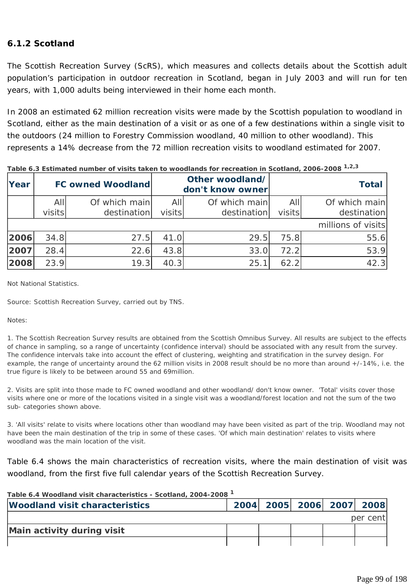#### **6.1.2 Scotland**

The Scottish Recreation Survey (ScRS), which measures and collects details about the Scottish adult population's participation in outdoor recreation in Scotland, began in July 2003 and will run for ten years, with 1,000 adults being interviewed in their home each month.

In 2008 an estimated 62 million recreation visits were made by the Scottish population to woodland in Scotland, either as the main destination of a visit or as one of a few destinations within a single visit to the outdoors (24 million to Forestry Commission woodland, 40 million to other woodland). This represents a 14% decrease from the 72 million recreation visits to woodland estimated for 2007.

| Year |        | <b>FC owned Woodland</b> |        | Other woodland/<br>don't know owner |        | <b>Total</b>       |
|------|--------|--------------------------|--------|-------------------------------------|--------|--------------------|
|      | All    | Of which main            | All    | Of which main                       | All    | Of which main      |
|      | visits | destination              | visits | destination                         | visits | destination        |
|      |        |                          |        |                                     |        | millions of visits |
| 2006 | 34.8   | 27.5                     | 41.0   | 29.5                                | 75.8   | 55.6               |
| 2007 | 28.4   | 22.6                     | 43.8   | 33.0                                | 72.2   | 53.9               |
| 2008 | 23.9   | 19.3                     | 40.3   | 25.1                                | 62.2   | 42.3               |

**Table 6.3 Estimated number of visits taken to woodlands for recreation in Scotland, 2006-2008 1,2,3**

*Not National Statistics.* 

*Source: Scottish Recreation Survey, carried out by TNS.* 

#### *Notes:*

*1. The Scottish Recreation Survey results are obtained from the Scottish Omnibus Survey. All results are subject to the effects of chance in sampling, so a range of uncertainty (confidence interval) should be associated with any result from the survey. The confidence intervals take into account the effect of clustering, weighting and stratification in the survey design. For example, the range of uncertainty around the 62 million visits in 2008 result should be no more than around +/-14%, i.e. the true figure is likely to be between around 55 and 69million.* 

*2. Visits are split into those made to FC owned woodland and other woodland/ don't know owner. 'Total' visits cover those visits where one or more of the locations visited in a single visit was a woodland/forest location and not the sum of the two sub- categories shown above.* 

*3. 'All visits' relate to visits where locations other than woodland may have been visited as part of the trip. Woodland may not have been the main destination of the trip in some of these cases. 'Of which main destination' relates to visits where woodland was the main location of the visit.* 

Table 6.4 shows the main characteristics of recreation visits, where the main destination of visit was woodland, from the first five full calendar years of the Scottish Recreation Survey.

| Table 6.4 Woodland visit characteristics - Scotland, 2004-2008 <sup>1</sup> |  |  |                          |  |          |  |
|-----------------------------------------------------------------------------|--|--|--------------------------|--|----------|--|
| <b>Woodland visit characteristics</b>                                       |  |  | 2004 2005 2006 2007 2008 |  |          |  |
|                                                                             |  |  |                          |  | per cent |  |
| Main activity during visit                                                  |  |  |                          |  |          |  |
|                                                                             |  |  |                          |  |          |  |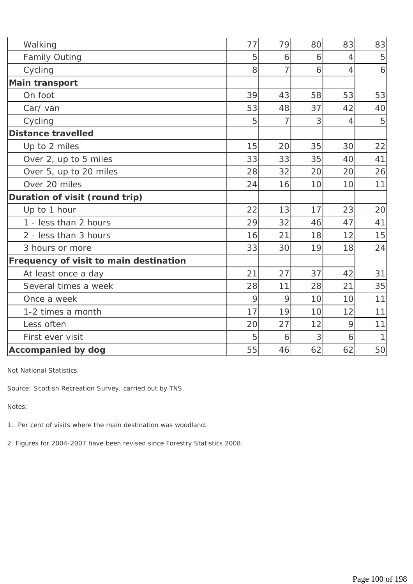| Walking                                | 77 | 79 | 80 | 83             | 83           |
|----------------------------------------|----|----|----|----------------|--------------|
| <b>Family Outing</b>                   | 5  | 6  | 6  | $\overline{4}$ | 5            |
| Cycling                                | 8  | 7  | 6  | $\overline{4}$ | 6            |
| <b>Main transport</b>                  |    |    |    |                |              |
| On foot                                | 39 | 43 | 58 | 53             | 53           |
| Car/van                                | 53 | 48 | 37 | 42             | 40           |
| Cycling                                | 5  | 7  | 3  | $\overline{4}$ | 5            |
| <b>Distance travelled</b>              |    |    |    |                |              |
| Up to 2 miles                          | 15 | 20 | 35 | 30             | 22           |
| Over 2, up to 5 miles                  | 33 | 33 | 35 | 40             | 41           |
| Over 5, up to 20 miles                 | 28 | 32 | 20 | 20             | 26           |
| Over 20 miles                          | 24 | 16 | 10 | 10             | 11           |
| Duration of visit (round trip)         |    |    |    |                |              |
| Up to 1 hour                           | 22 | 13 | 17 | 23             | 20           |
| 1 - less than 2 hours                  | 29 | 32 | 46 | 47             | 41           |
| 2 - less than 3 hours                  | 16 | 21 | 18 | 12             | 15           |
| 3 hours or more                        | 33 | 30 | 19 | 18             | 24           |
| Frequency of visit to main destination |    |    |    |                |              |
| At least once a day                    | 21 | 27 | 37 | 42             | 31           |
| Several times a week                   | 28 | 11 | 28 | 21             | 35           |
| Once a week                            | 9  | 9  | 10 | 10             | 11           |
| 1-2 times a month                      | 17 | 19 | 10 | 12             | 11           |
| Less often                             | 20 | 27 | 12 | 9              | 11           |
| First ever visit                       | 5  | 6  | 3  | 6              | $\mathbf{1}$ |
| <b>Accompanied by dog</b>              | 55 | 46 | 62 | 62             | 50           |

*Not National Statistics.* 

*Source: Scottish Recreation Survey, carried out by TNS.* 

*Notes:* 

*1. Per cent of visits where the main destination was woodland.* 

*2. Figures for 2004-2007 have been revised since Forestry Statistics 2008.*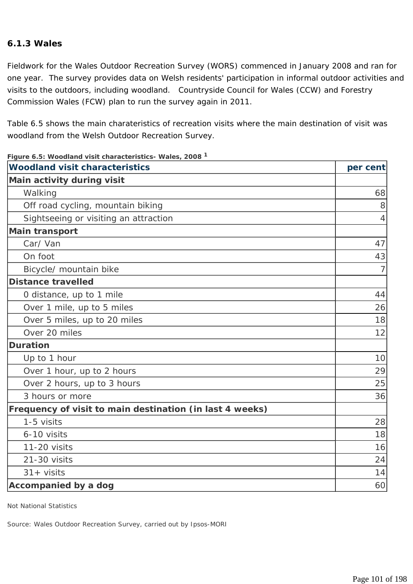#### **6.1.3 Wales**

Fieldwork for the Wales Outdoor Recreation Survey (WORS) commenced in January 2008 and ran for one year. The survey provides data on Welsh residents' participation in informal outdoor activities and visits to the outdoors, including woodland. Countryside Council for Wales (CCW) and Forestry Commission Wales (FCW) plan to run the survey again in 2011.

Table 6.5 shows the main charateristics of recreation visits where the main destination of visit was woodland from the Welsh Outdoor Recreation Survey.

| <b>Woodland visit characteristics</b>                    | per cent       |
|----------------------------------------------------------|----------------|
| Main activity during visit                               |                |
| Walking                                                  | 68             |
| Off road cycling, mountain biking                        | 8              |
| Sightseeing or visiting an attraction                    | $\overline{4}$ |
| <b>Main transport</b>                                    |                |
| Car/Van                                                  | 47             |
| On foot                                                  | 43             |
| Bicycle/ mountain bike                                   | $\overline{7}$ |
| <b>Distance travelled</b>                                |                |
| O distance, up to 1 mile                                 | 44             |
| Over 1 mile, up to 5 miles                               | 26             |
| Over 5 miles, up to 20 miles                             | 18             |
| Over 20 miles                                            | 12             |
| <b>Duration</b>                                          |                |
| Up to 1 hour                                             | 10             |
| Over 1 hour, up to 2 hours                               | 29             |
| Over 2 hours, up to 3 hours                              | 25             |
| 3 hours or more                                          | 36             |
| Frequency of visit to main destination (in last 4 weeks) |                |
| 1-5 visits                                               | 28             |
| 6-10 visits                                              | 18             |
| 11-20 visits                                             | 16             |
| 21-30 visits                                             | 24             |
| $31 + visits$                                            | 14             |
| Accompanied by a dog                                     | 60             |

**Figure 6.5: Woodland visit characteristics- Wales, 2008 <sup>1</sup>**

*Not National Statistics* 

*Source: Wales Outdoor Recreation Survey, carried out by Ipsos-MORI*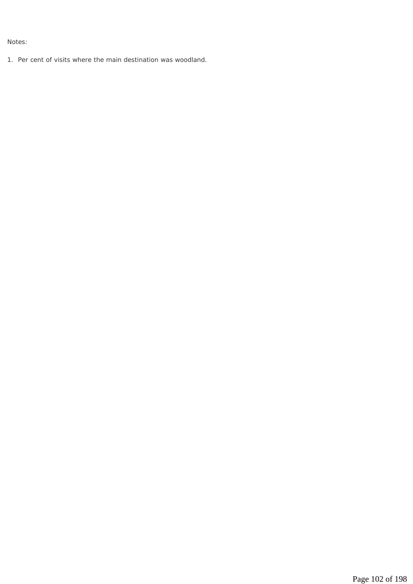*Notes:* 

*1. Per cent of visits where the main destination was woodland.*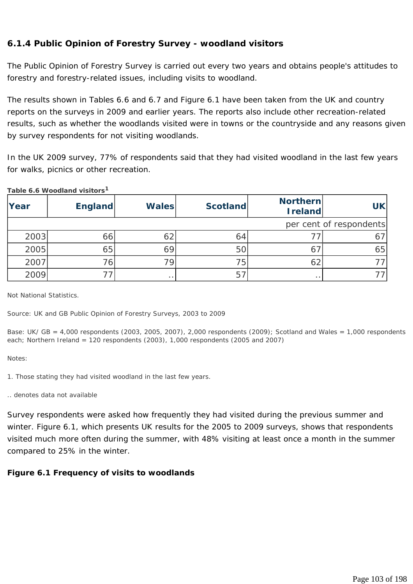#### **6.1.4 Public Opinion of Forestry Survey - woodland visitors**

The Public Opinion of Forestry Survey is carried out every two years and obtains people's attitudes to forestry and forestry-related issues, including visits to woodland.

The results shown in Tables 6.6 and 6.7 and Figure 6.1 have been taken from the UK and country reports on the surveys in 2009 and earlier years. The reports also include other recreation-related results, such as whether the woodlands visited were in towns or the countryside and any reasons given by survey respondents for not visiting woodlands.

In the UK 2009 survey, 77% of respondents said that they had visited woodland in the last few years for walks, picnics or other recreation.

|      | $1.4010$ 0.0 $1100$ 0.0 $1.4110$ 1.0 $1.0110$ |                     |                 |                            |           |
|------|-----------------------------------------------|---------------------|-----------------|----------------------------|-----------|
| Year | <b>England</b>                                | <b>Wales</b>        | <b>Scotland</b> | Northern<br><b>Ireland</b> | <b>UK</b> |
|      | per cent of respondents                       |                     |                 |                            |           |
| 2003 | 66                                            | 62                  | 64              |                            | 67        |
| 2005 | 65                                            | 69                  | 50              |                            | 65        |
| 2007 | 76,                                           | 79.                 | 75              | 62                         |           |
| 2009 |                                               | $\bullet$ $\bullet$ | 57              | $\cdot$ $\cdot$            |           |

**Table 6.6 Woodland visitors<sup>1</sup>**

*Not National Statistics.* 

*Source: UK and GB Public Opinion of Forestry Surveys, 2003 to 2009* 

*Base: UK/ GB = 4,000 respondents (2003, 2005, 2007), 2,000 respondents (2009); Scotland and Wales = 1,000 respondents each; Northern Ireland = 120 respondents (2003), 1,000 respondents (2005 and 2007)* 

*Notes:* 

- *1. Those stating they had visited woodland in the last few years.*
- *.. denotes data not available*

Survey respondents were asked how frequently they had visited during the previous summer and winter. Figure 6.1, which presents UK results for the 2005 to 2009 surveys, shows that respondents visited much more often during the summer, with 48% visiting at least once a month in the summer compared to 25% in the winter.

#### **Figure 6.1 Frequency of visits to woodlands**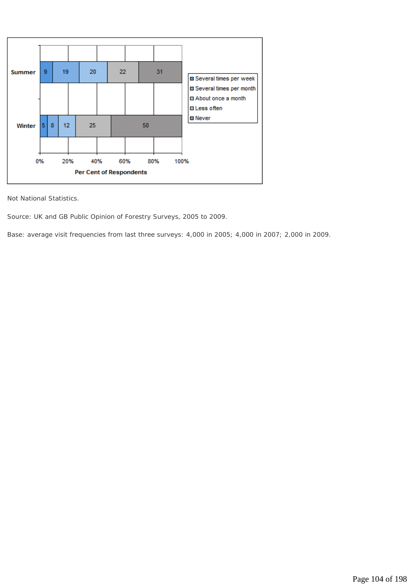

*Not National Statistics.* 

*Source: UK and GB Public Opinion of Forestry Surveys, 2005 to 2009.* 

*Base: average visit frequencies from last three surveys: 4,000 in 2005; 4,000 in 2007; 2,000 in 2009.*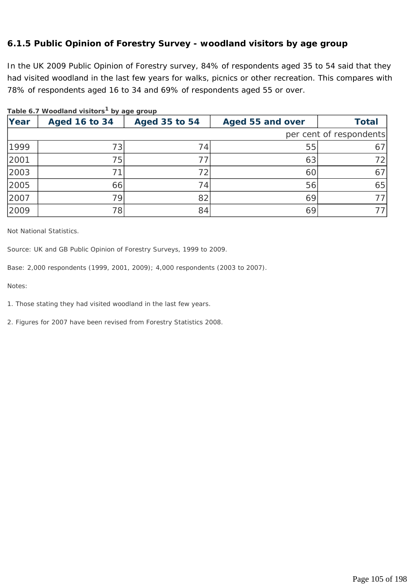#### **6.1.5 Public Opinion of Forestry Survey - woodland visitors by age group**

In the UK 2009 Public Opinion of Forestry survey, 84% of respondents aged 35 to 54 said that they had visited woodland in the last few years for walks, picnics or other recreation. This compares with 78% of respondents aged 16 to 34 and 69% of respondents aged 55 or over.

|      | rabic 0.7 woodidha visitors iby ago group |                      |                  |                         |
|------|-------------------------------------------|----------------------|------------------|-------------------------|
| Year | <b>Aged 16 to 34</b>                      | <b>Aged 35 to 54</b> | Aged 55 and over | <b>Total</b>            |
|      |                                           |                      |                  | per cent of respondents |
| 1999 | 731                                       | 74                   | 55               | 67                      |
| 2001 | 75                                        |                      | 63               | 72                      |
| 2003 |                                           | 72                   | 60               | 67                      |
| 2005 | 66                                        | 74                   | 56               | 65                      |
| 2007 | 79                                        | 82                   | 69               | 77 I                    |
| 2009 | 78                                        | 84                   | 69               | 77.                     |

#### **Table 6.7 Woodland visitors1 by age group**

*Not National Statistics.* 

Source: UK and GB Public Opinion of Forestry Surveys, 1999 to 2009.

*Base: 2,000 respondents (1999, 2001, 2009); 4,000 respondents (2003 to 2007).* 

*Notes:* 

*1. Those stating they had visited woodland in the last few years.* 

*2. Figures for 2007 have been revised from Forestry Statistics 2008.*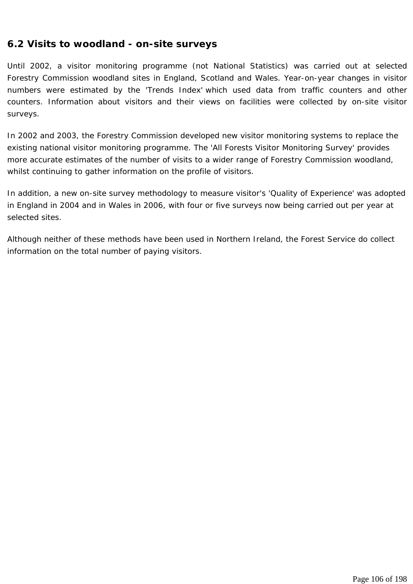### **6.2 Visits to woodland - on-site surveys**

Until 2002, a visitor monitoring programme (not National Statistics) was carried out at selected Forestry Commission woodland sites in England, Scotland and Wales. Year-on-year changes in visitor numbers were estimated by the 'Trends Index' which used data from traffic counters and other counters. Information about visitors and their views on facilities were collected by on-site visitor surveys.

In 2002 and 2003, the Forestry Commission developed new visitor monitoring systems to replace the existing national visitor monitoring programme. The 'All Forests Visitor Monitoring Survey' provides more accurate estimates of the number of visits to a wider range of Forestry Commission woodland, whilst continuing to gather information on the profile of visitors.

In addition, a new on-site survey methodology to measure visitor's 'Quality of Experience' was adopted in England in 2004 and in Wales in 2006, with four or five surveys now being carried out per year at selected sites.

Although neither of these methods have been used in Northern Ireland, the Forest Service do collect information on the total number of paying visitors.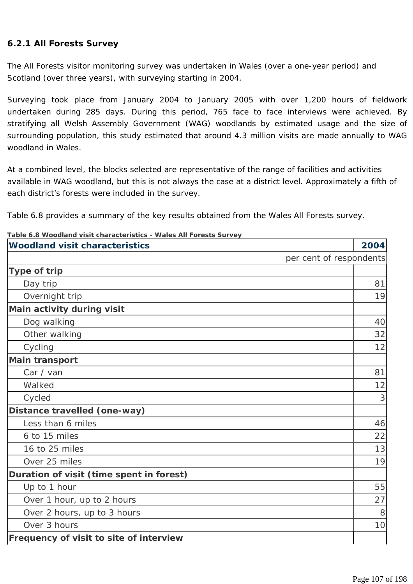#### **6.2.1 All Forests Survey**

The All Forests visitor monitoring survey was undertaken in Wales (over a one-year period) and Scotland (over three years), with surveying starting in 2004.

Surveying took place from January 2004 to January 2005 with over 1,200 hours of fieldwork undertaken during 285 days. During this period, 765 face to face interviews were achieved. By stratifying all Welsh Assembly Government (WAG) woodlands by estimated usage and the size of surrounding population, this study estimated that around 4.3 million visits are made annually to WAG woodland in Wales.

At a combined level, the blocks selected are representative of the range of facilities and activities available in WAG woodland, but this is not always the case at a district level. Approximately a fifth of each district's forests were included in the survey.

Table 6.8 provides a summary of the key results obtained from the Wales All Forests survey.

| able 0.0 Woodland Visit characteristics - Wales All Forests Surve<br><b>Woodland visit characteristics</b> | 2004                    |
|------------------------------------------------------------------------------------------------------------|-------------------------|
|                                                                                                            | per cent of respondents |
| Type of trip                                                                                               |                         |
| Day trip                                                                                                   | 81                      |
| Overnight trip                                                                                             | 19                      |
| Main activity during visit                                                                                 |                         |
| Dog walking                                                                                                | 40                      |
| Other walking                                                                                              | 32                      |
| Cycling                                                                                                    | 12                      |
| <b>Main transport</b>                                                                                      |                         |
| Car / van                                                                                                  | 81                      |
| Walked                                                                                                     | 12                      |
| Cycled                                                                                                     | 3                       |
| Distance travelled (one-way)                                                                               |                         |
| Less than 6 miles                                                                                          | 46                      |
| 6 to 15 miles                                                                                              | 22                      |
| 16 to 25 miles                                                                                             | 13                      |
| Over 25 miles                                                                                              | 19                      |
| Duration of visit (time spent in forest)                                                                   |                         |
| Up to 1 hour                                                                                               | 55                      |
| Over 1 hour, up to 2 hours                                                                                 | 27                      |
| Over 2 hours, up to 3 hours                                                                                | 8                       |
| Over 3 hours                                                                                               | 10                      |
| Frequency of visit to site of interview                                                                    |                         |

**Table 6.8 Woodland visit characteristics - Wales All Forests Survey**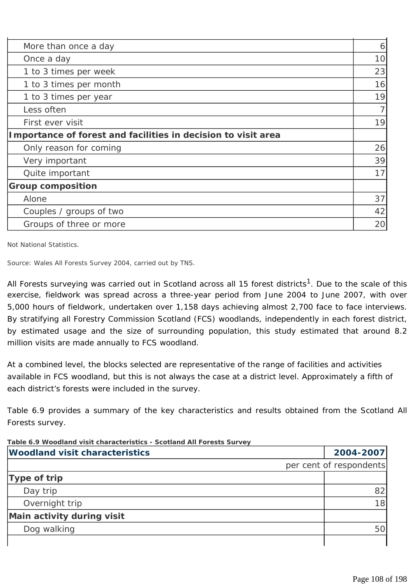| 6  |
|----|
| 10 |
| 23 |
| 16 |
| 19 |
|    |
| 19 |
|    |
| 26 |
| 39 |
| 17 |
|    |
| 37 |
| 42 |
| 20 |
|    |

*Not National Statistics.* 

*Source: Wales All Forests Survey 2004, carried out by TNS.* 

All Forests surveying was carried out in Scotland across all 15 forest districts<sup>1</sup>. Due to the scale of this exercise, fieldwork was spread across a three-year period from June 2004 to June 2007, with over 5,000 hours of fieldwork, undertaken over 1,158 days achieving almost 2,700 face to face interviews. By stratifying all Forestry Commission Scotland (FCS) woodlands, independently in each forest district, by estimated usage and the size of surrounding population, this study estimated that around 8.2 million visits are made annually to FCS woodland.

At a combined level, the blocks selected are representative of the range of facilities and activities available in FCS woodland, but this is not always the case at a district level. Approximately a fifth of each district's forests were included in the survey.

Table 6.9 provides a summary of the key characteristics and results obtained from the Scotland All Forests survey.

| Table 6.9 Woodland visit characteristics - Scotland All Forests Survey |                         |                 |
|------------------------------------------------------------------------|-------------------------|-----------------|
| <b>Woodland visit characteristics</b>                                  |                         | 2004-2007       |
|                                                                        | per cent of respondents |                 |
| Type of trip                                                           |                         |                 |
| Day trip                                                               |                         | 82              |
| Overnight trip                                                         |                         | 18 <sup>l</sup> |
| Main activity during visit                                             |                         |                 |
| Dog walking                                                            |                         | 50              |
|                                                                        |                         |                 |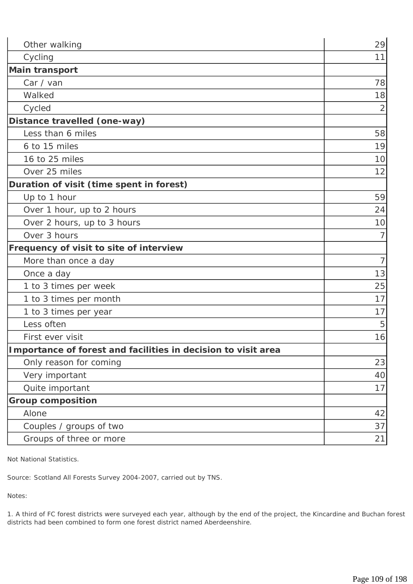| Other walking                                                 | 29             |
|---------------------------------------------------------------|----------------|
| Cycling                                                       | 11             |
| <b>Main transport</b>                                         |                |
| Car / van                                                     | 78             |
| Walked                                                        | 18             |
| Cycled                                                        | $\overline{2}$ |
| Distance travelled (one-way)                                  |                |
| Less than 6 miles                                             | 58             |
| 6 to 15 miles                                                 | 19             |
| 16 to 25 miles                                                | 10             |
| Over 25 miles                                                 | 12             |
| Duration of visit (time spent in forest)                      |                |
| Up to 1 hour                                                  | 59             |
| Over 1 hour, up to 2 hours                                    | 24             |
| Over 2 hours, up to 3 hours                                   | 10             |
| Over 3 hours                                                  | 7              |
| Frequency of visit to site of interview                       |                |
| More than once a day                                          | $\overline{7}$ |
| Once a day                                                    | 13             |
| 1 to 3 times per week                                         | 25             |
| 1 to 3 times per month                                        | 17             |
| 1 to 3 times per year                                         | 17             |
| Less often                                                    | 5              |
| First ever visit                                              | 16             |
| Importance of forest and facilities in decision to visit area |                |
| Only reason for coming                                        | 23             |
| Very important                                                | 40             |
| Quite important                                               | 17             |
| <b>Group composition</b>                                      |                |
| Alone                                                         | 42             |
| Couples / groups of two                                       | 37             |
| Groups of three or more                                       | 21             |

*Not National Statistics.* 

*Source: Scotland All Forests Survey 2004-2007, carried out by TNS.* 

*Notes:* 

*1. A third of FC forest districts were surveyed each year, although by the end of the project, the Kincardine and Buchan forest districts had been combined to form one forest district named Aberdeenshire.*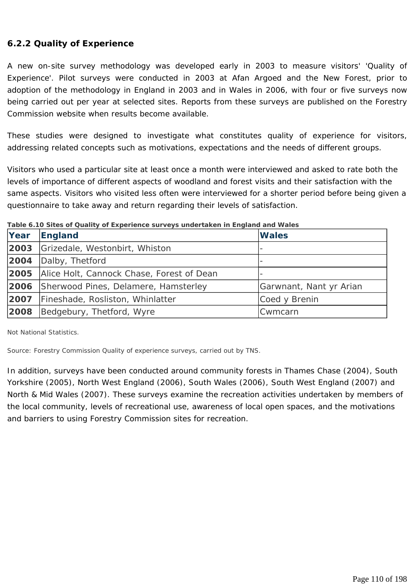### **6.2.2 Quality of Experience**

A new on-site survey methodology was developed early in 2003 to measure visitors' 'Quality of Experience'. Pilot surveys were conducted in 2003 at Afan Argoed and the New Forest, prior to adoption of the methodology in England in 2003 and in Wales in 2006, with four or five surveys now being carried out per year at selected sites. Reports from these surveys are published on the Forestry Commission website when results become available.

These studies were designed to investigate what constitutes quality of experience for visitors, addressing related concepts such as motivations, expectations and the needs of different groups.

Visitors who used a particular site at least once a month were interviewed and asked to rate both the levels of importance of different aspects of woodland and forest visits and their satisfaction with the same aspects. Visitors who visited less often were interviewed for a shorter period before being given a questionnaire to take away and return regarding their levels of satisfaction.

| Year | <b>England</b>                            | <b>Wales</b>            |  |  |  |
|------|-------------------------------------------|-------------------------|--|--|--|
| 2003 | Grizedale, Westonbirt, Whiston            |                         |  |  |  |
| 2004 | Dalby, Thetford                           |                         |  |  |  |
| 2005 | Alice Holt, Cannock Chase, Forest of Dean |                         |  |  |  |
| 2006 | Sherwood Pines, Delamere, Hamsterley      | Garwnant, Nant yr Arian |  |  |  |
| 2007 | Fineshade, Rosliston, Whinlatter          | Coed y Brenin           |  |  |  |
| 2008 | Bedgebury, Thetford, Wyre                 | Cwmcarn                 |  |  |  |

**Table 6.10 Sites of Quality of Experience surveys undertaken in England and Wales**

*Not National Statistics.* 

*Source: Forestry Commission Quality of experience surveys, carried out by TNS.* 

In addition, surveys have been conducted around community forests in Thames Chase (2004), South Yorkshire (2005), North West England (2006), South Wales (2006), South West England (2007) and North & Mid Wales (2007). These surveys examine the recreation activities undertaken by members of the local community, levels of recreational use, awareness of local open spaces, and the motivations and barriers to using Forestry Commission sites for recreation.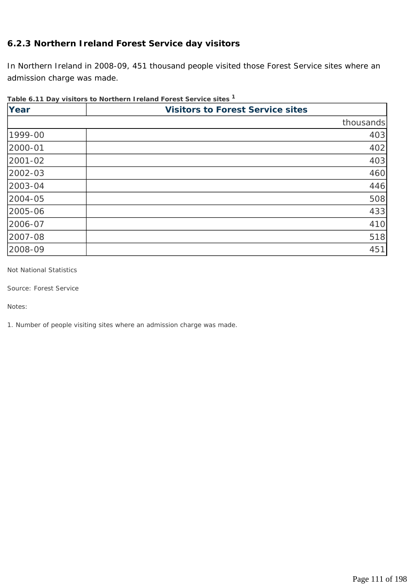### **6.2.3 Northern Ireland Forest Service day visitors**

In Northern Ireland in 2008-09, 451 thousand people visited those Forest Service sites where an admission charge was made.

### **Table 6.11 Day visitors to Northern Ireland Forest Service sites 1**

| Year    | <b>Visitors to Forest Service sites</b> |
|---------|-----------------------------------------|
|         | thousands                               |
| 1999-00 | 403                                     |
| 2000-01 | 402                                     |
| 2001-02 | 403                                     |
| 2002-03 | 460                                     |
| 2003-04 | 446                                     |
| 2004-05 | 508                                     |
| 2005-06 | 433                                     |
| 2006-07 | 410                                     |
| 2007-08 | 518                                     |
| 2008-09 | 451                                     |

*Not National Statistics* 

*Source: Forest Service* 

*Notes:* 

*1. Number of people visiting sites where an admission charge was made.*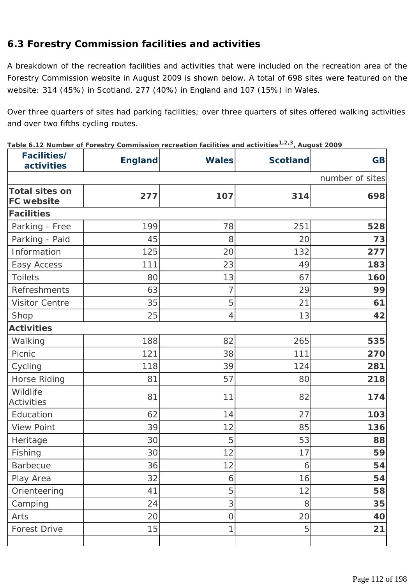# **6.3 Forestry Commission facilities and activities**

A breakdown of the recreation facilities and activities that were included on the recreation area of the Forestry Commission website in August 2009 is shown below. A total of 698 sites were featured on the website: 314 (45%) in Scotland, 277 (40%) in England and 107 (15%) in Wales.

Over three quarters of sites had parking facilities; over three quarters of sites offered walking activities and over two fifths cycling routes.

Table 6.12 Number of Forestry Commission recreation facilities and activities<sup>1,2,3</sup>, August 2009

| Facilities/<br>activities                  | <b>England</b> | <b>Wales</b>   | <b>Scotland</b> | <b>GB</b>       |
|--------------------------------------------|----------------|----------------|-----------------|-----------------|
|                                            |                |                |                 | number of sites |
| <b>Total sites on</b><br><b>FC</b> website | 277            | 107            | 314             | 698             |
| <b>Facilities</b>                          |                |                |                 |                 |
| Parking - Free                             | 199            | 78             | 251             | 528             |
| Parking - Paid                             | 45             | 8              | 20              | 73              |
| Information                                | 125            | 20             | 132             | 277             |
| Easy Access                                | 111            | 23             | 49              | 183             |
| <b>Toilets</b>                             | 80             | 13             | 67              | 160             |
| Refreshments                               | 63             | 7              | 29              | 99              |
| <b>Visitor Centre</b>                      | 35             | 5              | 21              | 61              |
| Shop                                       | 25             | 4              | 13              | 42              |
| <b>Activities</b>                          |                |                |                 |                 |
| Walking                                    | 188            | 82             | 265             | 535             |
| Picnic                                     | 121            | 38             | 111             | 270             |
| Cycling                                    | 118            | 39             | 124             | 281             |
| Horse Riding                               | 81             | 57             | 80              | 218             |
| Wildlife<br><b>Activities</b>              | 81             | 11             | 82              | 174             |
| Education                                  | 62             | 14             | 27              | 103             |
| <b>View Point</b>                          | 39             | 12             | 85              | 136             |
| Heritage                                   | 30             | 5              | 53              | 88              |
| Fishing                                    | 30             | 12             | 17              | 59              |
| <b>Barbecue</b>                            | 36             | 12             | 6               | 54              |
| Play Area                                  | 32             | 6              | 16              | 54              |
| Orienteering                               | 41             | 5              | 12              | 58              |
| Camping                                    | 24             | 3              | 8               | 35              |
| Arts                                       | 20             | $\overline{O}$ | 20              | 40              |
| Forest Drive                               | 15             | 1              | 5               | 21              |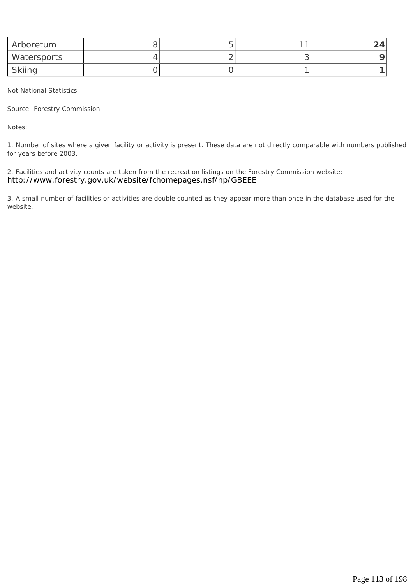| Arboretum   |  | $\sim$ | 24. |
|-------------|--|--------|-----|
| Watersports |  |        |     |
| Skiing      |  |        |     |

*Not National Statistics.* 

*Source: Forestry Commission.* 

*Notes:* 

*1. Number of sites where a given facility or activity is present. These data are not directly comparable with numbers published for years before 2003.* 

*2. Facilities and activity counts are taken from the recreation listings on the Forestry Commission website: http://www.forestry.gov.uk/website/fchomepages.nsf/hp/GBEEE*

*3. A small number of facilities or activities are double counted as they appear more than once in the database used for the website.*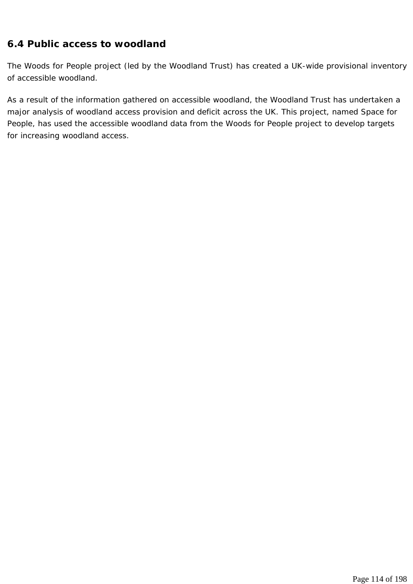### **6.4 Public access to woodland**

The Woods for People project (led by the Woodland Trust) has created a UK-wide provisional inventory of accessible woodland.

As a result of the information gathered on accessible woodland, the Woodland Trust has undertaken a major analysis of woodland access provision and deficit across the UK. This project, named Space for People, has used the accessible woodland data from the Woods for People project to develop targets for increasing woodland access.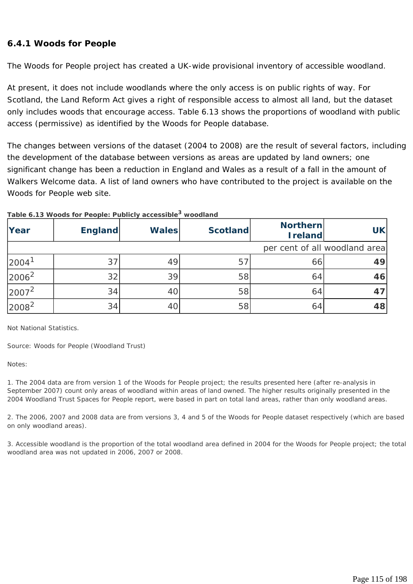#### **6.4.1 Woods for People**

The Woods for People project has created a UK-wide provisional inventory of accessible woodland.

At present, it does not include woodlands where the only access is on public rights of way. For Scotland, the Land Reform Act gives a right of responsible access to almost all land, but the dataset only includes woods that encourage access. Table 6.13 shows the proportions of woodland with public access (permissive) as identified by the Woods for People database.

The changes between versions of the dataset (2004 to 2008) are the result of several factors, including the development of the database between versions as areas are updated by land owners; one significant change has been a reduction in England and Wales as a result of a fall in the amount of Walkers Welcome data. A list of land owners who have contributed to the project is available on the Woods for People web site.

|                   | Table 6.13 WOODS TOP People: Publicity accessible |              | woodiand        |                                   |                               |
|-------------------|---------------------------------------------------|--------------|-----------------|-----------------------------------|-------------------------------|
| Year              | <b>England</b>                                    | <b>Wales</b> | <b>Scotland</b> | <b>Northern</b><br><b>Ireland</b> | <b>UK</b>                     |
|                   |                                                   |              |                 |                                   | per cent of all woodland area |
| 2004 <sup>1</sup> | 37                                                | 49           | 57              | 66                                | 49                            |
| $2006^2$          | 32                                                | 39           | 58              | 64                                | 46                            |
| $2007^2$          | 34                                                | 40           | 58              | 64                                |                               |
| $2008^2$          | 34                                                | 4C           | 58              | 64                                | 48                            |

#### **Table 6.13 Woods for People: Publicly accessible3 woodland**

*Not National Statistics.* 

*Source: Woods for People (Woodland Trust)* 

*Notes:* 

*1. The 2004 data are from version 1 of the Woods for People project; the results presented here (after re-analysis in September 2007) count only areas of woodland within areas of land owned. The higher results originally presented in the 2004 Woodland Trust Spaces for People report, were based in part on total land areas, rather than only woodland areas.* 

*2. The 2006, 2007 and 2008 data are from versions 3, 4 and 5 of the Woods for People dataset respectively (which are based on only woodland areas).* 

*3. Accessible woodland is the proportion of the total woodland area defined in 2004 for the Woods for People project; the total woodland area was not updated in 2006, 2007 or 2008.*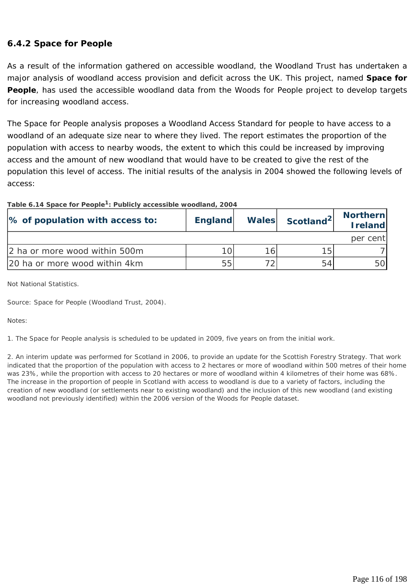#### **6.4.2 Space for People**

As a result of the information gathered on accessible woodland, the Woodland Trust has undertaken a major analysis of woodland access provision and deficit across the UK. This project, named **Space for People**, has used the accessible woodland data from the Woods for People project to develop targets for increasing woodland access.

The Space for People analysis proposes a Woodland Access Standard for people to have access to a woodland of an adequate size near to where they lived. The report estimates the proportion of the population with access to nearby woods, the extent to which this could be increased by improving access and the amount of new woodland that would have to be created to give the rest of the population this level of access. The initial results of the analysis in 2004 showed the following levels of access:

| Table 6.14 Space for People <sup>1</sup> : Publicly accessible woodland, 2004 |
|-------------------------------------------------------------------------------|
|-------------------------------------------------------------------------------|

| % of population with access to: | <b>England</b> |     | <b>Northern</b><br>Scotland <sup>2</sup><br><b>Wales</b> |          |
|---------------------------------|----------------|-----|----------------------------------------------------------|----------|
|                                 |                |     |                                                          | per cent |
| 2 ha or more wood within 500m   |                | 161 | 15                                                       |          |
| 20 ha or more wood within 4km   | 55             |     | 54                                                       |          |

*Not National Statistics.* 

*Source: Space for People (Woodland Trust, 2004).* 

*Notes:* 

*1. The Space for People analysis is scheduled to be updated in 2009, five years on from the initial work.* 

*2. An interim update was performed for Scotland in 2006, to provide an update for the Scottish Forestry Strategy. That work indicated that the proportion of the population with access to 2 hectares or more of woodland within 500 metres of their home was 23%, while the proportion with access to 20 hectares or more of woodland within 4 kilometres of their home was 68%. The increase in the proportion of people in Scotland with access to woodland is due to a variety of factors, including the creation of new woodland (or settlements near to existing woodland) and the inclusion of this new woodland (and existing woodland not previously identified) within the 2006 version of the Woods for People dataset.*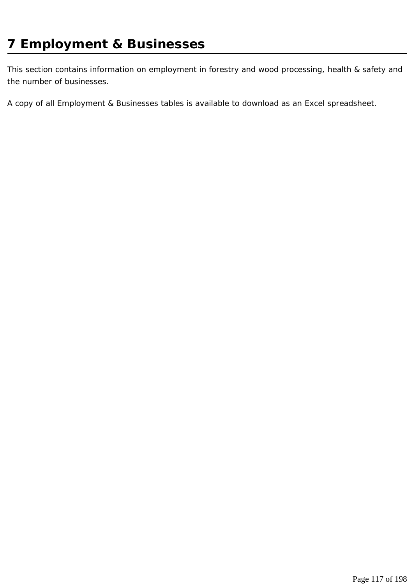This section contains information on employment in forestry and wood processing, health & safety and the number of businesses.

A copy of all Employment & Businesses tables is available to download as an Excel spreadsheet.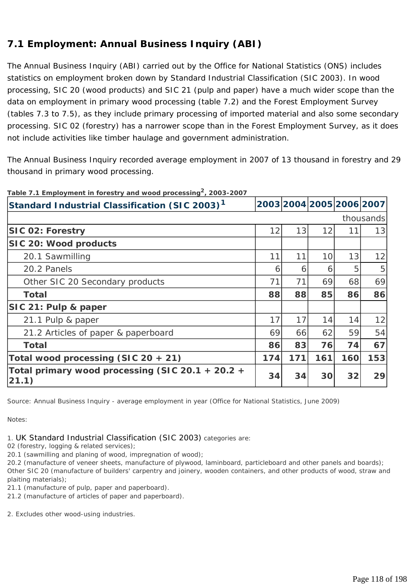# **7.1 Employment: Annual Business Inquiry (ABI)**

The Annual Business Inquiry (ABI) carried out by the Office for National Statistics (ONS) includes statistics on employment broken down by Standard Industrial Classification (SIC 2003). In wood processing, SIC 20 (wood products) and SIC 21 (pulp and paper) have a much wider scope than the data on employment in primary wood processing (table 7.2) and the Forest Employment Survey (tables 7.3 to 7.5), as they include primary processing of imported material and also some secondary processing. SIC 02 (forestry) has a narrower scope than in the Forest Employment Survey, as it does not include activities like timber haulage and government administration.

The Annual Business Inquiry recorded average employment in 2007 of 13 thousand in forestry and 29 thousand in primary wood processing.

| Standard Industrial Classification (SIC 2003) <sup>1</sup> |     |     | 2003 2004 2005 2006 2007 |     |           |
|------------------------------------------------------------|-----|-----|--------------------------|-----|-----------|
|                                                            |     |     |                          |     | thousands |
| <b>SIC 02: Forestry</b>                                    | 12  | 13  | 12                       | 11  | 13        |
| SIC 20: Wood products                                      |     |     |                          |     |           |
| 20.1 Sawmilling                                            | 11  | 11  | 10                       | 13  | 12        |
| 20.2 Panels                                                | 6   | 6   | 6                        | 5   | 5         |
| Other SIC 20 Secondary products                            | 71  | 71  | 69                       | 68  | 69        |
| <b>Total</b>                                               | 88  | 88  | 85                       | 86  | 86        |
| SIC 21: Pulp & paper                                       |     |     |                          |     |           |
| 21.1 Pulp & paper                                          | 17  | 17  | 14                       | 14  | 12        |
| 21.2 Articles of paper & paperboard                        | 69  | 66  | 62                       | 59  | 54        |
| <b>Total</b>                                               | 86  | 83  | 76                       | 74  | 67        |
| Total wood processing (SIC 20 + 21)                        | 174 | 171 | 161                      | 160 | 153       |
| Total primary wood processing (SIC 20.1 + 20.2 +<br>(21.1) | 34  | 34  | 30                       | 32  | 29        |

**Table 7.1 Employment in forestry and wood processing2, 2003-2007**

*Source: Annual Business Inquiry - average employment in year (Office for National Statistics, June 2009)* 

*Notes:* 

*1. UK Standard Industrial Classification (SIC 2003) categories are:* 

*02 (forestry, logging & related services);* 

*20.1 (sawmilling and planing of wood, impregnation of wood);* 

*20.2 (manufacture of veneer sheets, manufacture of plywood, laminboard, particleboard and other panels and boards); Other SIC 20 (manufacture of builders' carpentry and joinery, wooden containers, and other products of wood, straw and plaiting materials);* 

*21.1 (manufacture of pulp, paper and paperboard).* 

*21.2 (manufacture of articles of paper and paperboard).* 

*2. Excludes other wood-using industries.*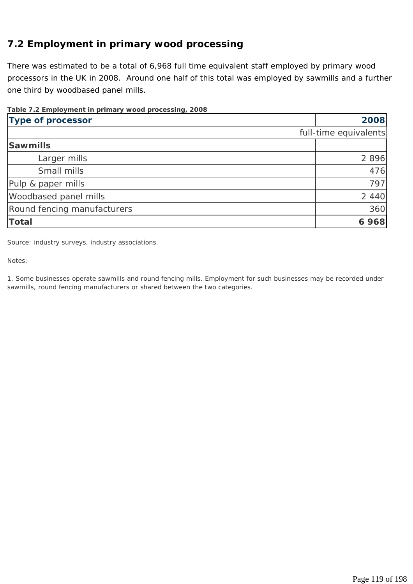# **7.2 Employment in primary wood processing**

There was estimated to be a total of 6,968 full time equivalent staff employed by primary wood processors in the UK in 2008. Around one half of this total was employed by sawmills and a further one third by woodbased panel mills.

#### **Table 7.2 Employment in primary wood processing, 2008**

| <b>Type of processor</b>    | 2008                  |
|-----------------------------|-----------------------|
|                             | full-time equivalents |
| <b>Sawmills</b>             |                       |
| Larger mills                | 2 8 9 6               |
| Small mills                 | 476                   |
| Pulp & paper mills          | 797                   |
| Woodbased panel mills       | 2 4 4 0               |
| Round fencing manufacturers | 360                   |
| Total                       | 6968                  |

*Source: industry surveys, industry associations.* 

*Notes:* 

*1. Some businesses operate sawmills and round fencing mills. Employment for such businesses may be recorded under sawmills, round fencing manufacturers or shared between the two categories.*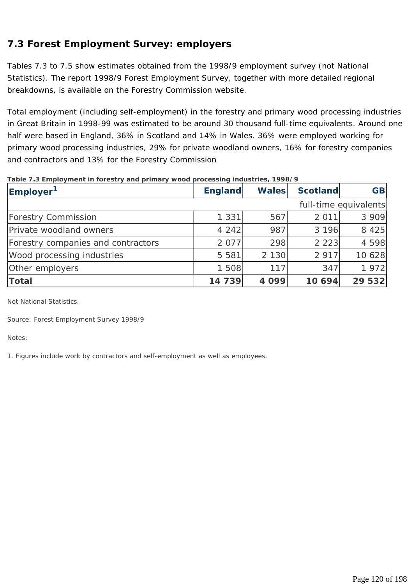# **7.3 Forest Employment Survey: employers**

Tables 7.3 to 7.5 show estimates obtained from the 1998/9 employment survey (not National Statistics). The report *1998/9 Forest Employment Survey*, together with more detailed regional breakdowns, is available on the Forestry Commission website.

Total employment (including self-employment) in the forestry and primary wood processing industries in Great Britain in 1998-99 was estimated to be around 30 thousand full-time equivalents. Around one half were based in England, 36% in Scotland and 14% in Wales. 36% were employed working for primary wood processing industries, 29% for private woodland owners, 16% for forestry companies and contractors and 13% for the Forestry Commission

| Employer <sup>1</sup>              | <b>England</b> | <b>Wales</b> | <b>Scotland</b> | <b>GB</b>             |
|------------------------------------|----------------|--------------|-----------------|-----------------------|
|                                    |                |              |                 | full-time equivalents |
| <b>Forestry Commission</b>         | 1 3 3 1        | 567          | 2 0 1 1         | 3 9 0 9               |
| Private woodland owners            | 4 2 4 2        | 987          | 3 196           | 8 4 2 5               |
| Forestry companies and contractors | 2 0 7 7        | 298          | 2 2 2 3         | 4 5 9 8               |
| Wood processing industries         | 5 5 8 1        | 2 1 3 0      | 2 9 1 7         | 10 628                |
| Other employers                    | 1 508          | 117          | 347             | 1972                  |
| Total                              | 14 739         | 4099         | 10 694          | 29 532                |

#### **Table 7.3 Employment in forestry and primary wood processing industries, 1998/9**

*Not National Statistics.* 

*Source: Forest Employment Survey 1998/9* 

*Notes:* 

*1. Figures include work by contractors and self-employment as well as employees.*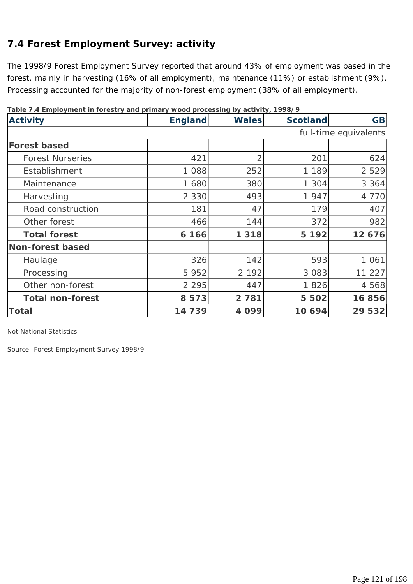# **7.4 Forest Employment Survey: activity**

The 1998/9 Forest Employment Survey reported that around 43% of employment was based in the forest, mainly in harvesting (16% of all employment), maintenance (11%) or establishment (9%). Processing accounted for the majority of non-forest employment (38% of all employment).

| <b>Activity</b>         | <b>England</b> | <b>Wales</b> | <b>Scotland</b> | <b>GB</b>             |
|-------------------------|----------------|--------------|-----------------|-----------------------|
|                         |                |              |                 | full-time equivalents |
| <b>Forest based</b>     |                |              |                 |                       |
| <b>Forest Nurseries</b> | 421            | 2            | 201             | 624                   |
| Establishment           | 1 088          | 252          | 1 1 8 9         | 2 5 2 9               |
| Maintenance             | 1 680          | 380          | 1 3 0 4         | 3 3 6 4               |
| Harvesting              | 2 3 3 0        | 493          | 1947            | 4 7 7 0               |
| Road construction       | 181            | 47           | 179             | 407                   |
| Other forest            | 466            | 144          | 372             | 982                   |
| <b>Total forest</b>     | 6 1 6 6        | 1 3 1 8      | 5 1 9 2         | 12 676                |
| Non-forest based        |                |              |                 |                       |
| Haulage                 | 326            | 142          | 593             | 1 0 6 1               |
| Processing              | 5 9 5 2        | 2 1 9 2      | 3 0 8 3         | 11 227                |
| Other non-forest        | 2 2 9 5        | 447          | 1826            | 4 568                 |
| <b>Total non-forest</b> | 8573           | 2 7 8 1      | 5 5 0 2         | 16856                 |
| <b>Total</b>            | 14739          | 4099         | 10 694          | 29 532                |

**Table 7.4 Employment in forestry and primary wood processing by activity, 1998/9**

*Not National Statistics.* 

*Source: Forest Employment Survey 1998/9*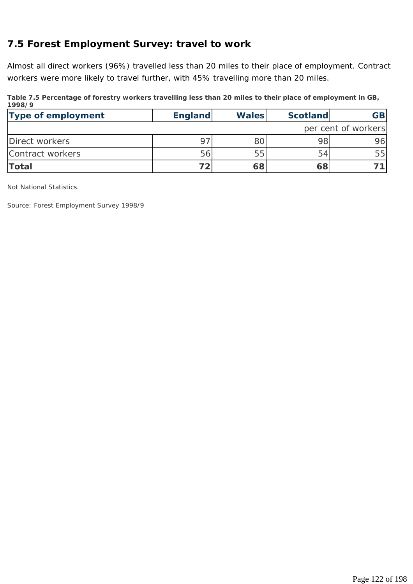# **7.5 Forest Employment Survey: travel to work**

Almost all direct workers (96%) travelled less than 20 miles to their place of employment. Contract workers were more likely to travel further, with 45% travelling more than 20 miles.

| 199879                    |                |              |                 |                     |
|---------------------------|----------------|--------------|-----------------|---------------------|
| <b>Type of employment</b> | <b>England</b> | <b>Wales</b> | <b>Scotland</b> | <b>GB</b>           |
|                           |                |              |                 | per cent of workers |
| Direct workers            |                |              | 98              | 96                  |
| Contract workers          | 56             | 55           | 54              | 55                  |
| <b>Total</b>              |                | 68           | 68              |                     |

**Table 7.5 Percentage of forestry workers travelling less than 20 miles to their place of employment in GB, 1998/9**

*Not National Statistics.* 

*Source: Forest Employment Survey 1998/9*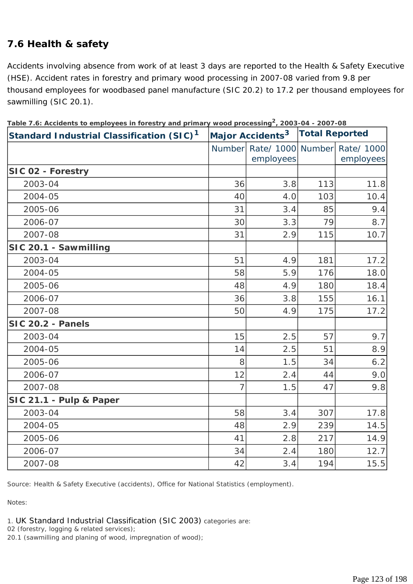# **7.6 Health & safety**

Accidents involving absence from work of at least 3 days are reported to the Health & Safety Executive (HSE). Accident rates in forestry and primary wood processing in 2007-08 varied from 9.8 per thousand employees for woodbased panel manufacture (SIC 20.2) to 17.2 per thousand employees for sawmilling (SIC 20.1).

| Standard Industrial Classification (SIC) <sup>1</sup> |                | Major Accidents <sup>3</sup> | <b>Total Reported</b> |                         |  |
|-------------------------------------------------------|----------------|------------------------------|-----------------------|-------------------------|--|
|                                                       | Number         | Rate/ 1000<br>employees      | Number                | Rate/ 1000<br>employees |  |
| SIC 02 - Forestry                                     |                |                              |                       |                         |  |
| 2003-04                                               | 36             | 3.8                          | 113                   | 11.8                    |  |
| 2004-05                                               | 40             | 4.0                          | 103                   | 10.4                    |  |
| 2005-06                                               | 31             | 3.4                          | 85                    | 9.4                     |  |
| 2006-07                                               | 30             | 3.3                          | 79                    | 8.7                     |  |
| 2007-08                                               | 31             | 2.9                          | 115                   | 10.7                    |  |
| SIC 20.1 - Sawmilling                                 |                |                              |                       |                         |  |
| 2003-04                                               | 51             | 4.9                          | 181                   | 17.2                    |  |
| 2004-05                                               | 58             | 5.9                          | 176                   | 18.0                    |  |
| 2005-06                                               | 48             | 4.9                          | 180                   | 18.4                    |  |
| 2006-07                                               | 36             | 3.8                          | 155                   | 16.1                    |  |
| 2007-08                                               | 50             | 4.9                          | 175                   | 17.2                    |  |
| SIC 20.2 - Panels                                     |                |                              |                       |                         |  |
| 2003-04                                               | 15             | 2.5                          | 57                    | 9.7                     |  |
| 2004-05                                               | 14             | 2.5                          | 51                    | 8.9                     |  |
| 2005-06                                               | 8              | 1.5                          | 34                    | 6.2                     |  |
| 2006-07                                               | 12             | 2.4                          | 44                    | 9.0                     |  |
| 2007-08                                               | $\overline{7}$ | 1.5                          | 47                    | 9.8                     |  |
| SIC 21.1 - Pulp & Paper                               |                |                              |                       |                         |  |
| 2003-04                                               | 58             | 3.4                          | 307                   | 17.8                    |  |
| 2004-05                                               | 48             | 2.9                          | 239                   | 14.5                    |  |
| 2005-06                                               | 41             | 2.8                          | 217                   | 14.9                    |  |
| 2006-07                                               | 34             | 2.4                          | 180                   | 12.7                    |  |
| 2007-08                                               | 42             | 3.4                          | 194                   | 15.5                    |  |

**Table 7.6: Accidents to employees in forestry and primary wood processing2, 2003-04 - 2007-08**

*Source: Health & Safety Executive (accidents), Office for National Statistics (employment).* 

*Notes:* 

*1. UK Standard Industrial Classification (SIC 2003) categories are:* 

*02 (forestry, logging & related services);* 

*20.1 (sawmilling and planing of wood, impregnation of wood);*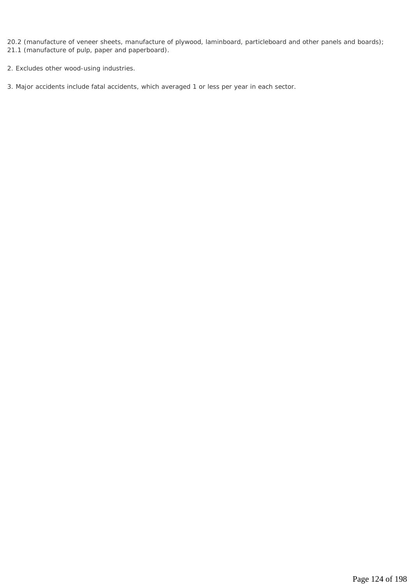*20.2 (manufacture of veneer sheets, manufacture of plywood, laminboard, particleboard and other panels and boards); 21.1 (manufacture of pulp, paper and paperboard).* 

*2. Excludes other wood-using industries.* 

*3. Major accidents include fatal accidents, which averaged 1 or less per year in each sector.*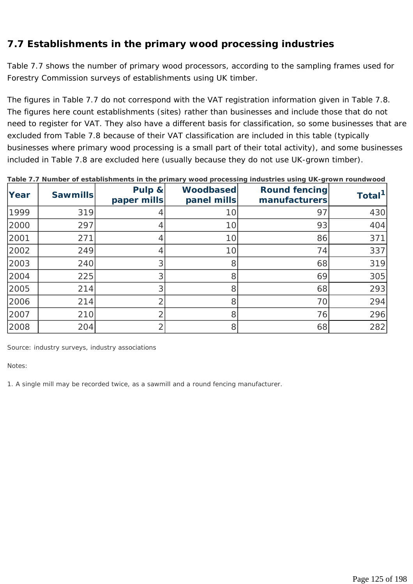# **7.7 Establishments in the primary wood processing industries**

Table 7.7 shows the number of primary wood processors, according to the sampling frames used for Forestry Commission surveys of establishments using UK timber.

The figures in Table 7.7 do not correspond with the VAT registration information given in Table 7.8. The figures here count establishments (sites) rather than businesses and include those that do not need to register for VAT. They also have a different basis for classification, so some businesses that are excluded from Table 7.8 because of their VAT classification are included in this table (typically businesses where primary wood processing is a small part of their total activity), and some businesses included in Table 7.8 are excluded here (usually because they do not use UK-grown timber).

| Year | <b>Sawmills</b> | Pulp &<br>paper mills | Woodbased<br>panel mills | <b>Round fencing</b><br>manufacturers | Total <sup>1</sup> |
|------|-----------------|-----------------------|--------------------------|---------------------------------------|--------------------|
| 1999 | 319             |                       | 10                       | 97                                    | 430                |
| 2000 | 297             |                       | 10                       | 93                                    | 404                |
| 2001 | 271             |                       | 10                       | 86                                    | 371                |
| 2002 | 249             | 4                     | 10                       | 74                                    | 337                |
| 2003 | 240             | 3                     | 8                        | 68                                    | 319                |
| 2004 | 225             | 3                     | 8                        | 69                                    | 305                |
| 2005 | 214             | 3                     | 8                        | 68                                    | 293                |
| 2006 | 214             |                       | 8                        | 70                                    | 294                |
| 2007 | 210             |                       | 8                        | 76                                    | 296                |
| 2008 | 204             | ⌒                     | 8                        | 68                                    | 282                |

**Table 7.7 Number of establishments in the primary wood processing industries using UK-grown roundwood**

*Source: industry surveys, industry associations* 

*Notes:* 

*1. A single mill may be recorded twice, as a sawmill and a round fencing manufacturer.*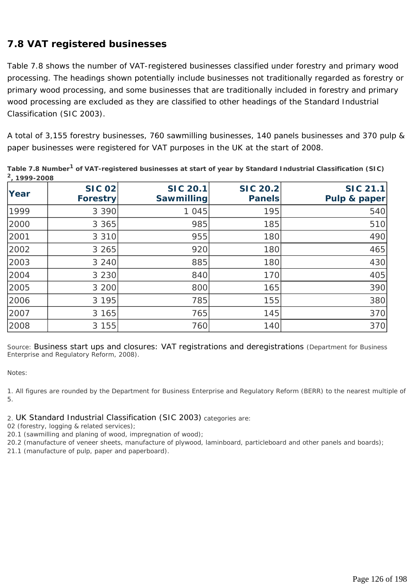# **7.8 VAT registered businesses**

Table 7.8 shows the number of VAT-registered businesses classified under forestry and primary wood processing. The headings shown potentially include businesses not traditionally regarded as forestry or primary wood processing, and some businesses that are traditionally included in forestry and primary wood processing are excluded as they are classified to other headings of the Standard Industrial Classification (SIC 2003).

A total of 3,155 forestry businesses, 760 sawmilling businesses, 140 panels businesses and 370 pulp & paper businesses were registered for VAT purposes in the UK at the start of 2008.

| , . <i>.</i> ___ |                                  |                                      |                                  |                                 |
|------------------|----------------------------------|--------------------------------------|----------------------------------|---------------------------------|
| Year             | <b>SIC 02</b><br><b>Forestry</b> | <b>SIC 20.1</b><br><b>Sawmilling</b> | <b>SIC 20.2</b><br><b>Panels</b> | <b>SIC 21.1</b><br>Pulp & paper |
| 1999             | 3 3 9 0                          | 1 0 4 5                              | 195                              | 540                             |
| 2000             | 3 3 6 5                          | 985                                  | 185                              | 510                             |
| 2001             | 3 3 1 0                          | 955                                  | 180                              | 490                             |
| 2002             | 3 2 6 5                          | 920                                  | 180                              | 465                             |
| 2003             | 3 2 4 0                          | 885                                  | 180                              | 430                             |
| 2004             | 3 2 3 0                          | 840                                  | 170                              | 405                             |
| 2005             | 3 200                            | 800                                  | 165                              | 390                             |
| 2006             | 3 1 9 5                          | 785                                  | 155                              | 380                             |
| 2007             | 3 165                            | 765                                  | 145                              | 370                             |
| 2008             | 3 1 5 5                          | 760                                  | 140                              | 370                             |

**Table 7.8 Number1 of VAT-registered businesses at start of year by Standard Industrial Classification (SIC) 2, 1999-2008**

*Source: Business start ups and closures: VAT registrations and deregistrations (Department for Business Enterprise and Regulatory Reform, 2008).* 

*Notes:* 

*1. All figures are rounded by the Department for Business Enterprise and Regulatory Reform (BERR) to the nearest multiple of 5.* 

*2. UK Standard Industrial Classification (SIC 2003) categories are:* 

*02 (forestry, logging & related services);* 

*20.1 (sawmilling and planing of wood, impregnation of wood);* 

*20.2 (manufacture of veneer sheets, manufacture of plywood, laminboard, particleboard and other panels and boards);* 

*21.1 (manufacture of pulp, paper and paperboard).*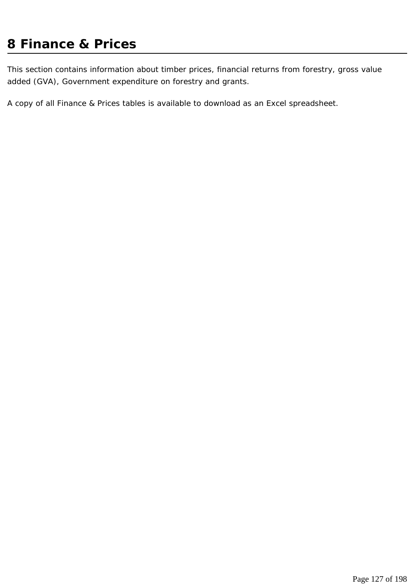# **8 Finance & Prices**

This section contains information about timber prices, financial returns from forestry, gross value added (GVA), Government expenditure on forestry and grants.

A copy of all Finance & Prices tables is available to download as an Excel spreadsheet.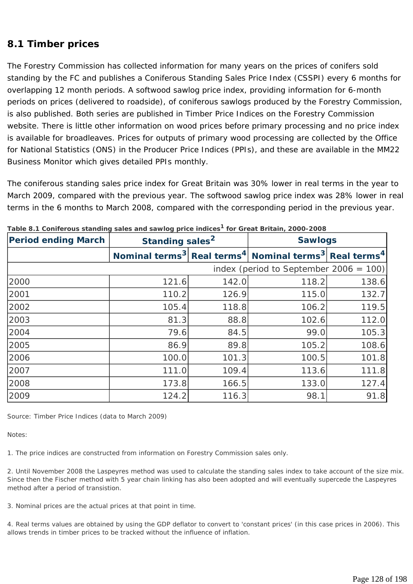### **8.1 Timber prices**

The Forestry Commission has collected information for many years on the prices of conifers sold standing by the FC and publishes a Coniferous Standing Sales Price Index (CSSPI) every 6 months for overlapping 12 month periods. A softwood sawlog price index, providing information for 6-month periods on prices (delivered to roadside), of coniferous sawlogs produced by the Forestry Commission, is also published. Both series are published in Timber Price Indices on the Forestry Commission website. There is little other information on wood prices before primary processing and no price index is available for broadleaves. Prices for outputs of primary wood processing are collected by the Office for National Statistics (ONS) in the Producer Price Indices (PPIs), and these are available in the MM22 Business Monitor which gives detailed PPIs monthly.

The coniferous standing sales price index for Great Britain was 30% lower in real terms in the year to March 2009, compared with the previous year. The softwood sawlog price index was 28% lower in real terms in the 6 months to March 2008, compared with the corresponding period in the previous year.

| <b>Period ending March</b>                | Standing sales <sup>2</sup> |       | <b>Sawlogs</b>                                                                                        |       |
|-------------------------------------------|-----------------------------|-------|-------------------------------------------------------------------------------------------------------|-------|
|                                           |                             |       | Nominal terms <sup>3</sup> Real terms <sup>4</sup> Nominal terms <sup>3</sup> Real terms <sup>4</sup> |       |
| index (period to September 2006 = $100$ ) |                             |       |                                                                                                       |       |
| 2000                                      | 121.6                       | 142.0 | 118.2                                                                                                 | 138.6 |
| 2001                                      | 110.2                       | 126.9 | 115.0                                                                                                 | 132.7 |
| 2002                                      | 105.4                       | 118.8 | 106.2                                                                                                 | 119.5 |
| 2003                                      | 81.3                        | 88.8  | 102.6                                                                                                 | 112.0 |
| 2004                                      | 79.6                        | 84.5  | 99.0                                                                                                  | 105.3 |
| 2005                                      | 86.9                        | 89.8  | 105.2                                                                                                 | 108.6 |
| 2006                                      | 100.0                       | 101.3 | 100.5                                                                                                 | 101.8 |
| 2007                                      | 111.0                       | 109.4 | 113.6                                                                                                 | 111.8 |
| 2008                                      | 173.8                       | 166.5 | 133.0                                                                                                 | 127.4 |
| 2009                                      | 124.2                       | 116.3 | 98.1                                                                                                  | 91.8  |

| Table 8.1 Coniferous standing sales and sawlog price indices <sup>1</sup> for Great Britain, 2000-2008 |  |
|--------------------------------------------------------------------------------------------------------|--|
|--------------------------------------------------------------------------------------------------------|--|

*Source: Timber Price Indices (data to March 2009)* 

*Notes:* 

*1. The price indices are constructed from information on Forestry Commission sales only.* 

*2. Until November 2008 the Laspeyres method was used to calculate the standing sales index to take account of the size mix. Since then the Fischer method with 5 year chain linking has also been adopted and will eventually supercede the Laspeyres method after a period of transistion.* 

*3. Nominal prices are the actual prices at that point in time.* 

*4. Real terms values are obtained by using the GDP deflator to convert to 'constant prices' (in this case prices in 2006). This allows trends in timber prices to be tracked without the influence of inflation.*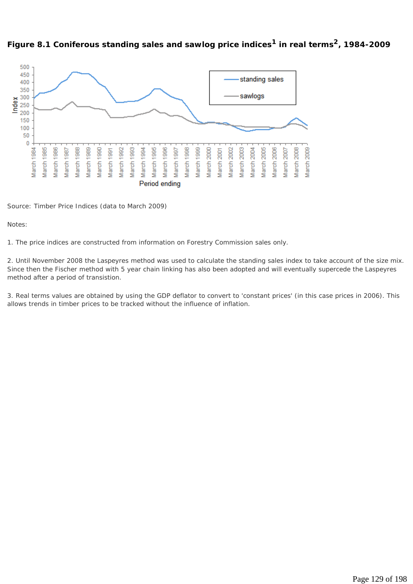



*Source: Timber Price Indices (data to March 2009)* 

#### *Notes:*

*1. The price indices are constructed from information on Forestry Commission sales only.* 

*2. Until November 2008 the Laspeyres method was used to calculate the standing sales index to take account of the size mix. Since then the Fischer method with 5 year chain linking has also been adopted and will eventually supercede the Laspeyres method after a period of transistion.* 

*3. Real terms values are obtained by using the GDP deflator to convert to 'constant prices' (in this case prices in 2006). This allows trends in timber prices to be tracked without the influence of inflation.*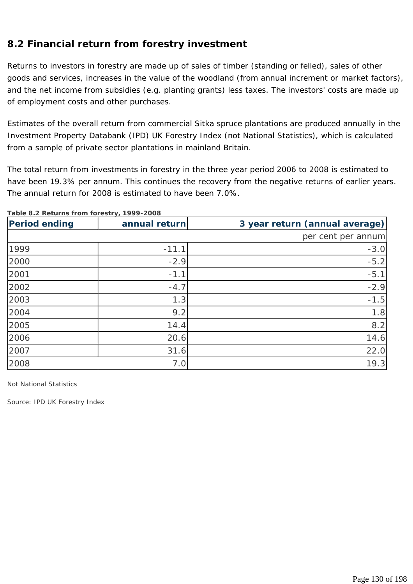# **8.2 Financial return from forestry investment**

Returns to investors in forestry are made up of sales of timber (standing or felled), sales of other goods and services, increases in the value of the woodland (from annual increment or market factors), and the net income from subsidies (e.g. planting grants) less taxes. The investors' costs are made up of employment costs and other purchases.

Estimates of the overall return from commercial Sitka spruce plantations are produced annually in the Investment Property Databank (IPD) UK Forestry Index (not National Statistics), which is calculated from a sample of private sector plantations in mainland Britain.

The total return from investments in forestry in the three year period 2006 to 2008 is estimated to have been 19.3% per annum. This continues the recovery from the negative returns of earlier years. The annual return for 2008 is estimated to have been 7.0%.

| <b>Period ending</b> | annual return | 3 year return (annual average) |
|----------------------|---------------|--------------------------------|
|                      |               | per cent per annum             |
| 1999                 | $-11.1$       | $-3.0$                         |
| 2000                 | $-2.9$        | $-5.2$                         |
| 2001                 | $-1.1$        | $-5.1$                         |
| 2002                 | $-4.7$        | $-2.9$                         |
| 2003                 | 1.3           | $-1.5$                         |
| 2004                 | 9.2           | 1.8                            |
| 2005                 | 14.4          | 8.2                            |
| 2006                 | 20.6          | 14.6                           |
| 2007                 | 31.6          | 22.0                           |
| 2008                 | 7.0           | 19.3                           |

#### **Table 8.2 Returns from forestry, 1999-2008**

*Not National Statistics* 

*Source: IPD UK Forestry Index*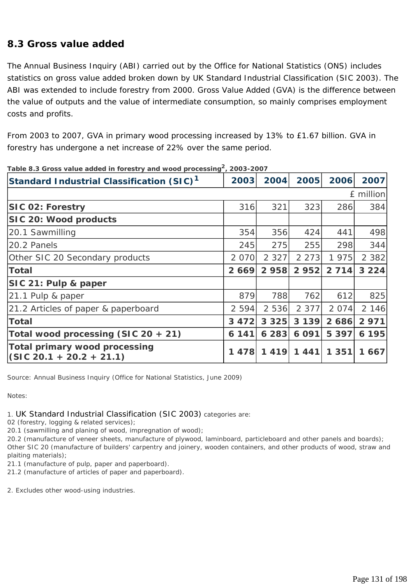### **8.3 Gross value added**

The Annual Business Inquiry (ABI) carried out by the Office for National Statistics (ONS) includes statistics on gross value added broken down by UK Standard Industrial Classification (SIC 2003). The ABI was extended to include forestry from 2000. Gross Value Added (GVA) is the difference between the value of outputs and the value of intermediate consumption, so mainly comprises employment costs and profits.

From 2003 to 2007, GVA in primary wood processing increased by 13% to £1.67 billion. GVA in forestry has undergone a net increase of 22% over the same period.

| Standard Industrial Classification (SIC) <sup>1</sup>       | 2003    | 2004    | 2005    | 2006    | 2007      |
|-------------------------------------------------------------|---------|---------|---------|---------|-----------|
|                                                             |         |         |         |         | £ million |
| <b>SIC 02: Forestry</b>                                     | 316     | 321     | 323     | 286     | 384       |
| SIC 20: Wood products                                       |         |         |         |         |           |
| 20.1 Sawmilling                                             | 354     | 356     | 424     | 441     | 498       |
| 20.2 Panels                                                 | 245     | 275     | 255     | 298     | 344       |
| Other SIC 20 Secondary products                             | 2 070   | 2 3 2 7 | 2 2 7 3 | 1975    | 2 3 8 2   |
| <b>Total</b>                                                | 2669    | 2 958   | 2 9 5 2 | 2 7 1 4 | 3224      |
| SIC 21: Pulp & paper                                        |         |         |         |         |           |
| 21.1 Pulp & paper                                           | 879     | 788     | 762     | 612     | 825       |
| 21.2 Articles of paper & paperboard                         | 2 5 9 4 | 2 5 3 6 | 2 3 7 7 | 2 0 7 4 | 2 146     |
| <b>Total</b>                                                | 3 4 7 2 | 3 3 2 5 | 3 1 3 9 | 2686    | 2 9 7 1   |
| Total wood processing (SIC 20 + 21)                         | 6 141   | 6 2 8 3 | 6 0 9 1 | 5 3 9 7 | 6 195     |
| Total primary wood processing<br>$(GIC 20.1 + 20.2 + 21.1)$ | 478     | 1419    | 1441    | 1 3 5 1 | 1 667     |

**Table 8.3 Gross value added in forestry and wood processing2, 2003-2007** 

*Source: Annual Business Inquiry (Office for National Statistics, June 2009)* 

*Notes:* 

*1. UK Standard Industrial Classification (SIC 2003) categories are:* 

*02 (forestry, logging & related services);* 

*20.1 (sawmilling and planing of wood, impregnation of wood);* 

*20.2 (manufacture of veneer sheets, manufacture of plywood, laminboard, particleboard and other panels and boards); Other SIC 20 (manufacture of builders' carpentry and joinery, wooden containers, and other products of wood, straw and plaiting materials);* 

*21.1 (manufacture of pulp, paper and paperboard).* 

*21.2 (manufacture of articles of paper and paperboard).* 

*2. Excludes other wood-using industries.*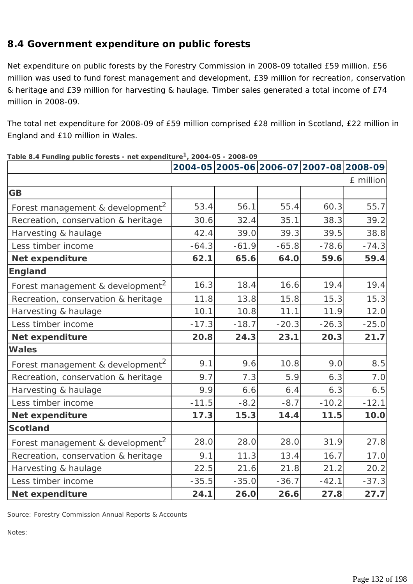# **8.4 Government expenditure on public forests**

Net expenditure on public forests by the Forestry Commission in 2008-09 totalled £59 million. £56 million was used to fund forest management and development, £39 million for recreation, conservation & heritage and £39 million for harvesting & haulage. Timber sales generated a total income of £74 million in 2008-09.

The total net expenditure for 2008-09 of £59 million comprised £28 million in Scotland, £22 million in England and £10 million in Wales.

| rable 0.4 Funding public forests - Het experientie $\frac{1}{2}$ 2004-03 - 2006-07 |         |         |         |         | 2004-05 2005-06 2006-07 2007-08 2008-09 |
|------------------------------------------------------------------------------------|---------|---------|---------|---------|-----------------------------------------|
|                                                                                    |         |         |         |         | £ million                               |
| <b>GB</b>                                                                          |         |         |         |         |                                         |
| Forest management & development <sup>2</sup>                                       | 53.4    | 56.1    | 55.4    | 60.3    | 55.7                                    |
| Recreation, conservation & heritage                                                | 30.6    | 32.4    | 35.1    | 38.3    | 39.2                                    |
| Harvesting & haulage                                                               | 42.4    | 39.0    | 39.3    | 39.5    | 38.8                                    |
| Less timber income                                                                 | $-64.3$ | $-61.9$ | $-65.8$ | $-78.6$ | $-74.3$                                 |
| Net expenditure                                                                    | 62.1    | 65.6    | 64.0    | 59.6    | 59.4                                    |
| <b>England</b>                                                                     |         |         |         |         |                                         |
| Forest management & development <sup>2</sup>                                       | 16.3    | 18.4    | 16.6    | 19.4    | 19.4                                    |
| Recreation, conservation & heritage                                                | 11.8    | 13.8    | 15.8    | 15.3    | 15.3                                    |
| Harvesting & haulage                                                               | 10.1    | 10.8    | 11.1    | 11.9    | 12.0                                    |
| Less timber income                                                                 | $-17.3$ | $-18.7$ | $-20.3$ | $-26.3$ | $-25.0$                                 |
| <b>Net expenditure</b>                                                             | 20.8    | 24.3    | 23.1    | 20.3    | 21.7                                    |
| <b>Wales</b>                                                                       |         |         |         |         |                                         |
| Forest management & development <sup>2</sup>                                       | 9.1     | 9.6     | 10.8    | 9.0     | 8.5                                     |
| Recreation, conservation & heritage                                                | 9.7     | 7.3     | 5.9     | 6.3     | 7.0                                     |
| Harvesting & haulage                                                               | 9.9     | 6.6     | 6.4     | 6.3     | 6.5                                     |
| Less timber income                                                                 | $-11.5$ | $-8.2$  | $-8.7$  | $-10.2$ | $-12.1$                                 |
| <b>Net expenditure</b>                                                             | 17.3    | 15.3    | 14.4    | 11.5    | 10.0                                    |
| <b>Scotland</b>                                                                    |         |         |         |         |                                         |
| Forest management & development <sup>2</sup>                                       | 28.0    | 28.0    | 28.0    | 31.9    | 27.8                                    |
| Recreation, conservation & heritage                                                | 9.1     | 11.3    | 13.4    | 16.7    | 17.0                                    |
| Harvesting & haulage                                                               | 22.5    | 21.6    | 21.8    | 21.2    | 20.2                                    |
| Less timber income                                                                 | $-35.5$ | $-35.0$ | $-36.7$ | $-42.1$ | $-37.3$                                 |
| <b>Net expenditure</b>                                                             | 24.1    | 26.0    | 26.6    | 27.8    | 27.7                                    |

#### **Table 8.4 Funding public forests - net expenditure1, 2004-05 - 2008-09**

*Source: Forestry Commission Annual Reports & Accounts* 

*Notes:*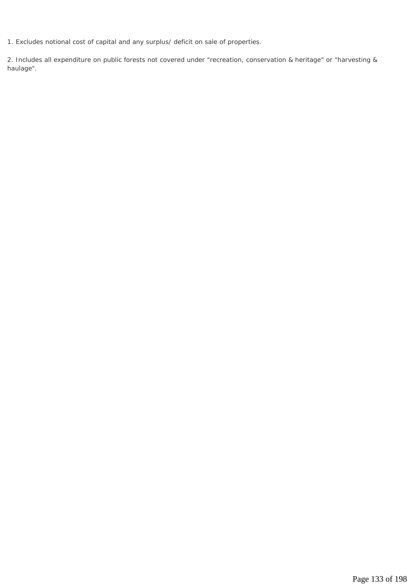*1. Excludes notional cost of capital and any surplus/ deficit on sale of properties.* 

*2. Includes all expenditure on public forests not covered under "recreation, conservation & heritage" or "harvesting & haulage".*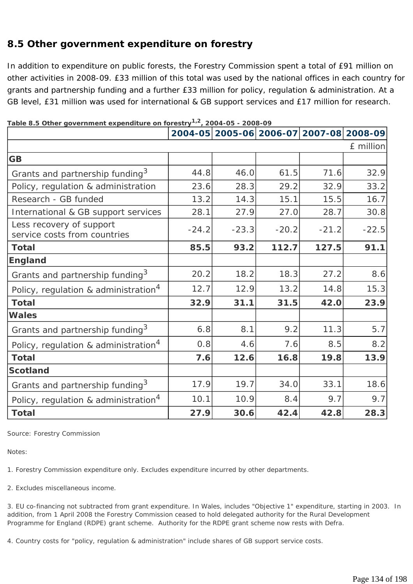# **8.5 Other government expenditure on forestry**

In addition to expenditure on public forests, the Forestry Commission spent a total of £91 million on other activities in 2008-09. £33 million of this total was used by the national offices in each country for grants and partnership funding and a further £33 million for policy, regulation & administration. At a GB level, £31 million was used for international & GB support services and £17 million for research.

|                                                          |         |         |         |         | 2004-05 2005-06 2006-07 2007-08 2008-09 |
|----------------------------------------------------------|---------|---------|---------|---------|-----------------------------------------|
|                                                          |         |         |         |         | £ million                               |
| <b>GB</b>                                                |         |         |         |         |                                         |
| Grants and partnership funding <sup>3</sup>              | 44.8    | 46.0    | 61.5    | 71.6    | 32.9                                    |
| Policy, regulation & administration                      | 23.6    | 28.3    | 29.2    | 32.9    | 33.2                                    |
| Research - GB funded                                     | 13.2    | 14.3    | 15.1    | 15.5    | 16.7                                    |
| International & GB support services                      | 28.1    | 27.9    | 27.0    | 28.7    | 30.8                                    |
| Less recovery of support<br>service costs from countries | $-24.2$ | $-23.3$ | $-20.2$ | $-21.2$ | $-22.5$                                 |
| <b>Total</b>                                             | 85.5    | 93.2    | 112.7   | 127.5   | 91.1                                    |
| <b>England</b>                                           |         |         |         |         |                                         |
| Grants and partnership funding <sup>3</sup>              | 20.2    | 18.2    | 18.3    | 27.2    | 8.6                                     |
| Policy, regulation & administration <sup>4</sup>         | 12.7    | 12.9    | 13.2    | 14.8    | 15.3                                    |
| <b>Total</b>                                             | 32.9    | 31.1    | 31.5    | 42.0    | 23.9                                    |
| <b>Wales</b>                                             |         |         |         |         |                                         |
| Grants and partnership funding <sup>3</sup>              | 6.8     | 8.1     | 9.2     | 11.3    | 5.7                                     |
| Policy, regulation & administration <sup>4</sup>         | 0.8     | 4.6     | 7.6     | 8.5     | 8.2                                     |
| <b>Total</b>                                             | 7.6     | 12.6    | 16.8    | 19.8    | 13.9                                    |
| <b>Scotland</b>                                          |         |         |         |         |                                         |
| Grants and partnership funding <sup>3</sup>              | 17.9    | 19.7    | 34.0    | 33.1    | 18.6                                    |
| Policy, regulation & administration <sup>4</sup>         | 10.1    | 10.9    | 8.4     | 9.7     | 9.7                                     |
| <b>Total</b>                                             | 27.9    | 30.6    | 42.4    | 42.8    | 28.3                                    |

**Table 8.5 Other government expenditure on forestry1,2, 2004-05 - 2008-09**

*Source: Forestry Commission* 

*Notes:* 

*1. Forestry Commission expenditure only. Excludes expenditure incurred by other departments.* 

*2. Excludes miscellaneous income.* 

*3. EU co-financing not subtracted from grant expenditure. In Wales, includes "Objective 1" expenditure, starting in 2003. In addition, from 1 April 2008 the Forestry Commission ceased to hold delegated authority for the Rural Development Programme for England (RDPE) grant scheme. Authority for the RDPE grant scheme now rests with Defra.* 

*4. Country costs for "policy, regulation & administration" include shares of GB support service costs.*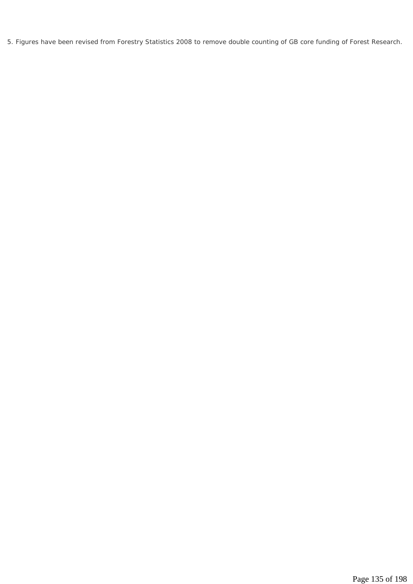*5. Figures have been revised from Forestry Statistics 2008 to remove double counting of GB core funding of Forest Research.*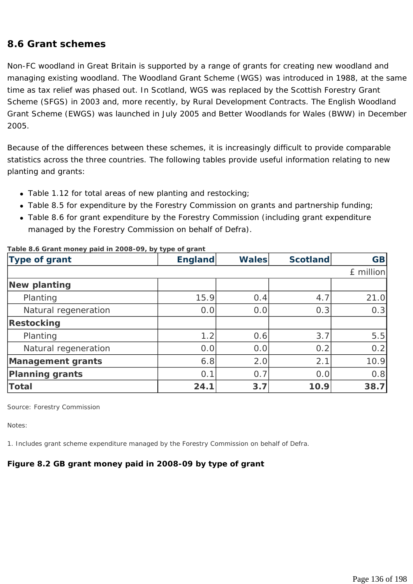### **8.6 Grant schemes**

Non-FC woodland in Great Britain is supported by a range of grants for creating new woodland and managing existing woodland. The Woodland Grant Scheme (WGS) was introduced in 1988, at the same time as tax relief was phased out. In Scotland, WGS was replaced by the Scottish Forestry Grant Scheme (SFGS) in 2003 and, more recently, by Rural Development Contracts. The English Woodland Grant Scheme (EWGS) was launched in July 2005 and Better Woodlands for Wales (BWW) in December 2005.

Because of the differences between these schemes, it is increasingly difficult to provide comparable statistics across the three countries. The following tables provide useful information relating to new planting and grants:

- Table 1.12 for total areas of new planting and restocking;
- Table 8.5 for expenditure by the Forestry Commission on grants and partnership funding;
- Table 8.6 for grant expenditure by the Forestry Commission (including grant expenditure managed by the Forestry Commission on behalf of Defra).

| Type of grant            | <b>England</b> | <b>Wales</b> | <b>Scotland</b> | <b>GB</b> |
|--------------------------|----------------|--------------|-----------------|-----------|
|                          |                |              |                 | £ million |
| <b>New planting</b>      |                |              |                 |           |
| Planting                 | 15.9           | 0.4          | 4.7             | 21.0      |
| Natural regeneration     | 0.0            | 0.0          | 0.3             | 0.3       |
| <b>Restocking</b>        |                |              |                 |           |
| Planting                 | 1.2            | 0.6          | 3.7             | 5.5       |
| Natural regeneration     | 0.0            | 0.0          | 0.2             | 0.2       |
| <b>Management grants</b> | 6.8            | 2.0          | 2.1             | 10.9      |
| <b>Planning grants</b>   | 0.1            | 0.7          | 0.0             | 0.8       |
| <b>Total</b>             | 24.1           | 3.7          | 10.9            | 38.7      |

#### **Table 8.6 Grant money paid in 2008-09, by type of grant**

*Source: Forestry Commission* 

*Notes:* 

*1. Includes grant scheme expenditure managed by the Forestry Commission on behalf of Defra.* 

### **Figure 8.2 GB grant money paid in 2008-09 by type of grant**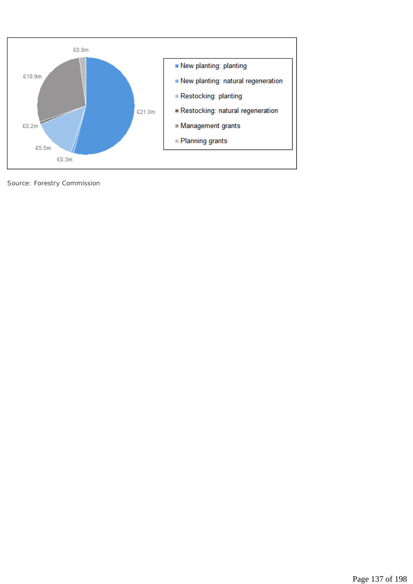

*Source: Forestry Commission*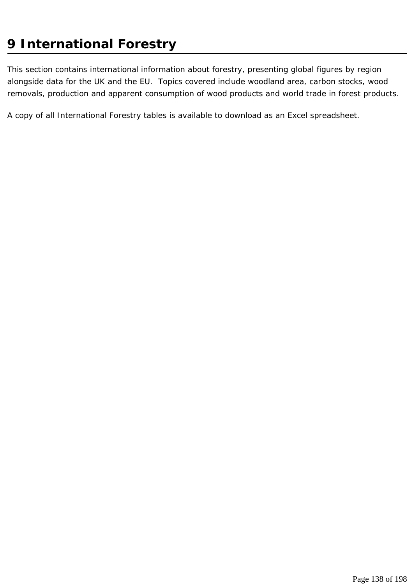# **9 International Forestry**

This section contains international information about forestry, presenting global figures by region alongside data for the UK and the EU. Topics covered include woodland area, carbon stocks, wood removals, production and apparent consumption of wood products and world trade in forest products.

A copy of all International Forestry tables is available to download as an Excel spreadsheet.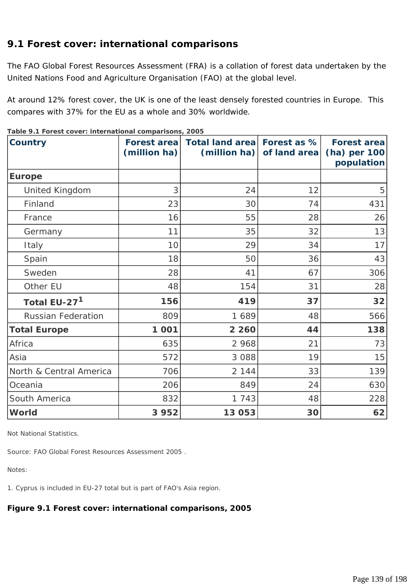## **9.1 Forest cover: international comparisons**

The FAO Global Forest Resources Assessment (FRA) is a collation of forest data undertaken by the United Nations Food and Agriculture Organisation (FAO) at the global level.

At around 12% forest cover, the UK is one of the least densely forested countries in Europe. This compares with 37% for the EU as a whole and 30% worldwide.

| <b>Country</b>            | <b>Forest area</b><br>(million ha) | Total land area Forest as %<br>(million ha) | of land area | <b>Forest area</b><br>(ha) per 100<br>population |
|---------------------------|------------------------------------|---------------------------------------------|--------------|--------------------------------------------------|
| <b>Europe</b>             |                                    |                                             |              |                                                  |
| <b>United Kingdom</b>     | 3                                  | 24                                          | 12           | 5                                                |
| Finland                   | 23                                 | 30                                          | 74           | 431                                              |
| France                    | 16                                 | 55                                          | 28           | 26                                               |
| Germany                   | 11                                 | 35                                          | 32           | 13                                               |
| Italy                     | 10                                 | 29                                          | 34           | 17                                               |
| Spain                     | 18                                 | 50                                          | 36           | 43                                               |
| Sweden                    | 28                                 | 41                                          | 67           | 306                                              |
| Other EU                  | 48                                 | 154                                         | 31           | 28                                               |
| Total EU-27 <sup>1</sup>  | 156                                | 419                                         | 37           | 32                                               |
| <b>Russian Federation</b> | 809                                | 1689                                        | 48           | 566                                              |
| <b>Total Europe</b>       | 1 0 0 1                            | 2 2 6 0                                     | 44           | 138                                              |
| Africa                    | 635                                | 2 9 6 8                                     | 21           | 73                                               |
| Asia                      | 572                                | 3 0 8 8                                     | 19           | 15                                               |
| North & Central America   | 706                                | 2 1 4 4                                     | 33           | 139                                              |
| Oceania                   | 206                                | 849                                         | 24           | 630                                              |
| South America             | 832                                | 1 7 4 3                                     | 48           | 228                                              |
| World                     | 3 9 5 2                            | 13 053                                      | 30           | 62                                               |

**Table 9.1 Forest cover: international comparisons, 2005** 

*Not National Statistics.* 

*Source: FAO Global Forest Resources Assessment 2005 .* 

*Notes:* 

*1. Cyprus is included in EU-27 total but is part of FAO's Asia region.* 

**Figure 9.1 Forest cover: international comparisons, 2005**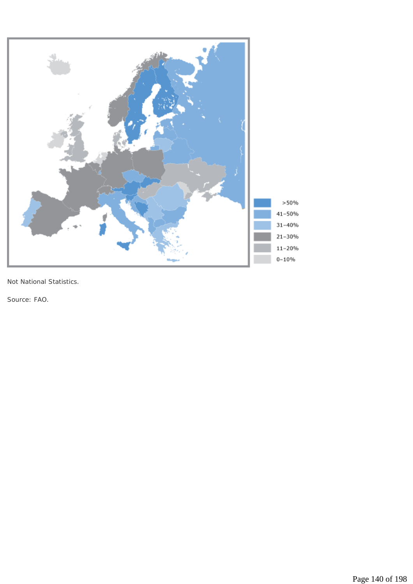

*Not National Statistics.* 

*Source: FAO.*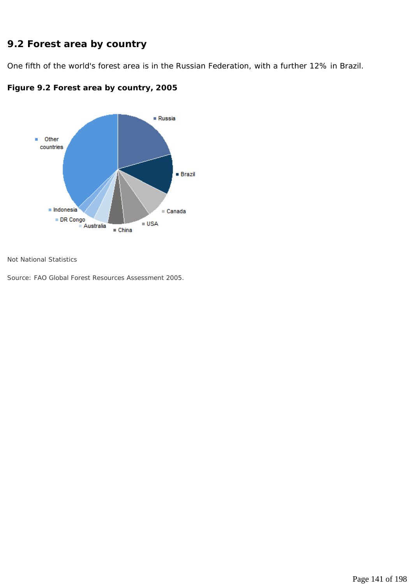# **9.2 Forest area by country**

One fifth of the world's forest area is in the Russian Federation, with a further 12% in Brazil.





*Not National Statistics* 

*Source: FAO Global Forest Resources Assessment 2005.*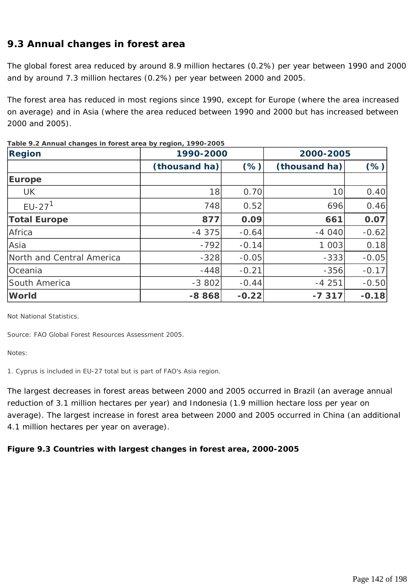# **9.3 Annual changes in forest area**

The global forest area reduced by around 8.9 million hectares (0.2%) per year between 1990 and 2000 and by around 7.3 million hectares (0.2%) per year between 2000 and 2005.

The forest area has reduced in most regions since 1990, except for Europe (where the area increased on average) and in Asia (where the area reduced between 1990 and 2000 but has increased between 2000 and 2005).

| <b>Region</b>             | 1990-2000     |         | 2000-2005     |         |
|---------------------------|---------------|---------|---------------|---------|
|                           | (thousand ha) | $(\%)$  | (thousand ha) | $(\%)$  |
| <b>Europe</b>             |               |         |               |         |
| <b>UK</b>                 | 18            | 0.70    | 10            | 0.40    |
| $EU-271$                  | 748           | 0.52    | 696           | 0.46    |
| <b>Total Europe</b>       | 877           | 0.09    | 661           | 0.07    |
| Africa                    | $-4375$       | $-0.64$ | $-4040$       | $-0.62$ |
| Asia                      | $-792$        | $-0.14$ | 1 0 0 3       | 0.18    |
| North and Central America | $-328$        | $-0.05$ | $-333$        | $-0.05$ |
| Oceania                   | $-448$        | $-0.21$ | $-356$        | $-0.17$ |
| South America             | $-3802$       | $-0.44$ | $-4251$       | $-0.50$ |
| <b>World</b>              | $-8868$       | $-0.22$ | $-7317$       | $-0.18$ |

**Table 9.2 Annual changes in forest area by region, 1990-2005** 

*Not National Statistics.* 

*Source: FAO Global Forest Resources Assessment 2005.* 

*Notes:* 

*1. Cyprus is included in EU-27 total but is part of FAO's Asia region.* 

The largest decreases in forest areas between 2000 and 2005 occurred in Brazil (an average annual reduction of 3.1 million hectares per year) and Indonesia (1.9 million hectare loss per year on average). The largest increase in forest area between 2000 and 2005 occurred in China (an additional 4.1 million hectares per year on average).

#### **Figure 9.3 Countries with largest changes in forest area, 2000-2005**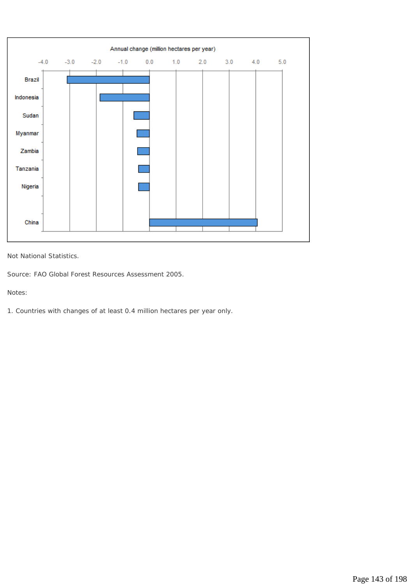

*Not National Statistics.* 

*Source: FAO Global Forest Resources Assessment 2005.* 

*Notes:* 

*1. Countries with changes of at least 0.4 million hectares per year only.*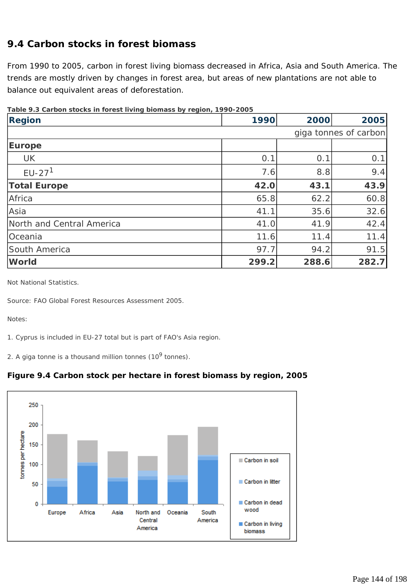## **9.4 Carbon stocks in forest biomass**

From 1990 to 2005, carbon in forest living biomass decreased in Africa, Asia and South America. The trends are mostly driven by changes in forest area, but areas of new plantations are not able to balance out equivalent areas of deforestation.

| <b>Region</b>             | 1990  | 2000                  | 2005  |  |  |
|---------------------------|-------|-----------------------|-------|--|--|
|                           |       | giga tonnes of carbon |       |  |  |
| <b>Europe</b>             |       |                       |       |  |  |
| <b>UK</b>                 | 0.1   | 0.1                   | 0.1   |  |  |
| $EU-271$                  | 7.6   | 8.8                   | 9.4   |  |  |
| <b>Total Europe</b>       | 42.0  | 43.1                  | 43.9  |  |  |
| Africa                    | 65.8  | 62.2                  | 60.8  |  |  |
| Asia                      | 41.1  | 35.6'                 | 32.6  |  |  |
| North and Central America | 41.0  | 41.9                  | 42.4  |  |  |
| Oceania                   | 11.6  | 11.4                  | 11.4  |  |  |
| South America             | 97.7  | 94.2                  | 91.5  |  |  |
| <b>World</b>              | 299.2 | 288.6                 | 282.7 |  |  |

**Table 9.3 Carbon stocks in forest living biomass by region, 1990-2005** 

*Not National Statistics.* 

*Source: FAO Global Forest Resources Assessment 2005.* 

*Notes:* 

*1. Cyprus is included in EU-27 total but is part of FAO's Asia region.* 

*2. A giga tonne is a thousand million tonnes (109 tonnes).*



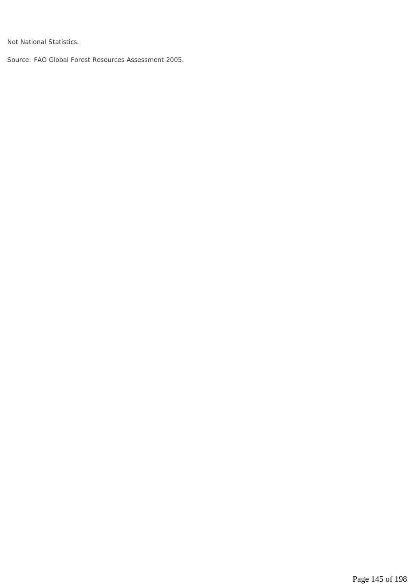*Not National Statistics.* 

*Source: FAO Global Forest Resources Assessment 2005.*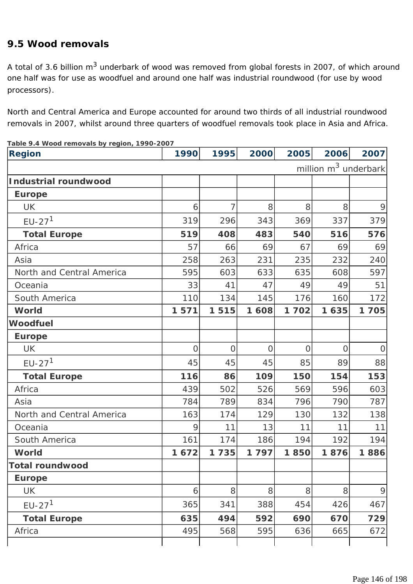### **9.5 Wood removals**

A total of 3.6 billion m<sup>3</sup> underbark of wood was removed from global forests in 2007, of which around one half was for use as woodfuel and around one half was industrial roundwood (for use by wood processors).

North and Central America and Europe accounted for around two thirds of all industrial roundwood removals in 2007, whilst around three quarters of woodfuel removals took place in Asia and Africa.

| <b>Region</b>             | 1990           | 1995           | 2000     | 2005           | 2006           | 2007                             |
|---------------------------|----------------|----------------|----------|----------------|----------------|----------------------------------|
|                           |                |                |          |                |                | million m <sup>3</sup> underbark |
| Industrial roundwood      |                |                |          |                |                |                                  |
| <b>Europe</b>             |                |                |          |                |                |                                  |
| <b>UK</b>                 | 6              | 7              | 8        | 8              | 8              | 9                                |
| $EU-271$                  | 319            | 296            | 343      | 369            | 337            | 379                              |
| <b>Total Europe</b>       | 519            | 408            | 483      | 540            | 516            | 576                              |
| Africa                    | 57             | 66             | 69       | 67             | 69             | 69                               |
| Asia                      | 258            | 263            | 231      | 235            | 232            | 240                              |
| North and Central America | 595            | 603            | 633      | 635            | 608            | 597                              |
| Oceania                   | 33             | 41             | 47       | 49             | 49             | 51                               |
| South America             | 110            | 134            | 145      | 176            | 160            | 172                              |
| <b>World</b>              | 1 5 7 1        | 1515           | 1 608    | 1702           | 1635           | 1705                             |
| <b>Woodfuel</b>           |                |                |          |                |                |                                  |
| <b>Europe</b>             |                |                |          |                |                |                                  |
| <b>UK</b>                 | $\overline{O}$ | $\overline{O}$ | $\Omega$ | $\overline{O}$ | $\overline{O}$ | $\overline{O}$                   |
| $EU-271$                  | 45             | 45             | 45       | 85             | 89             | 88                               |
| <b>Total Europe</b>       | 116            | 86             | 109      | 150            | 154            | 153                              |
| Africa                    | 439            | 502            | 526      | 569            | 596            | 603                              |
| Asia                      | 784            | 789            | 834      | 796            | 790            | 787                              |
| North and Central America | 163            | 174            | 129      | 130            | 132            | 138                              |
| Oceania                   | 9              | 11             | 13       | 11             | 11             | 11                               |
| South America             | 161            | 174            | 186      | 194            | 192            | 194                              |
| <b>World</b>              | 1672           | 1735           | 1797     | 1850           | 1876           | 1886                             |
| <b>Total roundwood</b>    |                |                |          |                |                |                                  |
| <b>Europe</b>             |                |                |          |                |                |                                  |
| <b>UK</b>                 | 6              | 8              | 8        | 8              | 8              | $\mathcal{Q}$                    |
| $EU-271$                  | 365            | 341            | 388      | 454            | 426            | 467                              |
| <b>Total Europe</b>       | 635            | 494            | 592      | 690            | 670            | 729                              |
| Africa                    | 495            | 568            | 595      | 636            | 665            | 672                              |
|                           |                |                |          |                |                |                                  |

**Table 9.4 Wood removals by region, 1990-2007**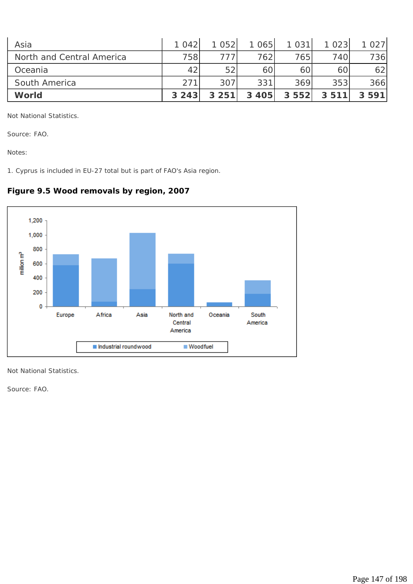| Asia                      | 1042 | 1052    | 1065    | 1 0 3 1 | 1023 | 1027    |
|---------------------------|------|---------|---------|---------|------|---------|
| North and Central America | 758  |         | 7621    | 7651    | 740  | 736     |
| Oceania                   | 42   | 52      | 60      | 60      | 60   | 62      |
| South America             | 271  | 307     | 331     | 369     | 353  | 366     |
| World                     | 3243 | 3 2 5 1 | 3 4 0 5 | 3552    | 3511 | 3 5 9 1 |

*Not National Statistics.* 

*Source: FAO.* 

*Notes:* 

*1. Cyprus is included in EU-27 total but is part of FAO's Asia region.* 



### **Figure 9.5 Wood removals by region, 2007**

*Not National Statistics.* 

*Source: FAO.*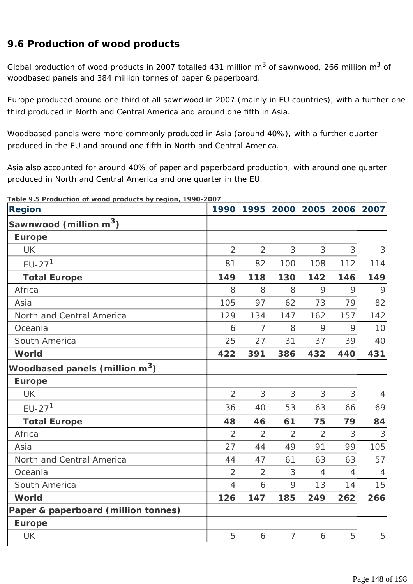### **9.6 Production of wood products**

Global production of wood products in 2007 totalled 431 million  $m^3$  of sawnwood, 266 million  $m^3$  of woodbased panels and 384 million tonnes of paper & paperboard.

Europe produced around one third of all sawnwood in 2007 (mainly in EU countries), with a further one third produced in North and Central America and around one fifth in Asia.

Woodbased panels were more commonly produced in Asia (around 40%), with a further quarter produced in the EU and around one fifth in North and Central America.

Asia also accounted for around 40% of paper and paperboard production, with around one quarter produced in North and Central America and one quarter in the EU.

**Table 9.5 Production of wood products by region, 1990-2007** 

| rable 9.5 Production or wood products by region, 1990-2007 |                |                |                |                |      |                             |
|------------------------------------------------------------|----------------|----------------|----------------|----------------|------|-----------------------------|
| <b>Region</b>                                              | 1990           | 1995           | 2000           | 2005           | 2006 | 2007                        |
| Sawnwood (million m <sup>3</sup> )                         |                |                |                |                |      |                             |
| <b>Europe</b>                                              |                |                |                |                |      |                             |
| <b>UK</b>                                                  | $\overline{2}$ | $\overline{2}$ | 3              | 3              | 3    | 3                           |
| $EU-271$                                                   | 81             | 82             | 100            | 108            | 112  | 114                         |
| <b>Total Europe</b>                                        | 149            | 118            | 130            | 142            | 146  | 149                         |
| Africa                                                     | 8              | 8              | 8              | 9              | 9    | 9                           |
| Asia                                                       | 105            | 97             | 62             | 73             | 79   | 82                          |
| North and Central America                                  | 129            | 134            | 147            | 162            | 157  | 142                         |
| Oceania                                                    | 6              | $\overline{7}$ | 8              | 9              | 9    | 10                          |
| South America                                              | 25             | 27             | 31             | 37             | 39   | 40                          |
| World                                                      | 422            | 391            | 386            | 432            | 440  | 431                         |
| Woodbased panels (million m <sup>3</sup> )                 |                |                |                |                |      |                             |
| <b>Europe</b>                                              |                |                |                |                |      |                             |
| <b>UK</b>                                                  | $\overline{2}$ | 3              | 3              | 3              | 3    | $\overline{4}$              |
| $EU-271$                                                   | 36             | 40             | 53             | 63             | 66   | 69                          |
| <b>Total Europe</b>                                        | 48             | 46             | 61             | 75             | 79   | 84                          |
| Africa                                                     | $\overline{2}$ | $\overline{2}$ | $\overline{2}$ | $\overline{2}$ | 3    | 3                           |
| Asia                                                       | 27             | 44             | 49             | 91             | 99   | 105                         |
| North and Central America                                  | 44             | 47             | 61             | 63             | 63   | 57                          |
| Oceania                                                    | $\overline{2}$ | $\overline{2}$ | 3              | 4              | 4    | $\boldsymbol{\vartriangle}$ |
| South America                                              | $\overline{4}$ | 6              | 9              | 13             | 14   | 15                          |
| World                                                      | 126            | 147            | 185            | 249            | 262  | 266                         |
| Paper & paperboard (million tonnes)                        |                |                |                |                |      |                             |
| <b>Europe</b>                                              |                |                |                |                |      |                             |
| <b>UK</b>                                                  | 5              | 6              | 7              | 6              | 5    | 5                           |
|                                                            |                |                |                |                |      |                             |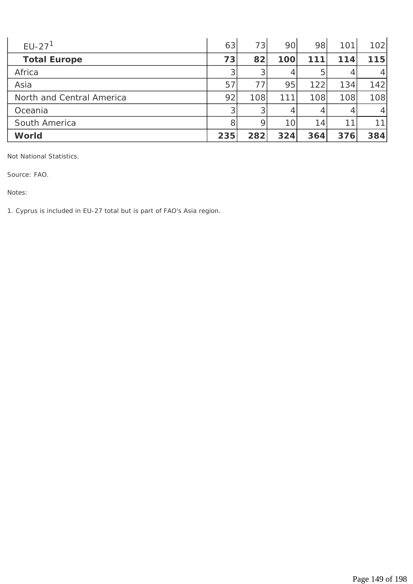| $EU-271$                  | 63  | 73  | 90  | 98  | 101 | 102     |
|---------------------------|-----|-----|-----|-----|-----|---------|
| <b>Total Europe</b>       | 73  | 82  | 100 | 111 | 114 | 115     |
| Africa                    | 3   | 3   | 4   | 5   |     | $\vert$ |
| Asia                      | 57  | 77  | 95  | 122 | 134 | 142     |
| North and Central America | 92  | 108 | 111 | 108 | 108 | 108     |
| Oceania                   | 3   | 3   |     |     |     | $\vert$ |
| South America             | 8   | 9   | 10  | 14  | 11  | 111     |
| World                     | 235 | 282 | 324 | 364 | 376 | 384     |

*Not National Statistics.* 

*Source: FAO.* 

*Notes:* 

*1. Cyprus is included in EU-27 total but is part of FAO's Asia region.*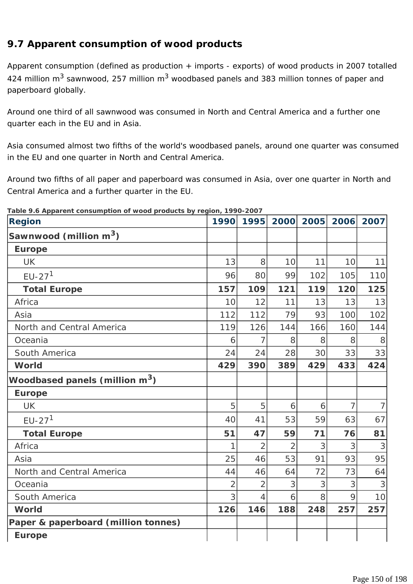# **9.7 Apparent consumption of wood products**

Apparent consumption (defined as production + imports - exports) of wood products in 2007 totalled 424 million m<sup>3</sup> sawnwood, 257 million m<sup>3</sup> woodbased panels and 383 million tonnes of paper and paperboard globally.

Around one third of all sawnwood was consumed in North and Central America and a further one quarter each in the EU and in Asia.

Asia consumed almost two fifths of the world's woodbased panels, around one quarter was consumed in the EU and one quarter in North and Central America.

Around two fifths of all paper and paperboard was consumed in Asia, over one quarter in North and Central America and a further quarter in the EU.

| <b>Region</b>                              | 1990           | 1995           | 2000           | 2005 | 2006           | 2007           |
|--------------------------------------------|----------------|----------------|----------------|------|----------------|----------------|
| Sawnwood (million m <sup>3</sup> )         |                |                |                |      |                |                |
| <b>Europe</b>                              |                |                |                |      |                |                |
| <b>UK</b>                                  | 13             | 8              | 10             | 11   | 10             | 11             |
| $EU-271$                                   | 96             | 80             | 99             | 102  | 105            | 110            |
| <b>Total Europe</b>                        | 157            | 109            | $121$          | 119  | 120            | 125            |
| Africa                                     | 10             | 12             | 11             | 13   | 13             | 13             |
| Asia                                       | 112            | 112            | 79             | 93   | 100            | 102            |
| North and Central America                  | 119            | 126            | 144            | 166  | 160            | 144            |
| Oceania                                    | 6              | 7              | 8              | 8    | 8              | 8              |
| South America                              | 24             | 24             | 28             | 30   | 33             | 33             |
| World                                      | 429            | 390            | 389            | 429  | 433            | 424            |
| Woodbased panels (million m <sup>3</sup> ) |                |                |                |      |                |                |
| <b>Europe</b>                              |                |                |                |      |                |                |
| <b>UK</b>                                  | 5              | 5              | 6              | 6    | $\overline{7}$ | $\overline{7}$ |
| $EU-271$                                   | 40             | 41             | 53             | 59   | 63             | 67             |
| <b>Total Europe</b>                        | 51             | 47             | 59             | 71   | 76             | 81             |
| Africa                                     | 1              | $\overline{2}$ | $\overline{2}$ | 3    | 3              | 3              |
| Asia                                       | 25             | 46             | 53             | 91   | 93             | 95             |
| North and Central America                  | 44             | 46             | 64             | 72   | 73             | 64             |
| Oceania                                    | $\overline{2}$ | $\overline{2}$ | 3              | 3    | 3              | 3              |
| South America                              | 3              | $\overline{4}$ | 6              | 8    | 9              | 10             |
| World                                      | 126            | 146            | 188            | 248  | 257            | 257            |
| Paper & paperboard (million tonnes)        |                |                |                |      |                |                |
| <b>Europe</b>                              |                |                |                |      |                |                |

**Table 9.6 Apparent consumption of wood products by region, 1990-2007**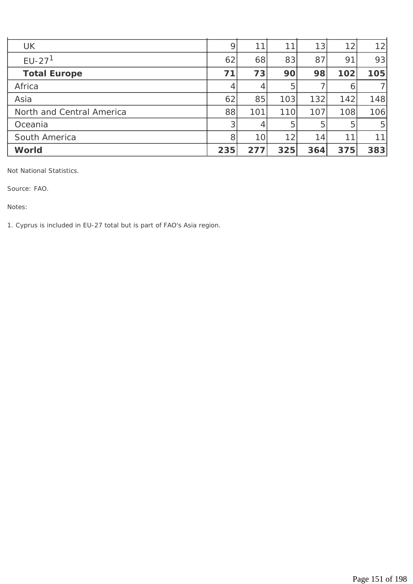| <b>UK</b>                 | 9              | 11  | 11  | 13  | 12  | 12 <sub>l</sub> |
|---------------------------|----------------|-----|-----|-----|-----|-----------------|
| $EU-271$                  | 62             | 68  | 83  | 87  | 91  | 93              |
| <b>Total Europe</b>       | 71             | 73  | 90  | 98  | 102 | 105             |
| Africa                    | 4              | 4   | 5   |     | 6   |                 |
| Asia                      | 62             | 85  | 103 | 132 | 142 | 148             |
| North and Central America | 88             | 101 | 110 | 107 | 108 | 106             |
| Oceania                   | 3 <sub>l</sub> | 4   | 5   | 5   | 5   | 5 <sup>1</sup>  |
| South America             | 8              | 10  | 12  | 14  | 11  | 11              |
| <b>World</b>              | 235            | 277 | 325 | 364 | 375 | 383             |

*Not National Statistics.* 

*Source: FAO.* 

*Notes:* 

*1. Cyprus is included in EU-27 total but is part of FAO's Asia region.*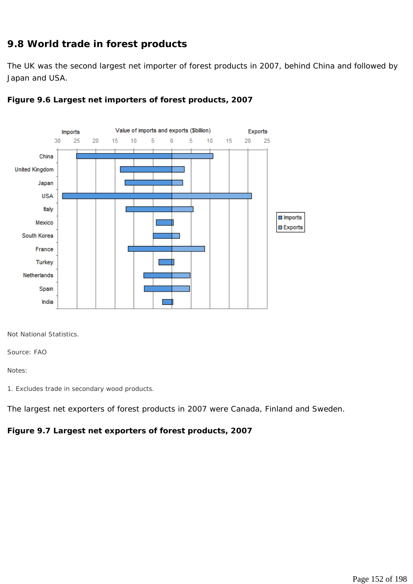### **9.8 World trade in forest products**

The UK was the second largest net importer of forest products in 2007, behind China and followed by Japan and USA.





*Not National Statistics.* 

*Source: FAO* 

*Notes:* 

*1. Excludes trade in secondary wood products.* 

The largest net exporters of forest products in 2007 were Canada, Finland and Sweden.

#### **Figure 9.7 Largest net exporters of forest products, 2007**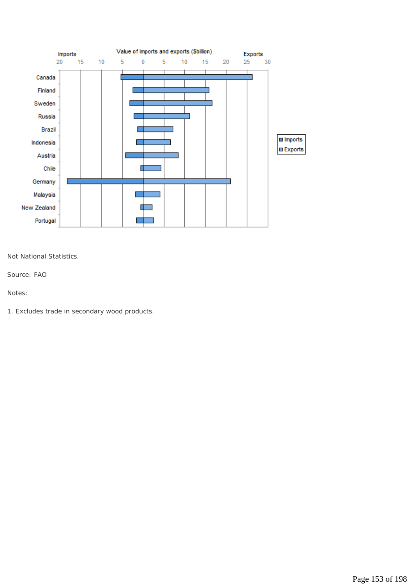

*Not National Statistics.* 

*Source: FAO* 

*Notes:* 

*1. Excludes trade in secondary wood products.*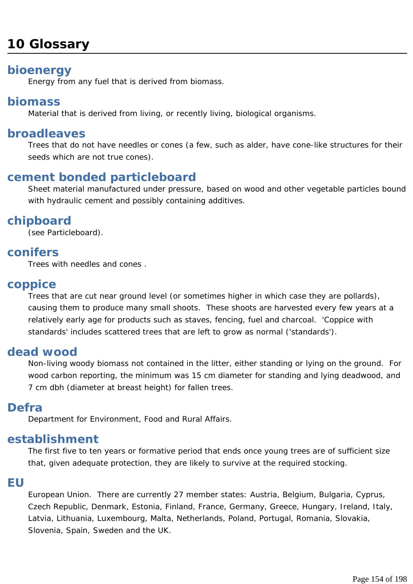# **10 Glossary**

# **bioenergy**

Energy from any fuel that is derived from biomass.

# **biomass**

Material that is derived from living, or recently living, biological organisms.

# **broadleaves**

Trees that do not have needles or cones (a few, such as alder, have cone-like structures for their seeds which are not true cones).

# **cement bonded particleboard**

Sheet material manufactured under pressure, based on wood and other vegetable particles bound with hydraulic cement and possibly containing additives.

# **chipboard**

(see Particleboard).

# **conifers**

Trees with needles and cones .

# **coppice**

Trees that are cut near ground level (or sometimes higher in which case they are pollards), causing them to produce many small shoots. These shoots are harvested every few years at a relatively early age for products such as staves, fencing, fuel and charcoal. 'Coppice with standards' includes scattered trees that are left to grow as normal ('standards').

# **dead wood**

Non-living woody biomass not contained in the litter, either standing or lying on the ground. For wood carbon reporting, the minimum was 15 cm diameter for standing and lying deadwood, and 7 cm dbh (diameter at breast height) for fallen trees.

# **Defra**

Department for Environment, Food and Rural Affairs.

# **establishment**

The first five to ten years or formative period that ends once young trees are of sufficient size that, given adequate protection, they are likely to survive at the required stocking.

### **EU**

European Union. There are currently 27 member states: Austria, Belgium, Bulgaria, Cyprus, Czech Republic, Denmark, Estonia, Finland, France, Germany, Greece, Hungary, Ireland, Italy, Latvia, Lithuania, Luxembourg, Malta, Netherlands, Poland, Portugal, Romania, Slovakia, Slovenia, Spain, Sweden and the UK.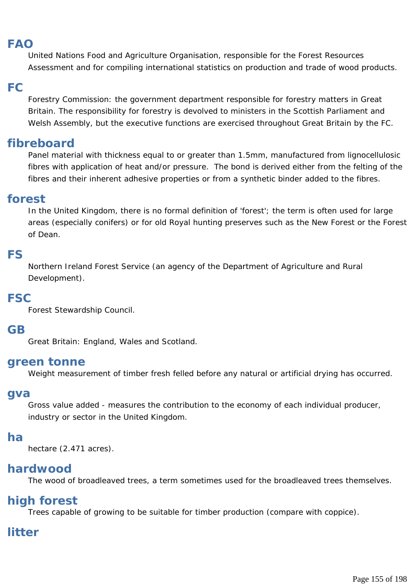# **FAO**

United Nations Food and Agriculture Organisation, responsible for the Forest Resources Assessment and for compiling international statistics on production and trade of wood products.

# **FC**

Forestry Commission: the government department responsible for forestry matters in Great Britain. The responsibility for forestry is devolved to ministers in the Scottish Parliament and Welsh Assembly, but the executive functions are exercised throughout Great Britain by the FC.

# **fibreboard**

Panel material with thickness equal to or greater than 1.5mm, manufactured from lignocellulosic fibres with application of heat and/or pressure. The bond is derived either from the felting of the fibres and their inherent adhesive properties or from a synthetic binder added to the fibres.

# **forest**

In the United Kingdom, there is no formal definition of 'forest'; the term is often used for large areas (especially conifers) or for old Royal hunting preserves such as the New Forest or the Forest of Dean.

# **FS**

Northern Ireland Forest Service (an agency of the Department of Agriculture and Rural Development).

# **FSC**

Forest Stewardship Council.

# **GB**

Great Britain: England, Wales and Scotland.

### **green tonne**

Weight measurement of timber fresh felled before any natural or artificial drying has occurred.

### **gva**

Gross value added - measures the contribution to the economy of each individual producer, industry or sector in the United Kingdom.

# **ha**

hectare (2.471 acres).

# **hardwood**

The wood of broadleaved trees, a term sometimes used for the broadleaved trees themselves.

# **high forest**

Trees capable of growing to be suitable for timber production (compare with coppice).

# **litter**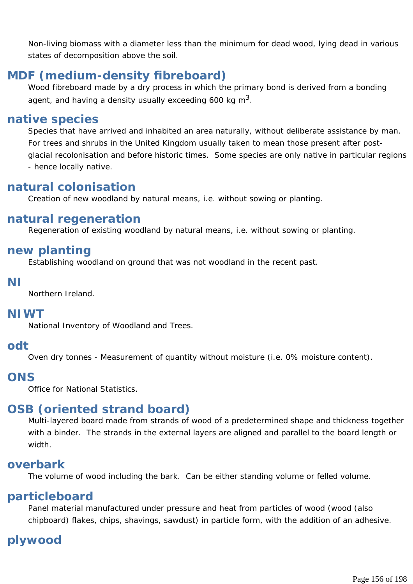Non-living biomass with a diameter less than the minimum for dead wood, lying dead in various states of decomposition above the soil.

# **MDF (medium-density fibreboard)**

Wood fibreboard made by a dry process in which the primary bond is derived from a bonding agent, and having a density usually exceeding 600 kg  $m^3$ .

# **native species**

Species that have arrived and inhabited an area naturally, without deliberate assistance by man. For trees and shrubs in the United Kingdom usually taken to mean those present after postglacial recolonisation and before historic times. Some species are only native in particular regions - hence locally native.

# **natural colonisation**

Creation of new woodland by natural means, i.e. without sowing or planting.

# **natural regeneration**

Regeneration of existing woodland by natural means, i.e. without sowing or planting.

# **new planting**

Establishing woodland on ground that was not woodland in the recent past.

### **NI**

Northern Ireland.

# **NIWT**

National Inventory of Woodland and Trees.

# **odt**

Oven dry tonnes - Measurement of quantity without moisture (i.e. 0% moisture content).

# **ONS**

Office for National Statistics.

# **OSB (oriented strand board)**

Multi-layered board made from strands of wood of a predetermined shape and thickness together with a binder. The strands in the external layers are aligned and parallel to the board length or width.

# **overbark**

The volume of wood including the bark. Can be either standing volume or felled volume.

# **particleboard**

Panel material manufactured under pressure and heat from particles of wood (wood (also chipboard) flakes, chips, shavings, sawdust) in particle form, with the addition of an adhesive.

# **plywood**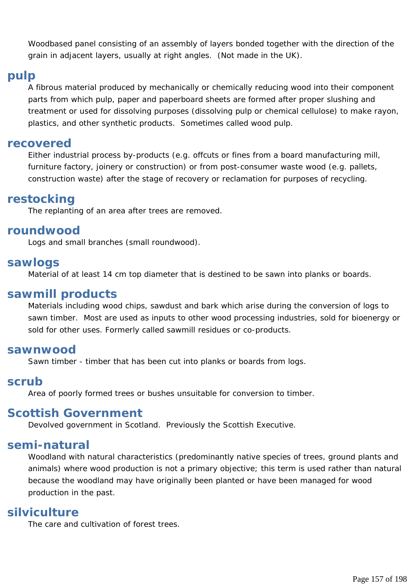Woodbased panel consisting of an assembly of layers bonded together with the direction of the grain in adjacent layers, usually at right angles. (Not made in the UK).

### **pulp**

A fibrous material produced by mechanically or chemically reducing wood into their component parts from which pulp, paper and paperboard sheets are formed after proper slushing and treatment or used for dissolving purposes (dissolving pulp or chemical cellulose) to make rayon, plastics, and other synthetic products. Sometimes called wood pulp.

### **recovered**

Either industrial process by-products (e.g. offcuts or fines from a board manufacturing mill, furniture factory, joinery or construction) or from post-consumer waste wood (e.g. pallets, construction waste) after the stage of recovery or reclamation for purposes of recycling.

# **restocking**

The replanting of an area after trees are removed.

### **roundwood**

Logs and small branches (small roundwood).

### **sawlogs**

Material of at least 14 cm top diameter that is destined to be sawn into planks or boards.

### **sawmill products**

Materials including wood chips, sawdust and bark which arise during the conversion of logs to sawn timber. Most are used as inputs to other wood processing industries, sold for bioenergy or sold for other uses. Formerly called sawmill residues or co-products.

### **sawnwood**

Sawn timber - timber that has been cut into planks or boards from logs.

### **scrub**

Area of poorly formed trees or bushes unsuitable for conversion to timber.

### **Scottish Government**

Devolved government in Scotland. Previously the Scottish Executive.

### **semi-natural**

Woodland with natural characteristics (predominantly native species of trees, ground plants and animals) where wood production is not a primary objective; this term is used rather than natural because the woodland may have originally been planted or have been managed for wood production in the past.

### **silviculture**

The care and cultivation of forest trees.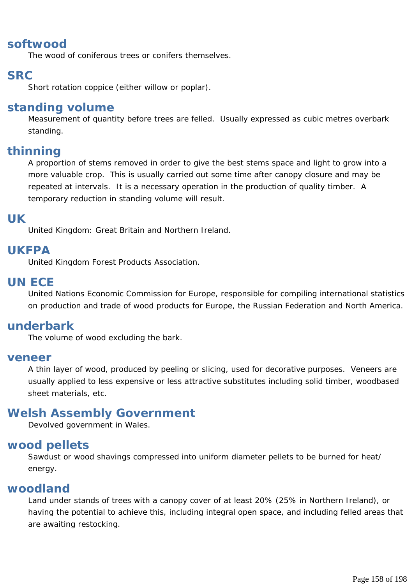# **softwood**

The wood of coniferous trees or conifers themselves.

# **SRC**

Short rotation coppice (either willow or poplar).

# **standing volume**

Measurement of quantity before trees are felled. Usually expressed as cubic metres overbark standing.

# **thinning**

A proportion of stems removed in order to give the best stems space and light to grow into a more valuable crop. This is usually carried out some time after canopy closure and may be repeated at intervals. It is a necessary operation in the production of quality timber. A temporary reduction in standing volume will result.

# **UK**

United Kingdom: Great Britain and Northern Ireland.

# **UKFPA**

United Kingdom Forest Products Association.

# **UN ECE**

United Nations Economic Commission for Europe, responsible for compiling international statistics on production and trade of wood products for Europe, the Russian Federation and North America.

# **underbark**

The volume of wood excluding the bark.

### **veneer**

A thin layer of wood, produced by peeling or slicing, used for decorative purposes. Veneers are usually applied to less expensive or less attractive substitutes including solid timber, woodbased sheet materials, etc.

# **Welsh Assembly Government**

Devolved government in Wales.

# **wood pellets**

Sawdust or wood shavings compressed into uniform diameter pellets to be burned for heat/ energy.

### **woodland**

Land under stands of trees with a canopy cover of at least 20% (25% in Northern Ireland), or having the potential to achieve this, including integral open space, and including felled areas that are awaiting restocking.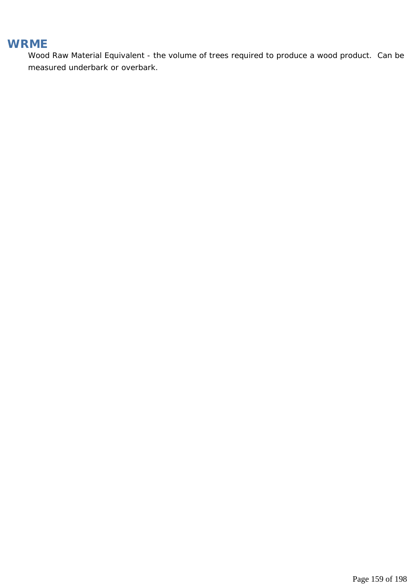# **WRME**

Wood Raw Material Equivalent - the volume of trees required to produce a wood product. Can be measured underbark or overbark.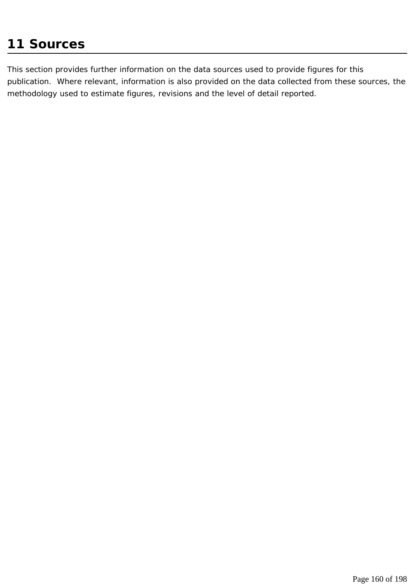# **11 Sources**

This section provides further information on the data sources used to provide figures for this publication. Where relevant, information is also provided on the data collected from these sources, the methodology used to estimate figures, revisions and the level of detail reported.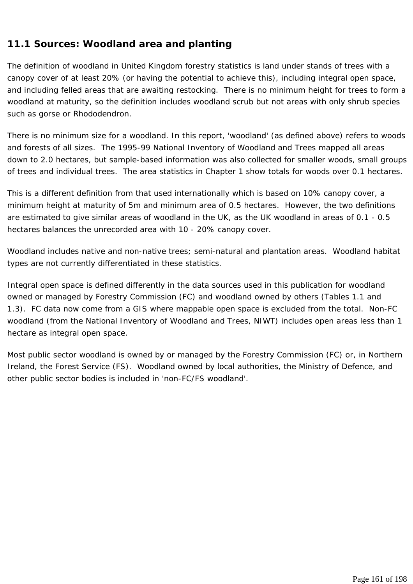### **11.1 Sources: Woodland area and planting**

The definition of woodland in United Kingdom forestry statistics is land under stands of trees with a canopy cover of at least 20% (or having the potential to achieve this), including integral open space, and including felled areas that are awaiting restocking. There is no minimum height for trees to form a woodland at maturity, so the definition includes woodland scrub but not areas with only shrub species such as gorse or Rhododendron.

There is no minimum size for a woodland. In this report, 'woodland' (as defined above) refers to woods and forests of all sizes. The 1995-99 National Inventory of Woodland and Trees mapped all areas down to 2.0 hectares, but sample-based information was also collected for smaller woods, small groups of trees and individual trees. The area statistics in Chapter 1 show totals for woods over 0.1 hectares.

This is a different definition from that used internationally which is based on 10% canopy cover, a minimum height at maturity of 5m and minimum area of 0.5 hectares. However, the two definitions are estimated to give similar areas of woodland in the UK, as the UK woodland in areas of 0.1 - 0.5 hectares balances the unrecorded area with 10 - 20% canopy cover.

Woodland includes native and non-native trees; semi-natural and plantation areas. Woodland habitat types are not currently differentiated in these statistics.

Integral open space is defined differently in the data sources used in this publication for woodland owned or managed by Forestry Commission (FC) and woodland owned by others (Tables 1.1 and 1.3). FC data now come from a GIS where mappable open space is excluded from the total. Non-FC woodland (from the National Inventory of Woodland and Trees, NIWT) includes open areas less than 1 hectare as integral open space.

Most public sector woodland is owned by or managed by the Forestry Commission (FC) or, in Northern Ireland, the Forest Service (FS). Woodland owned by local authorities, the Ministry of Defence, and other public sector bodies is included in 'non-FC/FS woodland'.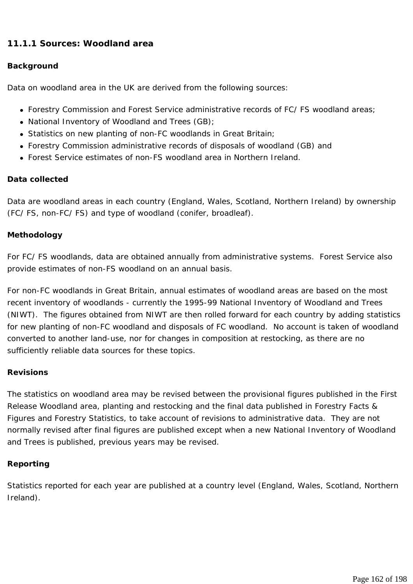### **11.1.1 Sources: Woodland area**

#### **Background**

Data on woodland area in the UK are derived from the following sources:

- Forestry Commission and Forest Service administrative records of FC/ FS woodland areas;
- National Inventory of Woodland and Trees  $(GB)$ ;
- Statistics on new planting of non-FC woodlands in Great Britain;
- Forestry Commission administrative records of disposals of woodland (GB) and
- Forest Service estimates of non-FS woodland area in Northern Ireland.

#### **Data collected**

Data are woodland areas in each country (England, Wales, Scotland, Northern Ireland) by ownership (FC/ FS, non-FC/ FS) and type of woodland (conifer, broadleaf).

#### **Methodology**

For FC/ FS woodlands, data are obtained annually from administrative systems. Forest Service also provide estimates of non-FS woodland on an annual basis.

For non-FC woodlands in Great Britain, annual estimates of woodland areas are based on the most recent inventory of woodlands - currently the 1995-99 National Inventory of Woodland and Trees (NIWT). The figures obtained from NIWT are then rolled forward for each country by adding statistics for new planting of non-FC woodland and disposals of FC woodland. No account is taken of woodland converted to another land-use, nor for changes in composition at restocking, as there are no sufficiently reliable data sources for these topics.

#### **Revisions**

The statistics on woodland area may be revised between the provisional figures published in the First Release Woodland area, planting and restocking and the final data published in Forestry Facts & Figures and Forestry Statistics, to take account of revisions to administrative data. They are not normally revised after final figures are published except when a new National Inventory of Woodland and Trees is published, previous years may be revised.

#### **Reporting**

Statistics reported for each year are published at a country level (England, Wales, Scotland, Northern Ireland).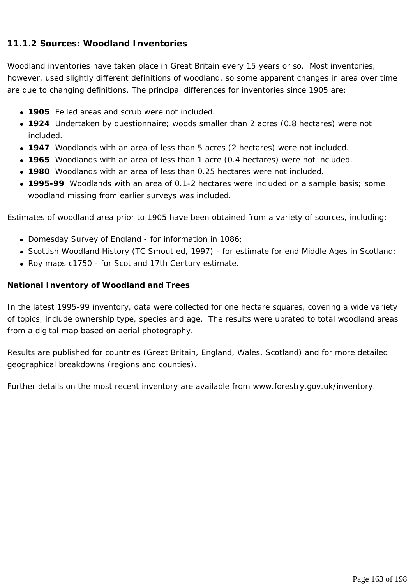### **11.1.2 Sources: Woodland Inventories**

Woodland inventories have taken place in Great Britain every 15 years or so. Most inventories, however, used slightly different definitions of woodland, so some apparent changes in area over time are due to changing definitions. The principal differences for inventories since 1905 are:

- **1905** Felled areas and scrub were not included.
- **1924** Undertaken by questionnaire; woods smaller than 2 acres (0.8 hectares) were not included.
- 1947 Woodlands with an area of less than 5 acres (2 hectares) were not included.
- 1965 Woodlands with an area of less than 1 acre (0.4 hectares) were not included.
- **1980** Woodlands with an area of less than 0.25 hectares were not included.
- **1995-99** Woodlands with an area of 0.1-2 hectares were included on a sample basis; some woodland missing from earlier surveys was included.

Estimates of woodland area prior to 1905 have been obtained from a variety of sources, including:

- Domesday Survey of England for information in 1086;
- Scottish Woodland History (TC Smout ed, 1997) for estimate for end Middle Ages in Scotland;
- Roy maps c1750 for Scotland 17th Century estimate.

#### **National Inventory of Woodland and Trees**

In the latest 1995-99 inventory, data were collected for one hectare squares, covering a wide variety of topics, include ownership type, species and age. The results were uprated to total woodland areas from a digital map based on aerial photography.

Results are published for countries (Great Britain, England, Wales, Scotland) and for more detailed geographical breakdowns (regions and counties).

Further details on the most recent inventory are available from www.forestry.gov.uk/inventory.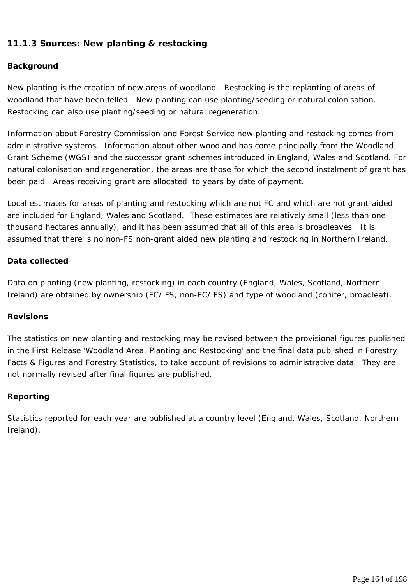### **11.1.3 Sources: New planting & restocking**

#### **Background**

New planting is the creation of new areas of woodland. Restocking is the replanting of areas of woodland that have been felled. New planting can use planting/seeding or natural colonisation. Restocking can also use planting/seeding or natural regeneration.

Information about Forestry Commission and Forest Service new planting and restocking comes from administrative systems. Information about other woodland has come principally from the Woodland Grant Scheme (WGS) and the successor grant schemes introduced in England, Wales and Scotland. For natural colonisation and regeneration, the areas are those for which the second instalment of grant has been paid. Areas receiving grant are allocated to years by date of payment.

Local estimates for areas of planting and restocking which are not FC and which are not grant-aided are included for England, Wales and Scotland. These estimates are relatively small (less than one thousand hectares annually), and it has been assumed that all of this area is broadleaves. It is assumed that there is no non-FS non-grant aided new planting and restocking in Northern Ireland.

#### **Data collected**

Data on planting (new planting, restocking) in each country (England, Wales, Scotland, Northern Ireland) are obtained by ownership (FC/ FS, non-FC/ FS) and type of woodland (conifer, broadleaf).

#### **Revisions**

The statistics on new planting and restocking may be revised between the provisional figures published in the First Release 'Woodland Area, Planting and Restocking' and the final data published in Forestry Facts & Figures and Forestry Statistics, to take account of revisions to administrative data. They are not normally revised after final figures are published.

#### **Reporting**

Statistics reported for each year are published at a country level (England, Wales, Scotland, Northern Ireland).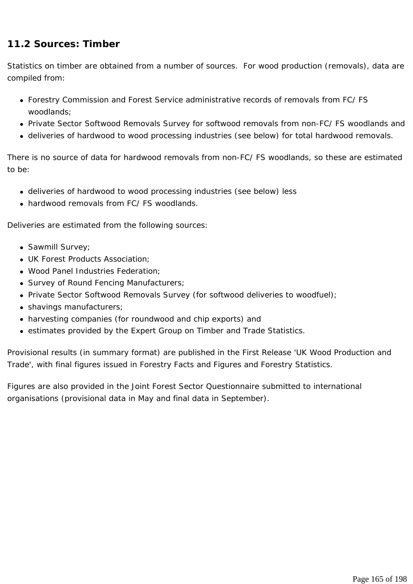### **11.2 Sources: Timber**

Statistics on timber are obtained from a number of sources. For wood production (removals), data are compiled from:

- Forestry Commission and Forest Service administrative records of removals from FC/ FS woodlands;
- Private Sector Softwood Removals Survey for softwood removals from non-FC/ FS woodlands and
- deliveries of hardwood to wood processing industries (see below) for total hardwood removals.

There is no source of data for hardwood removals from non-FC/ FS woodlands, so these are estimated to be:

- deliveries of hardwood to wood processing industries (see below) less
- hardwood removals from FC/ FS woodlands

Deliveries are estimated from the following sources:

- Sawmill Survey;
- UK Forest Products Association:
- . Wood Panel Industries Federation:
- Survey of Round Fencing Manufacturers;
- Private Sector Softwood Removals Survey (for softwood deliveries to woodfuel);
- shavings manufacturers;
- harvesting companies (for roundwood and chip exports) and
- estimates provided by the Expert Group on Timber and Trade Statistics.

Provisional results (in summary format) are published in the First Release 'UK Wood Production and Trade', with final figures issued in Forestry Facts and Figures and Forestry Statistics.

Figures are also provided in the Joint Forest Sector Questionnaire submitted to international organisations (provisional data in May and final data in September).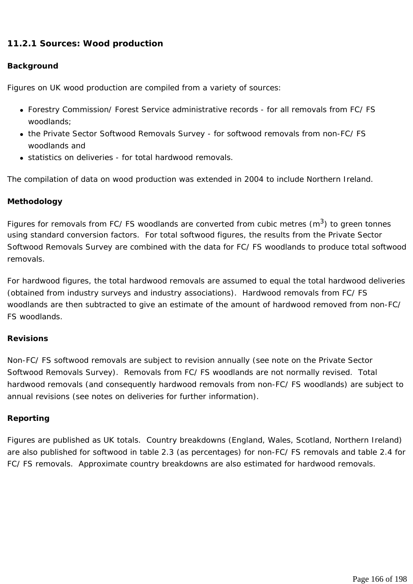### **11.2.1 Sources: Wood production**

#### **Background**

Figures on UK wood production are compiled from a variety of sources:

- Forestry Commission/ Forest Service administrative records for all removals from FC/ FS woodlands;
- the Private Sector Softwood Removals Survey for softwood removals from non-FC/ FS woodlands and
- statistics on deliveries for total hardwood removals.

The compilation of data on wood production was extended in 2004 to include Northern Ireland.

#### **Methodology**

Figures for removals from FC/ FS woodlands are converted from cubic metres  $(m^3)$  to green tonnes using standard conversion factors. For total softwood figures, the results from the Private Sector Softwood Removals Survey are combined with the data for FC/ FS woodlands to produce total softwood removals.

For hardwood figures, the total hardwood removals are assumed to equal the total hardwood deliveries (obtained from industry surveys and industry associations). Hardwood removals from FC/ FS woodlands are then subtracted to give an estimate of the amount of hardwood removed from non-FC/ FS woodlands.

#### **Revisions**

Non-FC/ FS softwood removals are subject to revision annually (see note on the Private Sector Softwood Removals Survey). Removals from FC/ FS woodlands are not normally revised. Total hardwood removals (and consequently hardwood removals from non-FC/ FS woodlands) are subject to annual revisions (see notes on deliveries for further information).

#### **Reporting**

Figures are published as UK totals. Country breakdowns (England, Wales, Scotland, Northern Ireland) are also published for softwood in table 2.3 (as percentages) for non-FC/ FS removals and table 2.4 for FC/ FS removals. Approximate country breakdowns are also estimated for hardwood removals.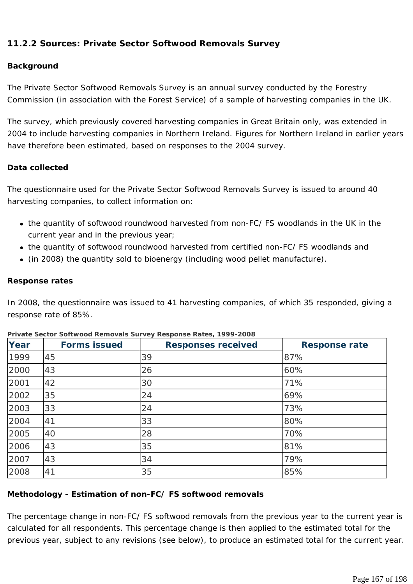### **11.2.2 Sources: Private Sector Softwood Removals Survey**

#### **Background**

The Private Sector Softwood Removals Survey is an annual survey conducted by the Forestry Commission (in association with the Forest Service) of a sample of harvesting companies in the UK.

The survey, which previously covered harvesting companies in Great Britain only, was extended in 2004 to include harvesting companies in Northern Ireland. Figures for Northern Ireland in earlier years have therefore been estimated, based on responses to the 2004 survey.

#### **Data collected**

The questionnaire used for the Private Sector Softwood Removals Survey is issued to around 40 harvesting companies, to collect information on:

- the quantity of softwood roundwood harvested from non-FC/ FS woodlands in the UK in the current year and in the previous year;
- the quantity of softwood roundwood harvested from certified non-FC/ FS woodlands and
- (in 2008) the quantity sold to bioenergy (including wood pellet manufacture).

#### **Response rates**

In 2008, the questionnaire was issued to 41 harvesting companies, of which 35 responded, giving a response rate of 85%.

| Year | <b>Forms issued</b> | <b>Responses received</b> | <b>Response rate</b> |
|------|---------------------|---------------------------|----------------------|
| 1999 | 45                  | 39                        | 87%                  |
| 2000 | 43                  | 26                        | 60%                  |
| 2001 | 42                  | 30                        | 71%                  |
| 2002 | 35                  | 24                        | 69%                  |
| 2003 | 33                  | 24                        | 73%                  |
| 2004 | 41                  | 33                        | 80%                  |
| 2005 | 40                  | 28                        | 70%                  |
| 2006 | 43                  | 35                        | 81%                  |
| 2007 | 43                  | 34                        | 79%                  |
| 2008 | 41                  | 35                        | 85%                  |

|  | Private Sector Softwood Removals Survey Response Rates, 1999-2008 |  |  |
|--|-------------------------------------------------------------------|--|--|

### **Methodology - Estimation of non-FC/ FS softwood removals**

The percentage change in non-FC/ FS softwood removals from the previous year to the current year is calculated for all respondents. This percentage change is then applied to the estimated total for the previous year, subject to any revisions (see below), to produce an estimated total for the current year.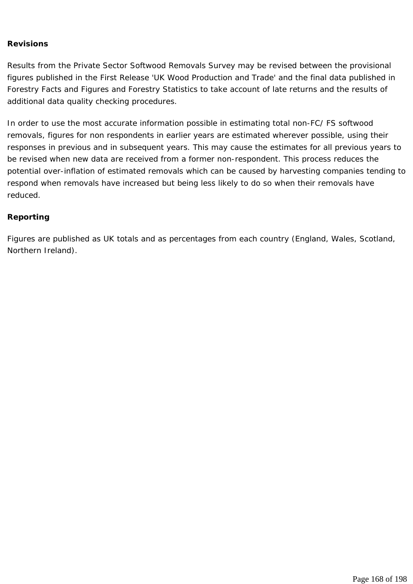#### **Revisions**

Results from the Private Sector Softwood Removals Survey may be revised between the provisional figures published in the First Release 'UK Wood Production and Trade' and the final data published in Forestry Facts and Figures and Forestry Statistics to take account of late returns and the results of additional data quality checking procedures.

In order to use the most accurate information possible in estimating total non-FC/ FS softwood removals, figures for non respondents in earlier years are estimated wherever possible, using their responses in previous and in subsequent years. This may cause the estimates for all previous years to be revised when new data are received from a former non-respondent. This process reduces the potential over-inflation of estimated removals which can be caused by harvesting companies tending to respond when removals have increased but being less likely to do so when their removals have reduced.

#### **Reporting**

Figures are published as UK totals and as percentages from each country (England, Wales, Scotland, Northern Ireland).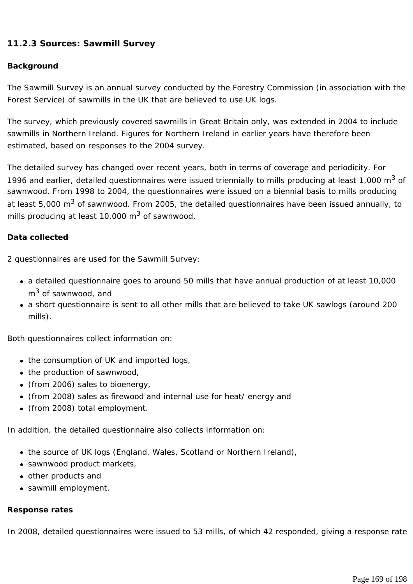### **11.2.3 Sources: Sawmill Survey**

#### **Background**

The Sawmill Survey is an annual survey conducted by the Forestry Commission (in association with the Forest Service) of sawmills in the UK that are believed to use UK logs.

The survey, which previously covered sawmills in Great Britain only, was extended in 2004 to include sawmills in Northern Ireland. Figures for Northern Ireland in earlier years have therefore been estimated, based on responses to the 2004 survey.

The detailed survey has changed over recent years, both in terms of coverage and periodicity. For 1996 and earlier, detailed questionnaires were issued triennially to mills producing at least 1,000  $m^3$  of sawnwood. From 1998 to 2004, the questionnaires were issued on a biennial basis to mills producing at least 5,000 m<sup>3</sup> of sawnwood. From 2005, the detailed questionnaires have been issued annually, to mills producing at least  $10,000 \text{ m}^3$  of sawnwood.

#### **Data collected**

2 questionnaires are used for the Sawmill Survey:

- a detailed questionnaire goes to around 50 mills that have annual production of at least 10,000  $m<sup>3</sup>$  of sawnwood, and
- a short questionnaire is sent to all other mills that are believed to take UK sawlogs (around 200 mills).

Both questionnaires collect information on:

- the consumption of UK and imported logs,
- $\bullet$  the production of sawnwood,
- $\bullet$  (from 2006) sales to bioenergy,
- (from 2008) sales as firewood and internal use for heat/ energy and
- (from 2008) total employment.

In addition, the detailed questionnaire also collects information on:

- the source of UK logs (England, Wales, Scotland or Northern Ireland),
- sawnwood product markets,
- other products and
- sawmill employment.

#### **Response rates**

In 2008, detailed questionnaires were issued to 53 mills, of which 42 responded, giving a response rate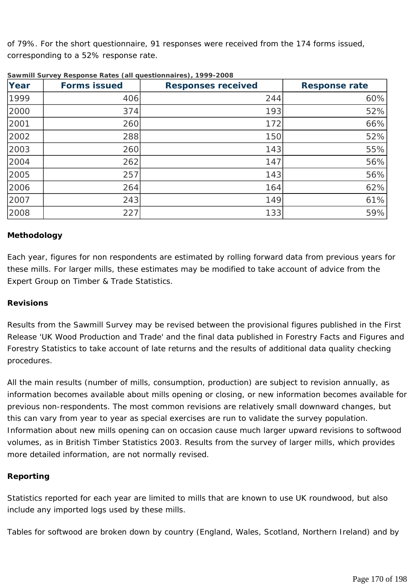of 79%. For the short questionnaire, 91 responses were received from the 174 forms issued, corresponding to a 52% response rate.

| Year | <b>Forms issued</b> | <b>Responses received</b> | <b>Response rate</b> |
|------|---------------------|---------------------------|----------------------|
| 1999 | 406                 | 244                       | 60%                  |
| 2000 | 374                 | 193                       | 52%                  |
| 2001 | 260                 | 172                       | 66%                  |
| 2002 | 288                 | 150                       | 52%                  |
| 2003 | 260                 | 143                       | 55%                  |
| 2004 | 262                 | 147                       | 56%                  |
| 2005 | 257                 | 143                       | 56%                  |
| 2006 | 264                 | 164                       | 62%                  |
| 2007 | 243                 | 149                       | 61%                  |
| 2008 | 227                 | 133                       | 59%                  |

**Sawmill Survey Response Rates (all questionnaires), 1999-2008**

#### **Methodology**

Each year, figures for non respondents are estimated by rolling forward data from previous years for these mills. For larger mills, these estimates may be modified to take account of advice from the Expert Group on Timber & Trade Statistics.

#### **Revisions**

Results from the Sawmill Survey may be revised between the provisional figures published in the First Release 'UK Wood Production and Trade' and the final data published in Forestry Facts and Figures and Forestry Statistics to take account of late returns and the results of additional data quality checking procedures.

All the main results (number of mills, consumption, production) are subject to revision annually, as information becomes available about mills opening or closing, or new information becomes available for previous non-respondents. The most common revisions are relatively small downward changes, but this can vary from year to year as special exercises are run to validate the survey population. Information about new mills opening can on occasion cause much larger upward revisions to softwood volumes, as in British Timber Statistics 2003. Results from the survey of larger mills, which provides more detailed information, are not normally revised.

#### **Reporting**

Statistics reported for each year are limited to mills that are known to use UK roundwood, but also include any imported logs used by these mills.

Tables for softwood are broken down by country (England, Wales, Scotland, Northern Ireland) and by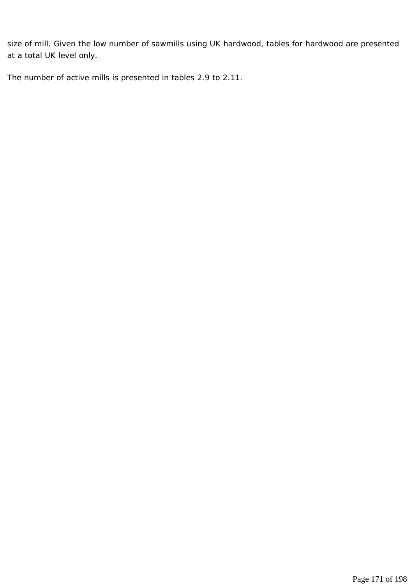size of mill. Given the low number of sawmills using UK hardwood, tables for hardwood are presented at a total UK level only.

The number of active mills is presented in tables 2.9 to 2.11.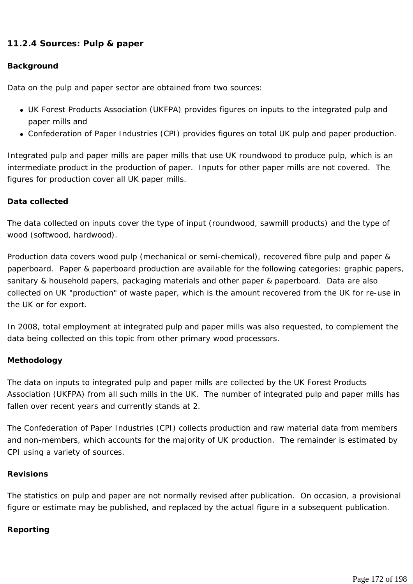### **11.2.4 Sources: Pulp & paper**

#### **Background**

Data on the pulp and paper sector are obtained from two sources:

- UK Forest Products Association (UKFPA) provides figures on inputs to the integrated pulp and paper mills and
- Confederation of Paper Industries (CPI) provides figures on total UK pulp and paper production.

Integrated pulp and paper mills are paper mills that use UK roundwood to produce pulp, which is an intermediate product in the production of paper. Inputs for other paper mills are not covered. The figures for production cover all UK paper mills.

#### **Data collected**

The data collected on inputs cover the type of input (roundwood, sawmill products) and the type of wood (softwood, hardwood).

Production data covers wood pulp (mechanical or semi-chemical), recovered fibre pulp and paper & paperboard. Paper & paperboard production are available for the following categories: graphic papers, sanitary & household papers, packaging materials and other paper & paperboard. Data are also collected on UK "production" of waste paper, which is the amount recovered from the UK for re-use in the UK or for export.

In 2008, total employment at integrated pulp and paper mills was also requested, to complement the data being collected on this topic from other primary wood processors.

#### **Methodology**

The data on inputs to integrated pulp and paper mills are collected by the UK Forest Products Association (UKFPA) from all such mills in the UK. The number of integrated pulp and paper mills has fallen over recent years and currently stands at 2.

The Confederation of Paper Industries (CPI) collects production and raw material data from members and non-members, which accounts for the majority of UK production. The remainder is estimated by CPI using a variety of sources.

#### **Revisions**

The statistics on pulp and paper are not normally revised after publication. On occasion, a provisional figure or estimate may be published, and replaced by the actual figure in a subsequent publication.

#### **Reporting**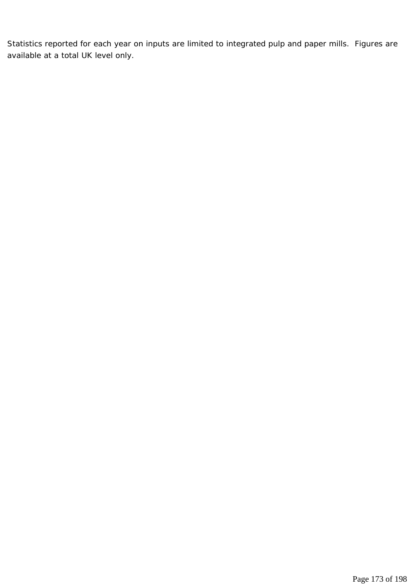Statistics reported for each year on inputs are limited to integrated pulp and paper mills. Figures are available at a total UK level only.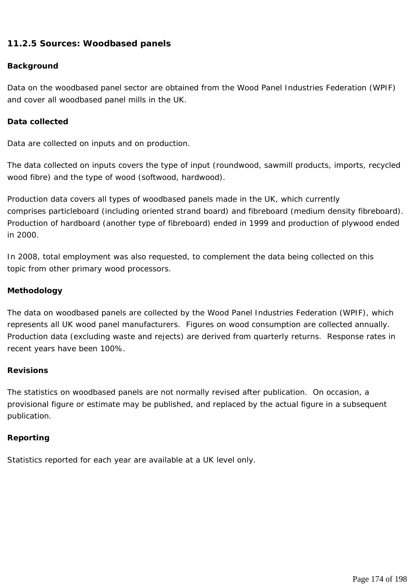### **11.2.5 Sources: Woodbased panels**

#### **Background**

Data on the woodbased panel sector are obtained from the Wood Panel Industries Federation (WPIF) and cover all woodbased panel mills in the UK.

#### **Data collected**

Data are collected on inputs and on production.

The data collected on inputs covers the type of input (roundwood, sawmill products, imports, recycled wood fibre) and the type of wood (softwood, hardwood).

Production data covers all types of woodbased panels made in the UK, which currently comprises particleboard (including oriented strand board) and fibreboard (medium density fibreboard). Production of hardboard (another type of fibreboard) ended in 1999 and production of plywood ended in 2000.

In 2008, total employment was also requested, to complement the data being collected on this topic from other primary wood processors.

#### **Methodology**

The data on woodbased panels are collected by the Wood Panel Industries Federation (WPIF), which represents all UK wood panel manufacturers. Figures on wood consumption are collected annually. Production data (excluding waste and rejects) are derived from quarterly returns. Response rates in recent years have been 100%.

#### **Revisions**

The statistics on woodbased panels are not normally revised after publication. On occasion, a provisional figure or estimate may be published, and replaced by the actual figure in a subsequent publication.

#### **Reporting**

Statistics reported for each year are available at a UK level only.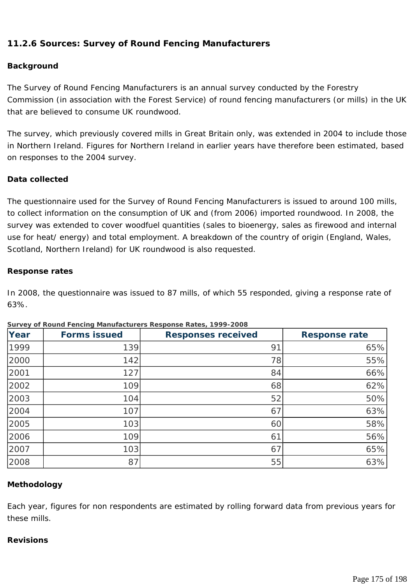### **11.2.6 Sources: Survey of Round Fencing Manufacturers**

#### **Background**

The Survey of Round Fencing Manufacturers is an annual survey conducted by the Forestry Commission (in association with the Forest Service) of round fencing manufacturers (or mills) in the UK that are believed to consume UK roundwood.

The survey, which previously covered mills in Great Britain only, was extended in 2004 to include those in Northern Ireland. Figures for Northern Ireland in earlier years have therefore been estimated, based on responses to the 2004 survey.

#### **Data collected**

The questionnaire used for the Survey of Round Fencing Manufacturers is issued to around 100 mills, to collect information on the consumption of UK and (from 2006) imported roundwood. In 2008, the survey was extended to cover woodfuel quantities (sales to bioenergy, sales as firewood and internal use for heat/ energy) and total employment. A breakdown of the country of origin (England, Wales, Scotland, Northern Ireland) for UK roundwood is also requested.

#### **Response rates**

In 2008, the questionnaire was issued to 87 mills, of which 55 responded, giving a response rate of 63%.

| Year | <b>Forms issued</b> | <b>Responses received</b> | <b>Response rate</b> |
|------|---------------------|---------------------------|----------------------|
| 1999 | 139                 | 91                        | 65%                  |
| 2000 | 142                 | 78                        | 55%                  |
| 2001 | 127                 | 84                        | 66%                  |
| 2002 | 109                 | 68                        | 62%                  |
| 2003 | 104                 | 52                        | 50%                  |
| 2004 | 107                 | 67                        | 63%                  |
| 2005 | 103                 | 60                        | 58%                  |
| 2006 | 109                 | 61                        | 56%                  |
| 2007 | 103                 | 67                        | 65%                  |
| 2008 | 87                  | 55                        | 63%                  |

#### **Survey of Round Fencing Manufacturers Response Rates, 1999-2008**

#### **Methodology**

Each year, figures for non respondents are estimated by rolling forward data from previous years for these mills.

#### **Revisions**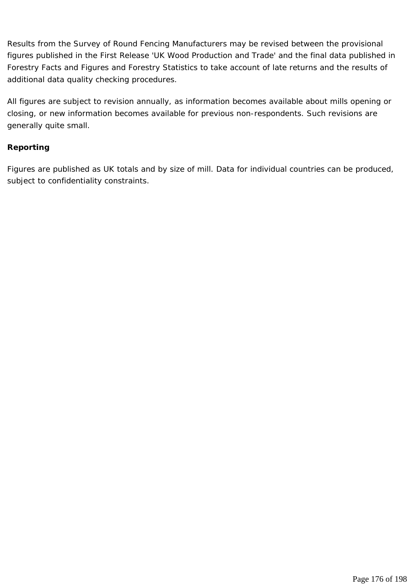Results from the Survey of Round Fencing Manufacturers may be revised between the provisional figures published in the First Release 'UK Wood Production and Trade' and the final data published in Forestry Facts and Figures and Forestry Statistics to take account of late returns and the results of additional data quality checking procedures.

All figures are subject to revision annually, as information becomes available about mills opening or closing, or new information becomes available for previous non-respondents. Such revisions are generally quite small.

#### **Reporting**

Figures are published as UK totals and by size of mill. Data for individual countries can be produced, subject to confidentiality constraints.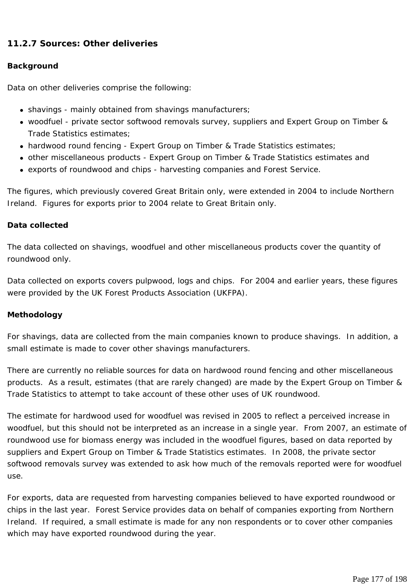### **11.2.7 Sources: Other deliveries**

#### **Background**

Data on other deliveries comprise the following:

- shavings mainly obtained from shavings manufacturers;
- woodfuel private sector softwood removals survey, suppliers and Expert Group on Timber & Trade Statistics estimates;
- hardwood round fencing Expert Group on Timber & Trade Statistics estimates;
- other miscellaneous products Expert Group on Timber & Trade Statistics estimates and
- exports of roundwood and chips harvesting companies and Forest Service.

The figures, which previously covered Great Britain only, were extended in 2004 to include Northern Ireland. Figures for exports prior to 2004 relate to Great Britain only.

#### **Data collected**

The data collected on shavings, woodfuel and other miscellaneous products cover the quantity of roundwood only.

Data collected on exports covers pulpwood, logs and chips. For 2004 and earlier years, these figures were provided by the UK Forest Products Association (UKFPA).

#### **Methodology**

For shavings, data are collected from the main companies known to produce shavings. In addition, a small estimate is made to cover other shavings manufacturers.

There are currently no reliable sources for data on hardwood round fencing and other miscellaneous products. As a result, estimates (that are rarely changed) are made by the Expert Group on Timber & Trade Statistics to attempt to take account of these other uses of UK roundwood.

The estimate for hardwood used for woodfuel was revised in 2005 to reflect a perceived increase in woodfuel, but this should not be interpreted as an increase in a single year. From 2007, an estimate of roundwood use for biomass energy was included in the woodfuel figures, based on data reported by suppliers and Expert Group on Timber & Trade Statistics estimates. In 2008, the private sector softwood removals survey was extended to ask how much of the removals reported were for woodfuel use.

For exports, data are requested from harvesting companies believed to have exported roundwood or chips in the last year. Forest Service provides data on behalf of companies exporting from Northern Ireland. If required, a small estimate is made for any non respondents or to cover other companies which may have exported roundwood during the year.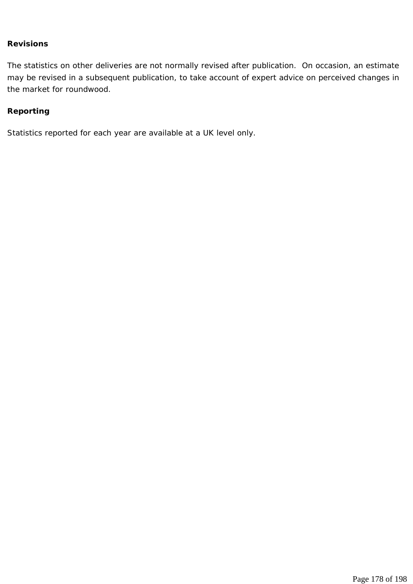#### **Revisions**

The statistics on other deliveries are not normally revised after publication. On occasion, an estimate may be revised in a subsequent publication, to take account of expert advice on perceived changes in the market for roundwood.

#### **Reporting**

Statistics reported for each year are available at a UK level only.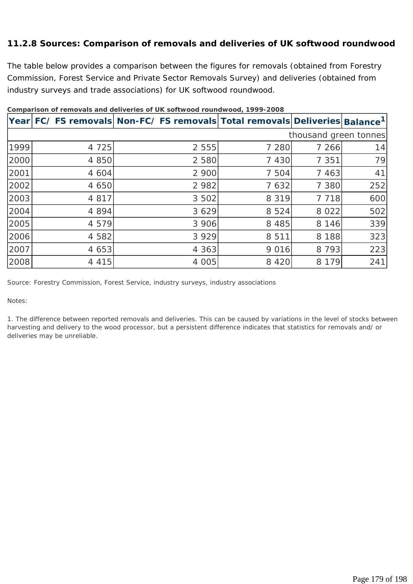### **11.2.8 Sources: Comparison of removals and deliveries of UK softwood roundwood**

The table below provides a comparison between the figures for removals (obtained from Forestry Commission, Forest Service and Private Sector Removals Survey) and deliveries (obtained from industry surveys and trade associations) for UK softwood roundwood.

|      |         | Year FC/FS removals  Non-FC/FS removals  Total removals  Deliveries  Balance <sup>1</sup> |         |                       |     |
|------|---------|-------------------------------------------------------------------------------------------|---------|-----------------------|-----|
|      |         |                                                                                           |         | thousand green tonnes |     |
| 1999 | 4 7 2 5 | 2 5 5 5                                                                                   | 7 2 8 0 | 7 266                 | 14  |
| 2000 | 4 8 5 0 | 2 5 8 0                                                                                   | 7 4 3 0 | 7 3 5 1               | 79  |
| 2001 | 4 604   | 2 900                                                                                     | 7 504   | 7 4 6 3               | 41  |
| 2002 | 4 650   | 2 9 8 2                                                                                   | 7 632   | 7 3 8 0               | 252 |
| 2003 | 4 8 1 7 | 3 5 0 2                                                                                   | 8 3 1 9 | 7 7 1 8               | 600 |
| 2004 | 4 8 9 4 | 3 6 2 9                                                                                   | 8 5 2 4 | 8 0 2 2               | 502 |
| 2005 | 4 5 7 9 | 3 9 0 6                                                                                   | 8 4 8 5 | 8 1 4 6               | 339 |
| 2006 | 4 5 8 2 | 3 9 2 9                                                                                   | 8 5 1 1 | 8 1 8 8               | 323 |
| 2007 | 4 653   | 4 3 6 3                                                                                   | 9 0 1 6 | 8 7 9 3               | 223 |
| 2008 | 4 4 1 5 | 4 0 0 5                                                                                   | 8 4 2 0 | 8 1 7 9               | 241 |

**Comparison of removals and deliveries of UK softwood roundwood, 1999-2008**

*Source: Forestry Commission, Forest Service, industry surveys, industry associations* 

*Notes:* 

*1. The difference between reported removals and deliveries. This can be caused by variations in the level of stocks between harvesting and delivery to the wood processor, but a persistent difference indicates that statistics for removals and/ or deliveries may be unreliable.*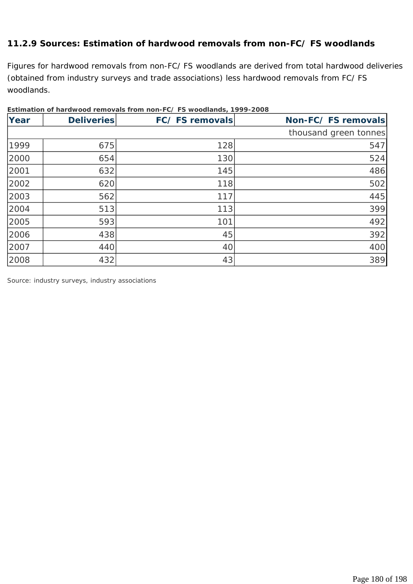### **11.2.9 Sources: Estimation of hardwood removals from non-FC/ FS woodlands**

Figures for hardwood removals from non-FC/ FS woodlands are derived from total hardwood deliveries (obtained from industry surveys and trade associations) less hardwood removals from FC/ FS woodlands.

| Year | <b>Deliveries</b> | FC/FS removals | Non-FC/FS removals    |
|------|-------------------|----------------|-----------------------|
|      |                   |                | thousand green tonnes |
| 1999 | 675               | 128            | 547                   |
| 2000 | 654               | 130            | 524                   |
| 2001 | 632               | 145            | 486                   |
| 2002 | 620               | 118            | 502                   |
| 2003 | 562               | 117            | 445                   |
| 2004 | 513               | 113            | 399                   |
| 2005 | 593               | 101            | 492                   |
| 2006 | 438               | 45             | 392                   |
| 2007 | 440               | 40             | 400                   |
| 2008 | 432               | 43             | 389                   |

|--|

*Source: industry surveys, industry associations*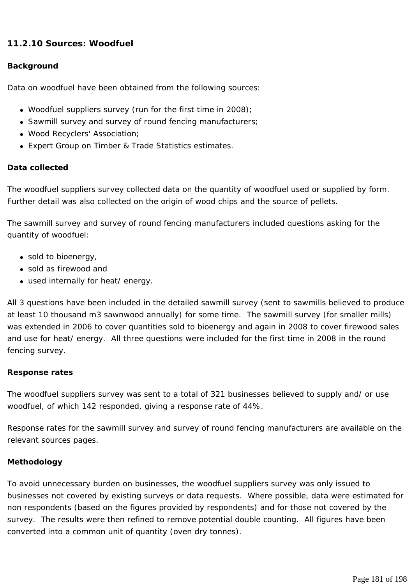# **11.2.10 Sources: Woodfuel**

## **Background**

Data on woodfuel have been obtained from the following sources:

- Woodfuel suppliers survey (run for the first time in 2008);
- Sawmill survey and survey of round fencing manufacturers;
- Wood Recyclers' Association;
- Expert Group on Timber & Trade Statistics estimates.

# **Data collected**

The woodfuel suppliers survey collected data on the quantity of woodfuel used or supplied by form. Further detail was also collected on the origin of wood chips and the source of pellets.

The sawmill survey and survey of round fencing manufacturers included questions asking for the quantity of woodfuel:

- $\bullet$  sold to bioenergy,
- sold as firewood and
- used internally for heat/ energy.

All 3 questions have been included in the detailed sawmill survey (sent to sawmills believed to produce at least 10 thousand m3 sawnwood annually) for some time. The sawmill survey (for smaller mills) was extended in 2006 to cover quantities sold to bioenergy and again in 2008 to cover firewood sales and use for heat/ energy. All three questions were included for the first time in 2008 in the round fencing survey.

# **Response rates**

The woodfuel suppliers survey was sent to a total of 321 businesses believed to supply and/ or use woodfuel, of which 142 responded, giving a response rate of 44%.

Response rates for the sawmill survey and survey of round fencing manufacturers are available on the relevant sources pages.

# **Methodology**

To avoid unnecessary burden on businesses, the woodfuel suppliers survey was only issued to businesses not covered by existing surveys or data requests. Where possible, data were estimated for non respondents (based on the figures provided by respondents) and for those not covered by the survey. The results were then refined to remove potential double counting. All figures have been converted into a common unit of quantity (oven dry tonnes).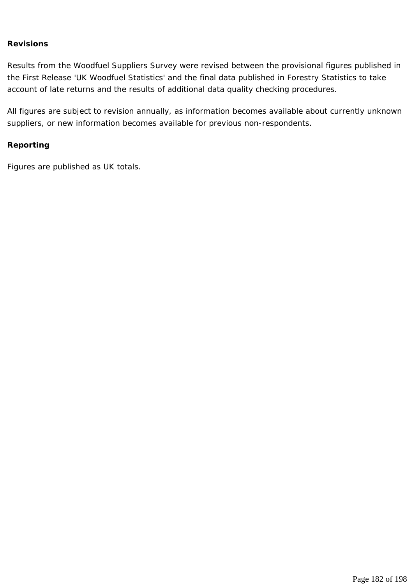#### **Revisions**

Results from the Woodfuel Suppliers Survey were revised between the provisional figures published in the First Release 'UK Woodfuel Statistics' and the final data published in Forestry Statistics to take account of late returns and the results of additional data quality checking procedures.

All figures are subject to revision annually, as information becomes available about currently unknown suppliers, or new information becomes available for previous non-respondents.

#### **Reporting**

Figures are published as UK totals.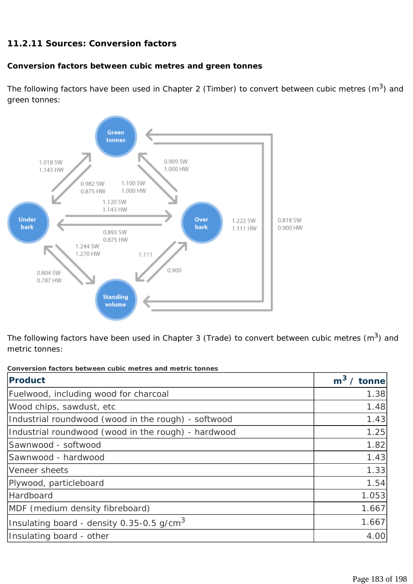# **11.2.11 Sources: Conversion factors**

# **Conversion factors between cubic metres and green tonnes**

The following factors have been used in Chapter 2 (Timber) to convert between cubic metres  $(m^3)$  and green tonnes:



The following factors have been used in Chapter 3 (Trade) to convert between cubic metres  $(m^3)$  and metric tonnes:

| <b>Product</b>                                      | $m3$ / tonne |
|-----------------------------------------------------|--------------|
| Fuelwood, including wood for charcoal               | 1.38         |
| Wood chips, sawdust, etc                            | 1.48         |
| Industrial roundwood (wood in the rough) - softwood | 1.43         |
| Industrial roundwood (wood in the rough) - hardwood | 1.25         |
| Sawnwood - softwood                                 | 1.82         |
| Sawnwood - hardwood                                 | 1.43         |
| Veneer sheets                                       | 1.33         |
| Plywood, particleboard                              | 1.54         |
| Hardboard                                           | 1.053        |
| MDF (medium density fibreboard)                     | 1.667        |
| Insulating board - density 0.35-0.5 g/cm $^3$       | 1.667        |
| Insulating board - other                            | 4.00         |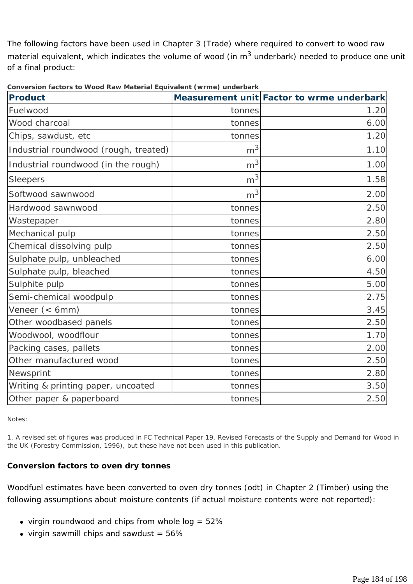The following factors have been used in Chapter 3 (Trade) where required to convert to wood raw material equivalent, which indicates the volume of wood (in  $m<sup>3</sup>$  underbark) needed to produce one unit of a final product:

| <b>Product</b>                        |                | Measurement unit Factor to wrme underbark |
|---------------------------------------|----------------|-------------------------------------------|
| Fuelwood                              | tonnes         | 1.20                                      |
| Wood charcoal                         | tonnes         | 6.00                                      |
| Chips, sawdust, etc                   | tonnes         | 1.20                                      |
| Industrial roundwood (rough, treated) | m <sup>3</sup> | 1.10                                      |
| Industrial roundwood (in the rough)   | m <sup>3</sup> | 1.00                                      |
| <b>Sleepers</b>                       | m <sup>3</sup> | 1.58                                      |
| Softwood sawnwood                     | m <sup>3</sup> | 2.00                                      |
| Hardwood sawnwood                     | tonnes         | 2.50                                      |
| Wastepaper                            | tonnes         | 2.80                                      |
| Mechanical pulp                       | tonnes         | 2.50                                      |
| Chemical dissolving pulp              | tonnes         | 2.50                                      |
| Sulphate pulp, unbleached             | tonnes         | 6.00                                      |
| Sulphate pulp, bleached               | tonnes         | 4.50                                      |
| Sulphite pulp                         | tonnes         | 5.00                                      |
| Semi-chemical woodpulp                | tonnes         | 2.75                                      |
| Veneer (< 6mm)                        | tonnes         | 3.45                                      |
| Other woodbased panels                | tonnes         | 2.50                                      |
| Woodwool, woodflour                   | tonnes         | 1.70                                      |
| Packing cases, pallets                | tonnes         | 2.00                                      |
| Other manufactured wood               | tonnes         | 2.50                                      |
| Newsprint                             | tonnes         | 2.80                                      |
| Writing & printing paper, uncoated    | tonnes         | 3.50                                      |
| Other paper & paperboard              | tonnes         | 2.50                                      |

**Conversion factors to Wood Raw Material Equivalent (wrme) underbark** 

*Notes:* 

*1. A revised set of figures was produced in FC Technical Paper 19, Revised Forecasts of the Supply and Demand for Wood in the UK (Forestry Commission, 1996), but these have not been used in this publication.* 

# **Conversion factors to oven dry tonnes**

Woodfuel estimates have been converted to oven dry tonnes (odt) in Chapter 2 (Timber) using the following assumptions about moisture contents (if actual moisture contents were not reported):

- virgin roundwood and chips from whole  $log = 52\%$
- virgin sawmill chips and sawdust  $= 56\%$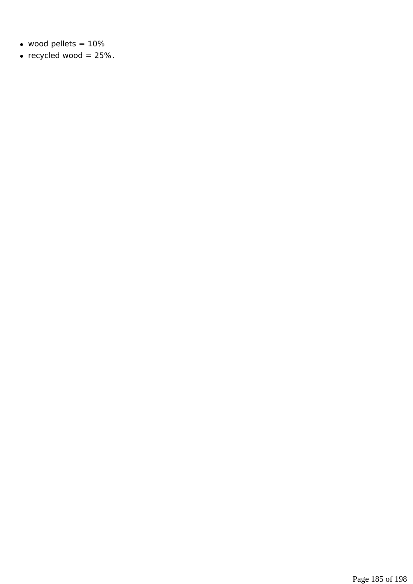- $\bullet$  wood pellets = 10%
- recycled wood =  $25%$ .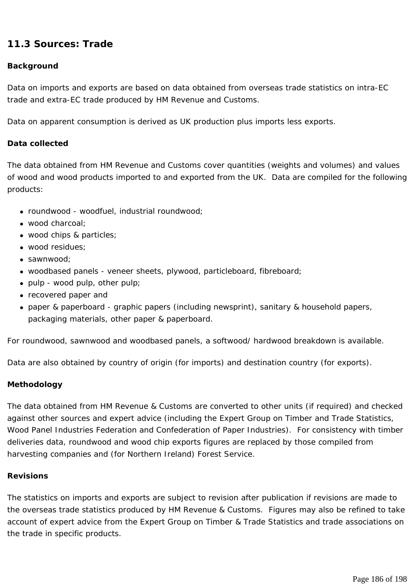# **11.3 Sources: Trade**

### **Background**

Data on imports and exports are based on data obtained from overseas trade statistics on intra-EC trade and extra-EC trade produced by HM Revenue and Customs.

Data on apparent consumption is derived as UK production plus imports less exports.

#### **Data collected**

The data obtained from HM Revenue and Customs cover quantities (weights and volumes) and values of wood and wood products imported to and exported from the UK. Data are compiled for the following products:

- roundwood woodfuel, industrial roundwood;
- $\bullet$  wood charcoal:
- wood chips & particles;
- wood residues:
- $\bullet$  sawnwood:
- woodbased panels veneer sheets, plywood, particleboard, fibreboard;
- $\bullet$  pulp wood pulp, other pulp;
- recovered paper and
- paper & paperboard graphic papers (including newsprint), sanitary & household papers, packaging materials, other paper & paperboard.

For roundwood, sawnwood and woodbased panels, a softwood/ hardwood breakdown is available.

Data are also obtained by country of origin (for imports) and destination country (for exports).

#### **Methodology**

The data obtained from HM Revenue & Customs are converted to other units (if required) and checked against other sources and expert advice (including the Expert Group on Timber and Trade Statistics, Wood Panel Industries Federation and Confederation of Paper Industries). For consistency with timber deliveries data, roundwood and wood chip exports figures are replaced by those compiled from harvesting companies and (for Northern Ireland) Forest Service.

#### **Revisions**

The statistics on imports and exports are subject to revision after publication if revisions are made to the overseas trade statistics produced by HM Revenue & Customs. Figures may also be refined to take account of expert advice from the Expert Group on Timber & Trade Statistics and trade associations on the trade in specific products.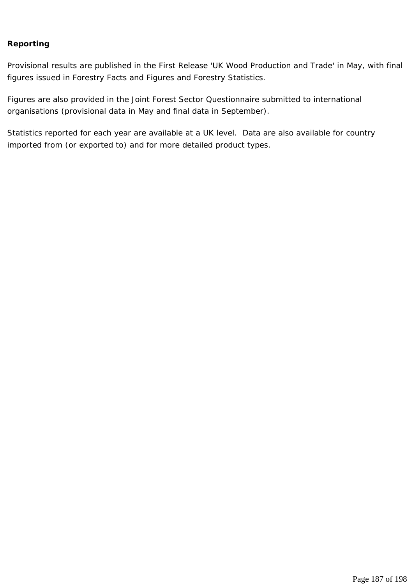## **Reporting**

Provisional results are published in the First Release 'UK Wood Production and Trade' in May, with final figures issued in Forestry Facts and Figures and Forestry Statistics.

Figures are also provided in the Joint Forest Sector Questionnaire submitted to international organisations (provisional data in May and final data in September).

Statistics reported for each year are available at a UK level. Data are also available for country imported from (or exported to) and for more detailed product types.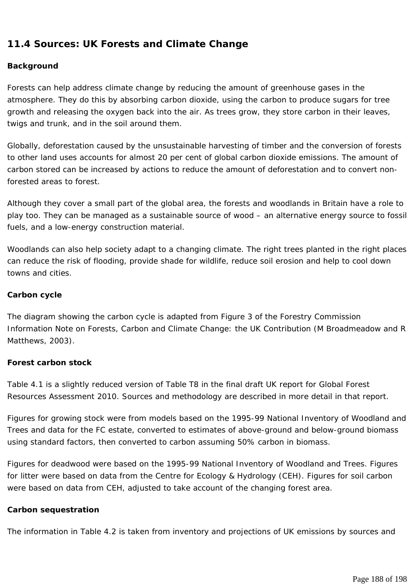# **11.4 Sources: UK Forests and Climate Change**

## **Background**

Forests can help address climate change by reducing the amount of greenhouse gases in the atmosphere. They do this by absorbing carbon dioxide, using the carbon to produce sugars for tree growth and releasing the oxygen back into the air. As trees grow, they store carbon in their leaves, twigs and trunk, and in the soil around them.

Globally, deforestation caused by the unsustainable harvesting of timber and the conversion of forests to other land uses accounts for almost 20 per cent of global carbon dioxide emissions. The amount of carbon stored can be increased by actions to reduce the amount of deforestation and to convert nonforested areas to forest.

Although they cover a small part of the global area, the forests and woodlands in Britain have a role to play too. They can be managed as a sustainable source of wood – an alternative energy source to fossil fuels, and a low-energy construction material.

Woodlands can also help society adapt to a changing climate. The right trees planted in the right places can reduce the risk of flooding, provide shade for wildlife, reduce soil erosion and help to cool down towns and cities.

## **Carbon cycle**

The diagram showing the carbon cycle is adapted from Figure 3 of the Forestry Commission Information Note on Forests, Carbon and Climate Change: the UK Contribution (M Broadmeadow and R Matthews, 2003).

## **Forest carbon stock**

Table 4.1 is a slightly reduced version of Table T8 in the final draft UK report for Global Forest Resources Assessment 2010. Sources and methodology are described in more detail in that report.

Figures for growing stock were from models based on the 1995-99 National Inventory of Woodland and Trees and data for the FC estate, converted to estimates of above-ground and below-ground biomass using standard factors, then converted to carbon assuming 50% carbon in biomass.

Figures for deadwood were based on the 1995-99 National Inventory of Woodland and Trees. Figures for litter were based on data from the Centre for Ecology & Hydrology (CEH). Figures for soil carbon were based on data from CEH, adjusted to take account of the changing forest area.

## **Carbon sequestration**

The information in Table 4.2 is taken from inventory and projections of UK emissions by sources and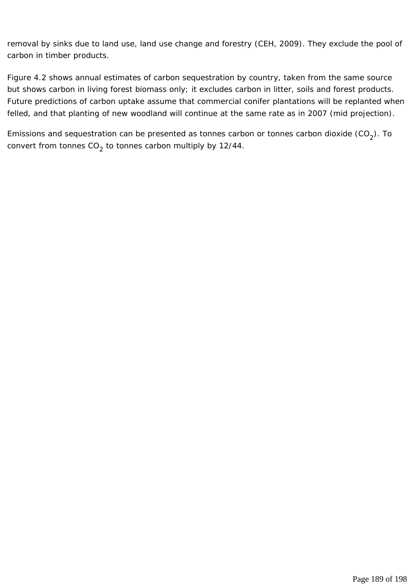removal by sinks due to land use, land use change and forestry (CEH, 2009). They exclude the pool of carbon in timber products.

Figure 4.2 shows annual estimates of carbon sequestration by country, taken from the same source but shows carbon in living forest biomass only; it excludes carbon in litter, soils and forest products. Future predictions of carbon uptake assume that commercial conifer plantations will be replanted when felled, and that planting of new woodland will continue at the same rate as in 2007 (mid projection).

Emissions and sequestration can be presented as tonnes carbon or tonnes carbon dioxide  $(CO_2)$ . To convert from tonnes  $CO<sub>2</sub>$  to tonnes carbon multiply by 12/44.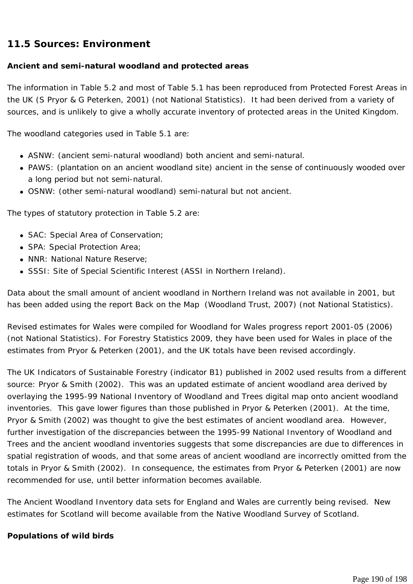# **11.5 Sources: Environment**

# **Ancient and semi-natural woodland and protected areas**

The information in Table 5.2 and most of Table 5.1 has been reproduced from Protected Forest Areas in the UK (S Pryor & G Peterken, 2001) (not National Statistics). It had been derived from a variety of sources, and is unlikely to give a wholly accurate inventory of protected areas in the United Kingdom.

The woodland categories used in Table 5.1 are:

- ASNW: (ancient semi-natural woodland) both ancient and semi-natural.
- PAWS: (plantation on an ancient woodland site) ancient in the sense of continuously wooded over a long period but not semi-natural.
- OSNW: (other semi-natural woodland) semi-natural but not ancient.

The types of statutory protection in Table 5.2 are:

- SAC: Special Area of Conservation;
- SPA: Special Protection Area;
- NNR: National Nature Reserve:
- SSSI: Site of Special Scientific Interest (ASSI in Northern Ireland).

Data about the small amount of ancient woodland in Northern Ireland was not available in 2001, but has been added using the report Back on the Map (Woodland Trust, 2007) (not National Statistics).

Revised estimates for Wales were compiled for Woodland for Wales progress report 2001-05 (2006) (not National Statistics). For Forestry Statistics 2009, they have been used for Wales in place of the estimates from Pryor & Peterken (2001), and the UK totals have been revised accordingly.

The UK Indicators of Sustainable Forestry (indicator B1) published in 2002 used results from a different source: Pryor & Smith (2002). This was an updated estimate of ancient woodland area derived by overlaying the 1995-99 National Inventory of Woodland and Trees digital map onto ancient woodland inventories. This gave lower figures than those published in Pryor & Peterken (2001). At the time, Pryor & Smith (2002) was thought to give the best estimates of ancient woodland area. However, further investigation of the discrepancies between the 1995-99 National Inventory of Woodland and Trees and the ancient woodland inventories suggests that some discrepancies are due to differences in spatial registration of woods, and that some areas of ancient woodland are incorrectly omitted from the totals in Pryor & Smith (2002). In consequence, the estimates from Pryor & Peterken (2001) are now recommended for use, until better information becomes available.

The Ancient Woodland Inventory data sets for England and Wales are currently being revised. New estimates for Scotland will become available from the Native Woodland Survey of Scotland.

## **Populations of wild birds**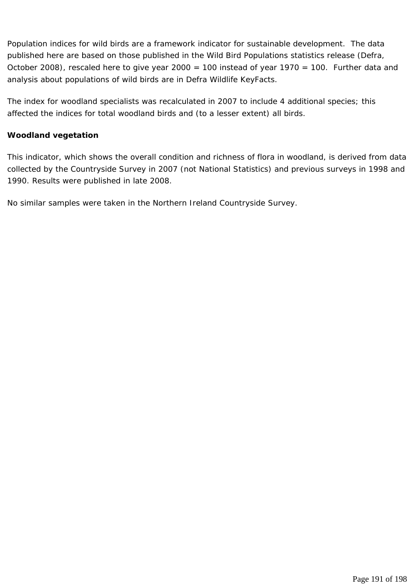Population indices for wild birds are a framework indicator for sustainable development. The data published here are based on those published in the Wild Bird Populations statistics release (Defra, October 2008), rescaled here to give year 2000 = 100 instead of year 1970 = 100. Further data and analysis about populations of wild birds are in Defra Wildlife KeyFacts.

The index for woodland specialists was recalculated in 2007 to include 4 additional species; this affected the indices for total woodland birds and (to a lesser extent) all birds.

## **Woodland vegetation**

This indicator, which shows the overall condition and richness of flora in woodland, is derived from data collected by the Countryside Survey in 2007 (not National Statistics) and previous surveys in 1998 and 1990. Results were published in late 2008.

No similar samples were taken in the Northern Ireland Countryside Survey.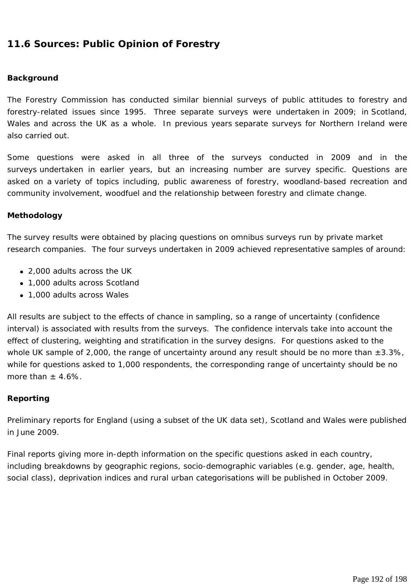# **11.6 Sources: Public Opinion of Forestry**

#### **Background**

The Forestry Commission has conducted similar biennial surveys of public attitudes to forestry and forestry-related issues since 1995. Three separate surveys were undertaken in 2009; in Scotland, Wales and across the UK as a whole. In previous years separate surveys for Northern Ireland were also carried out.

Some questions were asked in all three of the surveys conducted in 2009 and in the surveys undertaken in earlier years, but an increasing number are survey specific. Questions are asked on a variety of topics including, public awareness of forestry, woodland-based recreation and community involvement, woodfuel and the relationship between forestry and climate change.

#### **Methodology**

The survey results were obtained by placing questions on omnibus surveys run by private market research companies. The four surveys undertaken in 2009 achieved representative samples of around:

- 2,000 adults across the UK
- 1,000 adults across Scotland
- 1,000 adults across Wales

All results are subject to the effects of chance in sampling, so a range of uncertainty (confidence interval) is associated with results from the surveys. The confidence intervals take into account the effect of clustering, weighting and stratification in the survey designs. For questions asked to the whole UK sample of 2,000, the range of uncertainty around any result should be no more than  $\pm 3.3\%$ , while for questions asked to 1,000 respondents, the corresponding range of uncertainty should be no more than  $+4.6\%$ .

## **Reporting**

Preliminary reports for England (using a subset of the UK data set), Scotland and Wales were published in June 2009.

Final reports giving more in-depth information on the specific questions asked in each country, including breakdowns by geographic regions, socio-demographic variables (e.g. gender, age, health, social class), deprivation indices and rural urban categorisations will be published in October 2009.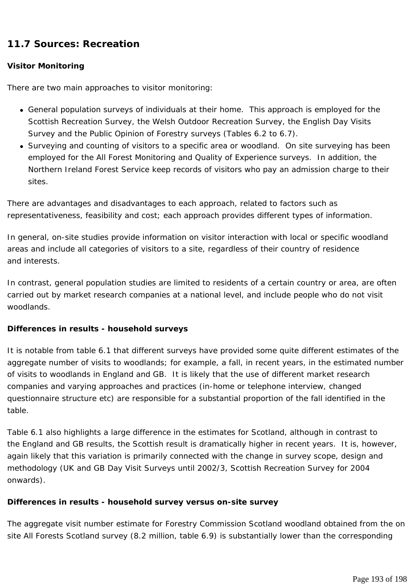# **11.7 Sources: Recreation**

# **Visitor Monitoring**

There are two main approaches to visitor monitoring:

- General population surveys of individuals at their home. This approach is employed for the Scottish Recreation Survey, the Welsh Outdoor Recreation Survey, the English Day Visits Survey and the Public Opinion of Forestry surveys (Tables 6.2 to 6.7).
- Surveying and counting of visitors to a specific area or woodland. On site surveying has been employed for the All Forest Monitoring and Quality of Experience surveys. In addition, the Northern Ireland Forest Service keep records of visitors who pay an admission charge to their sites.

There are advantages and disadvantages to each approach, related to factors such as representativeness, feasibility and cost; each approach provides different types of information.

In general, on-site studies provide information on visitor interaction with local or specific woodland areas and include all categories of visitors to a site, regardless of their country of residence and interests.

In contrast, general population studies are limited to residents of a certain country or area, are often carried out by market research companies at a national level, and include people who do not visit woodlands.

# **Differences in results - household surveys**

It is notable from table 6.1 that different surveys have provided some quite different estimates of the aggregate number of visits to woodlands; for example, a fall, in recent years, in the estimated number of visits to woodlands in England and GB. It is likely that the use of different market research companies and varying approaches and practices (in-home or telephone interview, changed questionnaire structure etc) are responsible for a substantial proportion of the fall identified in the table.

Table 6.1 also highlights a large difference in the estimates for Scotland, although in contrast to the England and GB results, the Scottish result is dramatically higher in recent years. It is, however, again likely that this variation is primarily connected with the change in survey scope, design and methodology (UK and GB Day Visit Surveys until 2002/3, Scottish Recreation Survey for 2004 onwards).

# **Differences in results - household survey versus on-site survey**

The aggregate visit number estimate for Forestry Commission Scotland woodland obtained from the on site All Forests Scotland survey (8.2 million, table 6.9) is substantially lower than the corresponding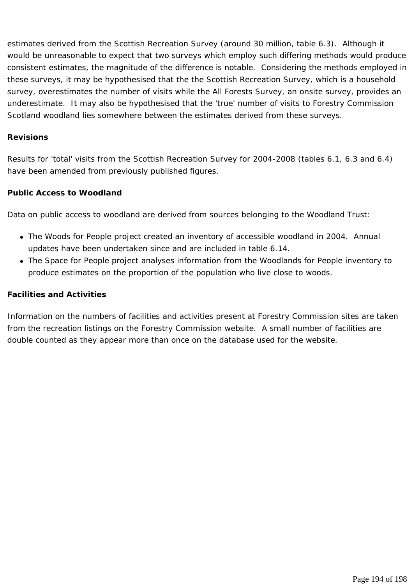estimates derived from the Scottish Recreation Survey (around 30 million, table 6.3). Although it would be unreasonable to expect that two surveys which employ such differing methods would produce consistent estimates, the magnitude of the difference is notable. Considering the methods employed in these surveys, it may be hypothesised that the the Scottish Recreation Survey, which is a household survey, overestimates the number of visits while the All Forests Survey, an onsite survey, provides an underestimate. It may also be hypothesised that the 'true' number of visits to Forestry Commission Scotland woodland lies somewhere between the estimates derived from these surveys.

#### **Revisions**

Results for 'total' visits from the Scottish Recreation Survey for 2004-2008 (tables 6.1, 6.3 and 6.4) have been amended from previously published figures.

#### **Public Access to Woodland**

Data on public access to woodland are derived from sources belonging to the Woodland Trust:

- The Woods for People project created an inventory of accessible woodland in 2004. Annual updates have been undertaken since and are included in table 6.14.
- The Space for People project analyses information from the Woodlands for People inventory to produce estimates on the proportion of the population who live close to woods.

#### **Facilities and Activities**

Information on the numbers of facilities and activities present at Forestry Commission sites are taken from the recreation listings on the Forestry Commission website. A small number of facilities are double counted as they appear more than once on the database used for the website.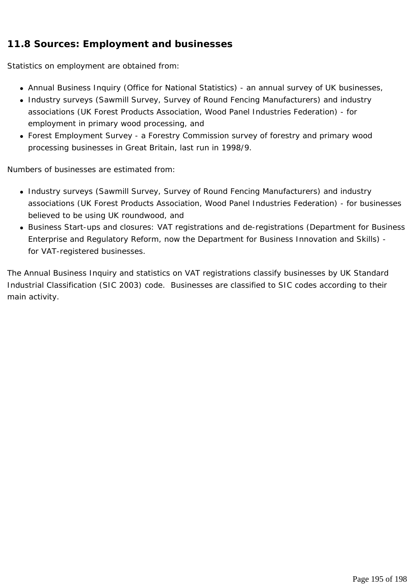# **11.8 Sources: Employment and businesses**

Statistics on employment are obtained from:

- Annual Business Inquiry (Office for National Statistics) an annual survey of UK businesses,
- Industry surveys (Sawmill Survey, Survey of Round Fencing Manufacturers) and industry associations (UK Forest Products Association, Wood Panel Industries Federation) - for employment in primary wood processing, and
- Forest Employment Survey a Forestry Commission survey of forestry and primary wood processing businesses in Great Britain, last run in 1998/9.

Numbers of businesses are estimated from:

- Industry surveys (Sawmill Survey, Survey of Round Fencing Manufacturers) and industry associations (UK Forest Products Association, Wood Panel Industries Federation) - for businesses believed to be using UK roundwood, and
- Business Start-ups and closures: VAT registrations and de-registrations (Department for Business Enterprise and Regulatory Reform, now the Department for Business Innovation and Skills) for VAT-registered businesses.

The Annual Business Inquiry and statistics on VAT registrations classify businesses by UK Standard Industrial Classification (SIC 2003) code. Businesses are classified to SIC codes according to their main activity.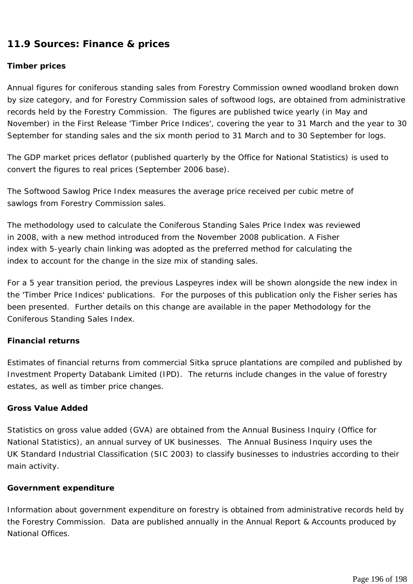# **11.9 Sources: Finance & prices**

## **Timber prices**

Annual figures for coniferous standing sales from Forestry Commission owned woodland broken down by size category, and for Forestry Commission sales of softwood logs, are obtained from administrative records held by the Forestry Commission. The figures are published twice yearly (in May and November) in the First Release 'Timber Price Indices', covering the year to 31 March and the year to 30 September for standing sales and the six month period to 31 March and to 30 September for logs.

The GDP market prices deflator (published quarterly by the Office for National Statistics) is used to convert the figures to real prices (September 2006 base).

The Softwood Sawlog Price Index measures the average price received per cubic metre of sawlogs from Forestry Commission sales.

The methodology used to calculate the Coniferous Standing Sales Price Index was reviewed in 2008, with a new method introduced from the November 2008 publication. A Fisher index with 5-yearly chain linking was adopted as the preferred method for calculating the index to account for the change in the size mix of standing sales.

For a 5 year transition period, the previous Laspeyres index will be shown alongside the new index in the 'Timber Price Indices' publications. For the purposes of this publication only the Fisher series has been presented. Further details on this change are available in the paper Methodology for the Coniferous Standing Sales Index.

## **Financial returns**

Estimates of financial returns from commercial Sitka spruce plantations are compiled and published by Investment Property Databank Limited (IPD). The returns include changes in the value of forestry estates, as well as timber price changes.

## **Gross Value Added**

Statistics on gross value added (GVA) are obtained from the Annual Business Inquiry (Office for National Statistics), an annual survey of UK businesses. The Annual Business Inquiry uses the UK Standard Industrial Classification (SIC 2003) to classify businesses to industries according to their main activity.

## **Government expenditure**

Information about government expenditure on forestry is obtained from administrative records held by the Forestry Commission. Data are published annually in the Annual Report & Accounts produced by National Offices.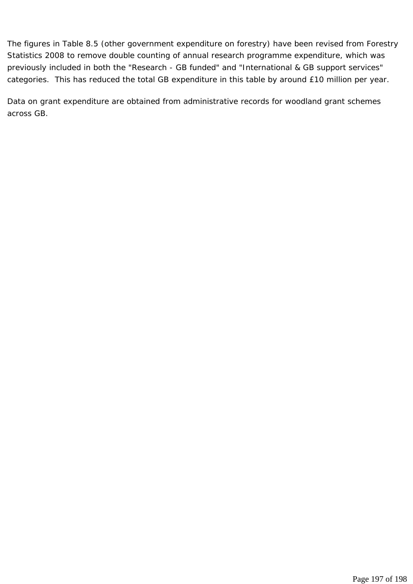The figures in Table 8.5 (other government expenditure on forestry) have been revised from Forestry Statistics 2008 to remove double counting of annual research programme expenditure, which was previously included in both the "Research - GB funded" and "International & GB support services" categories. This has reduced the total GB expenditure in this table by around £10 million per year.

Data on grant expenditure are obtained from administrative records for woodland grant schemes across GB.